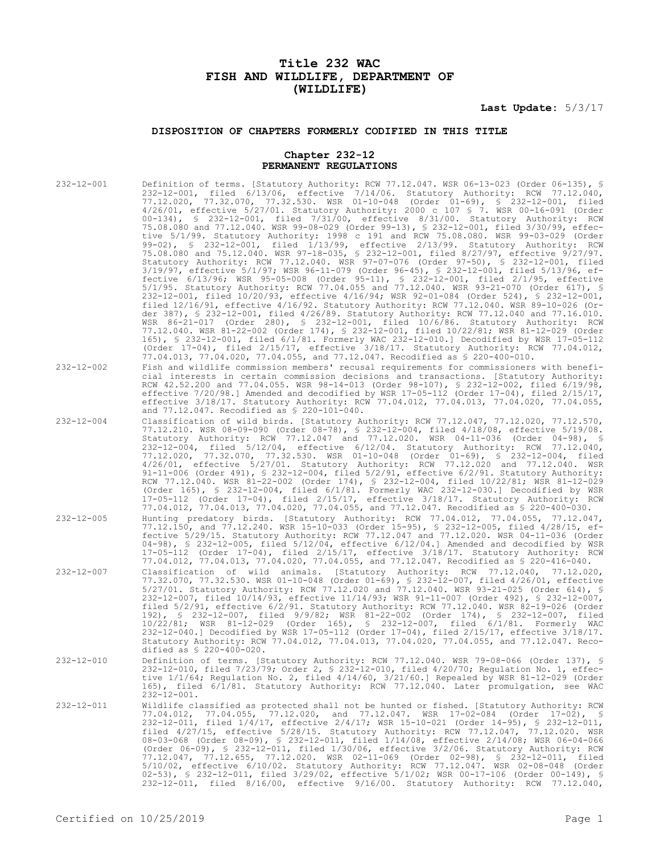# **Title 232 WAC FISH AND WILDLIFE, DEPARTMENT OF (WILDLIFE)**

**Last Update:** 5/3/17

## **DISPOSITION OF CHAPTERS FORMERLY CODIFIED IN THIS TITLE**

### **Chapter 232-12 PERMANENT REGULATIONS**

| $232 - 12 - 001$ | Definition of terms. [Statutory Authority: RCW 77.12.047. WSR 06-13-023 (Order 06-135), §<br>232-12-001, filed 6/13/06, effective 7/14/06. Statutory Authority: RCW 77.12.040,<br>77.12.020, 77.32.070, 77.32.530. WSR 01-10-048 (Order 01-69), § 232-12-001, filed<br>$4/26/01$ , effective $5/27/01$ . Statutory Authority: 2000 c 107 § 7. WSR 00-16-091 (Order<br>$00-134$ , § 232-12-001, filed 7/31/00, effective 8/31/00. Statutory Authority: RCW<br>75.08.080 and 77.12.040. WSR 99-08-029 (Order 99-13), \$ 232-12-001, filed 3/30/99, effec-<br>tive 5/1/99. Statutory Authority: 1998 c 191 and RCW 75.08.080. WSR 99-03-029 (Order<br>99-02), § 232-12-001, filed 1/13/99, effective 2/13/99. Statutory Authority: RCW<br>75.08.080 and 75.12.040. WSR 97-18-035, \$ 232-12-001, filed 8/27/97, effective 9/27/97.<br>Statutory Authority: RCW 77.12.040. WSR 97-07-076 (Order 97-50), § 232-12-001, filed<br>3/19/97, effective 5/1/97; WSR 96-11-079 (Order 96-45), § 232-12-001, filed 5/13/96, ef-<br>fective 6/13/96; WSR 95-05-008 (Order 95-11), § 232-12-001, filed 2/1/95, effective<br>5/1/95. Statutory Authority: RCW 77.04.055 and 77.12.040. WSR 93-21-070 (Order 617), §<br>232-12-001, filed 10/20/93, effective 4/16/94; WSR 92-01-084 (Order 524), § 232-12-001,<br>filed $12/16/91$ , effective $4/16/92$ . Statutory Authority: RCW 77.12.040. WSR 89-10-026 (Or-<br>der 387), § 232-12-001, filed 4/26/89. Statutory Authority: RCW 77.12.040 and 77.16.010.<br>WSR 86-21-017 (Order 280), § 232-12-001, filed 10/6/86. Statutory Authority: RCW<br>77.12.040. WSR 81-22-002 (Order 174), § 232-12-001, filed 10/22/81; WSR 81-12-029 (Order<br>165), § 232-12-001, filed 6/1/81. Formerly WAC 232-12-010.] Decodified by WSR 17-05-112<br>(Order $17-04$ ), filed $2/15/17$ , effective $3/18/17$ . Statutory Authority: RCW 77.04.012,<br>77.04.013, 77.04.020, 77.04.055, and 77.12.047. Recodified as \$ 220-400-010. |
|------------------|-------------------------------------------------------------------------------------------------------------------------------------------------------------------------------------------------------------------------------------------------------------------------------------------------------------------------------------------------------------------------------------------------------------------------------------------------------------------------------------------------------------------------------------------------------------------------------------------------------------------------------------------------------------------------------------------------------------------------------------------------------------------------------------------------------------------------------------------------------------------------------------------------------------------------------------------------------------------------------------------------------------------------------------------------------------------------------------------------------------------------------------------------------------------------------------------------------------------------------------------------------------------------------------------------------------------------------------------------------------------------------------------------------------------------------------------------------------------------------------------------------------------------------------------------------------------------------------------------------------------------------------------------------------------------------------------------------------------------------------------------------------------------------------------------------------------------------------------------------------------------------------------------------------------------------------------------------------|
| 232-12-002       | Fish and wildlife commission members' recusal requirements for commissioners with benefi-<br>cial interests in certain commission decisions and transactions. [Statutory Authority:<br>RCW 42.52.200 and 77.04.055. WSR 98-14-013 (Order 98-107), § 232-12-002, filed 6/19/98,<br>effective $7/20/98$ . Amended and decodified by WSR 17-05-112 (Order 17-04), filed $2/15/17$ ,<br>effective 3/18/17. Statutory Authority: RCW 77.04.012, 77.04.013, 77.04.020, 77.04.055,<br>and 77.12.047. Recodified as \$ 220-101-040.                                                                                                                                                                                                                                                                                                                                                                                                                                                                                                                                                                                                                                                                                                                                                                                                                                                                                                                                                                                                                                                                                                                                                                                                                                                                                                                                                                                                                                 |
| $232 - 12 - 004$ | Classification of wild birds. [Statutory Authority: RCW 77.12.047, 77.12.020, 77.12.570,<br>77.12.210. WSR 08-09-090 (Order 08-78), § 232-12-004, filed 4/18/08, effective 5/19/08.<br>Statutory Authority: RCW 77.12.047 and 77.12.020. WSR 04-11-036 (Order 04-98), §<br>232-12-004, filed 5/12/04, effective 6/12/04. Statutory Authority: RCW 77.12.040,<br>77.12.020, 77.32.070, 77.32.530. WSR 01-10-048 (Order 01-69), § 232-12-004, filed<br>4/26/01, effective 5/27/01. Statutory Authority: RCW 77.12.020 and 77.12.040. WSR<br>91-11-006 (Order 491), $\frac{1}{5}$ 232-12-004, filed 5/2/91, effective 6/2/91. Statutory Authority:<br>RCW 77.12.040. WSR 81-22-002 (Order 174), § 232-12-004, filed 10/22/81; WSR 81-12-029<br>(Order 165), $\frac{1}{5}$ 232-12-004, filed 6/1/81. Formerly WAC 232-12-030.] Decodified by WSR<br>17-05-112 (Order 17-04), filed 2/15/17, effective 3/18/17. Statutory Authority: RCW<br>77.04.012, 77.04.013, 77.04.020, 77.04.055, and 77.12.047. Recodified as \$ 220-400-030.                                                                                                                                                                                                                                                                                                                                                                                                                                                                                                                                                                                                                                                                                                                                                                                                                                                                                                                             |
| $232 - 12 - 005$ | Hunting predatory birds. [Statutory Authority: RCW 77.04.012, 77.04.055, 77.12.047,<br>77.12.150, and 77.12.240. WSR 15-10-033 (Order 15-95), § 232-12-005, filed 4/28/15, ef-<br>fective 5/29/15. Statutory Authority: RCW 77.12.047 and 77.12.020. WSR 04-11-036 (Order<br>$04-98$ , § 232-12-005, filed $5/12/04$ , effective $6/12/04$ . Amended and decodified by WSR<br>$17-05-112$ (Order 17-04), filed $2/15/17$ , effective $3/18/17$ . Statutory Authority: RCW<br>77.04.012, 77.04.013, 77.04.020, 77.04.055, and 77.12.047. Recodified as \$ 220-416-040.                                                                                                                                                                                                                                                                                                                                                                                                                                                                                                                                                                                                                                                                                                                                                                                                                                                                                                                                                                                                                                                                                                                                                                                                                                                                                                                                                                                       |
| $232 - 12 - 007$ | Classification of wild animals. [Statutory Authority: RCW 77.12.040, 77.12.020,<br>77.32.070, 77.32.530. WSR 01-10-048 (Order 01-69), § 232-12-007, filed 4/26/01, effective<br>5/27/01. Statutory Authority: RCW 77.12.020 and 77.12.040. WSR 93-21-025 (Order 614), §<br>232-12-007, filed 10/14/93, effective 11/14/93; WSR 91-11-007 (Order 492), § 232-12-007,<br>filed 5/2/91, effective 6/2/91. Statutory Authority: RCW 77.12.040. WSR 82-19-026 (Order<br>192), § 232-12-007, filed 9/9/82; WSR 81-22-002 (Order 174), § 232-12-007, filed<br>10/22/81; WSR 81-12-029 (Order 165), § 232-12-007, filed 6/1/81. Formerly WAC<br>232-12-040.] Decodified by WSR 17-05-112 (Order 17-04), filed 2/15/17, effective 3/18/17.<br>Statutory Authority: RCW 77.04.012, 77.04.013, 77.04.020, 77.04.055, and 77.12.047. Reco-<br>dified as $$ 220-400-020.$                                                                                                                                                                                                                                                                                                                                                                                                                                                                                                                                                                                                                                                                                                                                                                                                                                                                                                                                                                                                                                                                                                |
| $232 - 12 - 010$ | Definition of terms. [Statutory Authority: RCW 77.12.040. WSR 79-08-066 (Order 137), §<br>232-12-010, filed 7/23/79; Order 2, § 232-12-010, filed 4/20/70; Regulation No. 1, effec-<br>tive $1/1/64$ ; Regulation No. 2, filed $4/14/60$ , $3/21/60$ . Repealed by WSR 81-12-029 (Order<br>165), filed 6/1/81. Statutory Authority: RCW 77.12.040. Later promulgation, see WAC<br>$232 - 12 - 001$ .                                                                                                                                                                                                                                                                                                                                                                                                                                                                                                                                                                                                                                                                                                                                                                                                                                                                                                                                                                                                                                                                                                                                                                                                                                                                                                                                                                                                                                                                                                                                                        |
| $232 - 12 - 011$ | Wildlife classified as protected shall not be hunted or fished. [Statutory Authority: RCW<br>77.04.012, 77.04.055, 77.12.020, and 77.12.047. WSR 17-02-084 (Order 17-02), §<br>232-12-011, filed 1/4/17, effective 2/4/17; WSR 15-10-021 (Order 14-95), § 232-12-011,<br>filed 4/27/15, effective 5/28/15. Statutory Authority: RCW 77.12.047, 77.12.020. WSR<br>08-03-068 (Order 08-09), § 232-12-011, filed 1/14/08, effective 2/14/08; WSR 06-04-066<br>(Order $06-09$ ), § 232-12-011, filed $1/30/06$ , effective $3/2/06$ . Statutory Authority: RCW<br>77.12.047, 77.12.655, 77.12.020. WSR 02-11-069 (Order 02-98), § 232-12-011, filed<br>5/10/02, effective 6/10/02. Statutory Authority: RCW 77.12.047. WSR 02-08-048 (Order<br>02-53), § 232-12-011, filed 3/29/02, effective 5/1/02; WSR 00-17-106 (Order 00-149), §<br>232-12-011, filed 8/16/00, effective 9/16/00. Statutory Authority: RCW 77.12.040,                                                                                                                                                                                                                                                                                                                                                                                                                                                                                                                                                                                                                                                                                                                                                                                                                                                                                                                                                                                                                                      |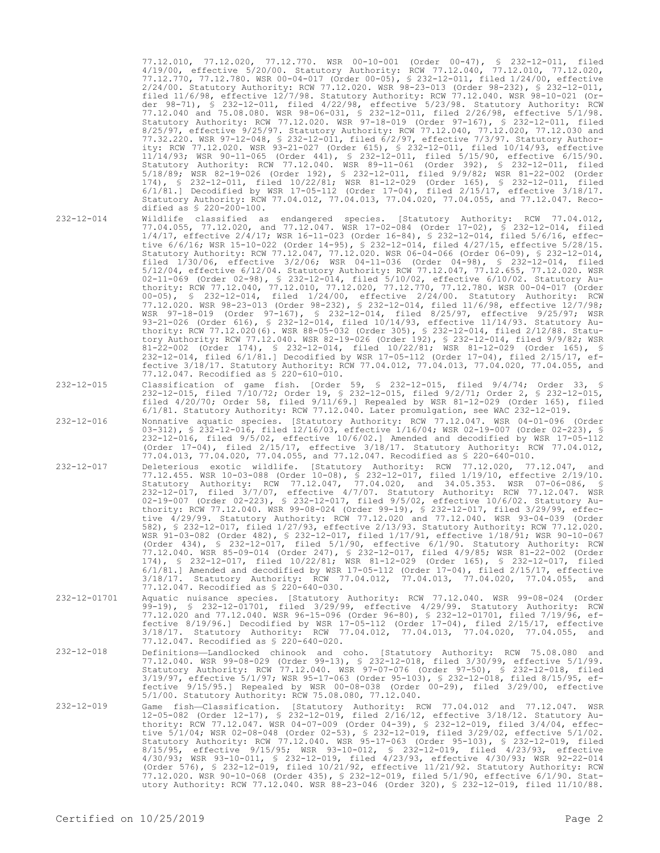77.12.010, 77.12.020, 77.12.770. WSR 00-10-001 (Order 00-47), § 232-12-011, filed 4/19/00, effective 5/20/00. Statutory Authority: RCW 77.12.040, 77.12.010, 77.12.020, 77.12.770, 77.12.780. WSR 00-04-017 (Order 00-05), § 232-12-011, filed 1/24/00, effective 2/24/00. Statutory Authority: RCW 77.12.020. WSR 98-23-013 (Order 98-232), § 232-12-011, filed 11/6/98, effective 12/7/98. Statutory Authority: RCW 77.12.040. WSR 98-10-021 (Order 98-71), § 232-12-011, filed 4/22/98, effective 5/23/98. Statutory Authority: RCW 77.12.040 and 75.08.080. WSR 98-06-031, § 232-12-011, filed 2/26/98, effective 5/1/98. Statutory Authority: RCW 77.12.020. WSR 97-18-019 (Order 97-167), § 232-12-011, filed 8/25/97, effective 9/25/97. Statutory Authority: RCW 77.12.040, 77.12.020, 77.12.030 and 77.32.220. WSR 97-12-048, § 232-12-011, filed 6/2/97, effective 7/3/97. Statutory Authority: RCW 77.12.020. WSR 93-21-027 (Order 615), § 232-12-011, filed 10/14/93, effective 11/14/93; WSR 90-11-065 (Order 441), § 232-12-011, filed 5/15/90, effective 6/15/90. Statutory Authority: RCW 77.12.040. WSR 89-11-061 (Order 392), § 232-12-011, filed 5/18/89; WSR 82-19-026 (Order 192), § 232-12-011, filed 9/9/82; WSR 81-22-002 (Order 174), § 232-12-011, filed 10/22/81; WSR 81-12-029 (Order 165), § 232-12-011, filed 6/1/81.] Decodified by WSR 17-05-112 (Order 17-04), filed 2/15/17, effective 3/18/17. Statutory Authority: RCW 77.04.012, 77.04.013, 77.04.020, 77.04.055, and 77.12.047. Recodified as § 220-200-100. 232-12-014 Wildlife classified as endangered species. [Statutory Authority: RCW 77.04.012,

77.04.055, 77.12.020, and 77.12.047. WSR 17-02-084 (Order 17-02), § 232-12-014, filed

- 
- 1/4/17, effective 2/4/17; WSR 16-11-023 (Order 16-84), § 232-12-014, filed 5/6/16, effective 6/6/16; WSR 15-10-022 (Order 14-95), § 232-12-014, filed 4/27/15, effective 5/28/15. Statutory Authority: RCW 77.12.047, 77.12.020. WSR 06-04-066 (Order 06-09), § 232-12-014, filed 1/30/06, effective 3/2/06; WSR 04-11-036 (Order 04-98), § 232-12-014, filed 5/12/04, effective 6/12/04. Statutory Authority: RCW 77.12.047, 77.12.655, 77.12.020. WSR 02-11-069 (Order 02-98), § 232-12-014, filed 5/10/02, effective 6/10/02. Statutory Authority: RCW 77.12.040, 77.12.010, 77.12.020, 77.12.770, 77.12.780. WSR 00-04-017 (Order 00-05), § 232-12-014, filed 1/24/00, effective 2/24/00. Statutory Authority: RCW 77.12.020. WSR 98-23-013 (Order 98-232), § 232-12-014, filed 11/6/98, effective 12/7/98; WSR 97-18-019 (Order 97-167), § 232-12-014, filed 8/25/97, effective 9/25/97; WSR 93-21-026 (Order 616), § 232-12-014, filed 10/14/93, effective 11/14/93. Statutory Authority: RCW 77.12.020(6). WSR 88-05-032 (Order 305), § 232-12-014, filed 2/12/88. Statutory Authority: RCW 77.12.040. WSR 82-19-026 (Order 192), § 232-12-014, filed 9/9/82; WSR 81-22-002 (Order 174), § 232-12-014, filed 10/22/81; WSR 81-12-029 (Order 165), § 232-12-014, filed 6/1/81.] Decodified by WSR 17-05-112 (Order 17-04), filed 2/15/17, effective 3/18/17. Statutory Authority: RCW 77.04.012, 77.04.013, 77.04.020, 77.04.055, and 77.12.047. Recodified as § 220-610-010.
- 232-12-015 Classification of game fish. [Order 59, § 232-12-015, filed 9/4/74; Order 33, § 232-12-015, filed 7/10/72; Order 19, § 232-12-015, filed 9/2/71; Order 2, § 232-12-015, filed 4/20/70; Order 58, filed 9/11/69.] Repealed by WSR 81-12-029 (Order 165), filed 6/1/81. Statutory Authority: RCW 77.12.040. Later promulgation, see WAC 232-12-019.
- 232-12-016 Nonnative aquatic species. [Statutory Authority: RCW 77.12.047. WSR 04-01-096 (Order 03-312), § 232-12-016, filed 12/16/03, effective 1/16/04; WSR 02-19-007 (Order 02-223), § 232-12-016, filed 9/5/02, effective 10/6/02.] Amended and decodified by WSR 17-05-112 (Order 17-04), filed 2/15/17, effective 3/18/17. Statutory Authority: RCW 77.04.012, 77.04.013, 77.04.020, 77.04.055, and 77.12.047. Recodified as § 220-640-010.
- 232-12-017 Deleterious exotic wildlife. [Statutory Authority: RCW 77.12.020, 77.12.047, and 77.12.455. WSR 10-03-088 (Order 10-08), § 232-12-017, filed 1/19/10, effective 2/19/10. Statutory Authority: RCW 77.12.047, 77.04.020, and 34.05.353. WSR 07-06-086, § 232-12-017, filed 3/7/07, effective 4/7/07. Statutory Authority: RCW 77.12.047. WSR 02-19-007 (Order 02-223), § 232-12-017, filed 9/5/02, effective 10/6/02. Statutory Authority: RCW 77.12.040. WSR 99-08-024 (Order 99-19), § 232-12-017, filed 3/29/99, effective 4/29/99. Statutory Authority: RCW 77.12.020 and 77.12.040. WSR 93-04-039 (Order 582), § 232-12-017, filed 1/27/93, effective 2/13/93. Statutory Authority: RCW 77.12.020. WSR 91-03-082 (Order 482), § 232-12-017, filed 1/17/91, effective 1/18/91; WSR 90-10-067 (Order 434), § 232-12-017, filed 5/1/90, effective 6/1/90. Statutory Authority: RCW 77.12.040. WSR 85-09-014 (Order 247), § 232-12-017, filed 4/9/85; WSR 81-22-002 (Order 174), § 232-12-017, filed 10/22/81; WSR 81-12-029 (Order 165), § 232-12-017, filed 6/1/81.] Amended and decodified by WSR 17-05-112 (Order 17-04), filed 2/15/17, effective 3/18/17. Statutory Authority: RCW 77.04.012, 77.04.013, 77.04.020, 77.04.055, and 77.12.047. Recodified as § 220-640-030.
- 232-12-01701 Aquatic nuisance species. [Statutory Authority: RCW 77.12.040. WSR 99-08-024 (Order 99-19), § 232-12-01701, filed 3/29/99, effective 4/29/99. Statutory Authority: RCW 77.12.020 and 77.12.040. WSR 96-15-096 (Order 96-80), § 232-12-01701, filed 7/19/96, effective 8/19/96.] Decodified by WSR 17-05-112 (Order 17-04), filed 2/15/17, effective 3/18/17. Statutory Authority: RCW 77.04.012, 77.04.013, 77.04.020, 77.04.055, and 77.12.047. Recodified as § 220-640-020.
- 232-12-018 Definitions—Landlocked chinook and coho. [Statutory Authority: RCW 75.08.080 and 77.12.040. WSR 99-08-029 (Order 99-13), § 232-12-018, filed 3/30/99, effective 5/1/99. Statutory Authority: RCW 77.12.040. WSR 97-07-076 (Order 97-50), § 232-12-018, filed 3/19/97, effective 5/1/97; WSR 95-17-063 (Order 95-103), § 232-12-018, filed 8/15/95, effective 9/15/95.] Repealed by WSR 00-08-038 (Order 00-29), filed 3/29/00, effective 5/1/00. Statutory Authority: RCW 75.08.080, 77.12.040.
- 232-12-019 Game fish—Classification. [Statutory Authority: RCW 77.04.012 and 77.12.047. WSR<br>12-05-082 (Order 12-17), § 232-12-019, filed 2/16/12, effective 3/18/12. Statutory Au-<br>thority: RCW 77.12.047. WSR 04-07-009 (Orde tive 5/1/04; WSR 02-08-048 (Order 02-53), § 232-12-019, filed 3/29/02, effective 5/1/02. Statutory Authority: RCW 77.12.040. WSR 95-17-063 (Order 95-103), § 232-12-019, filed 8/15/95, effective 9/15/95; WSR 93-10-012, § 232-12-019, filed 4/23/93, effective 4/30/93; WSR 93-10-011, § 232-12-019, filed 4/23/93, effective 4/30/93; WSR 92-22-014 (Order 576), § 232-12-019, filed 10/21/92, effective 11/21/92. Statutory Authority: RCW 77.12.020. WSR 90-10-068 (Order 435), § 232-12-019, filed 5/1/90, effective 6/1/90. Statutory Authority: RCW 77.12.040. WSR 88-23-046 (Order 320), § 232-12-019, filed 11/10/88.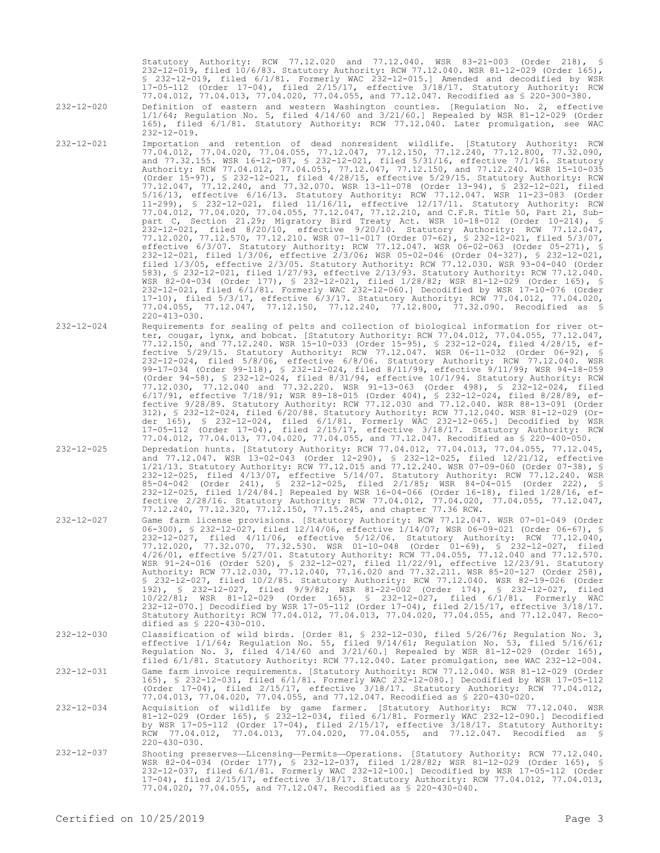Statutory Authority: RCW 77.12.020 and 77.12.040. WSR 83-21-003 (Order 218), § 232-12-019, filed 10/6/83. Statutory Authority: RCW 77.12.040. WSR 81-12-029 (Order 165), § 232-12-019, filed 6/1/81. Formerly WAC 232-12-015.] Amended and decodified by WSR 17-05-112 (Order 17-04), filed 2/15/17, effective 3/18/17. Statutory Authority: RCW 77.04.012, 77.04.013, 77.04.020, 77.04.055, and 77.12.047. Recodified as § 220-300-380.

232-12-020 Definition of eastern and western Washington counties. [Regulation No. 2, effective 1/1/64; Regulation No. 5, filed 4/14/60 and 3/21/60.] Repealed by WSR 81-12-029 (Order 165), filed 6/1/81. Statutory Authority: RCW 77.12.040. Later promulgation, see WAC 232-12-019.

- 232-12-021 Importation and retention of dead nonresident wildlife. [Statutory Authority: RCW 77.04.012, 77.04.020, 77.04.055, 77.12.047, 77.12.150, 77.12.240, 77.12.800, 77.32.090, and 77.32.155. WSR 16-12-087, § 232-12-021, filed 5/31/16, effective 7/1/16. Statutory Authority: RCW 77.04.012, 77.04.055, 77.12.047, 77.12.150, and 77.12.240. WSR 15-10-035 (Order 15-97), § 232-12-021, filed 4/28/15, effective 5/29/15. Statutory Authority: RCW 77.12.047, 77.12.240, and 77.32.070. WSR 13-11-078 (Order 13-94), § 232-12-021, filed 5/16/13, effective 6/16/13. Statutory Authority: RCW 77.12.047. WSR 11-23-083 (Order 11-299), § 232-12-021, filed 11/16/11, effective 12/17/11. Statutory Authority: RCW 77.04.012, 77.04.020, 77.04.055, 77.12.047, 77.12.210, and C.F.R. Title 50, Part 21, Subpart C, Section 21.29; Migratory Bird Treaty Act. WSR 10-18-012 (Order 10-214), § 232-12-021, filed 8/20/10, effective 9/20/10. Statutory Authority: RCW 77.12.047, 77.12.020, 77.12.570, 77.12.210. WSR 07-11-017 (Order 07-62), § 232-12-021, filed 5/3/07, effective 6/3/07. Statutory Authority: RCW 77.12.047. WSR 06-02-063 (Order 05-271), § 232-12-021, filed 1/3/06, effective 2/3/06; WSR 05-02-046 (Order 04-327), § 232-12-021, filed 1/3/05, effective 2/3/05. Statutory Authority: RCW 77.12.030. WSR 93-04-040 (Order 583), § 232-12-021, filed 1/27/93, effective 2/13/93. Statutory Authority: RCW 77.12.040. WSR 82-04-034 (Order 177), § 232-12-021, filed 1/28/82; WSR 81-12-029 (Order 165), § 232-12-021, filed 6/1/81. Formerly WAC 232-12-060.] Decodified by WSR 17-10-076 (Order 17-10), filed 5/3/17, effective 6/3/17. Statutory Authority: RCW 77.04.012, 77.04.020, 77.04.055, 77.12.047, 77.12.150, 77.12.240, 77.12.800, 77.32.090. Recodified as § 220-413-030.
- 232-12-024 Requirements for sealing of pelts and collection of biological information for river otter, cougar, lynx, and bobcat. [Statutory Authority: RCW 77.04.012, 77.04.055, 77.12.047, 77.12.150, and 77.12.240. WSR 15-10-033 (Order 15-95), § 232-12-024, filed 4/28/15, effective 5/29/15. Statutory Authority: RCW 77.12.047. WSR 06-11-032 (Order 06-92), § 232-12-024, filed 5/8/06, effective 6/8/06. Statutory Authority: RCW 77.12.040. WSR 99-17-034 (Order 99-118), § 232-12-024, filed 8/11/99, effective 9/11/99; WSR 94-18-059 (Order 94-58), § 232-12-024, filed 8/31/94, effective 10/1/94. Statutory Authority: RCW 77.12.030, 77.12.040 and 77.32.220. WSR 91-13-063 (Order 498), § 232-12-024, filed 6/17/91, effective 7/18/91; WSR 89-18-015 (Order 404), § 232-12-024, filed 8/28/89, effective 9/28/89. Statutory Authority: RCW 77.12.030 and 77.12.040. WSR 88-13-091 (Order 312), § 232-12-024, filed 6/20/88. Statutory Authority: RCW 77.12.040. WSR 81-12-029 (Order 165), § 232-12-024, filed 6/1/81. Formerly WAC 232-12-065.] Decodified by WSR 17-05-112 (Order 17-04), filed 2/15/17, effective 3/18/17. Statutory Authority: RCW 77.04.012, 77.04.013, 77.04.020, 77.04.055, and 77.12.047. Recodified as § 220-400-050.
- 232-12-025 Depredation hunts. [Statutory Authority: RCW 77.04.012, 77.04.013, 77.04.055, 77.12.045, and 77.12.047. WSR 13-02-043 (Order 12-290), § 232-12-025, filed 12/21/12, effective 1/21/13. Statutory Authority: RCW 77.12.015 and 77.12.240. WSR 07-09-060 (Order 07-38), § 232-12-025, filed 4/13/07, effective 5/14/07. Statutory Authority: RCW 77.12.240. WSR 85-04-042 (Order 241), § 232-12-025, filed 2/1/85; WSR 84-04-015 (Order 222), § 232-12-025, filed 1/24/84.] Repealed by WSR 16-04-066 (Order 16-18), filed 1/28/16, effective 2/28/16. Statutory Authority: RCW 77.04.012, 77.04.020, 77.04.055, 77.12.047, 77.12.240, 77.12.320, 77.12.150, 77.15.245, and chapter 77.36 RCW.
- 232-12-027 Game farm license provisions. [Statutory Authority: RCW 77.12.047. WSR 07-01-049 (Order 06-300), § 232-12-027, filed 12/14/06, effective 1/14/07; WSR 06-09-021 (Order 06-67), § 232-12-027, filed 4/11/06, effective 5/12/06. Statutory Authority: RCW 77.12.040, 77.12.020, 77.32.070, 77.32.530. WSR 01-10-048 (Order 01-69), § 232-12-027, filed 4/26/01, effective 5/27/01. Statutory Authority: RCW 77.04.055, 77.12.040 and 77.12.570. WSR 91-24-016 (Order 520), § 232-12-027, filed 11/22/91, effective 12/23/91. Statutory Authority: RCW 77.12.030, 77.12.040, 77.16.020 and 77.32.211. WSR 85-20-127 (Order 258), § 232-12-027, filed 10/2/85. Statutory Authority: RCW 77.12.040. WSR 82-19-026 (Order 192), § 232-12-027, filed 9/9/82; WSR 81-22-002 (Order 174), § 232-12-027, filed 10/22/81; WSR 81-12-029 (Order 165), § 232-12-027, filed 6/1/81. Formerly WAC 232-12-070.] Decodified by WSR 17-05-112 (Order 17-04), filed 2/15/17, effective 3/18/17. Statutory Authority: RCW 77.04.012, 77.04.013, 77.04.020, 77.04.055, and 77.12.047. Recodified as § 220-430-010.
- 232-12-030 Classification of wild birds. [Order 81, § 232-12-030, filed 5/26/76; Regulation No. 3, effective 1/1/64; Regulation No. 55, filed 9/14/61; Regulation No. 53, filed 5/16/61; Regulation No. 3, filed  $4/14/60$  and  $3/21/60$ . Repealed by WSR  $81-12-029$  (Order 165), filed 6/1/81. Statutory Authority: RCW 77.12.040. Later promulgation, see WAC 232-12-004. 232-12-031 Game farm invoice requirements. [Statutory Authority: RCW 77.12.040. WSR 81-12-029 (Order 165), § 232-12-031, filed 6/1/81. Formerly WAC 232-12-080.] Decodified by WSR 17-05-112 (Order 17-04), filed 2/15/17, effective 3/18/17. Statutory Authority: RCW 77.04.012, 77.04.013, 77.04.020, 77.04.055, and 77.12.047. Recodified as § 220-430-020.
- Acquisition of wildlife by game farmer. [Statutory Authority: RCW 77.12.040. WSR د232-12-034 Acquisition of wildlife by game farmer. [Statutory Authority: RCW 77.12.040. WSR<br>81-12-029 (Order 165), S 232-12-034, filed 6/1/8 RCW 77.04.012, 77.04.013, 77.04.020, 77.04.055, and 77.12.047. Recodified as § 220-430-030.
- 232-12-037 Shooting preserves—Licensing—Permits—Operations. [Statutory Authority: RCW 77.12.040. WSR 82-04-034 (Order 177), § 232-12-037, filed 1/28/82; WSR 81-12-029 (Order 165), § 232-12-037, filed 6/1/81. Formerly WAC 232-12-100.] Decodified by WSR 17-05-112 (Order 17-04), filed 2/15/17, effective 3/18/17. Statutory Authority: RCW 77.04.012, 77.04.013, 77.04.020, 77.04.055, and 77.12.047. Recodified as § 220-430-040.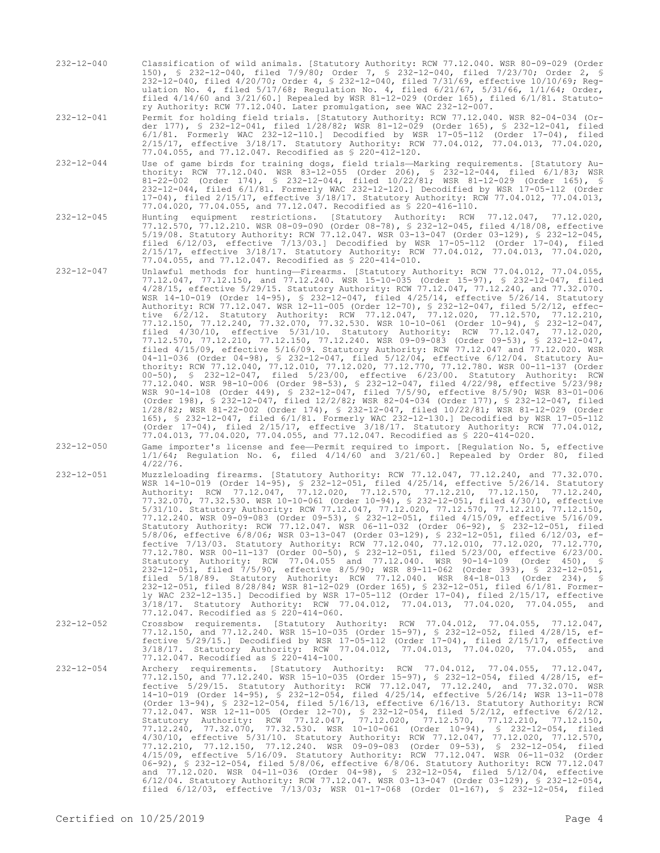232-12-040 Classification of wild animals. [Statutory Authority: RCW 77.12.040. WSR 80-09-029 (Order 150), § 232-12-040, filed 7/9/80; Order 7, § 232-12-040, filed 7/23/70; Order 2, § 232-12-040, filed 4/20/70; Order 4, § 232-12-040, filed 7/31/69, effective 10/10/69; Regulation No. 4, filed 5/17/68; Regulation No. 4, filed 6/21/67, 5/31/66, 1/1/64; Order, filed 4/14/60 and 3/21/60.] Repealed by WSR 81-12-029 (Order 165), filed 6/1/81. Statutory Authority: RCW 77.12.040. Later promulgation, see WAC 232-12-007.

232-12-041 Permit for holding field trials. [Statutory Authority: RCW 77.12.040. WSR 82-04-034 (Order 177), § 232-12-041, filed 1/28/82; WSR 81-12-029 (Order 165), § 232-12-041, filed 6/1/81. Formerly WAC 232-12-110.] Decodified by WSR 17-05-112 (Order 17-04), filed 2/15/17, effective 3/18/17. Statutory Authority: RCW 77.04.012, 77.04.013, 77.04.020, 77.04.055, and 77.12.047. Recodified as § 220-412-120.

232-12-044 Use of game birds for training dogs, field trials—Marking requirements. [Statutory Authority: RCW 77.12.040. WSR 83-12-055 (Order 206), § 232-12-044, filed 6/1/83; WSR 81-22-002 (Order 174), § 232-12-044, filed 10/22/81; WSR 81-12-029 (Order 165), § 232-12-044, filed 6/1/81. Formerly WAC 232-12-120.] Decodified by WSR 17-05-112 (Order 17-04), filed 2/15/17, effective 3/18/17. Statutory Authority: RCW 77.04.012, 77.04.013, 77.04.020, 77.04.055, and 77.12.047. Recodified as § 220-416-110.

232-12-045 Hunting equipment restrictions. [Statutory Authority: RCW 77.12.047, 77.12.020, 77.12.570, 77.12.210. WSR 08-09-090 (Order 08-78), § 232-12-045, filed 4/18/08, effective 5/19/08. Statutory Authority: RCW 77.12.047. WSR 03-13-047 (Order 03-129), § 232-12-045, filed 6/12/03, effective 7/13/03.] Decodified by WSR 17-05-112 (Order 17-04), filed 2/15/17, effective 3/18/17. Statutory Authority: RCW 77.04.012, 77.04.013, 77.04.020, 77.04.055, and 77.12.047. Recodified as § 220-414-010.

- 232-12-047 Unlawful methods for hunting—Firearms. [Statutory Authority: RCW 77.04.012, 77.04.055, 77.12.047, 77.12.150, and 77.12.240. WSR 15-10-035 (Order 15-97), § 232-12-047, filed 4/28/15, effective 5/29/15. Statutory Authority: RCW 77.12.047, 77.12.240, and 77.32.070. WSR 14-10-019 (Order 14-95), § 232-12-047, filed 4/25/14, effective 5/26/14. Statutory Authority: RCW 77.12.047. WSR 12-11-005 (Order 12-70), § 232-12-047, filed 5/2/12, effective 6/2/12. Statutory Authority: RCW 77.12.047, 77.12.020, 77.12.570, 77.12.210, 77.12.150, 77.12.240, 77.32.070, 77.32.530. WSR 10-10-061 (Order 10-94), § 232-12-047, filed 4/30/10, effective 5/31/10. Statutory Authority: RCW 77.12.047, 77.12.020, 77.12.570, 77.12.210, 77.12.150, 77.12.240. WSR 09-09-083 (Order 09-53), § 232-12-047, filed 4/15/09, effective 5/16/09. Statutory Authority: RCW 77.12.047 and 77.12.020. WSR 04-11-036 (Order 04-98), § 232-12-047, filed 5/12/04, effective 6/12/04. Statutory Authority: RCW 77.12.040, 77.12.010, 77.12.020, 77.12.770, 77.12.780. WSR 00-11-137 (Order 00-50), § 232-12-047, filed 5/23/00, effective 6/23/00. Statutory Authority: RCW 77.12.040. WSR 98-10-006 (Order 98-53), § 232-12-047, filed 4/22/98, effective 5/23/98; WSR 90-14-108 (Order 449), § 232-12-047, filed 7/5/90, effective 8/5/90; WSR 83-01-006 (Order 198), § 232-12-047, filed 12/2/82; WSR 82-04-034 (Order 177), § 232-12-047, filed 1/28/82; WSR 81-22-002 (Order 174), § 232-12-047, filed 10/22/81; WSR 81-12-029 (Order 165), § 232-12-047, filed 6/1/81. Formerly WAC 232-12-130.] Decodified by WSR 17-05-112 (Order 17-04), filed 2/15/17, effective 3/18/17. Statutory Authority: RCW 77.04.012, 77.04.013, 77.04.020, 77.04.055, and 77.12.047. Recodified as § 220-414-020.
- 232-12-050 Game importer's license and fee—Permit required to import. [Regulation No. 5, effective 1/1/64; Regulation No. 6, filed 4/14/60 and 3/21/60.] Repealed by Order 80, filed 4/22/76.
- 232-12-051 Muzzleloading firearms. [Statutory Authority: RCW 77.12.047, 77.12.240, and 77.32.070. WSR 14-10-019 (Order 14-95), § 232-12-051, filed 4/25/14, effective 5/26/14. Statutory Authority: RCW 77.12.047, 77.12.020, 77.12.570, 77.12.210, 77.12.150, 77.12.240, 77.32.070, 77.32.530. WSR 10-10-061 (Order 10-94), § 232-12-051, filed 4/30/10, effective 5/31/10. Statutory Authority: RCW 77.12.047, 77.12.020, 77.12.570, 77.12.210, 77.12.150, 77.12.240. WSR 09-09-083 (Order 09-53), § 232-12-051, filed 4/15/09, effective 5/16/09. Statutory Authority: RCW 77.12.047. WSR 06-11-032 (Order 06-92), § 232-12-051, filed 5/8/06, effective 6/8/06; WSR 03-13-047 (Order 03-129), § 232-12-051, filed 6/12/03, effective 7/13/03. Statutory Authority: RCW 77.12.040, 77.12.010, 77.12.020, 77.12.770, 77.12.780. WSR 00-11-137 (Order 00-50), § 232-12-051, filed 5/23/00, effective 6/23/00. Statutory Authority: RCW 77.04.055 and 77.12.040. WSR 90-14-109 (Order 450), § 232-12-051, filed 7/5/90, effective 8/5/90; WSR 89-11-062 (Order 393), § 232-12-051, filed 5/18/89. Statutory Authority: RCW 77.12.040. WSR 84-18-013 (Order 234), § 232-12-051, filed 8/28/84; WSR 81-12-029 (Order 165), § 232-12-051, filed 6/1/81. Formerly WAC 232-12-135.] Decodified by WSR 17-05-112 (Order 17-04), filed 2/15/17, effective 3/18/17. Statutory Authority: RCW 77.04.012, 77.04.013, 77.04.020, 77.04.055, and 77.12.047. Recodified as § 220-414-060.
- 232-12-052 Crossbow requirements. [Statutory Authority: RCW 77.04.012, 77.04.055, 77.12.047, 77.12.150, and 77.12.240. WSR 15-10-035 (Order 15-97), § 232-12-052, filed 4/28/15, effective 5/29/15.] Decodified by WSR 17-05-112 (Order 17-04), filed 2/15/17, effective 3/18/17. Statutory Authority: RCW 77.04.012, 77.04.013, 77.04.020, 77.04.055, and 77.12.047. Recodified as § 220-414-100.
- 232-12-054 Archery requirements. [Statutory Authority: RCW 77.04.012, 77.04.055, 77.12.047, 77.12.150, and 77.12.240. WSR 15-10-035 (Order 15-97), § 232-12-054, filed 4/28/15, effective 5/29/15. Statutory Authority: RCW 77.12.047, 77.12.240, and 77.32.070. WSR 14-10-019 (Order 14-95), § 232-12-054, filed 4/25/14, effective 5/26/14; WSR 13-11-078 (Order 13-94), § 232-12-054, filed 5/16/13, effective 6/16/13. Statutory Authority: RCW<br>77.12.047. WSR 12-11-005 (Order 12-70), § 232-12-054, filed 5/2/12, effective 6/2/12.<br>Statutory Authority: RCW 77.12.047, 77.12.020, 7 77.12.240, 77.32.070, 77.32.530. WSR 10-10-061 (Order 10-94), § 232-12-054, filed 4/30/10, effective 5/31/10. Statutory Authority: RCW 77.12.047, 77.12.020, 77.12.570, 77.12.210, 77.12.150, 77.12.240. WSR 09-09-083 (Order 09-53), § 232-12-054, filed 4/15/09, effective 5/16/09. Statutory Authority: RCW 77.12.047. WSR 06-11-032 (Order 06-92), § 232-12-054, filed 5/8/06, effective 6/8/06. Statutory Authority: RCW 77.12.047 and 77.12.020. WSR 04-11-036 (Order 04-98), § 232-12-054, filed 5/12/04, effective 6/12/04. Statutory Authority: RCW 77.12.047. WSR 03-13-047 (Order 03-129), § 232-12-054, filed 6/12/03, effective 7/13/03; WSR 01-17-068 (Order 01-167), § 232-12-054, filed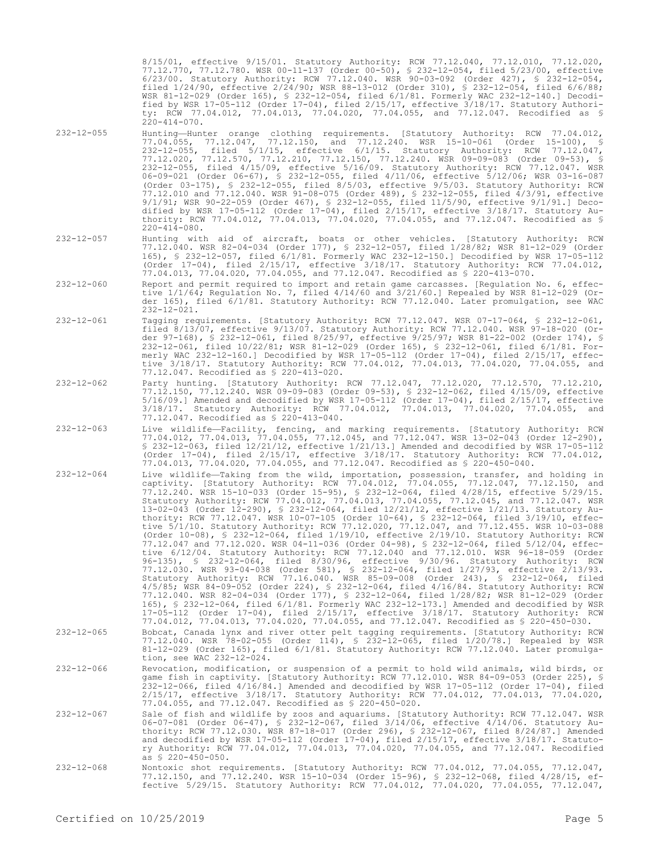8/15/01, effective 9/15/01. Statutory Authority: RCW 77.12.040, 77.12.010, 77.12.020, 77.12.770, 77.12.780. WSR 00-11-137 (Order 00-50), § 232-12-054, filed 5/23/00, effective 6/23/00. Statutory Authority: RCW 77.12.040. WSR 90-03-092 (Order 427), § 232-12-054, filed 1/24/90, effective 2/24/90; WSR 88-13-012 (Order 310), § 232-12-054, filed 6/6/88; WSR 81-12-029 (Order 165), § 232-12-054, filed 6/1/81. Formerly WAC 232-12-140.] Decodified by WSR 17-05-112 (Order 17-04), filed 2/15/17, effective 3/18/17. Statutory Authority: RCW 77.04.012, 77.04.013, 77.04.020, 77.04.055, and 77.12.047. Recodified as §  $220 - 414 - 070$ .

- 232-12-055 Hunting—Hunter orange clothing requirements. [Statutory Authority: RCW 77.04.012, 77.04.055, 77.12.047, 77.12.150, and 77.12.240. WSR 15-10-061 (Order 15-100), § 232-12-055, filed 5/1/15, effective 6/1/15. Statutory Authority: RCW 77.12.047, 77.12.020, 77.12.570, 77.12.210, 77.12.150, 77.12.240. WSR 09-09-083 (Order 09-53), § 232-12-055, filed 4/15/09, effective 5/16/09. Statutory Authority: RCW 77.12.047. WSR 06-09-021 (Order 06-67), § 232-12-055, filed 4/11/06, effective 5/12/06; WSR 03-16-087 (Order 03-175), § 232-12-055, filed 8/5/03, effective 9/5/03. Statutory Authority: RCW 77.12.010 and 77.12.040. WSR 91-08-075 (Order 489), § 232-12-055, filed 4/3/91, effective 9/1/91; WSR 90-22-059 (Order 467), § 232-12-055, filed 11/5/90, effective 9/1/91.] Decodified by WSR 17-05-112 (Order 17-04), filed 2/15/17, effective 3/18/17. Statutory Authority: RCW 77.04.012, 77.04.013, 77.04.020, 77.04.055, and 77.12.047. Recodified as §  $220 - 414 - 080$ .
- 232-12-057 Hunting with aid of aircraft, boats or other vehicles. [Statutory Authority: RCW 77.12.040. WSR 82-04-034 (Order 177), § 232-12-057, filed 1/28/82; WSR 81-12-029 (Order 165), § 232-12-057, filed 6/1/81. Formerly WAC 232-12-150.] Decodified by WSR 17-05-112 (Order 17-04), filed 2/15/17, effective 3/18/17. Statutory Authority: RCW 77.04.012, 77.04.013, 77.04.020, 77.04.055, and 77.12.047. Recodified as § 220-413-070.
- 232-12-060 Report and permit required to import and retain game carcasses. [Regulation No. 6, effective 1/1/64; Regulation No. 7, filed 4/14/60 and 3/21/60.] Repealed by WSR 81-12-029 (Order 165), filed 6/1/81. Statutory Authority: RCW 77.12.040. Later promulgation, see WAC 232-12-021.
- 232-12-061 Tagging requirements. [Statutory Authority: RCW 77.12.047. WSR 07-17-064, § 232-12-061, filed 8/13/07, effective 9/13/07. Statutory Authority: RCW 77.12.040. WSR 97-18-020 (Order 97-168), § 232-12-061, filed 8/25/97, effective 9/25/97; WSR 81-22-002 (Order 174), § 232-12-061, filed 10/22/81; WSR 81-12-029 (Order 165), § 232-12-061, filed 6/1/81. Formerly WAC 232-12-160.] Decodified by WSR 17-05-112 (Order 17-04), filed 2/15/17, effective 3/18/17. Statutory Authority: RCW 77.04.012, 77.04.013, 77.04.020, 77.04.055, and 77.12.047. Recodified as § 220-413-020.
- 232-12-062 Party hunting. [Statutory Authority: RCW 77.12.047, 77.12.020, 77.12.570, 77.12.210, 77.12.150, 77.12.240. WSR 09-09-083 (Order 09-53), § 232-12-062, filed 4/15/09, effective 5/16/09.] Amended and decodified by WSR 17-05-112 (Order 17-04), filed 2/15/17, effective 3/18/17. Statutory Authority: RCW 77.04.012, 77.04.013, 77.04.020, 77.04.055, and 77.12.047. Recodified as § 220-413-040.
- 232-12-063 Live wildlife—Facility, fencing, and marking requirements. [Statutory Authority: RCW 77.04.012, 77.04.013, 77.04.055, 77.12.045, and 77.12.047. WSR 13-02-043 (Order 12-290), § 232-12-063, filed 12/21/12, effective 1/21/13.] Amended and decodified by WSR 17-05-112 (Order 17-04), filed 2/15/17, effective 3/18/17. Statutory Authority: RCW 77.04.012, 77.04.013, 77.04.020, 77.04.055, and 77.12.047. Recodified as § 220-450-040.
- 232-12-064 Live wildlife—Taking from the wild, importation, possession, transfer, and holding in captivity. [Statutory Authority: RCW 77.04.012, 77.04.055, 77.12.047, 77.12.150, and 77.12.240. WSR 15-10-033 (Order 15-95), § 232-12-064, filed 4/28/15, effective 5/29/15. Statutory Authority: RCW 77.04.012, 77.04.013, 77.04.055, 77.12.045, and 77.12.047. WSR 13-02-043 (Order 12-290), § 232-12-064, filed 12/21/12, effective 1/21/13. Statutory Authority: RCW 77.12.047. WSR 10-07-105 (Order 10-64), § 232-12-064, filed 3/19/10, effective 5/1/10. Statutory Authority: RCW 77.12.020, 77.12.047, and 77.12.455. WSR 10-03-088 (Order 10-08), § 232-12-064, filed 1/19/10, effective 2/19/10. Statutory Authority: RCW 77.12.047 and 77.12.020. WSR 04-11-036 (Order 04-98), § 232-12-064, filed 5/12/04, effective 6/12/04. Statutory Authority: RCW 77.12.040 and 77.12.010. WSR 96-18-059 (Order 96-135), § 232-12-064, filed 8/30/96, effective 9/30/96. Statutory Authority: RCW 77.12.030. WSR 93-04-038 (Order 581), § 232-12-064, filed 1/27/93, effective 2/13/93. Statutory Authority: RCW 77.16.040. WSR 85-09-008 (Order 243), § 232-12-064, filed 4/5/85; WSR 84-09-052 (Order 224), § 232-12-064, filed 4/16/84. Statutory Authority: RCW 77.12.040. WSR 82-04-034 (Order 177), § 232-12-064, filed 1/28/82; WSR 81-12-029 (Order 165), § 232-12-064, filed 6/1/81. Formerly WAC 232-12-173.] Amended and decodified by WSR 17-05-112 (Order 17-04), filed 2/15/17, effective 3/18/17. Statutory Authority: RCW 77.04.012, 77.04.013, 77.04.020, 77.04.055, and 77.12.047. Recodified as § 220-450-030.
- 232-12-065 Bobcat, Canada lynx and river otter pelt tagging requirements. [Statutory Authority: RCW 77.12.040. WSR 78-02-055 (Order 114), § 232-12-065, filed 1/20/78.] Repealed by WSR 81-12-029 (Order 165), filed 6/1/81. Statutory Authority: RCW 77.12.040. Later promulgation, see WAC 232-12-024.
- 232-12-066 Revocation, modification, or suspension of a permit to hold wild animals, wild birds, or game fish in captivity. [Statutory Authority: RCW 77.12.010. WSR 84-09-053 (Order 225), § 232-12-066, filed 4/16/84.] Amended and decodified by WSR 17-05-112 (Order 17-04), filed 2/15/17, effective 3/18/17. Statutory Authority: RCW 77.04.012, 77.04.013, 77.04.020, 77.04.055, and 77.12.047. Recodified as § 220-450-020.
- 232-12-067 Sale of fish and wildlife by zoos and aquariums. [Statutory Authority: RCW 77.12.047. WSR 06-07-081 (Order 06-47), § 232-12-067, filed 3/14/06, effective 4/14/06. Statutory Authority: RCW 77.12.030. WSR 87-18-017 (Order 296), § 232-12-067, filed 8/24/87.] Amended and decodified by WSR 17-05-112 (Order 17-04), filed 2/15/17, effective 3/18/17. Statutory Authority: RCW 77.04.012, 77.04.013, 77.04.020, 77.04.055, and 77.12.047. Recodified  $\overline{a}$  \$ 220-450-050.
- 232-12-068 Nontoxic shot requirements. [Statutory Authority: RCW 77.04.012, 77.04.055, 77.12.047, 77.12.150, and 77.12.240. WSR 15-10-034 (Order 15-96), § 232-12-068, filed 4/28/15, effective 5/29/15. Statutory Authority: RCW 77.04.012, 77.04.020, 77.04.055, 77.12.047,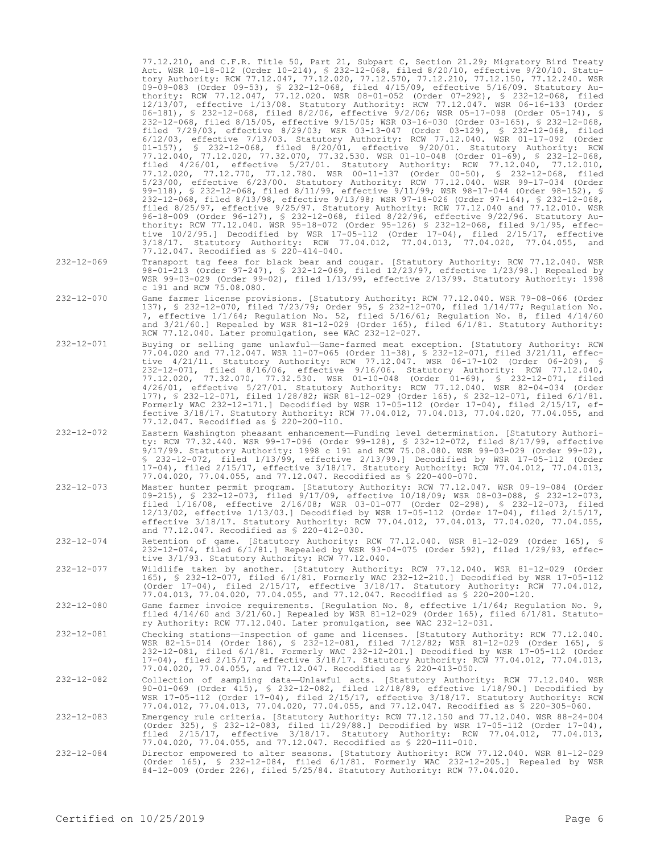77.12.210, and C.F.R. Title 50, Part 21, Subpart C, Section 21.29; Migratory Bird Treaty Act. WSR 10-18-012 (Order 10-214), § 232-12-068, filed 8/20/10, effective 9/20/10. Statutory Authority: RCW 77.12.047, 77.12.020, 77.12.570, 77.12.210, 77.12.150, 77.12.240. WSR 09-09-083 (Order 09-53), § 232-12-068, filed 4/15/09, effective 5/16/09. Statutory Authority: RCW 77.12.047, 77.12.020. WSR 08-01-052 (Order 07-292), § 232-12-068, filed 12/13/07, effective 1/13/08. Statutory Authority: RCW 77.12.047. WSR 06-16-133 (Order 06-181), § 232-12-068, filed 8/2/06, effective 9/2/06; WSR 05-17-098 (Order 05-174), § 232-12-068, filed 8/15/05, effective 9/15/05; WSR 03-16-030 (Order 03-165), § 232-12-068, filed 7/29/03, effective 8/29/03; WSR 03-13-047 (Order 03-129), § 232-12-068, filed 6/12/03, effective 7/13/03. Statutory Authority: RCW 77.12.040. WSR 01-17-092 (Order 01-157), § 232-12-068, filed 8/20/01, effective 9/20/01. Statutory Authority: RCW 77.12.040, 77.12.020, 77.32.070, 77.32.530. WSR 01-10-048 (Order 01-69), § 232-12-068, filed 4/26/01, effective 5/27/01. Statutory Authority: RCW 77.12.040, 77.12.010, 77.12.020, 77.12.770, 77.12.780. WSR 00-11-137 (Order 00-50), § 232-12-068, filed 5/23/00, effective 6/23/00. Statutory Authority: RCW 77.12.040. WSR 99-17-034 (Order 99-118), § 232-12-068, filed 8/11/99, effective 9/11/99; WSR 98-17-044 (Order 98-152), § 232-12-068, filed 8/13/98, effective 9/13/98; WSR 97-18-026 (Order 97-164), § 232-12-068, filed 8/25/97, effective 9/25/97. Statutory Authority: RCW 77.12.040 and 77.12.010. WSR 96-18-009 (Order 96-127), § 232-12-068, filed 8/22/96, effective 9/22/96. Statutory Authority: RCW 77.12.040. WSR 95-18-072 (Order 95-126) § 232-12-068, filed 9/1/95, effective 10/2/95.] Decodified by WSR 17-05-112 (Order 17-04), filed 2/15/17, effective 3/18/17. Statutory Authority: RCW 77.04.012, 77.04.013, 77.04.020, 77.04.055, and 77.12.047. Recodified as § 220-414-040.

- 232-12-069 Transport tag fees for black bear and cougar. [Statutory Authority: RCW 77.12.040. WSR 98-01-213 (Order 97-247), § 232-12-069, filed 12/23/97, effective 1/23/98.] Repealed by WSR 99-03-029 (Order 99-02), filed 1/13/99, effective 2/13/99. Statutory Authority: 1998 c 191 and RCW 75.08.080.
- 232-12-070 Game farmer license provisions. [Statutory Authority: RCW 77.12.040. WSR 79-08-066 (Order 137), § 232-12-070, filed 7/23/79; Order 95, § 232-12-070, filed 1/14/77; Regulation No. 7, effective 1/1/64; Regulation No. 52, filed 5/16/61; Regulation No. 8, filed 4/14/60 and 3/21/60.] Repealed by WSR 81-12-029 (Order 165), filed 6/1/81. Statutory Authority: RCW 77.12.040. Later promulgation, see WAC 232-12-027.
- 232-12-071 Buying or selling game unlawful—Game-farmed meat exception. [Statutory Authority: RCW 77.04.020 and 77.12.047. WSR 11-07-065 (Order 11-38), § 232-12-071, filed 3/21/11, effective 4/21/11. Statutory Authority: RCW 77.12.047. WSR 06-17-102 (Order 06-209), § 232-12-071, filed 8/16/06, effective 9/16/06. Statutory Authority: RCW 77.12.040, 77.12.020, 77.32.070, 77.32.530. WSR 01-10-048 (Order 01-69), § 232-12-071, filed 4/26/01, effective 5/27/01. Statutory Authority: RCW 77.12.040. WSR 82-04-034 (Order 177), § 232-12-071, filed 1/28/82; WSR 81-12-029 (Order 165), § 232-12-071, filed 6/1/81. Formerly WAC 232-12-171.] Decodified by WSR 17-05-112 (Order 17-04), filed 2/15/17, effective 3/18/17. Statutory Authority: RCW 77.04.012, 77.04.013, 77.04.020, 77.04.055, and 77.12.047. Recodified as § 220-200-110.
- 232-12-072 Eastern Washington pheasant enhancement—Funding level determination. [Statutory Authority: RCW 77.32.440. WSR 99-17-096 (Order 99-128), § 232-12-072, filed 8/17/99, effective 9/17/99. Statutory Authority: 1998 c 191 and RCW 75.08.080. WSR 99-03-029 (Order 99-02), § 232-12-072, filed 1/13/99, effective 2/13/99.] Decodified by WSR 17-05-112 (Order 17-04), filed 2/15/17, effective 3/18/17. Statutory Authority: RCW 77.04.012, 77.04.013, 77.04.020, 77.04.055, and 77.12.047. Recodified as § 220-400-070.
- 232-12-073 Master hunter permit program. [Statutory Authority: RCW 77.12.047. WSR 09-19-084 (Order 09-215), § 232-12-073, filed 9/17/09, effective 10/18/09; WSR 08-03-088, § 232-12-073, filed 1/16/08, effective 2/16/08; WSR 03-01-077 (Order 02-298), § 232-12-073, filed 12/13/02, effective 1/13/03.] Decodified by WSR 17-05-112 (Order 17-04), filed 2/15/17, effective 3/18/17. Statutory Authority: RCW 77.04.012, 77.04.013, 77.04.020, 77.04.055, and 77.12.047. Recodified as § 220-412-030.
- 232-12-074 Retention of game. [Statutory Authority: RCW 77.12.040. WSR 81-12-029 (Order 165), § 232-12-074, filed 6/1/81.] Repealed by WSR 93-04-075 (Order 592), filed 1/29/93, effective 3/1/93. Statutory Authority: RCW 77.12.040.
- 232-12-077 Wildlife taken by another. [Statutory Authority: RCW 77.12.040. WSR 81-12-029 (Order 165), § 232-12-077, filed 6/1/81. Formerly WAC 232-12-210.] Decodified by WSR 17-05-112 (Order 17-04), filed 2/15/17, effective 3/18/17. Statutory Authority: RCW 77.04.012, 77.04.013, 77.04.020, 77.04.055, and 77.12.047. Recodified as § 220-200-120.
- 232-12-080 Game farmer invoice requirements. [Regulation No. 8, effective 1/1/64; Regulation No. 9, filed 4/14/60 and 3/21/60.] Repealed by WSR 81-12-029 (Order 165), filed 6/1/81. Statutory Authority: RCW 77.12.040. Later promulgation, see WAC 232-12-031.
- 232-12-081 Checking stations—Inspection of game and licenses. [Statutory Authority: RCW 77.12.040. WSR 82-15-014 (Order 186), § 232-12-081, filed 7/12/82; WSR 81-12-029 (Order 165), § 232-12-081, filed 6/1/81. Formerly WAC 232-12-201.] Decodified by WSR 17-05-112 (Order 17-04), filed 2/15/17, effective 3/18/17. Statutory Authority: RCW 77.04.012, 77.04.013, 77.04.020, 77.04.055, and 77.12.047. Recodified as § 220-413-050.
- 232-12-082 Collection of sampling data—Unlawful acts. [Statutory Authority: RCW 77.12.040. WSR 90-01-069 (Order 415), § 232-12-082, filed 12/18/89, effective 1/18/90.] Decodified by WSR 17-05-112 (Order 17-04), filed 2/15/17, effective 3/18/17. Statutory Authority: RCW 77.04.012, 77.04.013, 77.04.020, 77.04.055, and 77.12.047. Recodified as § 220-305-060.
- 232-12-083 Emergency rule criteria. [Statutory Authority: RCW 77.12.150 and 77.12.040. WSR 88-24-004 (Order 325), § 232-12-083, filed 11/29/88.] Decodified by WSR 17-05-112 (Order 17-04), filed 2/15/17, effective 3/18/17. Statutory Authority: RCW 77.04.012, 77.04.013, 77.04.020, 77.04.055, and 77.12.047. Recodified as § 220-111-010.
- 232-12-084 Director empowered to alter seasons. [Statutory Authority: RCW 77.12.040. WSR 81-12-029 (Order 165), § 232-12-084, filed 6/1/81. Formerly WAC 232-12-205.] Repealed by WSR 84-12-009 (Order 226), filed 5/25/84. Statutory Authority: RCW 77.04.020.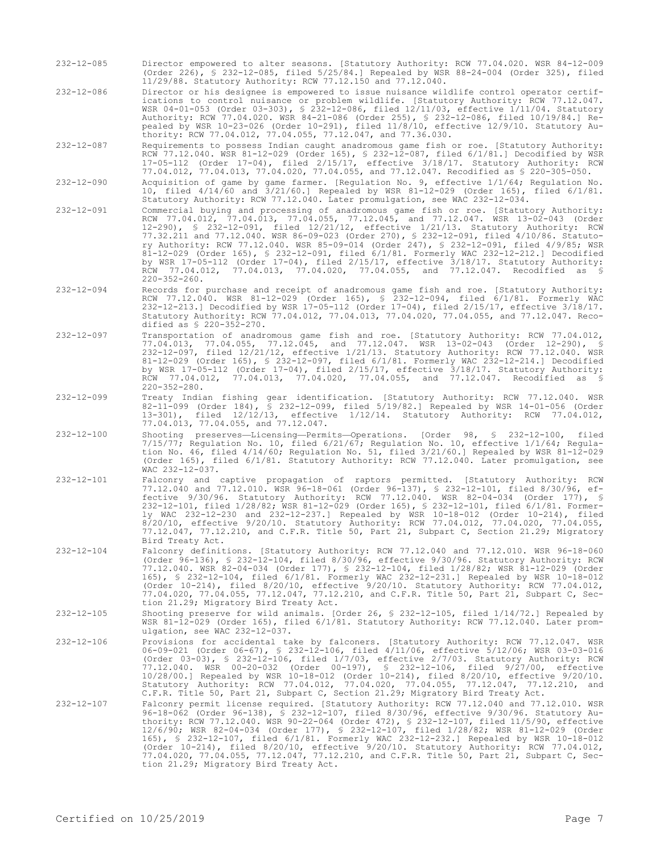- 232-12-085 Director empowered to alter seasons. [Statutory Authority: RCW 77.04.020. WSR 84-12-009 (Order 226), § 232-12-085, filed 5/25/84.] Repealed by WSR 88-24-004 (Order 325), filed 11/29/88. Statutory Authority: RCW 77.12.150 and 77.12.040.
- 232-12-086 Director or his designee is empowered to issue nuisance wildlife control operator certifications to control nuisance or problem wildlife. [Statutory Authority: RCW 77.12.047. WSR 04-01-053 (Order 03-303), § 232-12-086, filed 12/11/03, effective 1/11/04. Statutory Authority: RCW 77.04.020. WSR 84-21-086 (Order 255), § 232-12-086, filed 10/19/84.] Repealed by WSR 10-23-026 (Order 10-291), filed 11/8/10, effective 12/9/10. Statutory Authority: RCW 77.04.012, 77.04.055, 77.12.047, and 77.36.030.

232-12-087 Requirements to possess Indian caught anadromous game fish or roe. [Statutory Authority: RCW 77.12.040. WSR 81-12-029 (Order 165), § 232-12-087, filed 6/1/81.] Decodified by WSR 17-05-112 (Order 17-04), filed 2/15/17, effective 3/18/17. Statutory Authority: RCW 77.04.012, 77.04.013, 77.04.020, 77.04.055, and 77.12.047. Recodified as § 220-305-050.

- 232-12-090 Acquisition of game by game farmer. [Regulation No. 9, effective 1/1/64; Regulation No. 10, filed 4/14/60 and 3/21/60.] Repealed by WSR 81-12-029 (Order 165), filed 6/1/81. Statutory Authority: RCW 77.12.040. Later promulgation, see WAC 232-12-034.
- 232-12-091 Commercial buying and processing of anadromous game fish or roe. [Statutory Authority: RCW 77.04.012, 77.04.013, 77.04.055, 77.12.045, and 77.12.047. WSR 13-02-043 (Order 12-290), § 232-12-091, filed 12/21/12, effective 1/21/13. Statutory Authority: RCW 77.32.211 and 77.12.040. WSR 86-09-023 (Order 270), § 232-12-091, filed 4/10/86. Statutory Authority: RCW 77.12.040. WSR 85-09-014 (Order 247), § 232-12-091, filed 4/9/85; WSR 81-12-029 (Order 165), § 232-12-091, filed 6/1/81. Formerly WAC 232-12-212.] Decodified by WSR 17-05-112 (Order 17-04), filed 2/15/17, effective 3/18/17. Statutory Authority: RCW 77.04.012, 77.04.013, 77.04.020, 77.04.055, and 77.12.047. Recodified as § 220-352-260.
- 232-12-094 Records for purchase and receipt of anadromous game fish and roe. [Statutory Authority: RCW 77.12.040. WSR 81-12-029 (Order 165), § 232-12-094, filed 6/1/81. Formerly WAC 232-12-213.] Decodified by WSR 17-05-112 (Order 17-04), filed 2/15/17, effective 3/18/17. Statutory Authority: RCW 77.04.012, 77.04.013, 77.04.020, 77.04.055, and 77.12.047. Recodified as  $$ 220-352-270$ .
- 232-12-097 Transportation of anadromous game fish and roe. [Statutory Authority: RCW 77.04.012, 77.04.013, 77.04.055, 77.12.045, and 77.12.047. WSR 13-02-043 (Order 12-290), § 232-12-097, filed 12/21/12, effective 1/21/13. Statutory Authority: RCW 77.12.040. WSR 81-12-029 (Order 165), § 232-12-097, filed 6/1/81. Formerly WAC 232-12-214.] Decodified by WSR 17-05-112 (Order 17-04), filed 2/15/17, effective 3/18/17. Statutory Authority: RCW 77.04.012, 77.04.013, 77.04.020, 77.04.055, and 77.12.047. Recodified as § 220-352-280.
- 232-12-099 Treaty Indian fishing gear identification. [Statutory Authority: RCW 77.12.040. WSR 82-11-099 (Order 184), § 232-12-099, filed 5/19/82.] Repealed by WSR 14-01-056 (Order 13-301), filed 12/12/13, effective 1/12/14. Statutory Authority: RCW 77.04.012, 77.04.013, 77.04.055, and 77.12.047.
- 232-12-100 Shooting preserves—Licensing—Permits—Operations. [Order 98, § 232-12-100, filed 7/15/77; Regulation No. 10, filed 6/21/67; Regulation No. 10, effective 1/1/64; Regulation No. 46, filed 4/14/60; Regulation No. 51, filed 3/21/60.] Repealed by WSR 81-12-029 (Order 165), filed 6/1/81. Statutory Authority: RCW 77.12.040. Later promulgation, see WAC 232-12-037.
- 232-12-101 Falconry and captive propagation of raptors permitted. [Statutory Authority: RCW 77.12.040 and 77.12.010. WSR 96-18-061 (Order 96-137), § 232-12-101, filed 8/30/96, effective 9/30/96. Statutory Authority: RCW 77.12.040. WSR 82-04-034 (Order 177), § 232-12-101, filed 1/28/82; WSR 81-12-029 (Order 165), § 232-12-101, filed 6/1/81. Formerly WAC 232-12-230 and 232-12-237.] Repealed by WSR 10-18-012 (Order 10-214), filed 8/20/10, effective 9/20/10. Statutory Authority: RCW 77.04.012, 77.04.020, 77.04.055, 77.12.047, 77.12.210, and C.F.R. Title 50, Part 21, Subpart C, Section 21.29; Migratory Bird Treaty Act.
- 232-12-104 Falconry definitions. [Statutory Authority: RCW 77.12.040 and 77.12.010. WSR 96-18-060 (Order 96-136), § 232-12-104, filed 8/30/96, effective 9/30/96. Statutory Authority: RCW 77.12.040. WSR 82-04-034 (Order 177), § 232-12-104, filed 1/28/82; WSR 81-12-029 (Order 165), § 232-12-104, filed 6/1/81. Formerly WAC 232-12-231.] Repealed by WSR 10-18-012 (Order 10-214), filed 8/20/10, effective 9/20/10. Statutory Authority: RCW 77.04.012, 77.04.020, 77.04.055, 77.12.047, 77.12.210, and C.F.R. Title 50, Part 21, Subpart C, Section 21.29; Migratory Bird Treaty Act.
- 232-12-105 Shooting preserve for wild animals. [Order 26, § 232-12-105, filed 1/14/72.] Repealed by WSR 81-12-029 (Order 165), filed 6/1/81. Statutory Authority: RCW 77.12.040. Later promulgation, see WAC 232-12-037.
- 232-12-106 Provisions for accidental take by falconers. [Statutory Authority: RCW 77.12.047. WSR 06-09-021 (Order 06-67), § 232-12-106, filed 4/11/06, effective 5/12/06; WSR 03-03-016 (Order 03-03), § 232-12-106, filed 1/7/03, effective 2/7/03. Statutory Authority: RCW 77.12.040. WSR 00-20-032 (Order 00-197), § 232-12-106, filed 9/27/00, effective 10/28/00.] Repealed by WSR 10-18-012 (Order 10-214), filed 8/20/10, effective 9/20/10. Statutory Authority: RCW 77.04.012, 77.04.020, 77.04.055, 77.12.047, 77.12.210, and C.F.R. Title 50, Part 21, Subpart C, Section 21.29; Migratory Bird Treaty Act.
- 232-12-107 Falconry permit license required. [Statutory Authority: RCW 77.12.040 and 77.12.010. WSR 96-18-062 (Order 96-138), § 232-12-107, filed 8/30/96, effective 9/30/96. Statutory Au-thority: RCW 77.12.040. WSR 90-22-064 (Order 472), § 232-12-107, filed 11/5/90, effective 12/6/90; WSR 82-04-034 (Order 177), § 232-12-107, filed 1/28/82; WSR 81-12-029 (Order 165), § 232-12-107, filed 6/1/81. Formerly WAC 232-12-232.] Repealed by WSR 10-18-012 (Order 10-214), filed 8/20/10, effective 9/20/10. Statutory Authority: RCW 77.04.012, 77.04.020, 77.04.055, 77.12.047, 77.12.210, and C.F.R. Title 50, Part 21, Subpart C, Section 21.29; Migratory Bird Treaty Act.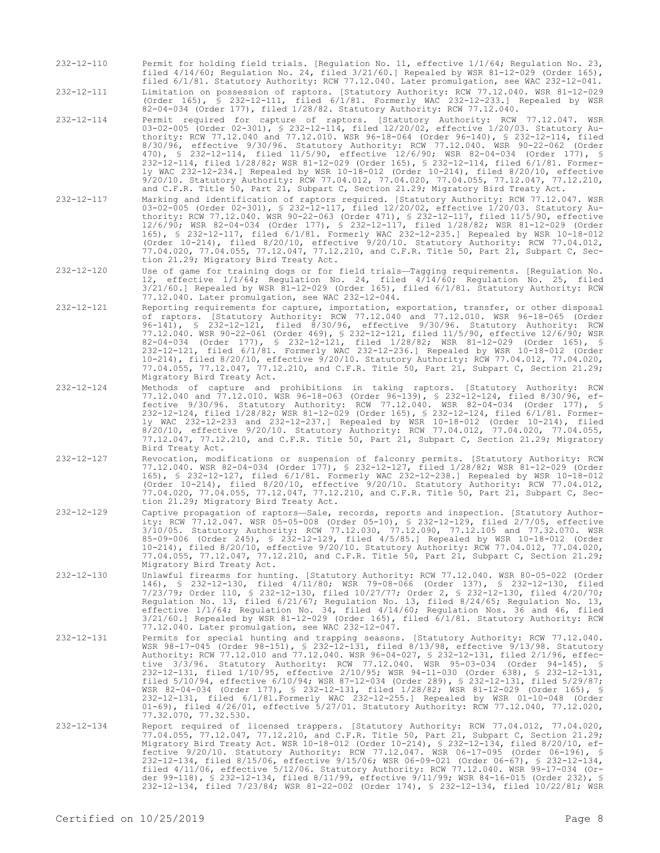232-12-110 Permit for holding field trials. [Regulation No. 11, effective 1/1/64; Regulation No. 23, filed 4/14/60; Regulation No. 24, filed 3/21/60.] Repealed by WSR 81-12-029 (Order 165), filed 6/1/81. Statutory Authority: RCW 77.12.040. Later promulgation, see WAC 232-12-041.

232-12-111 Limitation on possession of raptors. [Statutory Authority: RCW 77.12.040. WSR 81-12-029 (Order 165), § 232-12-111, filed 6/1/81. Formerly WAC 232-12-233.] Repealed by WSR 82-04-034 (Order 177), filed 1/28/82. Statutory Authority: RCW 77.12.040.

- 232-12-114 Permit required for capture of raptors. [Statutory Authority: RCW 77.12.047. WSR 03-02-005 (Order 02-301), § 232-12-114, filed 12/20/02, effective 1/20/03. Statutory Authority: RCW 77.12.040 and 77.12.010. WSR 96-18-064 (Order 96-140), § 232-12-114, filed 8/30/96, effective 9/30/96. Statutory Authority: RCW 77.12.040. WSR 90-22-062 (Order 470), § 232-12-114, filed 11/5/90, effective 12/6/90; WSR 82-04-034 (Order 177), § 232-12-114, filed 1/28/82; WSR 81-12-029 (Order 165), § 232-12-114, filed 6/1/81. Formerly WAC 232-12-234.] Repealed by WSR 10-18-012 (Order 10-214), filed 8/20/10, effective 9/20/10. Statutory Authority: RCW 77.04.012, 77.04.020, 77.04.055, 77.12.047, 77.12.210, and C.F.R. Title 50, Part 21, Subpart C, Section 21.29; Migratory Bird Treaty Act.
- 232-12-117 Marking and identification of raptors required. [Statutory Authority: RCW 77.12.047. WSR 03-02-005 (Order 02-301), § 232-12-117, filed 12/20/02, effective 1/20/03. Statutory Authority: RCW 77.12.040. WSR 90-22-063 (Order 471), § 232-12-117, filed 11/5/90, effective 12/6/90; WSR 82-04-034 (Order 177), § 232-12-117, filed 1/28/82; WSR 81-12-029 (Order 165), § 232-12-117, filed 6/1/81. Formerly WAC 232-12-235.] Repealed by WSR 10-18-012 (Order 10-214), filed 8/20/10, effective 9/20/10. Statutory Authority: RCW 77.04.012, 77.04.020, 77.04.055, 77.12.047, 77.12.210, and C.F.R. Title 50, Part 21, Subpart C, Section 21.29; Migratory Bird Treaty Act.
- 232-12-120 Use of game for training dogs or for field trials—Tagging requirements. [Regulation No. 12, effective 1/1/64; Regulation No. 24, filed 4/14/60; Regulation No. 25, filed 3/21/60.] Repealed by WSR 81-12-029 (Order 165), filed 6/1/81. Statutory Authority: RCW 77.12.040. Later promulgation, see WAC 232-12-044.
- 232-12-121 Reporting requirements for capture, importation, exportation, transfer, or other disposal of raptors. [Statutory Authority: RCW 77.12.040 and 77.12.010. WSR 96-18-065 (Order 96-141), § 232-12-121, filed 8/30/96, effective 9/30/96. Statutory Authority: RCW 77.12.040. WSR 90-22-061 (Order 469), § 232-12-121, filed 11/5/90, effective 12/6/90; WSR 82-04-034 (Order 177), § 232-12-121, filed 1/28/82; WSR 81-12-029 (Order 165), § 232-12-121, filed 6/1/81. Formerly WAC 232-12-236.] Repealed by WSR 10-18-012 (Order 10-214), filed 8/20/10, effective 9/20/10. Statutory Authority: RCW 77.04.012, 77.04.020, 77.04.055, 77.12.047, 77.12.210, and C.F.R. Title 50, Part 21, Subpart C, Section 21.29; Migratory Bird Treaty Act.
- 232-12-124 Methods of capture and prohibitions in taking raptors. [Statutory Authority: RCW 77.12.040 and 77.12.010. WSR 96-18-063 (Order 96-139), § 232-12-124, filed 8/30/96, effective 9/30/96. Statutory Authority: RCW 77.12.040. WSR 82-04-034 (Order 177), § 232-12-124, filed 1/28/82; WSR 81-12-029 (Order 165), § 232-12-124, filed 6/1/81. Formerly WAC 232-12-233 and 232-12-237.] Repealed by WSR 10-18-012 (Order 10-214), filed 8/20/10, effective 9/20/10. Statutory Authority: RCW 77.04.012, 77.04.020, 77.04.055, 77.12.047, 77.12.210, and C.F.R. Title 50, Part 21, Subpart C, Section 21.29; Migratory Bird Treaty Act.
- 232-12-127 Revocation, modifications or suspension of falconry permits. [Statutory Authority: RCW 77.12.040. WSR 82-04-034 (Order 177), § 232-12-127, filed 1/28/82; WSR 81-12-029 (Order 165), § 232-12-127, filed 6/1/81. Formerly WAC 232-12-238.] Repealed by WSR 10-18-012 (Order 10-214), filed 8/20/10, effective 9/20/10. Statutory Authority: RCW 77.04.012, 77.04.020, 77.04.055, 77.12.047, 77.12.210, and C.F.R. Title 50, Part 21, Subpart C, Section 21.29; Migratory Bird Treaty Act.
- 232-12-129 Captive propagation of raptors—Sale, records, reports and inspection. [Statutory Authority: RCW 77.12.047. WSR 05-05-008 (Order 05-10), § 232-12-129, filed 2/7/05, effective 3/10/05. Statutory Authority: RCW 77.12.030, 77.12.090, 77.12.105 and 77.32.070. WSR 85-09-006 (Order 245), § 232-12-129, filed 4/5/85.] Repealed by WSR 10-18-012 (Order 10-214), filed 8/20/10, effective 9/20/10. Statutory Authority: RCW 77.04.012, 77.04.020, 77.04.055, 77.12.047, 77.12.210, and C.F.R. Title 50, Part 21, Subpart C, Section 21.29; Migratory Bird Treaty Act.
- 232-12-130 Unlawful firearms for hunting. [Statutory Authority: RCW 77.12.040. WSR 80-05-022 (Order 146), § 232-12-130, filed 4/11/80; WSR 79-08-066 (Order 137), § 232-12-130, filed 7/23/79; Order 110, § 232-12-130, filed 10/27/77; Order 2, § 232-12-130, filed 4/20/70; Regulation No. 13, filed 6/21/67; Regulation No. 13, filed 8/24/65; Regulation No. 13, effective 1/1/64; Regulation No. 34, filed 4/14/60; Regulation Nos. 36 and 46, filed 3/21/60.] Repealed by WSR 81-12-029 (Order 165), filed 6/1/81. Statutory Authority: RCW 77.12.040. Later promulgation, see WAC 232-12-047.
- 232-12-131 Permits for special hunting and trapping seasons. [Statutory Authority: RCW 77.12.040. WSR 98-17-045 (Order 98-151), § 232-12-131, filed 8/13/98, effective 9/13/98. Statutory Authority: RCW 77.12.010 and 77.12.040. WSR 96-04-027, § 232-12-131, filed 2/1/96, effective 3/3/96. Statutory Authority: RCW 77.12.040. WSR 95-03-034 (Order 94-145), § 232-12-131, filed 1/10/95, effective 2/10/95; WSR 94-11-030 (Order 638), § 232-12-131, filed 5/10/94, effective 6/10/94; WSR 87-12-034 (Order 289), § 232-12-131, filed 5/29/87; WSR 82-04-034 (Order 177), § 232-12-131, filed 1/28/82; WSR 81-12-029 (Order 165), § 232-12-131, filed 6/1/81.Formerly WAC 232-12-255.] Repealed by WSR 01-10-048 (Order 01-69), filed 4/26/01, effective 5/27/01. Statutory Authority: RCW 77.12.040, 77.12.020, 77.32.070, 77.32.530.
- 232-12-134 Report required of licensed trappers. [Statutory Authority: RCW 77.04.012, 77.04.020, 77.04.055, 77.12.047, 77.12.210, and C.F.R. Title 50, Part 21, Subpart C, Section 21.29; Migratory Bird Treaty Act. WSR 10-18-012 (Order 10-214), § 232-12-134, filed 8/20/10, effective 9/20/10. Statutory Authority: RCW 77.12.047. WSR 06-17-095 (Order 06-196), § 232-12-134, filed 8/15/06, effective 9/15/06; WSR 06-09-021 (Order 06-67), § 232-12-134, filed 4/11/06, effective 5/12/06. Statutory Authority: RCW 77.12.040. WSR 99-17-034 (Order 99-118), § 232-12-134, filed 8/11/99, effective 9/11/99; WSR 84-16-015 (Order 232), § 232-12-134, filed 7/23/84; WSR 81-22-002 (Order 174), § 232-12-134, filed 10/22/81; WSR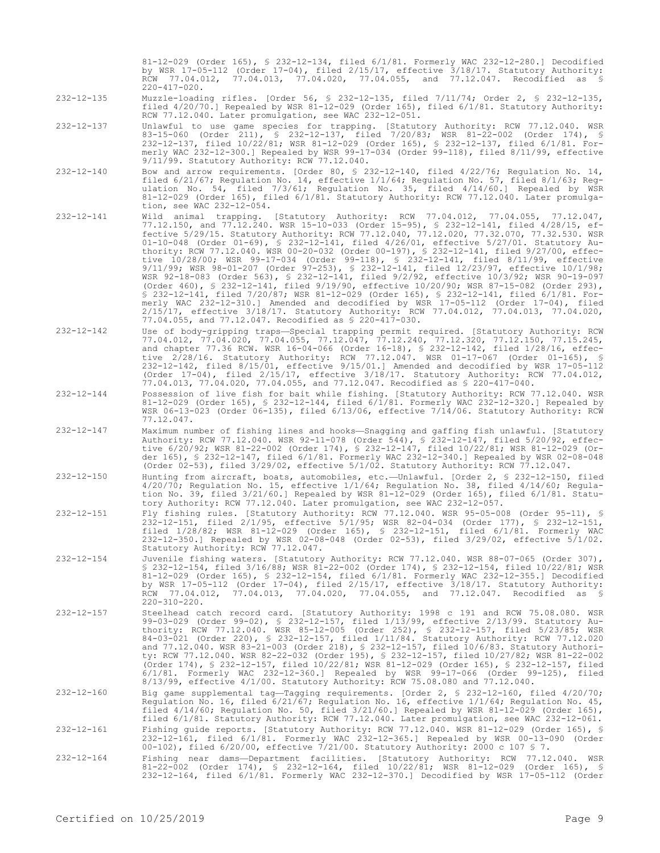81-12-029 (Order 165), § 232-12-134, filed 6/1/81. Formerly WAC 232-12-280.] Decodified by WSR 17-05-112 (Order 17-04), filed 2/15/17, effective 3/18/17. Statutory Authority: RCW 77.04.012, 77.04.013, 77.04.020, 77.04.055, and 77.12.047. Recodified as § 220-417-020.

- 232-12-135 Muzzle-loading rifles. [Order 56, § 232-12-135, filed 7/11/74; Order 2, § 232-12-135, filed 4/20/70.] Repealed by WSR 81-12-029 (Order 165), filed 6/1/81. Statutory Authority: RCW 77.12.040. Later promulgation, see WAC 232-12-051.
- 232-12-137 Unlawful to use game species for trapping. [Statutory Authority: RCW 77.12.040. WSR 83-15-060 (Order 211), § 232-12-137, filed 7/20/83; WSR 81-22-002 (Order 174), § 232-12-137, filed 10/22/81; WSR 81-12-029 (Order 165), § 232-12-137, filed 6/1/81. Formerly WAC 232-12-300.] Repealed by WSR 99-17-034 (Order 99-118), filed 8/11/99, effective 9/11/99. Statutory Authority: RCW 77.12.040.
- $232-12-140$  Bow and arrow requirements. [Order 80, § 232-12-140, filed  $4/22/76$ ; Regulation No. 14, filed 6/21/67; Regulation No. 14, effective 1/1/64; Regulation No. 57, filed 8/1/63; Regulation No. 54, filed 7/3/61; Regulation No. 35, filed 4/14/60.] Repealed by WSR 81-12-029 (Order 165), filed 6/1/81. Statutory Authority: RCW 77.12.040. Later promulgation, see WAC 232-12-054.
- 232-12-141 Wild animal trapping. [Statutory Authority: RCW 77.04.012, 77.04.055, 77.12.047, 77.12.150, and 77.12.240. WSR 15-10-033 (Order 15-95), § 232-12-141, filed 4/28/15, effective 5/29/15. Statutory Authority: RCW 77.12.040, 77.12.020, 77.32.070, 77.32.530. WSR 01-10-048 (Order 01-69), § 232-12-141, filed 4/26/01, effective 5/27/01. Statutory Authority: RCW 77.12.040. WSR 00-20-032 (Order 00-197), § 232-12-141, filed 9/27/00, effective 10/28/00; WSR 99-17-034 (Order 99-118), § 232-12-141, filed 8/11/99, effective 9/11/99; WSR 98-01-207 (Order 97-253), § 232-12-141, filed 12/23/97, effective 10/1/98; WSR 92-18-083 (Order 563), § 232-12-141, filed 9/2/92, effective 10/3/92; WSR 90-19-097 (Order 460), § 232-12-141, filed 9/19/90, effective 10/20/90; WSR 87-15-082 (Order 293), § 232-12-141, filed 7/20/87; WSR 81-12-029 (Order 165), § 232-12-141, filed 6/1/81. Formerly WAC 232-12-310.] Amended and decodified by WSR 17-05-112 (Order 17-04), filed 2/15/17, effective 3/18/17. Statutory Authority: RCW 77.04.012, 77.04.013, 77.04.020, 77.04.055, and 77.12.047. Recodified as § 220-417-030.
- 232-12-142 Use of body-gripping traps—Special trapping permit required. [Statutory Authority: RCW 77.04.012, 77.04.020, 77.04.055, 77.12.047, 77.12.240, 77.12.320, 77.12.150, 77.15.245, and chapter 77.36 RCW. WSR 16-04-066 (Order 16-18), § 232-12-142, filed 1/28/16, effective 2/28/16. Statutory Authority: RCW 77.12.047. WSR 01-17-067 (Order 01-165), § 232-12-142, filed 8/15/01, effective 9/15/01.] Amended and decodified by WSR 17-05-112 (Order 17-04), filed 2/15/17, effective 3/18/17. Statutory Authority: RCW 77.04.012, 77.04.013, 77.04.020, 77.04.055, and 77.12.047. Recodified as § 220-417-040.
- 232-12-144 Possession of live fish for bait while fishing. [Statutory Authority: RCW 77.12.040. WSR 81-12-029 (Order 165), § 232-12-144, filed 6/1/81. Formerly WAC 232-12-320.] Repealed by WSR 06-13-023 (Order 06-135), filed 6/13/06, effective 7/14/06. Statutory Authority: RCW 77.12.047.
- 232-12-147 Maximum number of fishing lines and hooks—Snagging and gaffing fish unlawful. [Statutory Authority: RCW 77.12.040. WSR 92-11-078 (Order 544), § 232-12-147, filed 5/20/92, effective 6/20/92; WSR 81-22-002 (Order 174), § 232-12-147, filed 10/22/81; WSR 81-12-029 (Order 165), § 232-12-147, filed 6/1/81. Formerly WAC 232-12-340.] Repealed by WSR 02-08-048 (Order 02-53), filed 3/29/02, effective 5/1/02. Statutory Authority: RCW 77.12.047.
- 232-12-150 Hunting from aircraft, boats, automobiles, etc.—Unlawful. [Order 2, § 232-12-150, filed 4/20/70; Regulation No. 15, effective 1/1/64; Regulation No. 38, filed 4/14/60; Regulation No. 39, filed 3/21/60.] Repealed by WSR 81-12-029 (Order 165), filed 6/1/81. Statutory Authority: RCW 77.12.040. Later promulgation, see WAC 232-12-057.
- 232-12-151 Fly fishing rules. [Statutory Authority: RCW 77.12.040. WSR 95-05-008 (Order 95-11), § 232-12-151, filed 2/1/95, effective 5/1/95; WSR 82-04-034 (Order 177), § 232-12-151, filed 1/28/82; WSR 81-12-029 (Order 165), § 232-12-151, filed 6/1/81. Formerly WAC 232-12-350.] Repealed by WSR 02-08-048 (Order 02-53), filed 3/29/02, effective 5/1/02. Statutory Authority: RCW 77.12.047.
- 232-12-154 Juvenile fishing waters. [Statutory Authority: RCW 77.12.040. WSR 88-07-065 (Order 307), § 232-12-154, filed 3/16/88; WSR 81-22-002 (Order 174), § 232-12-154, filed 10/22/81; WSR 81-12-029 (Order 165), § 232-12-154, filed 6/1/81. Formerly WAC 232-12-355.] Decodified by WSR 17-05-112 (Order 17-04), filed 2/15/17, effective 3/18/17. Statutory Authority: RCW 77.04.012, 77.04.013, 77.04.020, 77.04.055, and 77.12.047. Recodified as § 220-310-220.
- 232-12-157 Steelhead catch record card. [Statutory Authority: 1998 c 191 and RCW 75.08.080. WSR 99-03-029 (Order 99-02), § 232-12-157, filed 1/13/99, effective 2/13/99. Statutory Authority: RCW 77.12.040. WSR 85-12-005 (Order 252), § 232-12-157, filed 5/23/85; WSR 84-03-021 (Order 220), § 232-12-157, filed 1/11/84. Statutory Authority: RCW 77.12.020 and 77.12.040. WSR 83-21-003 (Order 218), § 232-12-157, filed 10/6/83. Statutory Authority: RCW 77.12.040. WSR 82-22-032 (Order 195), § 232-12-157, filed 10/27/82; WSR 81-22-002 (Order 174), § 232-12-157, filed 10/22/81; WSR 81-12-029 (Order 165), § 232-12-157, filed 6/1/81. Formerly WAC 232-12-360.] Repealed by WSR 99-17-066 (Order 99-125), filed 8/13/99, effective 4/1/00. Statutory Authority: RCW 75.08.080 and 77.12.040.

232-12-160 Big game supplemental tag—Tagging requirements. [Order 2, § 232-12-160, filed 4/20/70; Regulation No. 16, filed 6/21/67; Regulation No. 16, effective 1/1/64; Regulation No. 45,<br>filed 4/14/60; Regulation No. 50, filed 3/21/60.] Repealed by WSR 81-12-029 (Order 165),<br>filed 6/1/81. Statutory Authority: RCW 77.1

232-12-161 Fishing guide reports. [Statutory Authority: RCW 77.12.040. WSR 81-12-029 (Order 165), § 232-12-161, filed 6/1/81. Formerly WAC 232-12-365.] Repealed by WSR 00-13-090 (Order 00-102), filed 6/20/00, effective 7/21/00. Statutory Authority: 2000 c 107 § 7.

232-12-164 Fishing near dams—Department facilities. [Statutory Authority: RCW 77.12.040. WSR 81-22-002 (Order 174), § 232-12-164, filed 10/22/81; WSR 81-12-029 (Order 165), § 232-12-164, filed 6/1/81. Formerly WAC 232-12-370.] Decodified by WSR 17-05-112 (Order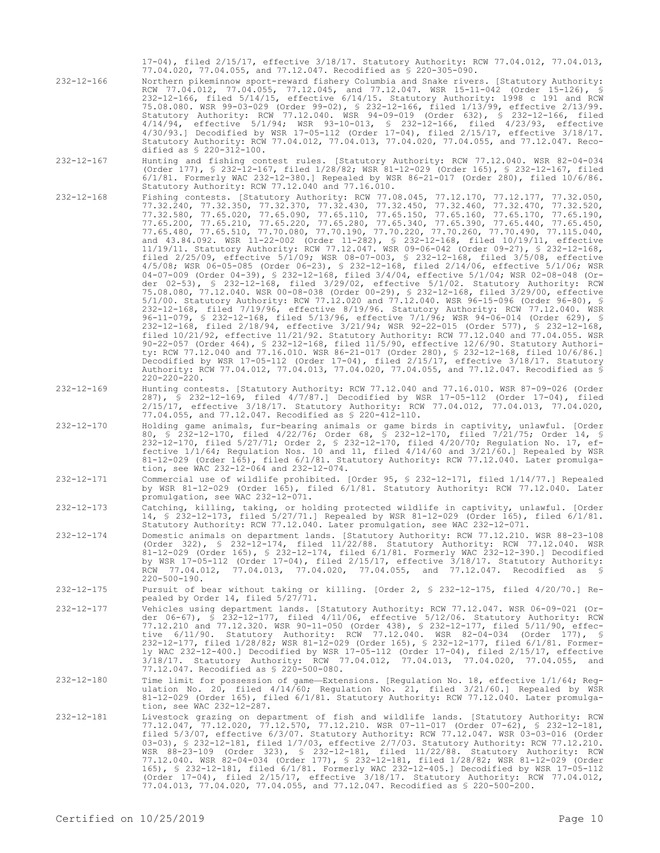17-04), filed 2/15/17, effective 3/18/17. Statutory Authority: RCW 77.04.012, 77.04.013, 77.04.020, 77.04.055, and 77.12.047. Recodified as § 220-305-090.

232-12-166 Northern pikeminnow sport-reward fishery Columbia and Snake rivers. [Statutory Authority: RCW 77.04.012, 77.04.055, 77.12.045, and 77.12.047. WSR 15-11-042 (Order 15-126), § 232-12-166, filed 5/14/15, effective 6/14/15. Statutory Authority: 1998 c 191 and RCW 75.08.080. WSR 99-03-029 (Order 99-02), § 232-12-166, filed 1/13/99, effective 2/13/99. Statutory Authority: RCW 77.12.040. WSR 94-09-019 (Order 632), § 232-12-166, filed 4/14/94, effective 5/1/94; WSR 93-10-013, § 232-12-166, filed 4/23/93, effective 4/30/93.] Decodified by WSR 17-05-112 (Order 17-04), filed 2/15/17, effective 3/18/17. Statutory Authority: RCW 77.04.012, 77.04.013, 77.04.020, 77.04.055, and 77.12.047. Recodified as § 220-312-100.

- 232-12-167 Hunting and fishing contest rules. [Statutory Authority: RCW 77.12.040. WSR 82-04-034 (Order 177), § 232-12-167, filed 1/28/82; WSR 81-12-029 (Order 165), § 232-12-167, filed 6/1/81. Formerly WAC 232-12-380.] Repealed by WSR 86-21-017 (Order 280), filed 10/6/86. Statutory Authority: RCW 77.12.040 and 77.16.010.
- 232-12-168 Fishing contests. [Statutory Authority: RCW 77.08.045, 77.12.170, 77.12.177, 77.32.050, 77.32.240, 77.32.350, 77.32.370, 77.32.430, 77.32.450, 77.32.460, 77.32.470, 77.32.520, 77.32.580, 77.65.020, 77.65.090, 77.65.110, 77.65.150, 77.65.160, 77.65.170, 77.65.190, 77.65.200, 77.65.210, 77.65.220, 77.65.280, 77.65.340, 77.65.390, 77.65.440, 77.65.450, 77.65.480, 77.65.510, 77.70.080, 77.70.190, 77.70.220, 77.70.260, 77.70.490, 77.115.040, and 43.84.092. WSR 11-22-002 (Order 11-282), § 232-12-168, filed 10/19/11, effective 11/19/11. Statutory Authority: RCW 77.12.047. WSR 09-06-042 (Order 09-27), § 232-12-168, filed 2/25/09, effective 5/1/09; WSR 08-07-003, § 232-12-168, filed 3/5/08, effective 4/5/08; WSR 06-05-085 (Order 06-23), § 232-12-168, filed 2/14/06, effective 5/1/06; WSR 04-07-009 (Order 04-39), § 232-12-168, filed 3/4/04, effective 5/1/04; WSR 02-08-048 (Order 02-53), § 232-12-168, filed 3/29/02, effective 5/1/02. Statutory Authority: RCW 75.08.080, 77.12.040. WSR 00-08-038 (Order 00-29), § 232-12-168, filed 3/29/00, effective 5/1/00. Statutory Authority: RCW 77.12.020 and 77.12.040. WSR 96-15-096 (Order 96-80), § 232-12-168, filed 7/19/96, effective 8/19/96. Statutory Authority: RCW 77.12.040. WSR 96-11-079, § 232-12-168, filed 5/13/96, effective 7/1/96; WSR 94-06-014 (Order 629), § 232-12-168, filed 2/18/94, effective 3/21/94; WSR 92-22-015 (Order 577), § 232-12-168, filed 10/21/92, effective 11/21/92. Statutory Authority: RCW 77.12.040 and 77.04.055. WSR 90-22-057 (Order 464), § 232-12-168, filed 11/5/90, effective 12/6/90. Statutory Authority: RCW 77.12.040 and 77.16.010. WSR 86-21-017 (Order 280), § 232-12-168, filed 10/6/86.] Decodified by WSR 17-05-112 (Order 17-04), filed 2/15/17, effective 3/18/17. Statutory Authority: RCW 77.04.012, 77.04.013, 77.04.020, 77.04.055, and 77.12.047. Recodified as § 220-220-220.
- 232-12-169 Hunting contests. [Statutory Authority: RCW 77.12.040 and 77.16.010. WSR 87-09-026 (Order 287), § 232-12-169, filed 4/7/87.] Decodified by WSR 17-05-112 (Order 17-04), filed 2/15/17, effective 3/18/17. Statutory Authority: RCW 77.04.012, 77.04.013, 77.04.020, 77.04.055, and 77.12.047. Recodified as § 220-412-110.
- 232-12-170 Holding game animals, fur-bearing animals or game birds in captivity, unlawful. [Order 80, § 232-12-170, filed 4/22/76; Order 68, § 232-12-170, filed 7/21/75; Order 14, § 232-12-170, filed 5/27/71; Order 2, § 232-12-170, filed 4/20/70; Regulation No. 17, effective 1/1/64; Regulation Nos. 10 and 11, filed 4/14/60 and 3/21/60.] Repealed by WSR 81-12-029 (Order 165), filed 6/1/81. Statutory Authority: RCW 77.12.040. Later promulgation, see WAC 232-12-064 and 232-12-074.
- 232-12-171 Commercial use of wildlife prohibited. [Order 95, § 232-12-171, filed 1/14/77.] Repealed by WSR 81-12-029 (Order 165), filed 6/1/81. Statutory Authority: RCW 77.12.040. Later promulgation, see WAC 232-12-071.

232-12-173 Catching, killing, taking, or holding protected wildlife in captivity, unlawful. [Order 14, § 232-12-173, filed 5/27/71.] Repealed by WSR 81-12-029 (Order 165), filed 6/1/81. Statutory Authority: RCW 77.12.040. Later promulgation, see WAC 232-12-071.

- 232-12-174 Domestic animals on department lands. [Statutory Authority: RCW 77.12.210. WSR 88-23-108 (Order 322), § 232-12-174, filed 11/22/88. Statutory Authority: RCW 77.12.040. WSR 81-12-029 (Order 165), § 232-12-174, filed 6/1/81. Formerly WAC 232-12-390.] Decodified by WSR 17-05-112 (Order 17-04), filed 2/15/17, effective 3/18/17. Statutory Authority: RCW 77.04.012, 77.04.013, 77.04.020, 77.04.055, and 77.12.047. Recodified as §  $220 - 500 - 190$ .
- 232-12-175 Pursuit of bear without taking or killing. [Order 2, § 232-12-175, filed 4/20/70.] Repealed by Order 14, filed 5/27/71.
- 232-12-177 Vehicles using department lands. [Statutory Authority: RCW 77.12.047. WSR 06-09-021 (Order 06-67), § 232-12-177, filed 4/11/06, effective 5/12/06. Statutory Authority: RCW 77.12.210 and 77.12.320. WSR 90-11-050 (Order 438), § 232-12-177, filed 5/11/90, effective 6/11/90. Statutory Authority: RCW 77.12.040. WSR 82-04-034 (Order 177), § 232-12-177, filed 1/28/82; WSR 81-12-029 (Order 165), § 232-12-177, filed 6/1/81. Formerly WAC 232-12-400.] Decodified by WSR 17-05-112 (Order 17-04), filed 2/15/17, effective 3/18/17. Statutory Authority: RCW 77.04.012, 77.04.013, 77.04.020, 77.04.055, and 77.12.047. Recodified as § 220-500-080.
- 232-12-180 Time limit for possession of game—Extensions. [Regulation No. 18, effective 1/1/64; Regulation No. 20, filed 4/14/60; Regulation No. 21, filed 3/21/60.] Repealed by WSR 81-12-029 (Order 165), filed 6/1/81. Statutory Authority: RCW 77.12.040. Later promulgation, see WAC 232-12-287.
- 232-12-181 Livestock grazing on department of fish and wildlife lands. [Statutory Authority: RCW 77.12.047, 77.12.020, 77.12.570, 77.12.210. WSR 07-11-017 (Order 07-62), § 232-12-181, filed 5/3/07, effective 6/3/07. Statutory Authority: RCW 77.12.047. WSR 03-03-016 (Order 03-03), § 232-12-181, filed 1/7/03, effective 2/7/03. Statutory Authority: RCW 77.12.210. WSR 88-23-109 (Order 323), § 232-12-181, filed 11/22/88. Statutory Authority: RCW 77.12.040. WSR 82-04-034 (Order 177), § 232-12-181, filed 1/28/82; WSR 81-12-029 (Order 165), § 232-12-181, filed 6/1/81. Formerly WAC 232-12-405.] Decodified by WSR 17-05-112 (Order 17-04), filed 2/15/17, effective 3/18/17. Statutory Authority: RCW 77.04.012, 77.04.013, 77.04.020, 77.04.055, and 77.12.047. Recodified as § 220-500-200.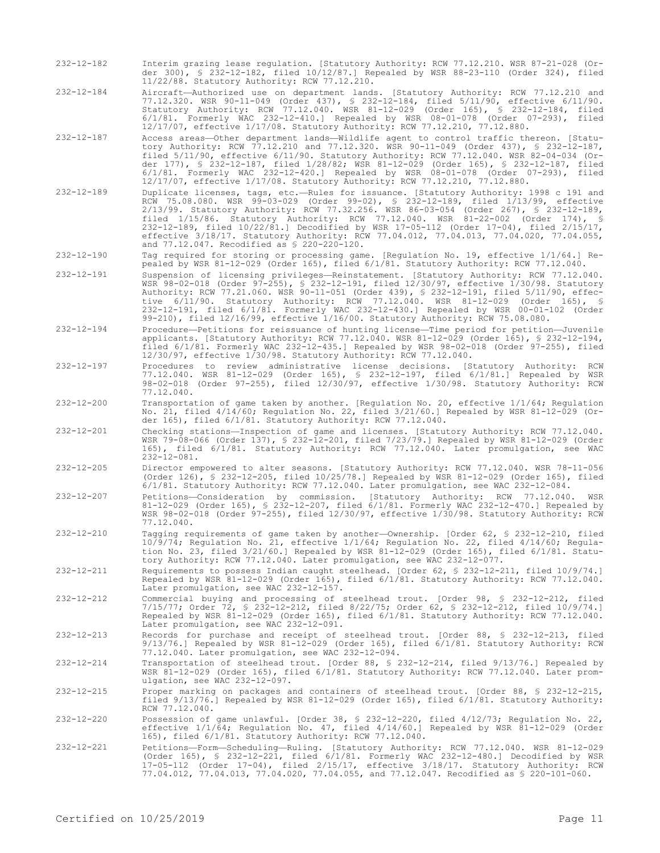- 232-12-182 Interim grazing lease regulation. [Statutory Authority: RCW 77.12.210. WSR 87-21-028 (Order 300), § 232-12-182, filed 10/12/87.] Repealed by WSR 88-23-110 (Order 324), filed 11/22/88. Statutory Authority: RCW 77.12.210.
- 232-12-184 Aircraft—Authorized use on department lands. [Statutory Authority: RCW 77.12.210 and 77.12.320. WSR 90-11-049 (Order 437), § 232-12-184, filed 5/11/90, effective 6/11/90. Statutory Authority: RCW 77.12.040. WSR 81-12-029 (Order 165), § 232-12-184, filed 6/1/81. Formerly WAC 232-12-410.] Repealed by WSR 08-01-078 (Order 07-293), filed 12/17/07, effective 1/17/08. Statutory Authority: RCW 77.12.210, 77.12.880.
- 232-12-187 Access areas—Other department lands—Wildlife agent to control traffic thereon. [Statutory Authority: RCW 77.12.210 and 77.12.320. WSR 90-11-049 (Order 437), § 232-12-187, filed 5/11/90, effective 6/11/90. Statutory Authority: RCW 77.12.040. WSR 82-04-034 (Order 177), § 232-12-187, filed 1/28/82; WSR 81-12-029 (Order 165), § 232-12-187, filed 6/1/81. Formerly WAC 232-12-420.] Repealed by WSR 08-01-078 (Order 07-293), filed 12/17/07, effective 1/17/08. Statutory Authority: RCW 77.12.210, 77.12.880.
- 232-12-189 Duplicate licenses, tags, etc.—Rules for issuance. [Statutory Authority: 1998 c 191 and RCW 75.08.080. WSR 99-03-029 (Order 99-02), § 232-12-189, filed 1/13/99, effective 2/13/99. Statutory Authority: RCW 77.32.256. WSR 86-03-054 (Order 267), § 232-12-189, filed 1/15/86. Statutory Authority: RCW 77.12.040. WSR 81-22-002 (Order 174), § 232-12-189, filed 10/22/81.] Decodified by WSR 17-05-112 (Order 17-04), filed 2/15/17, effective 3/18/17. Statutory Authority: RCW 77.04.012, 77.04.013, 77.04.020, 77.04.055, and 77.12.047. Recodified as § 220-220-120.
- 232-12-190 Tag required for storing or processing game. [Regulation No. 19, effective 1/1/64.] Repealed by WSR 81-12-029 (Order 165), filed 6/1/81. Statutory Authority: RCW 77.12.040.
- 232-12-191 Suspension of licensing privileges—Reinstatement. [Statutory Authority: RCW 77.12.040. WSR 98-02-018 (Order 97-255), § 232-12-191, filed 12/30/97, effective 1/30/98. Statutory Authority: RCW 77.21.060. WSR 90-11-051 (Order 439), § 232-12-191, filed 5/11/90, effective 6/11/90. Statutory Authority: RCW 77.12.040. WSR 81-12-029 (Order 165), § 232-12-191, filed 6/1/81. Formerly WAC 232-12-430.] Repealed by WSR 00-01-102 (Order 99-210), filed 12/16/99, effective 1/16/00. Statutory Authority: RCW 75.08.080.
- 232-12-194 Procedure—Petitions for reissuance of hunting license—Time period for petition—Juvenile applicants. [Statutory Authority: RCW 77.12.040. WSR 81-12-029 (Order 165), § 232-12-194, filed 6/1/81. Formerly WAC 232-12-435.] Repealed by WSR 98-02-018 (Order 97-255), filed 12/30/97, effective 1/30/98. Statutory Authority: RCW 77.12.040.
- 232-12-197 Procedures to review administrative license decisions. [Statutory Authority: RCW 77.12.040. WSR 81-12-029 (Order 165), § 232-12-197, filed 6/1/81.] Repealed by WSR 98-02-018 (Order 97-255), filed 12/30/97, effective 1/30/98. Statutory Authority: RCW 77.12.040.
- 232-12-200 Transportation of game taken by another. [Regulation No. 20, effective 1/1/64; Regulation No. 21, filed 4/14/60; Regulation No. 22, filed 3/21/60.] Repealed by WSR 81-12-029 (Order 165), filed 6/1/81. Statutory Authority: RCW 77.12.040.
- 232-12-201 Checking stations—Inspection of game and licenses. [Statutory Authority: RCW 77.12.040. WSR 79-08-066 (Order 137), § 232-12-201, filed 7/23/79.] Repealed by WSR 81-12-029 (Order 165), filed 6/1/81. Statutory Authority: RCW 77.12.040. Later promulgation, see WAC 232-12-081.
- 232-12-205 Director empowered to alter seasons. [Statutory Authority: RCW 77.12.040. WSR 78-11-056 (Order 126), § 232-12-205, filed 10/25/78.] Repealed by WSR 81-12-029 (Order 165), filed 6/1/81. Statutory Authority: RCW 77.12.040. Later promulgation, see WAC 232-12-084.
- 232-12-207 Petitions—Consideration by commission. [Statutory Authority: RCW 77.12.040. WSR 81-12-029 (Order 165), § 232-12-207, filed 6/1/81. Formerly WAC 232-12-470.] Repealed by WSR 98-02-018 (Order 97-255), filed 12/30/97, effective 1/30/98. Statutory Authority: RCW 77.12.040.
- 232-12-210 Tagging requirements of game taken by another—Ownership. [Order 62, § 232-12-210, filed 10/9/74; Regulation No. 21, effective 1/1/64; Regulation No. 22, filed 4/14/60; Regulation No. 23, filed 3/21/60.] Repealed by WSR 81-12-029 (Order 165), filed 6/1/81. Statutory Authority: RCW 77.12.040. Later promulgation, see WAC 232-12-077.
- 232-12-211 Requirements to possess Indian caught steelhead. [Order 62, § 232-12-211, filed 10/9/74.] Repealed by WSR 81-12-029 (Order 165), filed 6/1/81. Statutory Authority: RCW 77.12.040. Later promulgation, see WAC 232-12-157.
- 232-12-212 Commercial buying and processing of steelhead trout. [Order 98, § 232-12-212, filed 7/15/77; Order 72, § 232-12-212, filed 8/22/75; Order 62, § 232-12-212, filed 10/9/74.] Repealed by WSR 81-12-029 (Order 165), filed 6/1/81. Statutory Authority: RCW 77.12.040. Later promulgation, see WAC 232-12-091.
- 232-12-213 Records for purchase and receipt of steelhead trout. [Order 88, § 232-12-213, filed 9/13/76.] Repealed by WSR 81-12-029 (Order 165), filed 6/1/81. Statutory Authority: RCW 77.12.040. Later promulgation, see WAC 232-12-094.
- 232-12-214 Transportation of steelhead trout. [Order 88, § 232-12-214, filed 9/13/76.] Repealed by WSR 81-12-029 (Order 165), filed 6/1/81. Statutory Authority: RCW 77.12.040. Later promulgation, see WAC 232-12-097.
- 232-12-215 Proper marking on packages and containers of steelhead trout. [Order 88, § 232-12-215, filed 9/13/76.] Repealed by WSR 81-12-029 (Order 165), filed 6/1/81. Statutory Authority: RCW 77.12.040.
- 232-12-220 Possession of game unlawful. [Order 38, § 232-12-220, filed 4/12/73; Regulation No. 22, effective 1/1/64; Regulation No. 47, filed 4/14/60.] Repealed by WSR 81-12-029 (Order 165), filed 6/1/81. Statutory Authority: RCW 77.12.040.
- 232-12-221 Petitions—Form—Scheduling—Ruling. [Statutory Authority: RCW 77.12.040. WSR 81-12-029 (Order 165), § 232-12-221, filed 6/1/81. Formerly WAC 232-12-480.] Decodified by WSR 17-05-112 (Order 17-04), filed 2/15/17, effective 3/18/17. Statutory Authority: RCW 77.04.012, 77.04.013, 77.04.020, 77.04.055, and 77.12.047. Recodified as § 220-101-060.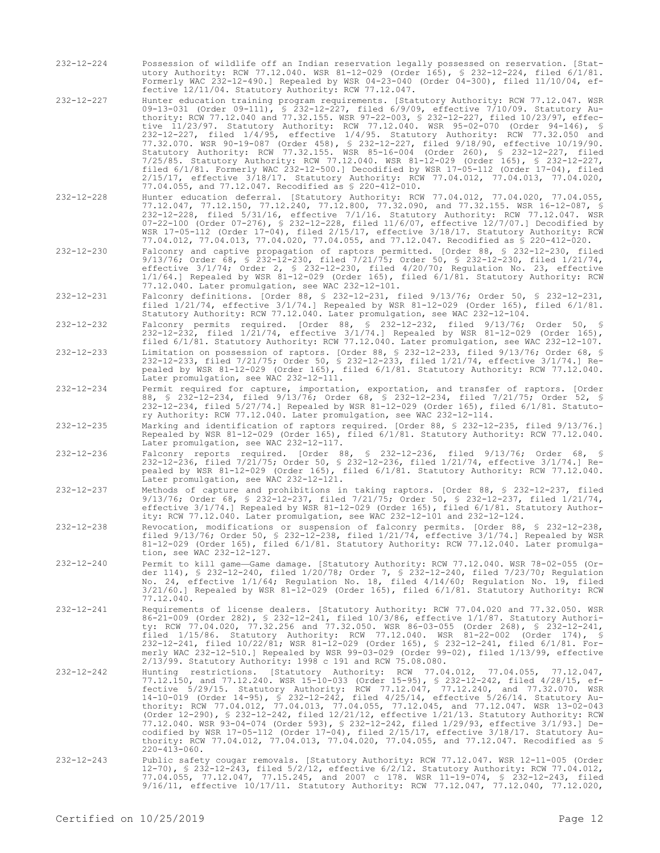- 232-12-224 Possession of wildlife off an Indian reservation legally possessed on reservation. [Statutory Authority: RCW 77.12.040. WSR 81-12-029 (Order 165), § 232-12-224, filed 6/1/81. Formerly WAC 232-12-490.] Repealed by WSR 04-23-040 (Order 04-300), filed 11/10/04, effective 12/11/04. Statutory Authority: RCW 77.12.047.
- 232-12-227 Hunter education training program requirements. [Statutory Authority: RCW 77.12.047. WSR 09-13-031 (Order 09-111), § 232-12-227, filed 6/9/09, effective 7/10/09. Statutory Authority: RCW 77.12.040 and 77.32.155. WSR 97-22-003, § 232-12-227, filed 10/23/97, effective 11/23/97. Statutory Authority: RCW 77.12.040. WSR 95-02-070 (Order 94-146), § 232-12-227, filed 1/4/95, effective 1/4/95. Statutory Authority: RCW 77.32.050 and 77.32.070. WSR 90-19-087 (Order 458), § 232-12-227, filed 9/18/90, effective 10/19/90. Statutory Authority: RCW 77.32.155. WSR 85-16-004 (Order 260), § 232-12-227, filed 7/25/85. Statutory Authority: RCW 77.12.040. WSR 81-12-029 (Order 165), § 232-12-227, filed 6/1/81. Formerly WAC 232-12-500.] Decodified by WSR 17-05-112 (Order 17-04), filed 2/15/17, effective 3/18/17. Statutory Authority: RCW 77.04.012, 77.04.013, 77.04.020, 77.04.055, and 77.12.047. Recodified as § 220-412-010.
- 232-12-228 Hunter education deferral. [Statutory Authority: RCW 77.04.012, 77.04.020, 77.04.055, 77.12.047, 77.12.150, 77.12.240, 77.12.800, 77.32.090, and 77.32.155. WSR 16-12-087, § 232-12-228, filed 5/31/16, effective 7/1/16. Statutory Authority: RCW 77.12.047. WSR 07-22-100 (Order 07-276), § 232-12-228, filed 11/6/07, effective 12/7/07.] Decodified by WSR 17-05-112 (Order 17-04), filed 2/15/17, effective 3/18/17. Statutory Authority: RCW 77.04.012, 77.04.013, 77.04.020, 77.04.055, and 77.12.047. Recodified as § 220-412-020.
- 232-12-230 Falconry and captive propagation of raptors permitted. [Order 88, § 232-12-230, filed 9/13/76; Order 68, § 232-12-230, filed 7/21/75; Order 50, § 232-12-230, filed 1/21/74, effective 3/1/74; Order 2, § 232-12-230, filed 4/20/70; Regulation No. 23, effective 1/1/64.] Repealed by WSR 81-12-029 (Order 165), filed 6/1/81. Statutory Authority: RCW 77.12.040. Later promulgation, see WAC 232-12-101.
- 232-12-231 Falconry definitions. [Order 88, § 232-12-231, filed 9/13/76; Order 50, § 232-12-231, filed 1/21/74, effective 3/1/74.] Repealed by WSR 81-12-029 (Order 165), filed 6/1/81. Statutory Authority: RCW 77.12.040. Later promulgation, see WAC 232-12-104.
- 232-12-232 Falconry permits required. [Order 88, § 232-12-232, filed 9/13/76; Order 50, § 232-12-232, filed 1/21/74, effective 3/1/74.] Repealed by WSR 81-12-029 (Order 165), filed 6/1/81. Statutory Authority: RCW 77.12.040. Later promulgation, see WAC 232-12-107.
- 232-12-233 Limitation on possession of raptors. [Order 88, § 232-12-233, filed 9/13/76; Order 68, § 232-12-233, filed 7/21/75; Order 50, § 232-12-233, filed 1/21/74, effective 3/1/74.] Repealed by WSR 81-12-029 (Order 165), filed 6/1/81. Statutory Authority: RCW 77.12.040. Later promulgation, see WAC 232-12-111.
- 232-12-234 Permit required for capture, importation, exportation, and transfer of raptors. [Order 88, § 232-12-234, filed 9/13/76; Order 68, § 232-12-234, filed 7/21/75; Order 52, § 232-12-234, filed 5/27/74.] Repealed by WSR 81-12-029 (Order 165), filed 6/1/81. Statutory Authority: RCW 77.12.040. Later promulgation, see WAC 232-12-114.
- 232-12-235 Marking and identification of raptors required. [Order 88, § 232-12-235, filed 9/13/76.] Repealed by WSR 81-12-029 (Order 165), filed 6/1/81. Statutory Authority: RCW 77.12.040. Later promulgation, see WAC 232-12-117.
- 232-12-236 Falconry reports required. [Order 88, § 232-12-236, filed 9/13/76; Order 68, § 232-12-236, filed 7/21/75; Order 50, § 232-12-236, filed 1/21/74, effective 3/1/74.] Repealed by WSR 81-12-029 (Order 165), filed 6/1/81. Statutory Authority: RCW 77.12.040. Later promulgation, see WAC 232-12-121.
- 232-12-237 Methods of capture and prohibitions in taking raptors. [Order 88, § 232-12-237, filed 9/13/76; Order 68, § 232-12-237, filed 7/21/75; Order 50, § 232-12-237, filed 1/21/74, effective 3/1/74.] Repealed by WSR 81-12-029 (Order 165), filed 6/1/81. Statutory Authority: RCW 77.12.040. Later promulgation, see WAC 232-12-101 and 232-12-124.
- 232-12-238 Revocation, modifications or suspension of falconry permits. [Order 88, § 232-12-238, filed 9/13/76; Order 50, § 232-12-238, filed 1/21/74, effective 3/1/74.] Repealed by WSR 81-12-029 (Order 165), filed 6/1/81. Statutory Authority: RCW 77.12.040. Later promulgation, see WAC 232-12-127.
- 232-12-240 Permit to kill game—Game damage. [Statutory Authority: RCW 77.12.040. WSR 78-02-055 (Order 114), § 232-12-240, filed 1/20/78; Order 7, § 232-12-240, filed 7/23/70; Regulation No. 24, effective 1/1/64; Regulation No. 18, filed 4/14/60; Regulation No. 19, filed 3/21/60.] Repealed by WSR 81-12-029 (Order 165), filed 6/1/81. Statutory Authority: RCW  $77.12.040.$
- 232-12-241 Requirements of license dealers. [Statutory Authority: RCW 77.04.020 and 77.32.050. WSR 86-21-009 (Order 282), § 232-12-241, filed 10/3/86, effective 1/1/87. Statutory Authority: RCW 77.04.020, 77.32.256 and 77.32.050. WSR 86-03-055 (Order 268), § 232-12-241, filed 1/15/86. Statutory Authority: RCW 77.12.040. WSR 81-22-002 (Order 174), § 232-12-241, filed 10/22/81; WSR 81-12-029 (Order 165), § 232-12-241, filed 6/1/81. Formerly WAC 232-12-510.] Repealed by WSR 99-03-029 (Order 99-02), filed 1/13/99, effective 2/13/99. Statutory Authority: 1998 c 191 and RCW 75.08.080.
- 232-12-242 Hunting restrictions. [Statutory Authority: RCW 77.04.012, 77.04.055, 77.12.047, 77.12.150, and 77.12.240. WSR 15-10-033 (Order 15-95), § 232-12-242, filed 4/28/15, effective 5/29/15. Statutory Authority: RCW 77.12.047, 77.12.240, and 77.32.070. WSR 14-10-019 (Order 14-95), § 232-12-242, filed 4/25/14, effective 5/26/14. Statutory Authority: RCW 77.04.012, 77.04.013, 77.04.055, 77.12.045, and 77.12.047. WSR 13-02-043<br>(Order 12-290), § 232-12-242, filed 12/21/12, effective 1/21/13. Statutory Authority: RCW<br>77.12.040. WSR 93-04-074 (Order 593), § 232-12 codified by WSR 17-05-112 (Order 17-04), filed 2/15/17, effective 3/18/17. Statutory Authority: RCW 77.04.012, 77.04.013, 77.04.020, 77.04.055, and 77.12.047. Recodified as § 220-413-060.
- 232-12-243 Public safety cougar removals. [Statutory Authority: RCW 77.12.047. WSR 12-11-005 (Order 12-70), § 232-12-243, filed 5/2/12, effective 6/2/12. Statutory Authority: RCW 77.04.012, 77.04.055, 77.12.047, 77.15.245, and 2007 c 178. WSR 11-19-074, § 232-12-243, filed 9/16/11, effective 10/17/11. Statutory Authority: RCW 77.12.047, 77.12.040, 77.12.020,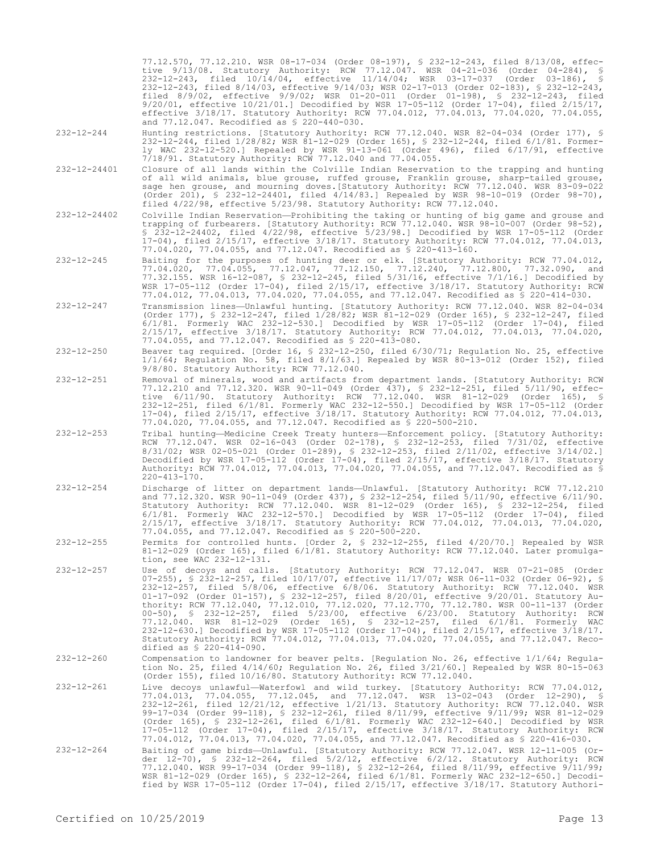77.12.570, 77.12.210. WSR 08-17-034 (Order 08-197), § 232-12-243, filed 8/13/08, effective 9/13/08. Statutory Authority: RCW 77.12.047. WSR 04-21-036 (Order 04-284), § 232-12-243, filed 10/14/04, effective 11/14/04; WSR 03-17-037 (Order 03-186), § 232-12-243, filed 8/14/03, effective 9/14/03; WSR 02-17-013 (Order 02-183), § 232-12-243, filed 8/9/02, effective 9/9/02; WSR 01-20-011 (Order 01-198), § 232-12-243, filed 9/20/01, effective 10/21/01.] Decodified by WSR 17-05-112 (Order 17-04), filed 2/15/17, effective 3/18/17. Statutory Authority: RCW 77.04.012, 77.04.013, 77.04.020, 77.04.055, and 77.12.047. Recodified as § 220-440-030.

- 232-12-244 Hunting restrictions. [Statutory Authority: RCW 77.12.040. WSR 82-04-034 (Order 177), § 232-12-244, filed 1/28/82; WSR 81-12-029 (Order 165), § 232-12-244, filed 6/1/81. Formerly WAC 232-12-520.] Repealed by WSR 91-13-061 (Order 496), filed 6/17/91, effective 7/18/91. Statutory Authority: RCW 77.12.040 and 77.04.055.
- 232-12-24401 Closure of all lands within the Colville Indian Reservation to the trapping and hunting of all wild animals, blue grouse, ruffed grouse, Franklin grouse, sharp-tailed grouse, sage hen grouse, and mourning doves.[Statutory Authority: RCW 77.12.040. WSR 83-09-022 (Order 201), § 232-12-24401, filed 4/14/83.] Repealed by WSR 98-10-019 (Order 98-70), filed 4/22/98, effective 5/23/98. Statutory Authority: RCW 77.12.040.
- 232-12-24402 Colville Indian Reservation—Prohibiting the taking or hunting of big game and grouse and trapping of furbearers. [Statutory Authority: RCW 77.12.040. WSR 98-10-007 (Order 98-52), § 232-12-24402, filed 4/22/98, effective 5/23/98.] Decodified by WSR 17-05-112 (Order 17-04), filed 2/15/17, effective 3/18/17. Statutory Authority: RCW 77.04.012, 77.04.013, 77.04.020, 77.04.055, and 77.12.047. Recodified as § 220-413-160.
- 232-12-245 Baiting for the purposes of hunting deer or elk. [Statutory Authority: RCW 77.04.012, 77.04.020, 77.04.055, 77.12.047, 77.12.150, 77.12.240, 77.12.800, 77.32.090, and 77.32.155. WSR 16-12-087, § 232-12-245, filed 5/31/16, effective 7/1/16.] Decodified by WSR 17-05-112 (Order 17-04), filed 2/15/17, effective 3/18/17. Statutory Authority: RCW 77.04.012, 77.04.013, 77.04.020, 77.04.055, and 77.12.047. Recodified as § 220-414-030.
- 232-12-247 Transmission lines—Unlawful hunting. [Statutory Authority: RCW 77.12.040. WSR 82-04-034 (Order 177), § 232-12-247, filed 1/28/82; WSR 81-12-029 (Order 165), § 232-12-247, filed 6/1/81. Formerly WAC 232-12-530.] Decodified by WSR 17-05-112 (Order 17-04), filed 2/15/17, effective 3/18/17. Statutory Authority: RCW 77.04.012, 77.04.013, 77.04.020, 77.04.055, and 77.12.047. Recodified as § 220-413-080.
- 232-12-250 Beaver tag required. [Order 16, § 232-12-250, filed 6/30/71; Regulation No. 25, effective 1/1/64; Regulation No. 58, filed 8/1/63.] Repealed by WSR 80-13-012 (Order 152), filed 9/8/80. Statutory Authority: RCW 77.12.040.
- 232-12-251 Removal of minerals, wood and artifacts from department lands. [Statutory Authority: RCW 77.12.210 and 77.12.320. WSR 90-11-049 (Order 437), § 232-12-251, filed 5/11/90, effective 6/11/90. Statutory Authority: RCW 77.12.040. WSR 81-12-029 (Order 165), § 232-12-251, filed 6/1/81. Formerly WAC 232-12-550.] Decodified by WSR 17-05-112 (Order 17-04), filed 2/15/17, effective 3/18/17. Statutory Authority: RCW 77.04.012, 77.04.013, 77.04.020, 77.04.055, and 77.12.047. Recodified as § 220-500-210.
- 232-12-253 Tribal hunting—Medicine Creek Treaty hunters—Enforcement policy. [Statutory Authority: RCW 77.12.047. WSR 02-16-043 (Order 02-178), § 232-12-253, filed 7/31/02, effective 8/31/02; WSR 02-05-021 (Order 01-289), § 232-12-253, filed 2/11/02, effective 3/14/02.] Decodified by WSR 17-05-112 (Order 17-04), filed 2/15/17, effective 3/18/17. Statutory Authority: RCW 77.04.012, 77.04.013, 77.04.020, 77.04.055, and 77.12.047. Recodified as §  $220 - 413 - 170$ .
- 232-12-254 Discharge of litter on department lands—Unlawful. [Statutory Authority: RCW 77.12.210 and 77.12.320. WSR 90-11-049 (Order 437), § 232-12-254, filed 5/11/90, effective 6/11/90. Statutory Authority: RCW 77.12.040. WSR 81-12-029 (Order 165), § 232-12-254, filed 6/1/81. Formerly WAC 232-12-570.] Decodified by WSR 17-05-112 (Order 17-04), filed 2/15/17, effective 3/18/17. Statutory Authority: RCW 77.04.012, 77.04.013, 77.04.020, 77.04.055, and 77.12.047. Recodified as § 220-500-220.
- 232-12-255 Permits for controlled hunts. [Order 2, § 232-12-255, filed 4/20/70.] Repealed by WSR 81-12-029 (Order 165), filed 6/1/81. Statutory Authority: RCW 77.12.040. Later promulgation, see WAC 232-12-131.
- 232-12-257 Use of decoys and calls. [Statutory Authority: RCW 77.12.047. WSR 07-21-085 (Order 07-255), § 232-12-257, filed 10/17/07, effective 11/17/07; WSR 06-11-032 (Order 06-92), § 232-12-257, filed 5/8/06, effective 6/8/06. Statutory Authority: RCW 77.12.040. WSR 01-17-092 (Order 01-157), § 232-12-257, filed 8/20/01, effective 9/20/01. Statutory Authority: RCW 77.12.040, 77.12.010, 77.12.020, 77.12.770, 77.12.780. WSR 00-11-137 (Order 00-50), § 232-12-257, filed 5/23/00, effective 6/23/00. Statutory Authority: RCW 77.12.040. WSR 81-12-029 (Order 165), § 232-12-257, filed 6/1/81. Formerly WAC 232-12-630.] Decodified by WSR 17-05-112 (Order 17-04), filed 2/15/17, effective 3/18/17. Statutory Authority: RCW 77.04.012, 77.04.013, 77.04.020, 77.04.055, and 77.12.047. Recodified as § 220-414-090.
- 232-12-260 Compensation to landowner for beaver pelts. [Regulation No. 26, effective 1/1/64; Regulation No. 25, filed 4/14/60; Regulation No. 26, filed 3/21/60.] Repealed by WSR 80-15-063 (Order 155), filed 10/16/80. Statutory Authority: RCW 77.12.040.
- 232-12-261 Live decoys unlawful—Waterfowl and wild turkey. [Statutory Authority: RCW 77.04.012, 77.04.013, 77.04.055, 77.12.045, and 77.12.047. WSR 13-02-043 (Order 12-290), § 232-12-261, filed 12/21/12, effective 1/21/13. Statutory Authority: RCW 77.12.040. WSR<br>99-17-034 (Order 99-118), § 232-12-261, filed 8/11/99, effective 9/11/99; WSR 81-12-029<br>(Order 165), § 232-12-261, filed 6/1/81. Former 17-05-112 (Order 17-04), filed 2/15/17, effective 3/18/17. Statutory Authority: RCW 77.04.012, 77.04.013, 77.04.020, 77.04.055, and 77.12.047. Recodified as § 220-416-030.
- 232-12-264 Baiting of game birds—Unlawful. [Statutory Authority: RCW 77.12.047. WSR 12-11-005 (Order 12-70), § 232-12-264, filed 5/2/12, effective 6/2/12. Statutory Authority: RCW 77.12.040. WSR 99-17-034 (Order 99-118), § 232-12-264, filed 8/11/99, effective 9/11/99; WSR 81-12-029 (Order 165), § 232-12-264, filed 6/1/81. Formerly WAC 232-12-650.] Decodified by WSR 17-05-112 (Order 17-04), filed 2/15/17, effective 3/18/17. Statutory Authori-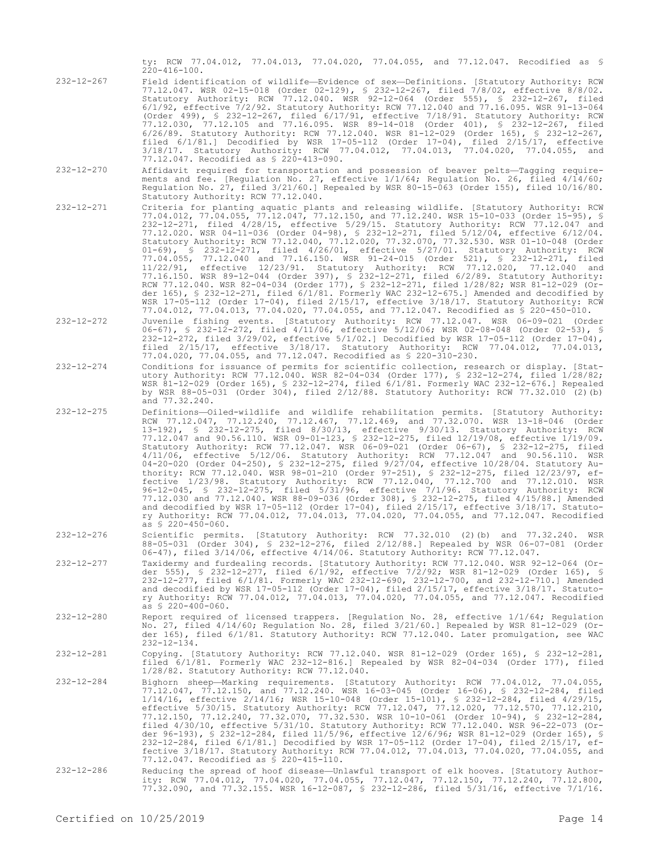ty: RCW 77.04.012, 77.04.013, 77.04.020, 77.04.055, and 77.12.047. Recodified as § 220-416-100.

- 232-12-267 Field identification of wildlife—Evidence of sex—Definitions. [Statutory Authority: RCW 77.12.047. WSR 02-15-018 (Order 02-129), § 232-12-267, filed 7/8/02, effective 8/8/02. Statutory Authority: RCW 77.12.040. WSR 92-12-064 (Order 555), § 232-12-267, filed 6/1/92, effective 7/2/92. Statutory Authority: RCW 77.12.040 and 77.16.095. WSR 91-13-064 (Order 499), § 232-12-267, filed 6/17/91, effective 7/18/91. Statutory Authority: RCW 77.12.030, 77.12.105 and 77.16.095. WSR 89-14-018 (Order 401), § 232-12-267, filed 6/26/89. Statutory Authority: RCW 77.12.040. WSR 81-12-029 (Order 165), § 232-12-267, filed 6/1/81.] Decodified by WSR 17-05-112 (Order 17-04), filed 2/15/17, effective 3/18/17. Statutory Authority: RCW 77.04.012, 77.04.013, 77.04.020, 77.04.055, and 77.12.047. Recodified as § 220-413-090.
- 232-12-270 Affidavit required for transportation and possession of beaver pelts—Tagging requirements and fee. [Regulation No. 27, effective 1/1/64; Regulation No. 26, filed 4/14/60; Regulation No. 27, filed 3/21/60.] Repealed by WSR 80-15-063 (Order 155), filed 10/16/80. Statutory Authority: RCW 77.12.040.
- 232-12-271 Criteria for planting aquatic plants and releasing wildlife. [Statutory Authority: RCW 77.04.012, 77.04.055, 77.12.047, 77.12.150, and 77.12.240. WSR 15-10-033 (Order 15-95), § 232-12-271, filed 4/28/15, effective 5/29/15. Statutory Authority: RCW 77.12.047 and 77.12.020. WSR 04-11-036 (Order 04-98), § 232-12-271, filed 5/12/04, effective 6/12/04. Statutory Authority: RCW 77.12.040, 77.12.020, 77.32.070, 77.32.530. WSR 01-10-048 (Order 01-69), § 232-12-271, filed 4/26/01, effective 5/27/01. Statutory Authority: RCW 77.04.055, 77.12.040 and 77.16.150. WSR 91-24-015 (Order 521), § 232-12-271, filed 11/22/91, effective 12/23/91. Statutory Authority: RCW 77.12.020, 77.12.040 and 77.16.150. WSR 89-12-044 (Order 397), § 232-12-271, filed 6/2/89. Statutory Authority: RCW 77.12.040. WSR 82-04-034 (Order 177), § 232-12-271, filed 1/28/82; WSR 81-12-029 (Order 165), § 232-12-271, filed 6/1/81. Formerly WAC 232-12-675.] Amended and decodified by WSR 17-05-112 (Order 17-04), filed 2/15/17, effective 3/18/17. Statutory Authority: RCW 77.04.012, 77.04.013, 77.04.020, 77.04.055, and 77.12.047. Recodified as § 220-450-010.
- 232-12-272 Juvenile fishing events. [Statutory Authority: RCW 77.12.047. WSR 06-09-021 (Order 06-67), § 232-12-272, filed 4/11/06, effective 5/12/06; WSR 02-08-048 (Order 02-53), § 232-12-272, filed 3/29/02, effective 5/1/02.] Decodified by WSR 17-05-112 (Order 17-04), filed 2/15/17, effective 3/18/17. Statutory Authority: RCW 77.04.012, 77.04.013, 77.04.020, 77.04.055, and 77.12.047. Recodified as § 220-310-230.
- 232-12-274 Conditions for issuance of permits for scientific collection, research or display. [Statutory Authority: RCW 77.12.040. WSR 82-04-034 (Order 177), § 232-12-274, filed 1/28/82; WSR 81-12-029 (Order 165), § 232-12-274, filed 6/1/81. Formerly WAC 232-12-676.] Repealed by WSR 88-05-031 (Order 304), filed 2/12/88. Statutory Authority: RCW 77.32.010 (2)(b) and 77.32.240.
- 232-12-275 Definitions—Oiled-wildlife and wildlife rehabilitation permits. [Statutory Authority: RCW 77.12.047, 77.12.240, 77.12.467, 77.12.469, and 77.32.070. WSR 13-18-046 (Order 13-192), § 232-12-275, filed 8/30/13, effective 9/30/13. Statutory Authority: RCW 77.12.047 and 90.56.110. WSR 09-01-123, § 232-12-275, filed 12/19/08, effective 1/19/09. Statutory Authority: RCW 77.12.047. WSR 06-09-021 (Order 06-67), § 232-12-275, filed 4/11/06, effective 5/12/06. Statutory Authority: RCW 77.12.047 and 90.56.110. WSR 04-20-020 (Order 04-250), § 232-12-275, filed 9/27/04, effective 10/28/04. Statutory Authority: RCW 77.12.040. WSR 98-01-210 (Order 97-251), § 232-12-275, filed 12/23/97, effective 1/23/98. Statutory Authority: RCW 77.12.040, 77.12.700 and 77.12.010. WSR 96-12-045, § 232-12-275, filed 5/31/96, effective 7/1/96. Statutory Authority: RCW 77.12.030 and 77.12.040. WSR 88-09-036 (Order 308), § 232-12-275, filed 4/15/88.] Amended and decodified by WSR 17-05-112 (Order 17-04), filed 2/15/17, effective 3/18/17. Statutory Authority: RCW 77.04.012, 77.04.013, 77.04.020, 77.04.055, and 77.12.047. Recodified as  $$ 220-450-060$ .
- 232-12-276 Scientific permits. [Statutory Authority: RCW 77.32.010 (2)(b) and 77.32.240. WSR 88-05-031 (Order 304), § 232-12-276, filed 2/12/88.] Repealed by WSR 06-07-081 (Order 06-47), filed 3/14/06, effective 4/14/06. Statutory Authority: RCW 77.12.047.
- 232-12-277 Taxidermy and furdealing records. [Statutory Authority: RCW 77.12.040. WSR 92-12-064 (Order 555), § 232-12-277, filed 6/1/92, effective 7/2/92; WSR 81-12-029 (Order 165), § 232-12-277, filed 6/1/81. Formerly WAC 232-12-690, 232-12-700, and 232-12-710.] Amended and decodified by WSR 17-05-112 (Order 17-04), filed 2/15/17, effective 3/18/17. Statutory Authority: RCW 77.04.012, 77.04.013, 77.04.020, 77.04.055, and 77.12.047. Recodified as § 220-400-060.
- 232-12-280 Report required of licensed trappers. [Regulation No. 28, effective 1/1/64; Regulation No. 27, filed 4/14/60; Regulation No. 28, filed 3/21/60.] Repealed by WSR 81-12-029 (Order 165), filed 6/1/81. Statutory Authority: RCW 77.12.040. Later promulgation, see WAC  $232 - 12 - 134$ .
- 232-12-281 Copying. [Statutory Authority: RCW 77.12.040. WSR 81-12-029 (Order 165), § 232-12-281, filed 6/1/81. Formerly WAC 232-12-816.] Repealed by WSR 82-04-034 (Order 177), filed 1/28/82. Statutory Authority: RCW 77.12.040.
- 232-12-284 Bighorn sheep—Marking requirements. [Statutory Authority: RCW 77.04.012, 77.04.055, 77.12.047, 77.12.150, and 77.12.240. WSR 16-03-045 (Order 16-06), § 232-12-284, filed 1/14/16, effective 2/14/16; WSR 15-10-048 (Order 15-101), § 232-12-284, filed 4/29/15, effective 5/30/15. Statutory Authority: RCW 77.12.047, 77.12.020, 77.12.570, 77.12.210,<br>77.12.150, 77.12.240, 77.32.070, 77.32.530. WSR 10-10-061 (Order 10-94), § 232-12-284,<br>filed 4/30/10, effective 5/31/10. Statutory Aut der 96-193), § 232-12-284, filed 11/5/96, effective 12/6/96; WSR 81-12-029 (Order 165), § 232-12-284, filed 6/1/81.] Decodified by WSR 17-05-112 (Order 17-04), filed 2/15/17, effective 3/18/17. Statutory Authority: RCW 77.04.012, 77.04.013, 77.04.020, 77.04.055, and 77.12.047. Recodified as § 220-415-110.
- 232-12-286 Reducing the spread of hoof disease—Unlawful transport of elk hooves. [Statutory Authority: RCW 77.04.012, 77.04.020, 77.04.055, 77.12.047, 77.12.150, 77.12.240, 77.12.800, 77.32.090, and 77.32.155. WSR 16-12-087, § 232-12-286, filed 5/31/16, effective 7/1/16.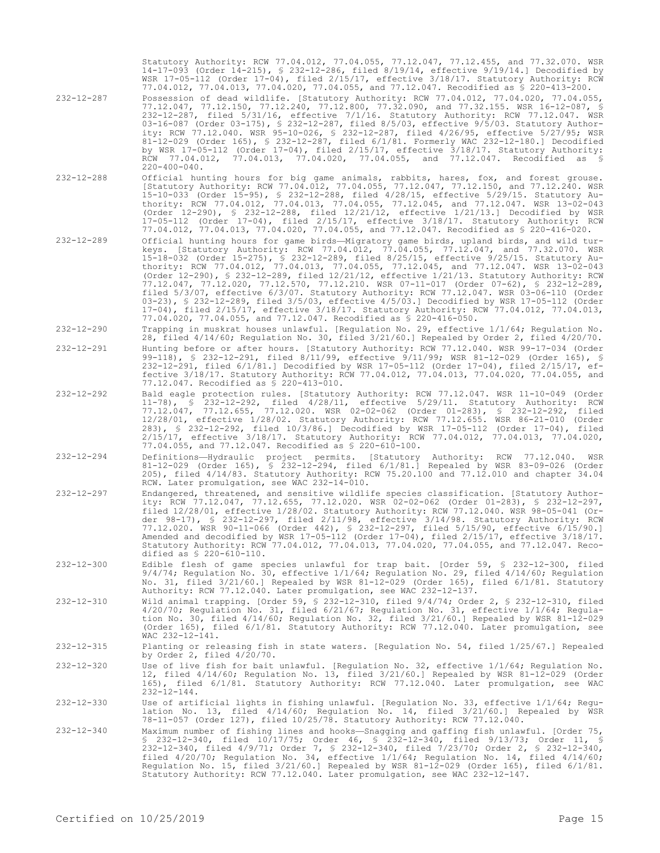|                  | Statutory Authority: RCW 77.04.012, 77.04.055, 77.12.047, 77.12.455, and 77.32.070. WSR<br>14-17-093 (Order 14-215), § 232-12-286, filed 8/19/14, effective 9/19/14.] Decodified by<br>WSR 17-05-112 (Order 17-04), filed 2/15/17, effective 3/18/17. Statutory Authority: RCW<br>77.04.012, 77.04.013, 77.04.020, 77.04.055, and 77.12.047. Recodified as \$ 220-413-200.                                                                                                                                                                                                                                                                                                                                                                                                                                                                                                                                           |
|------------------|----------------------------------------------------------------------------------------------------------------------------------------------------------------------------------------------------------------------------------------------------------------------------------------------------------------------------------------------------------------------------------------------------------------------------------------------------------------------------------------------------------------------------------------------------------------------------------------------------------------------------------------------------------------------------------------------------------------------------------------------------------------------------------------------------------------------------------------------------------------------------------------------------------------------|
| $232 - 12 - 287$ | Possession of dead wildlife. [Statutory Authority: RCW 77.04.012, 77.04.020, 77.04.055,<br>77.12.047, 77.12.150, 77.12.240, 77.12.800, 77.32.090, and 77.32.155. WSR 16-12-087, §<br>232-12-287, filed 5/31/16, effective 7/1/16. Statutory Authority: RCW 77.12.047. WSR<br>03-16-087 (Order 03-175), § 232-12-287, filed 8/5/03, effective 9/5/03. Statutory Author-<br>ity: RCW 77.12.040. WSR 95-10-026, \$ 232-12-287, filed 4/26/95, effective 5/27/95; WSR<br>81-12-029 (Order 165), § 232-12-287, filed 6/1/81. Formerly WAC 232-12-180.] Decodified<br>by WSR 17-05-112 (Order 17-04), filed $2/15/17$ , effective $3/18/17$ . Statutory Authority:<br>RCW 77.04.012, 77.04.013, 77.04.020, 77.04.055, and 77.12.047. Recodified as §<br>$220 - 400 - 040$ .                                                                                                                                                |
| $232 - 12 - 288$ | Official hunting hours for big game animals, rabbits, hares, fox, and forest grouse.<br>[Statutory Authority: RCW 77.04.012, 77.04.055, 77.12.047, 77.12.150, and 77.12.240. WSR<br>15-10-033 (Order 15-95), § 232-12-288, filed 4/28/15, effective 5/29/15. Statutory Au-<br>thority: RCW 77.04.012, 77.04.013, 77.04.055, 77.12.045, and 77.12.047. WSR 13-02-043<br>(Order $12-290$ ), § 232-12-288, filed $12/21/12$ , effective $1/21/13$ . Decodified by WSR<br>$17-05-112$ (Order 17-04), filed $2/15/17$ , effective $3/18/17$ . Statutory Authority: RCW<br>77.04.012, 77.04.013, 77.04.020, 77.04.055, and 77.12.047. Recodified as \$ 220-416-020.                                                                                                                                                                                                                                                        |
| $232 - 12 - 289$ | Official hunting hours for game birds—Migratory game birds, upland birds, and wild tur-<br>keys. [Statutory Authority: RCW 77.04.012, 77.04.055, 77.12.047, and 77.32.070. WSR<br>15-18-032 (Order 15-275), § 232-12-289, filed 8/25/15, effective 9/25/15. Statutory Au-<br>thority: RCW 77.04.012, 77.04.013, 77.04.055, 77.12.045, and 77.12.047. WSR 13-02-043<br>(Order 12-290), § 232-12-289, filed 12/21/12, effective 1/21/13. Statutory Authority: RCW<br>77.12.047, 77.12.020, 77.12.570, 77.12.210. WSR 07-11-017 (Order 07-62), § 232-12-289,<br>filed 5/3/07, effective 6/3/07. Statutory Authority: RCW 77.12.047. WSR 03-06-110 (Order<br>03-23), § 232-12-289, filed 3/5/03, effective 4/5/03.] Decodified by WSR 17-05-112 (Order<br>17-04), filed 2/15/17, effective 3/18/17. Statutory Authority: RCW 77.04.012, 77.04.013,<br>77.04.020, 77.04.055, and 77.12.047. Recodified as \$ 220-416-050. |
| $232 - 12 - 290$ | Trapping in muskrat houses unlawful. [Requlation No. 29, effective 1/1/64; Requlation No.<br>28, filed $4/14/60$ ; Requlation No. 30, filed $3/21/60$ . Repealed by Order 2, filed $4/20/70$ .                                                                                                                                                                                                                                                                                                                                                                                                                                                                                                                                                                                                                                                                                                                       |
| $232 - 12 - 291$ | Hunting before or after hours. [Statutory Authority: RCW 77.12.040. WSR 99-17-034 (Order<br>99-118), § 232-12-291, filed 8/11/99, effective 9/11/99; WSR 81-12-029 (Order 165), §<br>$232-12-291$ , filed $6/1/81$ . Decodified by WSR 17-05-112 (Order 17-04), filed $2/15/17$ , ef-<br>fective 3/18/17. Statutory Authority: RCW 77.04.012, 77.04.013, 77.04.020, 77.04.055, and<br>77.12.047. Recodified as \$ 220-413-010.                                                                                                                                                                                                                                                                                                                                                                                                                                                                                       |
| $232 - 12 - 292$ | Bald eagle protection rules. [Statutory Authority: RCW 77.12.047. WSR 11-10-049 (Order<br>11-78), § 232-12-292, filed 4/28/11, effective 5/29/11. Statutory Authority: RCW<br>77.12.047, 77.12.655, 77.12.020. WSR 02-02-062 (Order 01-283), § 232-12-292, filed<br>12/28/01, effective 1/28/02. Statutory Authority: RCW 77.12.655. WSR 86-21-010 (Order<br>283), § 232-12-292, filed 10/3/86.] Decodified by WSR 17-05-112 (Order 17-04), filed<br>2/15/17, effective 3/18/17. Statutory Authority: RCW 77.04.012, 77.04.013, 77.04.020,<br>77.04.055, and 77.12.047. Recodified as § 220-610-100.                                                                                                                                                                                                                                                                                                                 |
| $232 - 12 - 294$ | Definitions—Hydraulic project permits. [Statutory Authority: RCW 77.12.040.<br>WSR<br>81-12-029 (Order 165), § 232-12-294, filed 6/1/81.] Repealed by WSR 83-09-026 (Order<br>205), filed 4/14/83. Statutory Authority: RCW 75.20.100 and 77.12.010 and chapter 34.04<br>RCW. Later promulgation, see WAC 232-14-010.                                                                                                                                                                                                                                                                                                                                                                                                                                                                                                                                                                                                |
| $232 - 12 - 297$ | Endangered, threatened, and sensitive wildlife species classification. [Statutory Author-<br>ity: RCW 77.12.047, 77.12.655, 77.12.020. WSR 02-02-062 (Order 01-283), § 232-12-297,<br>filed 12/28/01, effective 1/28/02. Statutory Authority: RCW 77.12.040. WSR 98-05-041 (Or-<br>der 98-17), § 232-12-297, filed $2/11/98$ , effective $3/14/98$ . Statutory Authority: RCW<br>77.12.020. WSR 90-11-066 (Order 442), § 232-12-297, filed 5/15/90, effective 6/15/90.]<br>Amended and decodified by WSR 17-05-112 (Order 17-04), filed 2/15/17, effective 3/18/17.<br>Statutory Authority: RCW 77.04.012, 77.04.013, 77.04.020, 77.04.055, and 77.12.047. Reco-<br>dified as § 220-610-110.                                                                                                                                                                                                                         |
| $232 - 12 - 300$ | Edible flesh of game species unlawful for trap bait. [Order 59, § 232-12-300, filed<br>$9/4/74$ ; Requlation No. 30, effective $1/1/64$ ; Requlation No. 29, filed $4/14/60$ ; Requlation<br>No. 31, filed $3/21/60$ .] Repealed by WSR 81-12-029 (Order 165), filed $6/1/81$ . Statutory<br>Authority: RCW 77.12.040. Later promulgation, see WAC 232-12-137.                                                                                                                                                                                                                                                                                                                                                                                                                                                                                                                                                       |
| $232 - 12 - 310$ | Wild animal trapping. [Order 59, § 232-12-310, filed 9/4/74; Order 2, § 232-12-310, filed<br>$4/20/70$ ; Regulation No. 31, filed $6/21/67$ ; Regulation No. 31, effective 1/1/64; Regula-<br>tion No. 30, filed 4/14/60; Regulation No. 32, filed 3/21/60.] Repealed by WSR 81-12-029<br>(Order 165), filed 6/1/81. Statutory Authority: RCW 77.12.040. Later promulgation, see<br>WAC 232-12-141.                                                                                                                                                                                                                                                                                                                                                                                                                                                                                                                  |
| $232 - 12 - 315$ | Planting or releasing fish in state waters. [Regulation No. 54, filed 1/25/67.] Repealed<br>by Order 2, filed $4/20/70$ .                                                                                                                                                                                                                                                                                                                                                                                                                                                                                                                                                                                                                                                                                                                                                                                            |
| $232 - 12 - 320$ | Use of live fish for bait unlawful. [Regulation No. 32, effective $1/1/64$ ; Regulation No.<br>12, filed $4/14/60$ ; Requlation No. 13, filed $3/21/60$ . Repealed by WSR 81-12-029 (Order<br>165), filed 6/1/81. Statutory Authority: RCW 77.12.040. Later promulgation, see WAC<br>$232 - 12 - 144$ .                                                                                                                                                                                                                                                                                                                                                                                                                                                                                                                                                                                                              |
| $232 - 12 - 330$ | Use of artificial lights in fishing unlawful. [Regulation No. 33, effective 1/1/64; Regu-<br>lation No. 13, filed 4/14/60; Regulation No. 14, filed 3/21/60.] Repealed by WSR<br>78-11-057 (Order 127), filed 10/25/78. Statutory Authority: RCW 77.12.040.                                                                                                                                                                                                                                                                                                                                                                                                                                                                                                                                                                                                                                                          |
| $232 - 12 - 340$ | Maximum number of fishing lines and hooks—Snagging and gaffing fish unlawful. [Order 75,<br>\$ 232-12-340, filed 10/17/75; Order 46, \$ 232-12-340, filed 9/13/73; Order 11, \$<br>232-12-340, filed 4/9/71; Order 7, § 232-12-340, filed 7/23/70; Order 2, § 232-12-340,<br>filed $4/20/70$ ; Regulation No. 34, effective $1/1/64$ ; Regulation No. 14, filed $4/14/60$ ;<br>Regulation No. 15, filed $3/21/60$ . Repealed by WSR 81-12-029 (Order 165), filed $6/1/81$ .<br>Statutory Authority: RCW 77.12.040. Later promulgation, see WAC 232-12-147.                                                                                                                                                                                                                                                                                                                                                           |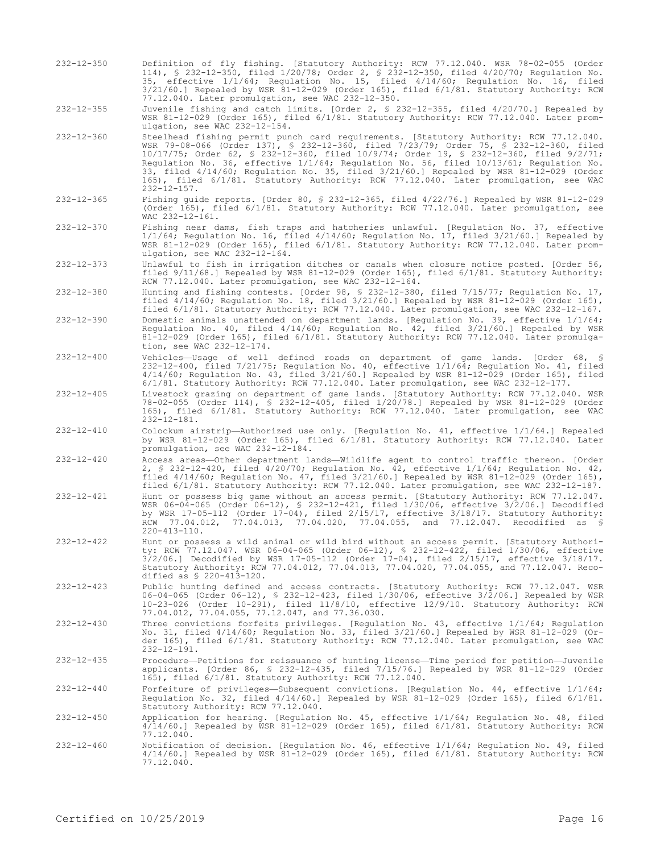232-12-350 Definition of fly fishing. [Statutory Authority: RCW 77.12.040. WSR 78-02-055 (Order 114), § 232-12-350, filed 1/20/78; Order 2, § 232-12-350, filed 4/20/70; Regulation No. 35, effective 1/1/64; Regulation No. 15, filed 4/14/60; Regulation No. 16, filed 3/21/60.] Repealed by WSR 81-12-029 (Order 165), filed 6/1/81. Statutory Authority: RCW 77.12.040. Later promulgation, see WAC 232-12-350.

232-12-355 Juvenile fishing and catch limits. [Order 2, § 232-12-355, filed 4/20/70.] Repealed by WSR 81-12-029 (Order 165), filed 6/1/81. Statutory Authority: RCW 77.12.040. Later promulgation, see WAC 232-12-154.

- 232-12-360 Steelhead fishing permit punch card requirements. [Statutory Authority: RCW 77.12.040. WSR 79-08-066 (Order 137), § 232-12-360, filed 7/23/79; Order 75, § 232-12-360, filed 10/17/75; Order 62, § 232-12-360, filed 10/9/74; Order 19, § 232-12-360, filed 9/2/71; Regulation No. 36, effective 1/1/64; Regulation No. 56, filed 10/13/61; Regulation No. 33, filed 4/14/60; Regulation No. 35, filed 3/21/60.] Repealed by WSR 81-12-029 (Order 165), filed 6/1/81. Statutory Authority: RCW 77.12.040. Later promulgation, see WAC  $232 - 12 - 157$ .
- 232-12-365 Fishing guide reports. [Order 80, § 232-12-365, filed 4/22/76.] Repealed by WSR 81-12-029 (Order 165), filed 6/1/81. Statutory Authority: RCW 77.12.040. Later promulgation, see WAC 232-12-161.
- 232-12-370 Fishing near dams, fish traps and hatcheries unlawful. [Regulation No. 37, effective 1/1/64; Regulation No. 16, filed 4/14/60; Regulation No. 17, filed 3/21/60.] Repealed by WSR 81-12-029 (Order 165), filed 6/1/81. Statutory Authority: RCW 77.12.040. Later promulgation, see WAC 232-12-164.
- 232-12-373 Unlawful to fish in irrigation ditches or canals when closure notice posted. [Order 56, filed 9/11/68.] Repealed by WSR 81-12-029 (Order 165), filed 6/1/81. Statutory Authority: RCW 77.12.040. Later promulgation, see WAC 232-12-164.
- 232-12-380 Hunting and fishing contests. [Order 98, § 232-12-380, filed 7/15/77; Regulation No. 17, filed 4/14/60; Regulation No. 18, filed 3/21/60.] Repealed by WSR 81-12-029 (Order 165), filed 6/1/81. Statutory Authority: RCW 77.12.040. Later promulgation, see WAC 232-12-167.
- 232-12-390 Domestic animals unattended on department lands. [Regulation No. 39, effective 1/1/64; Regulation No. 40, filed 4/14/60; Regulation No. 42, filed 3/21/60.] Repealed by WSR 81-12-029 (Order 165), filed 6/1/81. Statutory Authority: RCW 77.12.040. Later promulgation, see WAC 232-12-174.
- 232-12-400 Vehicles—Usage of well defined roads on department of game lands. [Order 68, § 232-12-400, filed 7/21/75; Regulation No. 40, effective 1/1/64; Regulation No. 41, filed 4/14/60; Regulation No. 43, filed 3/21/60.] Repealed by WSR 81-12-029 (Order 165), filed 6/1/81. Statutory Authority: RCW 77.12.040. Later promulgation, see WAC 232-12-177.
- 232-12-405 Livestock grazing on department of game lands. [Statutory Authority: RCW 77.12.040. WSR 78-02-055 (Order 114), § 232-12-405, filed 1/20/78.] Repealed by WSR 81-12-029 (Order 165), filed 6/1/81. Statutory Authority: RCW 77.12.040. Later promulgation, see WAC 232-12-181.
- 232-12-410 Colockum airstrip—Authorized use only. [Regulation No. 41, effective 1/1/64.] Repealed by WSR 81-12-029 (Order 165), filed 6/1/81. Statutory Authority: RCW 77.12.040. Later promulgation, see WAC 232-12-184.
- 232-12-420 Access areas—Other department lands—Wildlife agent to control traffic thereon. [Order 2, § 232-12-420, filed 4/20/70; Regulation No. 42, effective 1/1/64; Regulation No. 42, filed 4/14/60; Regulation No. 47, filed 3/21/60.] Repealed by WSR 81-12-029 (Order 165), filed 6/1/81. Statutory Authority: RCW 77.12.040. Later promulgation, see WAC 232-12-187.
- 232-12-421 Hunt or possess big game without an access permit. [Statutory Authority: RCW 77.12.047. WSR 06-04-065 (Order 06-12), § 232-12-421, filed 1/30/06, effective 3/2/06.] Decodified by WSR 17-05-112 (Order 17-04), filed 2/15/17, effective 3/18/17. Statutory Authority: RCW 77.04.012, 77.04.013, 77.04.020, 77.04.055, and 77.12.047. Recodified as § 220-413-110.
- 232-12-422 Hunt or possess a wild animal or wild bird without an access permit. [Statutory Authority: RCW 77.12.047. WSR 06-04-065 (Order 06-12), § 232-12-422, filed 1/30/06, effective 3/2/06.] Decodified by WSR 17-05-112 (Order 17-04), filed 2/15/17, effective 3/18/17. Statutory Authority: RCW 77.04.012, 77.04.013, 77.04.020, 77.04.055, and 77.12.047. Recodified as § 220-413-120.
- 232-12-423 Public hunting defined and access contracts. [Statutory Authority: RCW 77.12.047. WSR 06-04-065 (Order 06-12), § 232-12-423, filed 1/30/06, effective 3/2/06.] Repealed by WSR 10-23-026 (Order 10-291), filed 11/8/10, effective 12/9/10. Statutory Authority: RCW 77.04.012, 77.04.055, 77.12.047, and 77.36.030.
- 232-12-430 Three convictions forfeits privileges. [Regulation No. 43, effective 1/1/64; Regulation No. 31, filed 4/14/60; Regulation No. 33, filed 3/21/60.] Repealed by WSR 81-12-029 (Order 165), filed 6/1/81. Statutory Authority: RCW 77.12.040. Later promulgation, see WAC 232-12-191.
- 232-12-435 Procedure—Petitions for reissuance of hunting license—Time period for petition—Juvenile applicants. [Order 86, § 232-12-435, filed 7/15/76.] Repealed by WSR 81-12-029 (Order 165), filed 6/1/81. Statutory Authority: RCW 77.12.040.
- 232-12-440 Forfeiture of privileges—Subsequent convictions. [Regulation No. 44, effective 1/1/64; Regulation No. 32, filed 4/14/60.] Repealed by WSR 81-12-029 (Order 165), filed 6/1/81. Statutory Authority: RCW 77.12.040.
- 232-12-450 Application for hearing. [Regulation No. 45, effective 1/1/64; Regulation No. 48, filed 4/14/60.] Repealed by WSR 81-12-029 (Order 165), filed 6/1/81. Statutory Authority: RCW 77.12.040.
- 232-12-460 Notification of decision. [Regulation No. 46, effective 1/1/64; Regulation No. 49, filed 4/14/60.] Repealed by WSR 81-12-029 (Order 165), filed 6/1/81. Statutory Authority: RCW 77.12.040.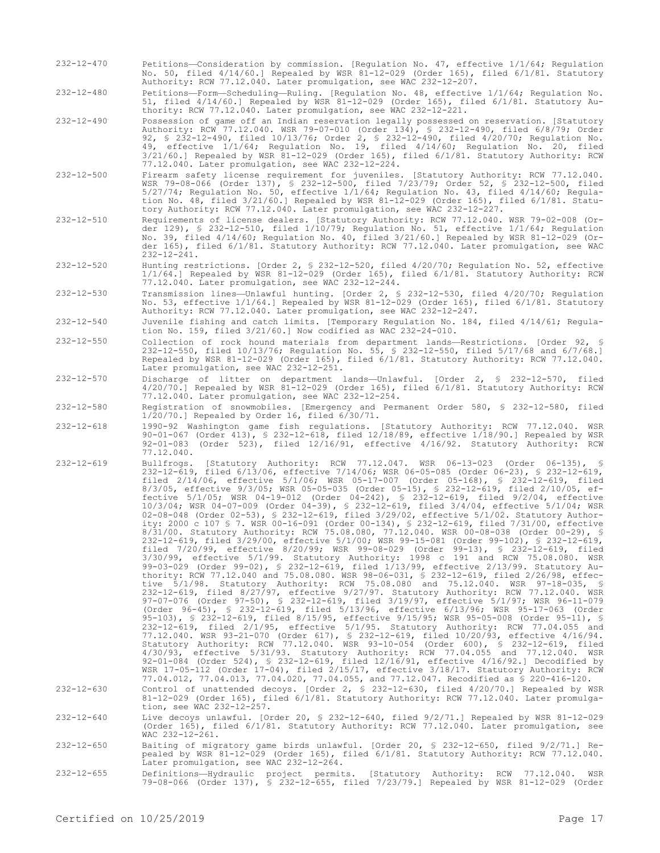- 232-12-470 Petitions—Consideration by commission. [Regulation No. 47, effective 1/1/64; Regulation No. 50, filed 4/14/60.] Repealed by WSR 81-12-029 (Order 165), filed 6/1/81. Statutory Authority: RCW 77.12.040. Later promulgation, see WAC 232-12-207.
- 232-12-480 Petitions—Form—Scheduling—Ruling. [Regulation No. 48, effective 1/1/64; Regulation No. 51, filed 4/14/60.] Repealed by WSR 81-12-029 (Order 165), filed 6/1/81. Statutory Authority: RCW 77.12.040. Later promulgation, see WAC 232-12-221.
- 232-12-490 Possession of game off an Indian reservation legally possessed on reservation. [Statutory Authority: RCW 77.12.040. WSR 79-07-010 (Order 134), § 232-12-490, filed 6/8/79; Order 92, § 232-12-490, filed 10/13/76; Order 2, § 232-12-490, filed 4/20/70; Regulation No. 49, effective 1/1/64; Regulation No. 19, filed 4/14/60; Regulation No. 20, filed 3/21/60.] Repealed by WSR 81-12-029 (Order 165), filed 6/1/81. Statutory Authority: RCW 77.12.040. Later promulgation, see WAC 232-12-224.
- 232-12-500 Firearm safety license requirement for juveniles. [Statutory Authority: RCW 77.12.040. WSR 79-08-066 (Order 137), § 232-12-500, filed 7/23/79; Order 52, § 232-12-500, filed 5/27/74; Regulation No. 50, effective 1/1/64; Regulation No. 43, filed 4/14/60; Regulation No. 48, filed 3/21/60.] Repealed by WSR 81-12-029 (Order 165), filed 6/1/81. Statutory Authority: RCW 77.12.040. Later promulgation, see WAC 232-12-227.
- 232-12-510 Requirements of license dealers. [Statutory Authority: RCW 77.12.040. WSR 79-02-008 (Order 129), § 232-12-510, filed 1/10/79; Regulation No. 51, effective 1/1/64; Regulation No. 39, filed 4/14/60; Regulation No. 40, filed 3/21/60.] Repealed by WSR 81-12-029 (Order 165), filed 6/1/81. Statutory Authority: RCW 77.12.040. Later promulgation, see WAC 232-12-241.
- 232-12-520 Hunting restrictions. [Order 2, § 232-12-520, filed 4/20/70; Regulation No. 52, effective 1/1/64.] Repealed by WSR 81-12-029 (Order 165), filed 6/1/81. Statutory Authority: RCW 77.12.040. Later promulgation, see WAC 232-12-244.
- 232-12-530 Transmission lines—Unlawful hunting. [Order 2, § 232-12-530, filed 4/20/70; Regulation No. 53, effective 1/1/64.] Repealed by WSR 81-12-029 (Order 165), filed 6/1/81. Statutory Authority: RCW 77.12.040. Later promulgation, see WAC 232-12-247.
- 232-12-540 Juvenile fishing and catch limits. [Temporary Regulation No. 184, filed 4/14/61; Regulation No. 159, filed 3/21/60.] Now codified as WAC 232-24-010.
- 232-12-550 Collection of rock hound materials from department lands—Restrictions. [Order 92, § 232-12-550, filed 10/13/76; Regulation No. 55, § 232-12-550, filed 5/17/68 and 6/7/68.] Repealed by WSR 81-12-029 (Order 165), filed 6/1/81. Statutory Authority: RCW 77.12.040. Later promulgation, see WAC 232-12-251.
- 232-12-570 Discharge of litter on department lands—Unlawful. [Order 2, § 232-12-570, filed 4/20/70.] Repealed by WSR 81-12-029 (Order 165), filed 6/1/81. Statutory Authority: RCW 77.12.040. Later promulgation, see WAC 232-12-254.
- 232-12-580 Registration of snowmobiles. [Emergency and Permanent Order 580, § 232-12-580, filed 1/20/70.] Repealed by Order 16, filed 6/30/71.
- 232-12-618 1990-92 Washington game fish regulations. [Statutory Authority: RCW 77.12.040. WSR 90-01-067 (Order 413), § 232-12-618, filed 12/18/89, effective 1/18/90.] Repealed by WSR 92-01-083 (Order 523), filed 12/16/91, effective 4/16/92. Statutory Authority: RCW 77.12.040.
- 232-12-619 Bullfrogs. [Statutory Authority: RCW 77.12.047. WSR 06-13-023 (Order 06-135), § 232-12-619, filed 6/13/06, effective 7/14/06; WSR 06-05-085 (Order 06-23), § 232-12-619, filed 2/14/06, effective 5/1/06; WSR 05-17-007 (Order 05-168), § 232-12-619, filed 8/3/05, effective 9/3/05; WSR 05-05-035 (Order 05-15), § 232-12-619, filed 2/10/05, effective 5/1/05; WSR 04-19-012 (Order 04-242), § 232-12-619, filed 9/2/04, effective 10/3/04; WSR 04-07-009 (Order 04-39), § 232-12-619, filed 3/4/04, effective 5/1/04; WSR 02-08-048 (Order 02-53), § 232-12-619, filed 3/29/02, effective 5/1/02. Statutory Authority: 2000 c 107 § 7. WSR 00-16-091 (Order 00-134), § 232-12-619, filed 7/31/00, effective 8/31/00. Statutory Authority: RCW 75.08.080, 77.12.040. WSR 00-08-038 (Order 00-29), § 232-12-619, filed 3/29/00, effective 5/1/00; WSR 99-15-081 (Order 99-102), § 232-12-619, filed 7/20/99, effective 8/20/99; WSR 99-08-029 (Order 99-13), § 232-12-619, filed 3/30/99, effective 5/1/99. Statutory Authority: 1998 c 191 and RCW 75.08.080. WSR 99-03-029 (Order 99-02), § 232-12-619, filed 1/13/99, effective 2/13/99. Statutory Authority: RCW 77.12.040 and 75.08.080. WSR 98-06-031, § 232-12-619, filed 2/26/98, effective 5/1/98. Statutory Authority: RCW 75.08.080 and 75.12.040. WSR 97-18-035, § 232-12-619, filed 8/27/97, effective 9/27/97. Statutory Authority: RCW 77.12.040. WSR 97-07-076 (Order 97-50), § 232-12-619, filed 3/19/97, effective 5/1/97; WSR 96-11-079 (Order 96-45), § 232-12-619, filed 5/13/96, effective 6/13/96; WSR 95-17-063 (Order 95-103), § 232-12-619, filed 8/15/95, effective 9/15/95; WSR 95-05-008 (Order 95-11), § 232-12-619, filed 2/1/95, effective 5/1/95. Statutory Authority: RCW 77.04.055 and 77.12.040. WSR 93-21-070 (Order 617), § 232-12-619, filed 10/20/93, effective 4/16/94. Statutory Authority: RCW 77.12.040. WSR 93-10-054 (Order 600), § 232-12-619, filed 4/30/93, effective 5/31/93. Statutory Authority: RCW 77.04.055 and 77.12.040. WSR 92-01-084 (Order 524), § 232-12-619, filed 12/16/91, effective 4/16/92.] Decodified by WSR 17-05-112 (Order 17-04), filed 2/15/17, effective 3/18/17. Statutory Authority: RCW 77.04.012, 77.04.013, 77.04.020, 77.04.055, and 77.12.047. Recodified as § 220-416-120.
- 232-12-630 Control of unattended decoys. [Order 2, § 232-12-630, filed 4/20/70.] Repealed by WSR 81-12-029 (Order 165), filed 6/1/81. Statutory Authority: RCW 77.12.040. Later promulgation, see WAC 232-12-257.
- 232-12-640 Live decoys unlawful. [Order 20, § 232-12-640, filed 9/2/71.] Repealed by WSR 81-12-029 (Order 165), filed 6/1/81. Statutory Authority: RCW 77.12.040. Later promulgation, see WAC 232-12-261.
- 232-12-650 Baiting of migratory game birds unlawful. [Order 20, § 232-12-650, filed 9/2/71.] Re-pealed by WSR 81-12-029 (Order 165), filed 6/1/81. Statutory Authority: RCW 77.12.040. Later promulgation, see WAC 232-12-264.
- 232-12-655 Definitions—Hydraulic project permits. [Statutory Authority: RCW 77.12.040. WSR 79-08-066 (Order 137), § 232-12-655, filed 7/23/79.] Repealed by WSR 81-12-029 (Order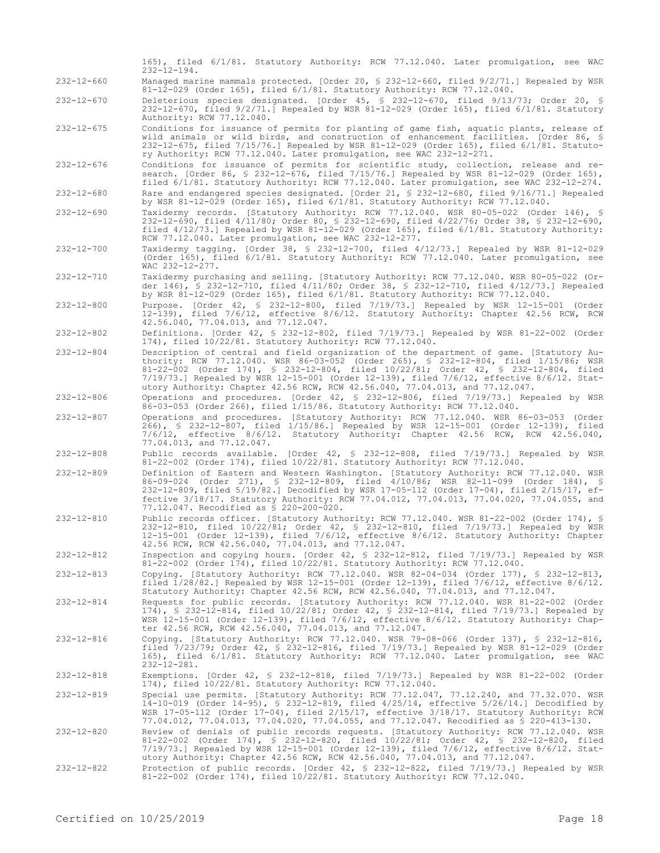|                  | 165), filed 6/1/81. Statutory Authority: RCW 77.12.040. Later promulgation, see WAC<br>$232 - 12 - 194.$                                                                                                                                                                                                                                                                                                                                                   |
|------------------|------------------------------------------------------------------------------------------------------------------------------------------------------------------------------------------------------------------------------------------------------------------------------------------------------------------------------------------------------------------------------------------------------------------------------------------------------------|
| $232 - 12 - 660$ | Managed marine mammals protected. [Order 20, § 232-12-660, filed 9/2/71.] Repealed by WSR<br>81-12-029 (Order 165), filed 6/1/81. Statutory Authority: RCW 77.12.040.                                                                                                                                                                                                                                                                                      |
| $232 - 12 - 670$ | Deleterious species designated. [Order 45, § 232-12-670, filed $9/13/73$ ; Order 20, §<br>232-12-670, filed 9/2/71.] Repealed by WSR 81-12-029 (Order 165), filed 6/1/81. Statutory<br>Authority: RCW 77.12.040.                                                                                                                                                                                                                                           |
| $232 - 12 - 675$ | Conditions for issuance of permits for planting of game fish, aquatic plants, release of<br>wild animals or wild birds, and construction of enhancement facilities. [Order 86, §<br>232-12-675, filed 7/15/76.] Repealed by WSR 81-12-029 (Order 165), filed 6/1/81. Statuto-<br>ry Authority: RCW 77.12.040. Later promulgation, see WAC 232-12-271.                                                                                                      |
| $232 - 12 - 676$ | Conditions for issuance of permits for scientific study, collection, release and re-<br>search. [Order 86, § 232-12-676, filed 7/15/76.] Repealed by WSR 81-12-029 (Order 165),<br>filed 6/1/81. Statutory Authority: RCW 77.12.040. Later promulgation, see WAC 232-12-274.                                                                                                                                                                               |
| $232 - 12 - 680$ | Rare and endangered species designated. [Order 21, § 232-12-680, filed 9/16/71.] Repealed<br>by WSR 81-12-029 (Order 165), filed 6/1/81. Statutory Authority: RCW 77.12.040.                                                                                                                                                                                                                                                                               |
| $232 - 12 - 690$ | Taxidermy records. [Statutory Authority: RCW 77.12.040. WSR 80-05-022 (Order 146), §<br>232-12-690, filed 4/11/80; Order 80, § 232-12-690, filed 4/22/76; Order 38, § 232-12-690,<br>filed $4/12/73$ .] Repealed by WSR 81-12-029 (Order 165), filed $6/1/81$ . Statutory Authority:<br>RCW 77.12.040. Later promulgation, see WAC 232-12-277.                                                                                                             |
| $232 - 12 - 700$ | Taxidermy tagging. [Order 38, § 232-12-700, filed 4/12/73.] Repealed by WSR 81-12-029<br>(Order 165), filed 6/1/81. Statutory Authority: RCW 77.12.040. Later promulgation, see<br>WAC 232-12-277.                                                                                                                                                                                                                                                         |
| $232 - 12 - 710$ | Taxidermy purchasing and selling. [Statutory Authority: RCW 77.12.040. WSR 80-05-022 (Or-<br>der 146), § 232-12-710, filed 4/11/80; Order 38, § 232-12-710, filed 4/12/73.] Repealed<br>by WSR 81-12-029 (Order 165), filed 6/1/81. Statutory Authority: RCW 77.12.040.                                                                                                                                                                                    |
| $232 - 12 - 800$ | Purpose. [Order 42, § 232-12-800, filed 7/19/73.] Repealed by WSR 12-15-001 (Order<br>12-139), filed 7/6/12, effective 8/6/12. Statutory Authority: Chapter 42.56 RCW, RCW<br>42.56.040, 77.04.013, and 77.12.047.                                                                                                                                                                                                                                         |
| $232 - 12 - 802$ | Definitions. [Order 42, § 232-12-802, filed 7/19/73.] Repealed by WSR 81-22-002 (Order<br>174), filed 10/22/81. Statutory Authority: RCW 77.12.040.                                                                                                                                                                                                                                                                                                        |
| $232 - 12 - 804$ | Description of central and field organization of the department of game. [Statutory Au-<br>thority: RCW 77.12.040. WSR 86-03-052 (Order 265), § 232-12-804, filed 1/15/86; WSR<br>81-22-002 (Order 174), § 232-12-804, filed 10/22/81; Order 42, § 232-12-804, filed<br>$7/19/73$ .] Repealed by WSR 12-15-001 (Order 12-139), filed $7/6/12$ , effective $8/6/12$ . Stat-<br>utory Authority: Chapter 42.56 RCW, RCW 42.56.040, 77.04.013, and 77.12.047. |
| $232 - 12 - 806$ | Operations and procedures. [Order 42, § 232-12-806, filed 7/19/73.] Repealed by WSR<br>86-03-053 (Order 266), filed 1/15/86. Statutory Authority: RCW 77.12.040.                                                                                                                                                                                                                                                                                           |
| $232 - 12 - 807$ | Operations and procedures. [Statutory Authority: RCW 77.12.040. WSR 86-03-053 (Order<br>266), § 232-12-807, filed 1/15/86.] Repealed by WSR 12-15-001 (Order 12-139), filed<br>7/6/12, effective 8/6/12. Statutory Authority: Chapter 42.56 RCW, RCW 42.56.040,<br>77.04.013, and 77.12.047.                                                                                                                                                               |
| $232 - 12 - 808$ | Public records available. [Order 42, § 232-12-808, filed 7/19/73.] Repealed by WSR<br>81-22-002 (Order 174), filed 10/22/81. Statutory Authority: RCW 77.12.040.                                                                                                                                                                                                                                                                                           |
| $232 - 12 - 809$ | Definition of Eastern and Western Washington. [Statutory Authority: RCW 77.12.040. WSR<br>86-09-024 (Order 271), § 232-12-809, filed 4/10/86; WSR 82-11-099 (Order 184), §<br>232-12-809, filed 5/19/82.] Decodified by WSR 17-05-112 (Order 17-04), filed 2/15/17, ef-<br>fective 3/18/17. Statutory Authority: RCW 77.04.012, 77.04.013, 77.04.020, 77.04.055, and<br>77.12.047. Recodified as § 220-200-020.                                            |
| $232 - 12 - 810$ | Public records officer. [Statutory Authority: RCW 77.12.040. WSR 81-22-002 (Order 174), §<br>232-12-810, filed 10/22/81; Order 42, § 232-12-810, filed 7/19/73.] Repealed by WSR<br>12-15-001 (Order 12-139), filed 7/6/12, effective 8/6/12. Statutory Authority: Chapter<br>42.56 RCW, RCW 42.56.040, 77.04.013, and 77.12.047.                                                                                                                          |
| $232 - 12 - 812$ | Inspection and copying hours. [Order 42, § 232-12-812, filed 7/19/73.] Repealed by WSR<br>81-22-002 (Order 174), filed 10/22/81. Statutory Authority: RCW 77.12.040.                                                                                                                                                                                                                                                                                       |
| 232-12-813       | Copying. [Statutory Authority: RCW 77.12.040. WSR 82-04-034 (Order 177), § 232-12-813,<br>filed 1/28/82.] Repealed by WSR 12-15-001 (Order 12-139), filed 7/6/12, effective 8/6/12.<br>Statutory Authority: Chapter 42.56 RCW, RCW 42.56.040, 77.04.013, and 77.12.047.                                                                                                                                                                                    |
| $232 - 12 - 814$ | Requests for public records. [Statutory Authority: RCW 77.12.040. WSR 81-22-002 (Order<br>174), § 232-12-814, filed 10/22/81; Order 42, § 232-12-814, filed 7/19/73.] Repealed by<br>WSR 12-15-001 (Order 12-139), filed 7/6/12, effective 8/6/12. Statutory Authority: Chap-<br>ter 42.56 RCW, RCW 42.56.040, 77.04.013, and 77.12.047.                                                                                                                   |
| $232 - 12 - 816$ | Copying. [Statutory Authority: RCW 77.12.040. WSR 79-08-066 (Order 137), § 232-12-816,<br>filed 7/23/79; Order 42, \$ 232-12-816, filed 7/19/73.] Repealed by WSR 81-12-029 (Order<br>165), filed 6/1/81. Statutory Authority: RCW 77.12.040. Later promulgation, see WAC<br>$232 - 12 - 281$ .                                                                                                                                                            |
| $232 - 12 - 818$ | Exemptions. [Order 42, § 232-12-818, filed 7/19/73.] Repealed by WSR 81-22-002 (Order<br>174), filed 10/22/81. Statutory Authority: RCW 77.12.040.                                                                                                                                                                                                                                                                                                         |
| 232-12-819       | Special use permits. [Statutory Authority: RCW 77.12.047, 77.12.240, and 77.32.070. WSR<br>$14-10-019$ (Order $14-95$ ), § 232-12-819, filed $4/25/14$ , effective $5/26/14$ .] Decodified by<br>WSR 17-05-112 (Order 17-04), filed 2/15/17, effective 3/18/17. Statutory Authority: RCW<br>77.04.012, 77.04.013, 77.04.020, 77.04.055, and 77.12.047. Recodified as \$ 220-413-130.                                                                       |
| 232-12-820       | Review of denials of public records requests. [Statutory Authority: RCW 77.12.040. WSR<br>81-22-002 (Order 174), § 232-12-820, filed 10/22/81; Order 42, § 232-12-820, filed<br>$7/19/73$ .] Repealed by WSR 12-15-001 (Order 12-139), filed $7/6/12$ , effective $8/6/12$ . Stat-<br>utory Authority: Chapter 42.56 RCW, RCW 42.56.040, 77.04.013, and 77.12.047.                                                                                         |
| 232-12-822       | Protection of public records. [Order 42, § 232-12-822, filed 7/19/73.] Repealed by WSR<br>81-22-002 (Order 174), filed 10/22/81. Statutory Authority: RCW 77.12.040.                                                                                                                                                                                                                                                                                       |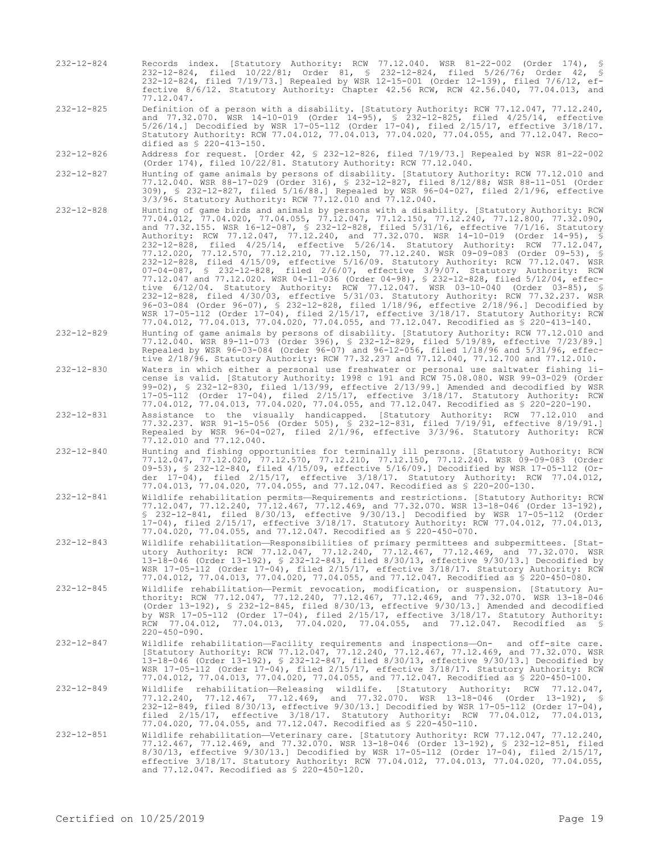- 232-12-824 Records index. [Statutory Authority: RCW 77.12.040. WSR 81-22-002 (Order 174), § 232-12-824, filed 10/22/81; Order 81, § 232-12-824, filed 5/26/76; Order 42, § 232-12-824, filed 7/19/73.] Repealed by WSR 12-15-001 (Order 12-139), filed 7/6/12, effective 8/6/12. Statutory Authority: Chapter 42.56 RCW, RCW 42.56.040, 77.04.013, and 77.12.047.
- 232-12-825 Definition of a person with a disability. [Statutory Authority: RCW 77.12.047, 77.12.240, and 77.32.070. WSR 14-10-019 (Order 14-95), § 232-12-825, filed 4/25/14, effective 5/26/14.] Decodified by WSR 17-05-112 (Order 17-04), filed 2/15/17, effective 3/18/17. Statutory Authority: RCW 77.04.012, 77.04.013, 77.04.020, 77.04.055, and 77.12.047. Recodified as § 220-413-150.
- 232-12-826 Address for request. [Order 42, § 232-12-826, filed 7/19/73.] Repealed by WSR 81-22-002 (Order 174), filed 10/22/81. Statutory Authority: RCW 77.12.040.
- 232-12-827 Hunting of game animals by persons of disability. [Statutory Authority: RCW 77.12.010 and 77.12.040. WSR 88-17-029 (Order 316), § 232-12-827, filed 8/12/88; WSR 88-11-051 (Order 309), § 232-12-827, filed 5/16/88.] Repealed by WSR 96-04-027, filed 2/1/96, effective 3/3/96. Statutory Authority: RCW 77.12.010 and 77.12.040.
- 232-12-828 Hunting of game birds and animals by persons with a disability. [Statutory Authority: RCW 77.04.012, 77.04.020, 77.04.055, 77.12.047, 77.12.150, 77.12.240, 77.12.800, 77.32.090, and 77.32.155. WSR 16-12-087, § 232-12-828, filed 5/31/16, effective 7/1/16. Statutory Authority: RCW 77.12.047, 77.12.240, and 77.32.070. WSR 14-10-019 (Order 14-95), § 232-12-828, filed 4/25/14, effective 5/26/14. Statutory Authority: RCW 77.12.047, 77.12.020, 77.12.570, 77.12.210, 77.12.150, 77.12.240. WSR 09-09-083 (Order 09-53), § 232-12-828, filed 4/15/09, effective 5/16/09. Statutory Authority: RCW 77.12.047. WSR 07-04-087, § 232-12-828, filed 2/6/07, effective 3/9/07. Statutory Authority: RCW 77.12.047 and 77.12.020. WSR 04-11-036 (Order 04-98), § 232-12-828, filed 5/12/04, effective 6/12/04. Statutory Authority: RCW 77.12.047. WSR 03-10-040 (Order 03-85), § 232-12-828, filed 4/30/03, effective 5/31/03. Statutory Authority: RCW 77.32.237. WSR 96-03-084 (Order 96-07), § 232-12-828, filed 1/18/96, effective 2/18/96.] Decodified by WSR 17-05-112 (Order 17-04), filed 2/15/17, effective 3/18/17. Statutory Authority: RCW 77.04.012, 77.04.013, 77.04.020, 77.04.055, and 77.12.047. Recodified as § 220-413-140.
- 232-12-829 Hunting of game animals by persons of disability. [Statutory Authority: RCW 77.12.010 and 77.12.040. WSR 89-11-073 (Order 396), § 232-12-829, filed 5/19/89, effective 7/23/89.] Repealed by WSR 96-03-084 (Order 96-07) and 96-12-056, filed 1/18/96 and 5/31/96, effective 2/18/96. Statutory Authority: RCW 77.32.237 and 77.12.040, 77.12.700 and 77.12.010.
- 232-12-830 Waters in which either a personal use freshwater or personal use saltwater fishing license is valid. [Statutory Authority: 1998 c 191 and RCW 75.08.080. WSR 99-03-029 (Order 99-02), § 232-12-830, filed 1/13/99, effective 2/13/99.] Amended and decodified by WSR 17-05-112 (Order 17-04), filed 2/15/17, effective 3/18/17. Statutory Authority: RCW 77.04.012, 77.04.013, 77.04.020, 77.04.055, and 77.12.047. Recodified as § 220-220-190.
- 232-12-831 Assistance to the visually handicapped. [Statutory Authority: RCW 77.12.010 and 77.32.237. WSR 91-15-056 (Order 505), § 232-12-831, filed 7/19/91, effective 8/19/91.] Repealed by WSR 96-04-027, filed 2/1/96, effective 3/3/96. Statutory Authority: RCW 77.12.010 and 77.12.040.
- 232-12-840 Hunting and fishing opportunities for terminally ill persons. [Statutory Authority: RCW 77.12.047, 77.12.020, 77.12.570, 77.12.210, 77.12.150, 77.12.240. WSR 09-09-083 (Order 09-53), § 232-12-840, filed 4/15/09, effective 5/16/09.] Decodified by WSR 17-05-112 (Order 17-04), filed 2/15/17, effective 3/18/17. Statutory Authority: RCW 77.04.012, 09-53), S 232-12-840, filed 4/15/09, effective 5/16/09.] Decodified by WSR 1<br>der 17-04), filed 2/15/17, effective 3/18/17. Statutory Authority: RC<br>77.04.013, 77.04.020, 77.04.055, and 77.12.047. Recodified as \$ 220-200-130
- 232-12-841 Wildlife rehabilitation permits—Requirements and restrictions. [Statutory Authority: RCW 77.12.047, 77.12.240, 77.12.467, 77.12.469, and 77.32.070. WSR 13-18-046 (Order 13-192), § 232-12-841, filed 8/30/13, effective 9/30/13.] Decodified by WSR 17-05-112 (Order 17-04), filed 2/15/17, effective 3/18/17. Statutory Authority: RCW 77.04.012, 77.04.013, 77.04.020, 77.04.055, and 77.12.047. Recodified as § 220-450-070.
- 232-12-843 Wildlife rehabilitation—Responsibilities of primary permittees and subpermittees. [Statutory Authority: RCW 77.12.047, 77.12.240, 77.12.467, 77.12.469, and 77.32.070. WSR 13-18-046 (Order 13-192), § 232-12-843, filed 8/30/13, effective 9/30/13.] Decodified by WSR 17-05-112 (Order 17-04), filed 2/15/17, effective 3/18/17. Statutory Authority: RCW 77.04.012, 77.04.013, 77.04.020, 77.04.055, and 77.12.047. Recodified as § 220-450-080.
- 232-12-845 Wildlife rehabilitation—Permit revocation, modification, or suspension. [Statutory Authority: RCW 77.12.047, 77.12.240, 77.12.467, 77.12.469, and 77.32.070. WSR 13-18-046 (Order 13-192), § 232-12-845, filed 8/30/13, effective 9/30/13.] Amended and decodified by WSR 17-05-112 (Order 17-04), filed 2/15/17, effective 3/18/17. Statutory Authority: RCW 77.04.012, 77.04.013, 77.04.020, 77.04.055, and 77.12.047. Recodified as §  $220 - 450 - 090$ .
- 232-12-847 Wildlife rehabilitation—Facility requirements and inspections—On- and off-site care. [Statutory Authority: RCW 77.12.047, 77.12.240, 77.12.467, 77.12.469, and 77.32.070. WSR 13-18-046 (Order 13-192), § 232-12-847, filed 8/30/13, effective 9/30/13.] Decodified by WSR 17-05-112 (Order 17-04), filed 2/15/17, effective 3/18/17. Statutory Authority: RCW 77.04.012, 77.04.013, 77.04.020, 77.04.055, and 77.12.047. Recodified as § 220-450-100.
- 232-12-849 Wildlife rehabilitation—Releasing wildlife. [Statutory Authority: RCW 77.12.047, 77.12.240, 77.12.467, 77.12.469, and 77.32.070. WSR 13-18-046 (Order 13-192), § 232-12-849, filed 8/30/13, effective 9/30/13.] Decodified by WSR 17-05-112 (Order 17-04), filed 2/15/17, effective 3/18/17. Statutory Authority: RCW 77.04.012, 77.04.013, 77.04.020, 77.04.055, and 77.12.047. Recodified as § 220-450-110.
- 232-12-851 Wildlife rehabilitation—Veterinary care. [Statutory Authority: RCW 77.12.047, 77.12.240, 77.12.467, 77.12.469, and 77.32.070. WSR 13-18-046 (Order 13-192), § 232-12-851, filed 8/30/13, effective 9/30/13.] Decodified by WSR 17-05-112 (Order 17-04), filed 2/15/17, effective 3/18/17. Statutory Authority: RCW 77.04.012, 77.04.013, 77.04.020, 77.04.055, and 77.12.047. Recodified as § 220-450-120.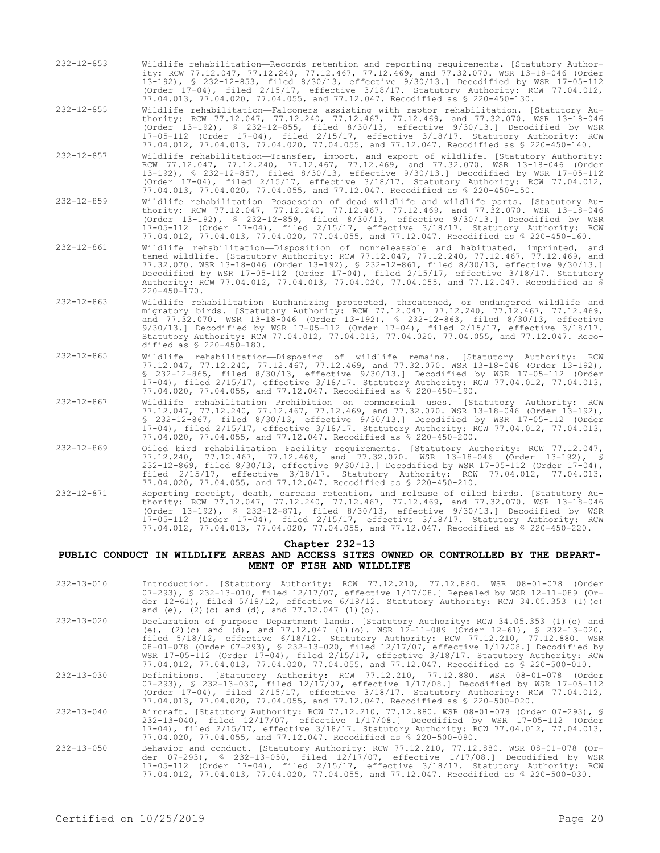232-12-853 Wildlife rehabilitation—Records retention and reporting requirements. [Statutory Authority: RCW 77.12.047, 77.12.240, 77.12.467, 77.12.469, and 77.32.070. WSR 13-18-046 (Order 13-192), § 232-12-853, filed 8/30/13, effective 9/30/13.] Decodified by WSR 17-05-112 (Order 17-04), filed 2/15/17, effective 3/18/17. Statutory Authority: RCW 77.04.012, 77.04.013, 77.04.020, 77.04.055, and 77.12.047. Recodified as § 220-450-130.

232-12-855 Wildlife rehabilitation—Falconers assisting with raptor rehabilitation. [Statutory Authority: RCW 77.12.047, 77.12.240, 77.12.467, 77.12.469, and 77.32.070. WSR 13-18-046 (Order 13-192), § 232-12-855, filed 8/30/13, effective 9/30/13.] Decodified by WSR 17-05-112 (Order 17-04), filed 2/15/17, effective 3/18/17. Statutory Authority: RCW 77.04.012, 77.04.013, 77.04.020, 77.04.055, and 77.12.047. Recodified as § 220-450-140.

- 232-12-857 Wildlife rehabilitation—Transfer, import, and export of wildlife. [Statutory Authority: RCW 77.12.047, 77.12.240, 77.12.467, 77.12.469, and 77.32.070. WSR 13-18-046 (Order 13-192), § 232-12-857, filed 8/30/13, effective 9/30/13.] Decodified by WSR 17-05-112 (Order 17-04), filed 2/15/17, effective 3/18/17. Statutory Authority: RCW 77.04.012, 77.04.013, 77.04.020, 77.04.055, and 77.12.047. Recodified as § 220-450-150.
- 232-12-859 Wildlife rehabilitation—Possession of dead wildlife and wildlife parts. [Statutory Authority: RCW 77.12.047, 77.12.240, 77.12.467, 77.12.469, and 77.32.070. WSR 13-18-046 (Order 13-192), § 232-12-859, filed 8/30/13, effective 9/30/13.] Decodified by WSR 17-05-112 (Order 17-04), filed 2/15/17, effective 3/18/17. Statutory Authority: RCW 77.04.012, 77.04.013, 77.04.020, 77.04.055, and 77.12.047. Recodified as § 220-450-160.
- 232-12-861 Wildlife rehabilitation—Disposition of nonreleasable and habituated, imprinted, and tamed wildlife. [Statutory Authority: RCW 77.12.047, 77.12.240, 77.12.467, 77.12.469, and 77.32.070. WSR 13-18-046 (Order 13-192), § 232-12-861, filed 8/30/13, effective 9/30/13.] Decodified by WSR 17-05-112 (Order 17-04), filed 2/15/17, effective 3/18/17. Statutory Authority: RCW 77.04.012, 77.04.013, 77.04.020, 77.04.055, and 77.12.047. Recodified as § 220-450-170.
- 232-12-863 Wildlife rehabilitation—Euthanizing protected, threatened, or endangered wildlife and migratory birds. [Statutory Authority: RCW 77.12.047, 77.12.240, 77.12.467, 77.12.469, and 77.32.070. WSR 13-18-046 (Order 13-192), § 232-12-863, filed 8/30/13, effective 9/30/13.] Decodified by WSR 17-05-112 (Order 17-04), filed 2/15/17, effective 3/18/17. Statutory Authority: RCW 77.04.012, 77.04.013, 77.04.020, 77.04.055, and 77.12.047. Recodified as § 220-450-180.
- 232-12-865 Wildlife rehabilitation—Disposing of wildlife remains. [Statutory Authority: RCW 77.12.047, 77.12.240, 77.12.467, 77.12.469, and 77.32.070. WSR 13-18-046 (Order 13-192), § 232-12-865, filed 8/30/13, effective 9/30/13.] Decodified by WSR 17-05-112 (Order 17-04), filed 2/15/17, effective 3/18/17. Statutory Authority: RCW 77.04.012, 77.04.013, 77.04.020, 77.04.055, and 77.12.047. Recodified as § 220-450-190.
- 232-12-867 Wildlife rehabilitation—Prohibition on commercial uses. [Statutory Authority: RCW 77.12.047, 77.12.240, 77.12.467, 77.12.469, and 77.32.070. WSR 13-18-046 (Order 13-192), § 232-12-867, filed 8/30/13, effective 9/30/13.] Decodified by WSR 17-05-112 (Order 17-04), filed 2/15/17, effective 3/18/17. Statutory Authority: RCW 77.04.012, 77.04.013, 77.04.020, 77.04.055, and 77.12.047. Recodified as § 220-450-200.
- 232-12-869 Oiled bird rehabilitation—Facility requirements. [Statutory Authority: RCW 77.12.047, 77.12.240, 77.12.467, 77.12.469, and 77.32.070. WSR 13-18-046 (Order 13-192), § 232-12-869, filed 8/30/13, effective 9/30/13.] Decodified by WSR 17-05-112 (Order 17-04), filed 2/15/17, effective 3/18/17. Statutory Authority: RCW 77.04.012, 77.04.013, 77.04.020, 77.04.055, and 77.12.047. Recodified as § 220-450-210.
- 232-12-871 Reporting receipt, death, carcass retention, and release of oiled birds. [Statutory Authority: RCW 77.12.047, 77.12.240, 77.12.467, 77.12.469, and 77.32.070. WSR 13-18-046 (Order 13-192), § 232-12-871, filed 8/30/13, effective 9/30/13.] Decodified by WSR 17-05-112 (Order 17-04), filed 2/15/17, effective 3/18/17. Statutory Authority: RCW 77.04.012, 77.04.013, 77.04.020, 77.04.055, and 77.12.047. Recodified as § 220-450-220.

#### **Chapter 232-13**

#### **PUBLIC CONDUCT IN WILDLIFE AREAS AND ACCESS SITES OWNED OR CONTROLLED BY THE DEPART-MENT OF FISH AND WILDLIFE**

232-13-010 Introduction. [Statutory Authority: RCW 77.12.210, 77.12.880. WSR 08-01-078 (Order 07-293), § 232-13-010, filed 12/17/07, effective 1/17/08.] Repealed by WSR 12-11-089 (Order 12-61), filed 5/18/12, effective 6/18/12. Statutory Authority: RCW 34.05.353 (1)(c) and (e), (2)(c) and (d), and 77.12.047 (1)(o). 232-13-020 Declaration of purpose—Department lands. [Statutory Authority: RCW 34.05.353 (1)(c) and (e), (2)(c) and (d), and 77.12.047 (1)(o). WSR 12-11-089 (Order 12-61), § 232-13-020, filed 5/18/12, effective 6/18/12. Statutory Authority: RCW 77.12.210, 77.12.880. WSR 08-01-078 (Order 07-293), § 232-13-020, filed 12/17/07, effective 1/17/08.] Decodified by WSR 17-05-112 (Order 17-04), filed 2/15/17, effective 3/18/17. Statutory Authority: RCW 77.04.012, 77.04.013, 77.04.020, 77.04.055, and 77.12.047. Recodified as § 220-500-010. 232-13-030 Definitions. [Statutory Authority: RCW 77.12.210, 77.12.880. WSR 08-01-078 (Order 07-293), § 232-13-030, filed 12/17/07, effective 1/17/08.] Decodified by WSR 17-05-112 (Order 17-04), filed 2/15/17, effective 3/18/17. Statutory Authority: RCW 77.04.012, 77.04.013, 77.04.020, 77.04.055, and 77.12.047. Recodified as § 220-500-020. 232-13-040 Aircraft. [Statutory Authority: RCW 77.12.210, 77.12.880. WSR 08-01-078 (Order 07-293), § 232-13-040, filed 12/17/07, effective 1/17/08.] Decodified by WSR 17-05-112 (Order 17-04), filed 2/15/17, effective 3/18/17. Statutory Authority: RCW 77.04.012, 77.04.013, 77.04.020, 77.04.055, and 77.12.047. Recodified as § 220-500-090. 232-13-050 Behavior and conduct. [Statutory Authority: RCW 77.12.210, 77.12.880. WSR 08-01-078 (Or-der 07-293), § 232-13-050, filed 12/17/07, effective 1/17/08.] Decodified by WSR 17-05-112 (Order 17-04), filed 2/15/17, effective 3/18/17. Statutory Authority: RCW 77.04.012, 77.04.013, 77.04.020, 77.04.055, and 77.12.047. Recodified as § 220-500-030.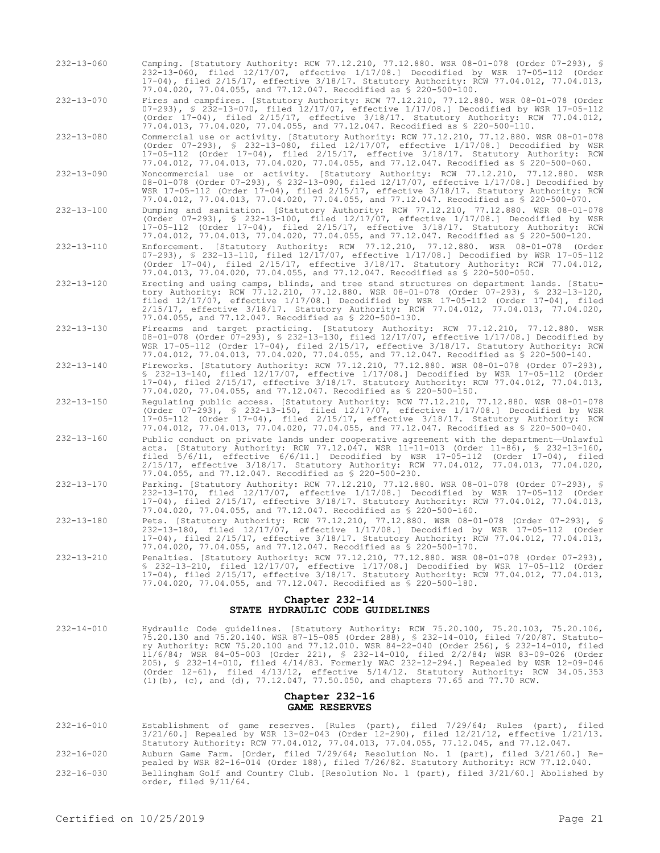232-13-060 Camping. [Statutory Authority: RCW 77.12.210, 77.12.880. WSR 08-01-078 (Order 07-293), § 232-13-060, filed 12/17/07, effective 1/17/08.] Decodified by WSR 17-05-112 (Order 17-04), filed 2/15/17, effective 3/18/17. Statutory Authority: RCW 77.04.012, 77.04.013, 77.04.020, 77.04.055, and 77.12.047. Recodified as § 220-500-100.

232-13-070 Fires and campfires. [Statutory Authority: RCW 77.12.210, 77.12.880. WSR 08-01-078 (Order 07-293), § 232-13-070, filed 12/17/07, effective 1/17/08.] Decodified by WSR 17-05-112 (Order 17-04), filed 2/15/17, effective 3/18/17. Statutory Authority: RCW 77.04.012, 77.04.013, 77.04.020, 77.04.055, and 77.12.047. Recodified as § 220-500-110.

232-13-080 Commercial use or activity. [Statutory Authority: RCW 77.12.210, 77.12.880. WSR 08-01-078 (Order 07-293), § 232-13-080, filed 12/17/07, effective 1/17/08.] Decodified by WSR 17-05-112 (Order 17-04), filed 2/15/17, effective 3/18/17. Statutory Authority: RCW 77.04.012, 77.04.013, 77.04.020, 77.04.055, and 77.12.047. Recodified as § 220-500-060.

- 232-13-090 Noncommercial use or activity. [Statutory Authority: RCW 77.12.210, 77.12.880. WSR 08-01-078 (Order 07-293), § 232-13-090, filed 12/17/07, effective 1/17/08.] Decodified by WSR 17-05-112 (Order 17-04), filed 2/15/17, effective 3/18/17. Statutory Authority: RCW 77.04.012, 77.04.013, 77.04.020, 77.04.055, and 77.12.047. Recodified as § 220-500-070.
- 232-13-100 Dumping and sanitation. [Statutory Authority: RCW 77.12.210, 77.12.880. WSR 08-01-078 (Order 07-293), § 232-13-100, filed 12/17/07, effective 1/17/08.] Decodified by WSR 17-05-112 (Order 17-04), filed 2/15/17, effective 3/18/17. Statutory Authority: RCW 77.04.012, 77.04.013, 77.04.020, 77.04.055, and 77.12.047. Recodified as § 220-500-120.

232-13-110 Enforcement. [Statutory Authority: RCW 77.12.210, 77.12.880. WSR 08-01-078 (Order 07-293), § 232-13-110, filed 12/17/07, effective 1/17/08.] Decodified by WSR 17-05-112 (Order 17-04), filed 2/15/17, effective 3/18/17. Statutory Authority: RCW 77.04.012, 77.04.013, 77.04.020, 77.04.055, and 77.12.047. Recodified as § 220-500-050.

- 232-13-120 Erecting and using camps, blinds, and tree stand structures on department lands. [Statutory Authority: RCW 77.12.210, 77.12.880. WSR 08-01-078 (Order 07-293), § 232-13-120, filed 12/17/07, effective 1/17/08.] Decodified by WSR 17-05-112 (Order 17-04), filed 2/15/17, effective 3/18/17. Statutory Authority: RCW 77.04.012, 77.04.013, 77.04.020, 77.04.055, and 77.12.047. Recodified as § 220-500-130.
- 232-13-130 Firearms and target practicing. [Statutory Authority: RCW 77.12.210, 77.12.880. WSR 08-01-078 (Order 07-293), § 232-13-130, filed 12/17/07, effective 1/17/08.] Decodified by WSR 17-05-112 (Order 17-04), filed 2/15/17, effective 3/18/17. Statutory Authority: RCW 77.04.012, 77.04.013, 77.04.020, 77.04.055, and 77.12.047. Recodified as § 220-500-140.
- 232-13-140 Fireworks. [Statutory Authority: RCW 77.12.210, 77.12.880. WSR 08-01-078 (Order 07-293), § 232-13-140, filed 12/17/07, effective 1/17/08.] Decodified by WSR 17-05-112 (Order 17-04), filed 2/15/17, effective 3/18/17. Statutory Authority: RCW 77.04.012, 77.04.013, 77.04.020, 77.04.055, and 77.12.047. Recodified as § 220-500-150.
- 232-13-150 Regulating public access. [Statutory Authority: RCW 77.12.210, 77.12.880. WSR 08-01-078 (Order 07-293), § 232-13-150, filed 12/17/07, effective 1/17/08.] Decodified by WSR 17-05-112 (Order 17-04), filed 2/15/17, effective 3/18/17. Statutory Authority: RCW 77.04.012, 77.04.013, 77.04.020, 77.04.055, and 77.12.047. Recodified as § 220-500-040.
- 232-13-160 Public conduct on private lands under cooperative agreement with the department—Unlawful acts. [Statutory Authority: RCW 77.12.047. WSR 11-11-013 (Order 11-86), § 232-13-160, filed 5/6/11, effective 6/6/11.] Decodified by WSR 17-05-112 (Order 17-04), filed 2/15/17, effective 3/18/17. Statutory Authority: RCW 77.04.012, 77.04.013, 77.04.020, 77.04.055, and 77.12.047. Recodified as § 220-500-230.
- 232-13-170 Parking. [Statutory Authority: RCW 77.12.210, 77.12.880. WSR 08-01-078 (Order 07-293), § 232-13-170, filed 12/17/07, effective 1/17/08.] Decodified by WSR 17-05-112 (Order 17-04), filed 2/15/17, effective 3/18/17. Statutory Authority: RCW 77.04.012, 77.04.013, 77.04.020, 77.04.055, and 77.12.047. Recodified as § 220-500-160.
- 232-13-180 Pets. [Statutory Authority: RCW 77.12.210, 77.12.880. WSR 08-01-078 (Order 07-293), § 232-13-180, filed 12/17/07, effective 1/17/08.] Decodified by WSR 17-05-112 (Order 17-04), filed 2/15/17, effective 3/18/17. Statutory Authority: RCW 77.04.012, 77.04.013, 77.04.020, 77.04.055, and 77.12.047. Recodified as § 220-500-170.
- 232-13-210 Penalties. [Statutory Authority: RCW 77.12.210, 77.12.880. WSR 08-01-078 (Order 07-293), § 232-13-210, filed 12/17/07, effective 1/17/08.] Decodified by WSR 17-05-112 (Order 17-04), filed 2/15/17, effective 3/18/17. Statutory Authority: RCW 77.04.012, 77.04.013, 77.04.020, 77.04.055, and 77.12.047. Recodified as § 220-500-180.

### **Chapter 232-14 STATE HYDRAULIC CODE GUIDELINES**

232-14-010 Hydraulic Code guidelines. [Statutory Authority: RCW 75.20.100, 75.20.103, 75.20.106, 75.20.130 and 75.20.140. WSR 87-15-085 (Order 288), § 232-14-010, filed 7/20/87. Statutory Authority: RCW 75.20.100 and 77.12.010. WSR 84-22-040 (Order 256), § 232-14-010, filed 11/6/84; WSR 84-05-003 (Order 221), § 232-14-010, filed 2/2/84; WSR 83-09-026 (Order 205), § 232-14-010, filed 4/14/83. Formerly WAC 232-12-294.] Repealed by WSR 12-09-046 (Order 12-61), filed 4/13/12, effective 5/14/12. Statutory Authority: RCW 34.05.353 (1)(b), (c), and (d), 77.12.047, 77.50.050, and chapters 77.65 and 77.70 RCW.

### **Chapter 232-16 GAME RESERVES**

- 232-16-010 Establishment of game reserves. [Rules (part), filed 7/29/64; Rules (part), filed 3/21/60.] Repealed by WSR 13-02-043 (Order 12-290), filed 12/21/12, effective 1/21/13. Statutory Authority: RCW 77.04.012, 77.04.013, 77.04.055, 77.12.045, and 77.12.047.
- 232-16-020 Auburn Game Farm. [Order, filed 7/29/64; Resolution No. 1 (part), filed 3/21/60.] Repealed by WSR 82-16-014 (Order 188), filed 7/26/82. Statutory Authority: RCW 77.12.040.
- 232-16-030 Bellingham Golf and Country Club. [Resolution No. 1 (part), filed 3/21/60.] Abolished by order, filed 9/11/64.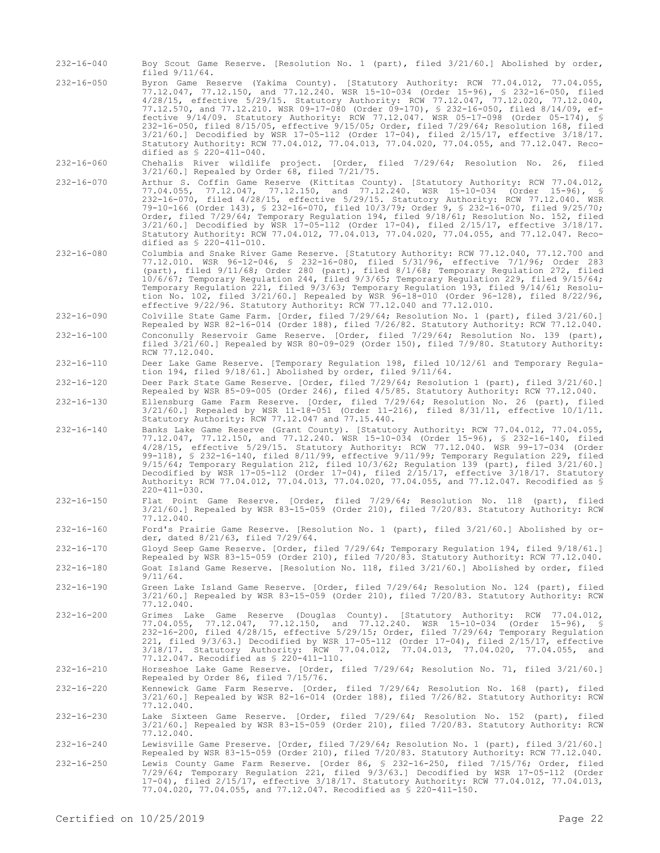- 232-16-040 Boy Scout Game Reserve. [Resolution No. 1 (part), filed 3/21/60.] Abolished by order, filed 9/11/64. 232-16-050 Byron Game Reserve (Yakima County). [Statutory Authority: RCW 77.04.012, 77.04.055, 77.12.047, 77.12.150, and 77.12.240. WSR 15-10-034 (Order 15-96), § 232-16-050, filed 4/28/15, effective 5/29/15. Statutory Authority: RCW 77.12.047, 77.12.020, 77.12.040, 77.12.570, and 77.12.210. WSR 09-17-080 (Order 09-170), § 232-16-050, filed 8/14/09, effective 9/14/09. Statutory Authority: RCW 77.12.047. WSR 05-17-098 (Order 05-174), § 232-16-050, filed 8/15/05, effective 9/15/05; Order, filed 7/29/64; Resolution 168, filed 3/21/60.] Decodified by WSR 17-05-112 (Order 17-04), filed 2/15/17, effective 3/18/17. Statutory Authority: RCW 77.04.012, 77.04.013, 77.04.020, 77.04.055, and 77.12.047. Recodified as § 220-411-040. 232-16-060 Chehalis River wildlife project. [Order, filed 7/29/64; Resolution No. 26, filed 3/21/60.] Repealed by Order 68, filed 7/21/75. 232-16-070 Arthur S. Coffin Game Reserve (Kittitas County). [Statutory Authority: RCW 77.04.012, 77.04.055, 77.12.047, 77.12.150, and 77.12.240. WSR 15-10-034 (Order 15-96), § 232-16-070, filed 4/28/15, effective 5/29/15. Statutory Authority: RCW 77.12.040. WSR 79-10-166 (Order 143), § 232-16-070, filed 10/3/79; Order 9, § 232-16-070, filed 9/25/70; Order, filed 7/29/64; Temporary Regulation 194, filed 9/18/61; Resolution No. 152, filed 3/21/60.] Decodified by WSR 17-05-112 (Order 17-04), filed 2/15/17, effective 3/18/17. Statutory Authority: RCW 77.04.012, 77.04.013, 77.04.020, 77.04.055, and 77.12.047. Recodified as § 220-411-010. 232-16-080 Columbia and Snake River Game Reserve. [Statutory Authority: RCW 77.12.040, 77.12.700 and 77.12.010. WSR 96-12-046, § 232-16-080, filed 5/31/96, effective 7/1/96; Order 283 (part), filed 9/11/68; Order 280 (part), filed 8/1/68; Temporary Regulation 272, filed 10/6/67; Temporary Regulation 244, filed 9/3/65; Temporary Regulation 229, filed 9/15/64; Temporary Regulation 221, filed 9/3/63; Temporary Regulation 193, filed 9/14/61; Resolution No. 102, filed 3/21/60.] Repealed by WSR 96-18-010 (Order 96-128), filed 8/22/96,
- effective 9/22/96. Statutory Authority: RCW 77.12.040 and 77.12.010. 232-16-090 Colville State Game Farm. [Order, filed 7/29/64; Resolution No. 1 (part), filed 3/21/60.]
- Repealed by WSR 82-16-014 (Order 188), filed 7/26/82. Statutory Authority: RCW 77.12.040. 232-16-100 Conconully Reservoir Game Reserve. [Order, filed 7/29/64; Resolution No. 139 (part), filed 3/21/60.] Repealed by WSR 80-09-029 (Order 150), filed 7/9/80. Statutory Authority: RCW 77.12.040.
- 232-16-110 Deer Lake Game Reserve. [Temporary Regulation 198, filed 10/12/61 and Temporary Regulation 194, filed 9/18/61.] Abolished by order, filed 9/11/64.
- 232-16-120 Deer Park State Game Reserve. [Order, filed 7/29/64; Resolution 1 (part), filed 3/21/60.] Repealed by WSR 85-09-005 (Order 246), filed 4/5/85. Statutory Authority: RCW 77.12.040.
- 232-16-130 Ellensburg Game Farm Reserve. [Order, filed 7/29/64; Resolution No. 26 (part), filed 3/21/60.] Repealed by WSR 11-18-051 (Order 11-216), filed 8/31/11, effective 10/1/11. Statutory Authority: RCW 77.12.047 and 77.15.440.
- 232-16-140 Banks Lake Game Reserve (Grant County). [Statutory Authority: RCW 77.04.012, 77.04.055, 77.12.047, 77.12.150, and 77.12.240. WSR 15-10-034 (Order 15-96), § 232-16-140, filed 4/28/15, effective 5/29/15. Statutory Authority: RCW 77.12.040. WSR 99-17-034 (Order 99-118), § 232-16-140, filed 8/11/99, effective 9/11/99; Temporary Regulation 229, filed 9/15/64; Temporary Regulation 212, filed 10/3/62; Regulation 139 (part), filed 3/21/60.] Decodified by WSR 17-05-112 (Order 17-04), filed 2/15/17, effective 3/18/17. Statutory Authority: RCW 77.04.012, 77.04.013, 77.04.020, 77.04.055, and 77.12.047. Recodified as § 220-411-030.
- 232-16-150 Flat Point Game Reserve. [Order, filed 7/29/64; Resolution No. 118 (part), filed 3/21/60.] Repealed by WSR 83-15-059 (Order 210), filed 7/20/83. Statutory Authority: RCW 77.12.040.
- 232-16-160 Ford's Prairie Game Reserve. [Resolution No. 1 (part), filed 3/21/60.] Abolished by order, dated 8/21/63, filed 7/29/64.
- 232-16-170 Gloyd Seep Game Reserve. [Order, filed 7/29/64; Temporary Regulation 194, filed 9/18/61.] Repealed by WSR 83-15-059 (Order 210), filed 7/20/83. Statutory Authority: RCW 77.12.040. 232-16-180 Goat Island Game Reserve. [Resolution No. 118, filed 3/21/60.] Abolished by order, filed
- 9/11/64. 232-16-190 Green Lake Island Game Reserve. [Order, filed 7/29/64; Resolution No. 124 (part), filed 3/21/60.] Repealed by WSR 83-15-059 (Order 210), filed 7/20/83. Statutory Authority: RCW 77.12.040.
- 232-16-200 Grimes Lake Game Reserve (Douglas County). [Statutory Authority: RCW 77.04.012, 77.04.055, 77.12.047, 77.12.150, and 77.12.240. WSR 15-10-034 (Order 15-96), § 232-16-200, filed 4/28/15, effective 5/29/15; Order, filed 7/29/64; Temporary Regulation 221, filed 9/3/63.] Decodified by WSR 17-05-112 (Order 17-04), filed 2/15/17, effective 3/18/17. Statutory Authority: RCW 77.04.012, 77.04.013, 77.04.020, 77.04.055, and 77.12.047. Recodified as § 220-411-110.

232-16-210 Horseshoe Lake Game Reserve. [Order, filed 7/29/64; Resolution No. 71, filed 3/21/60.] Repealed by Order 86, filed 7/15/76.

232-16-220 Kennewick Game Farm Reserve. [Order, filed 7/29/64; Resolution No. 168 (part), filed 3/21/60.] Repealed by WSR 82-16-014 (Order 188), filed 7/26/82. Statutory Authority: RCW 77.12.040.

232-16-230 Lake Sixteen Game Reserve. [Order, filed 7/29/64; Resolution No. 152 (part), filed 3/21/60.] Repealed by WSR 83-15-059 (Order 210), filed 7/20/83. Statutory Authority: RCW 77.12.040.

- 232-16-240 Lewisville Game Preserve. [Order, filed 7/29/64; Resolution No. 1 (part), filed 3/21/60.] Repealed by WSR 83-15-059 (Order 210), filed 7/20/83. Statutory Authority: RCW 77.12.040.
- 232-16-250 Lewis County Game Farm Reserve. [Order 86, § 232-16-250, filed 7/15/76; Order, filed 7/29/64; Temporary Regulation 221, filed 9/3/63.] Decodified by WSR 17-05-112 (Order 17-04), filed 2/15/17, effective 3/18/17. Statutory Authority: RCW 77.04.012, 77.04.013, 77.04.020, 77.04.055, and 77.12.047. Recodified as § 220-411-150.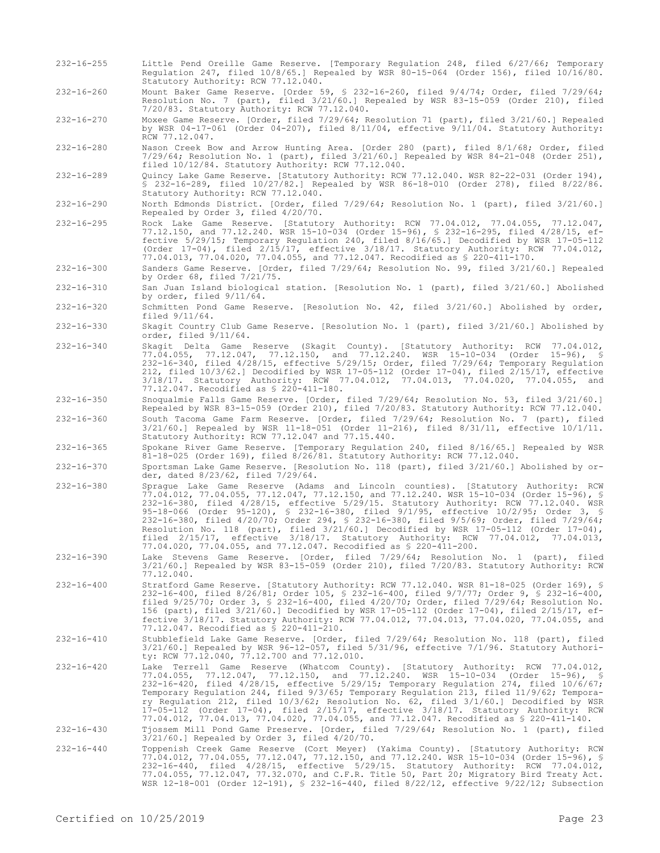232-16-260 Mount Baker Game Reserve. [Order 59, § 232-16-260, filed 9/4/74; Order, filed 7/29/64; Resolution No. 7 (part), filed 3/21/60.] Repealed by WSR 83-15-059 (Order 210), filed 7/20/83. Statutory Authority: RCW 77.12.040. 232-16-270 Moxee Game Reserve. [Order, filed 7/29/64; Resolution 71 (part), filed 3/21/60.] Repealed by WSR 04-17-061 (Order 04-207), filed 8/11/04, effective 9/11/04. Statutory Authority: RCW 77.12.047. 232-16-280 Nason Creek Bow and Arrow Hunting Area. [Order 280 (part), filed 8/1/68; Order, filed 7/29/64; Resolution No. 1 (part), filed 3/21/60.] Repealed by WSR 84-21-048 (Order 251), filed 10/12/84. Statutory Authority: RCW 77.12.040. 232-16-289 Quincy Lake Game Reserve. [Statutory Authority: RCW 77.12.040. WSR 82-22-031 (Order 194), § 232-16-289, filed 10/27/82.] Repealed by WSR 86-18-010 (Order 278), filed 8/22/86. Statutory Authority: RCW 77.12.040. 232-16-290 North Edmonds District. [Order, filed 7/29/64; Resolution No. 1 (part), filed 3/21/60.] Repealed by Order 3, filed 4/20/70. 232-16-295 Rock Lake Game Reserve. [Statutory Authority: RCW 77.04.012, 77.04.055, 77.12.047, 77.12.150, and 77.12.240. WSR 15-10-034 (Order 15-96), § 232-16-295, filed 4/28/15, effective 5/29/15; Temporary Regulation 240, filed 8/16/65.] Decodified by WSR 17-05-112 (Order 17-04), filed 2/15/17, effective 3/18/17. Statutory Authority: RCW 77.04.012, 77.04.013, 77.04.020, 77.04.055, and 77.12.047. Recodified as § 220-411-170. 232-16-300 Sanders Game Reserve. [Order, filed 7/29/64; Resolution No. 99, filed 3/21/60.] Repealed by Order 68, filed 7/21/75. 232-16-310 San Juan Island biological station. [Resolution No. 1 (part), filed 3/21/60.] Abolished by order, filed 9/11/64. 232-16-320 Schmitten Pond Game Reserve. [Resolution No. 42, filed 3/21/60.] Abolished by order, filed 9/11/64. 232-16-330 Skagit Country Club Game Reserve. [Resolution No. 1 (part), filed 3/21/60.] Abolished by order, filed 9/11/64. 232-16-340 Skagit Delta Game Reserve (Skagit County). [Statutory Authority: RCW 77.04.012, 77.04.055, 77.12.047, 77.12.150, and 77.12.240. WSR 15-10-034 (Order 15-96), § 232-16-340, filed 4/28/15, effective 5/29/15; Order, filed 7/29/64; Temporary Regulation 212, filed 10/3/62.] Decodified by WSR 17-05-112 (Order 17-04), filed 2/15/17, effective 3/18/17. Statutory Authority: RCW 77.04.012, 77.04.013, 77.04.020, 77.04.055, and 77.12.047. Recodified as § 220-411-180. 232-16-350 Snoqualmie Falls Game Reserve. [Order, filed 7/29/64; Resolution No. 53, filed 3/21/60.] Repealed by WSR 83-15-059 (Order 210), filed 7/20/83. Statutory Authority: RCW 77.12.040. 232-16-360 South Tacoma Game Farm Reserve. [Order, filed 7/29/64; Resolution No. 7 (part), filed 3/21/60.] Repealed by WSR 11-18-051 (Order 11-216), filed 8/31/11, effective 10/1/11. Statutory Authority: RCW 77.12.047 and 77.15.440. 232-16-365 Spokane River Game Reserve. [Temporary Regulation 240, filed 8/16/65.] Repealed by WSR 81-18-025 (Order 169), filed 8/26/81. Statutory Authority: RCW 77.12.040. 232-16-370 Sportsman Lake Game Reserve. [Resolution No. 118 (part), filed 3/21/60.] Abolished by order, dated 8/23/62, filed 7/29/64. 232-16-380 Sprague Lake Game Reserve (Adams and Lincoln counties). [Statutory Authority: RCW 77.04.012, 77.04.055, 77.12.047, 77.12.150, and 77.12.240. WSR 15-10-034 (Order 15-96), § 232-16-380, filed 4/28/15, effective 5/29/15. Statutory Authority: RCW 77.12.040. WSR 95-18-066 (Order 95-120), § 232-16-380, filed 9/1/95, effective 10/2/95; Order 3, § 232-16-380, filed 4/20/70; Order 294, § 232-16-380, filed 9/5/69; Order, filed 7/29/64; Resolution No. 118 (part), filed 3/21/60.] Decodified by WSR 17-05-112 (Order 17-04), filed 2/15/17, effective 3/18/17. Statutory Authority: RCW 77.04.012, 77.04.013, 77.04.020, 77.04.055, and 77.12.047. Recodified as § 220-411-200. 232-16-390 Lake Stevens Game Reserve. [Order, filed 7/29/64; Resolution No. 1 (part), filed 3/21/60.] Repealed by WSR 83-15-059 (Order 210), filed 7/20/83. Statutory Authority: RCW 77.12.040. 232-16-400 Stratford Game Reserve. [Statutory Authority: RCW 77.12.040. WSR 81-18-025 (Order 169), § 232-16-400, filed 8/26/81; Order 105, § 232-16-400, filed 9/7/77; Order 9, § 232-16-400, filed 9/25/70; Order 3, § 232-16-400, filed 4/20/70; Order, filed 7/29/64; Resolution No. 156 (part), filed 3/21/60.] Decodified by WSR 17-05-112 (Order 17-04), filed 2/15/17, effective 3/18/17. Statutory Authority: RCW 77.04.012, 77.04.013, 77.04.020, 77.04.055, and 77.12.047. Recodified as § 220-411-210. 232-16-410 Stubblefield Lake Game Reserve. [Order, filed 7/29/64; Resolution No. 118 (part), filed 3/21/60.] Repealed by WSR 96-12-057, filed 5/31/96, effective 7/1/96. Statutory Authority: RCW 77.12.040, 77.12.700 and 77.12.010. 232-16-420 Lake Terrell Game Reserve (Whatcom County). [Statutory Authority: RCW 77.04.012, 77.04.055, 77.12.047, 77.12.150, and 77.12.240. WSR 15-10-034 (Order 15-96), § 232-16-420, filed 4/28/15, effective 5/29/15; Temporary Regulation 274, filed 10/6/67; Temporary Regulation 244, filed 9/3/65; Temporary Regulation 213, filed 11/9/62; Temporary Regulation 212, filed 10/3/62; Resolution No. 62, filed 3/1/60.] Decodified by WSR 17-05-112 (Order 17-04), filed 2/15/17, effective 3/18/17. Statutory Authority: RCW 77.04.012, 77.04.013, 77.04.020, 77.04.055, and 77.12.047. Recodified as § 220-411-140. 232-16-430 Tjossem Mill Pond Game Preserve. [Order, filed 7/29/64; Resolution No. 1 (part), filed 3/21/60.] Repealed by Order 3, filed 4/20/70. 232-16-440 Toppenish Creek Game Reserve (Cort Meyer) (Yakima County). [Statutory Authority: RCW 77.04.012, 77.04.055, 77.12.047, 77.12.150, and 77.12.240. WSR 15-10-034 (Order 15-96), §

232-16-255 Little Pend Oreille Game Reserve. [Temporary Regulation 248, filed 6/27/66; Temporary

Statutory Authority: RCW 77.12.040.

Regulation 247, filed 10/8/65.] Repealed by WSR 80-15-064 (Order 156), filed 10/16/80.

232-16-440, filed 4/28/15, effective 5/29/15. Statutory Authority: RCW 77.04.012, 77.04.055, 77.12.047, 77.32.070, and C.F.R. Title 50, Part 20; Migratory Bird Treaty Act. WSR 12-18-001 (Order 12-191), § 232-16-440, filed 8/22/12, effective 9/22/12; Subsection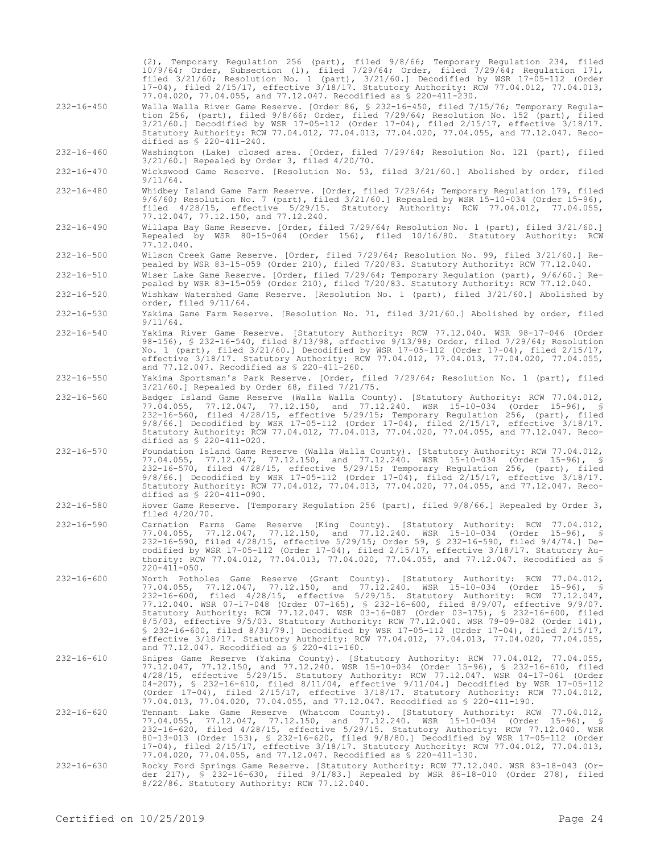|                  | (2), Temporary Regulation 256 (part), filed 9/8/66; Temporary Regulation 234, filed<br>$10/9/64$ ; Order, Subsection (1), filed 7/29/64; Order, filed 7/29/64; Regulation 171,<br>filed 3/21/60; Resolution No. 1 (part), 3/21/60.] Decodified by WSR 17-05-112 (Order<br>17-04), filed 2/15/17, effective 3/18/17. Statutory Authority: RCW 77.04.012, 77.04.013,<br>77.04.020, 77.04.055, and 77.12.047. Recodified as \$ 220-411-230.                                                                                                                                                                                                                                                                                                                                                  |
|------------------|-------------------------------------------------------------------------------------------------------------------------------------------------------------------------------------------------------------------------------------------------------------------------------------------------------------------------------------------------------------------------------------------------------------------------------------------------------------------------------------------------------------------------------------------------------------------------------------------------------------------------------------------------------------------------------------------------------------------------------------------------------------------------------------------|
| $232 - 16 - 450$ | Walla Walla River Game Reserve. [Order 86, § 232-16-450, filed 7/15/76; Temporary Regula-<br>tion 256, (part), filed 9/8/66; Order, filed 7/29/64; Resolution No. 152 (part), filed<br>3/21/60.] Decodified by WSR 17-05-112 (Order 17-04), filed 2/15/17, effective 3/18/17.<br>Statutory Authority: RCW 77.04.012, 77.04.013, 77.04.020, 77.04.055, and 77.12.047. Reco-<br>dified as $$ 220-411-240.$                                                                                                                                                                                                                                                                                                                                                                                  |
| $232 - 16 - 460$ | Washington (Lake) closed area. [Order, filed 7/29/64; Resolution No. 121 (part), filed<br>$3/21/60$ .] Repealed by Order 3, filed $4/20/70$ .                                                                                                                                                                                                                                                                                                                                                                                                                                                                                                                                                                                                                                             |
| $232 - 16 - 470$ | Wickswood Game Reserve. [Resolution No. 53, filed 3/21/60.] Abolished by order, filed<br>$9/11/64$ .                                                                                                                                                                                                                                                                                                                                                                                                                                                                                                                                                                                                                                                                                      |
| $232 - 16 - 480$ | Whidbey Island Game Farm Reserve. [Order, filed 7/29/64; Temporary Regulation 179, filed<br>9/6/60; Resolution No. 7 (part), filed 3/21/60.] Repealed by WSR 15-10-034 (Order 15-96),<br>filed $4/28/15$ , effective $5/29/15$ . Statutory Authority: RCW 77.04.012, 77.04.055,<br>77.12.047, 77.12.150, and 77.12.240.                                                                                                                                                                                                                                                                                                                                                                                                                                                                   |
| $232 - 16 - 490$ | Willapa Bay Game Reserve. [Order, filed 7/29/64; Resolution No. 1 (part), filed 3/21/60.]<br>Repealed by WSR 80-15-064 (Order 156), filed 10/16/80. Statutory Authority: RCW<br>77.12.040.                                                                                                                                                                                                                                                                                                                                                                                                                                                                                                                                                                                                |
| $232 - 16 - 500$ | Wilson Creek Game Reserve. [Order, filed 7/29/64; Resolution No. 99, filed 3/21/60.] Re-<br>pealed by WSR 83-15-059 (Order 210), filed 7/20/83. Statutory Authority: RCW 77.12.040.                                                                                                                                                                                                                                                                                                                                                                                                                                                                                                                                                                                                       |
| $232 - 16 - 510$ | Wiser Lake Game Reserve. [Order, filed 7/29/64; Temporary Regulation (part), 9/6/60.] Re-<br>pealed by WSR 83-15-059 (Order 210), filed 7/20/83. Statutory Authority: RCW 77.12.040.                                                                                                                                                                                                                                                                                                                                                                                                                                                                                                                                                                                                      |
| $232 - 16 - 520$ | Wishkaw Watershed Game Reserve. [Resolution No. 1 (part), filed 3/21/60.] Abolished by<br>order, filed 9/11/64.                                                                                                                                                                                                                                                                                                                                                                                                                                                                                                                                                                                                                                                                           |
| $232 - 16 - 530$ | Yakima Game Farm Reserve. [Resolution No. 71, filed 3/21/60.] Abolished by order, filed<br>$9/11/64$ .                                                                                                                                                                                                                                                                                                                                                                                                                                                                                                                                                                                                                                                                                    |
| $232 - 16 - 540$ | Yakima River Game Reserve. [Statutory Authority: RCW 77.12.040. WSR 98-17-046 (Order<br>98-156), § 232-16-540, filed 8/13/98, effective 9/13/98; Order, filed 7/29/64; Resolution<br>No. 1 (part), filed $3/21/60$ .] Decodified by WSR 17-05-112 (Order 17-04), filed $2/15/17$ ,<br>effective 3/18/17. Statutory Authority: RCW 77.04.012, 77.04.013, 77.04.020, 77.04.055,<br>and 77.12.047. Recodified as \$ 220-411-260.                                                                                                                                                                                                                                                                                                                                                             |
| $232 - 16 - 550$ | Yakima Sportsman's Park Reserve. [Order, filed 7/29/64; Resolution No. 1 (part), filed<br>$3/21/60$ .] Repealed by Order 68, filed $7/21/75$ .                                                                                                                                                                                                                                                                                                                                                                                                                                                                                                                                                                                                                                            |
| $232 - 16 - 560$ | Badger Island Game Reserve (Walla Walla County). [Statutory Authority: RCW 77.04.012,<br>77.04.055, 77.12.047, 77.12.150, and 77.12.240. WSR 15-10-034 (Order 15-96), §<br>$232-16-560$ , filed $4/28/15$ , effective $5/29/15$ ; Temporary Regulation 256, (part), filed<br>$9/8/66$ .] Decodified by WSR 17-05-112 (Order 17-04), filed $2/15/17$ , effective $3/18/17$ .<br>Statutory Authority: RCW 77.04.012, 77.04.013, 77.04.020, 77.04.055, and 77.12.047. Reco-<br>dified as \$ 220-411-020.                                                                                                                                                                                                                                                                                     |
| $232 - 16 - 570$ | Foundation Island Game Reserve (Walla Walla County). [Statutory Authority: RCW 77.04.012,<br>77.04.055, 77.12.047, 77.12.150, and 77.12.240. WSR 15-10-034 (Order 15-96), §<br>232-16-570, filed 4/28/15, effective 5/29/15; Temporary Regulation 256, (part), filed<br>$9/8/66$ .] Decodified by WSR 17-05-112 (Order 17-04), filed $2/15/17$ , effective $3/18/17$ .<br>Statutory Authority: RCW 77.04.012, 77.04.013, 77.04.020, 77.04.055, and 77.12.047. Reco-<br>dified as $$ 220-411-090.$                                                                                                                                                                                                                                                                                         |
| $232 - 16 - 580$ | Hover Game Reserve. [Temporary Regulation 256 (part), filed $9/8/66$ .] Repealed by Order 3,<br>filed $4/20/70$ .                                                                                                                                                                                                                                                                                                                                                                                                                                                                                                                                                                                                                                                                         |
| $232 - 16 - 590$ | Carnation Farms Game Reserve (King County). [Statutory Authority: RCW 77.04.012,<br>77.04.055, 77.12.047, 77.12.150, and 77.12.240. WSR 15-10-034 (Order 15-96), §<br>232-16-590, filed 4/28/15, effective 5/29/15; Order 59, \$ 232-16-590, filed 9/4/74.] De-<br>codified by WSR 17-05-112 (Order 17-04), filed 2/15/17, effective 3/18/17. Statutory Au-<br>thority: RCW 77.04.012, 77.04.013, 77.04.020, 77.04.055, and 77.12.047. Recodified as \$<br>$220 - 411 - 050$ .                                                                                                                                                                                                                                                                                                            |
| $232 - 16 - 600$ | North Potholes Game Reserve (Grant County). [Statutory Authority: RCW 77.04.012,<br>77.04.055, 77.12.047, 77.12.150, and 77.12.240. WSR 15-10-034 (Order 15-96), §<br>232-16-600, filed 4/28/15, effective 5/29/15. Statutory Authority: RCW 77.12.047,<br>77.12.040. WSR 07-17-048 (Order 07-165), § 232-16-600, filed 8/9/07, effective 9/9/07.<br>Statutory Authority: RCW 77.12.047. WSR 03-16-087 (Order 03-175), § 232-16-600, filed<br>$8/5/03$ , effective $9/5/03$ . Statutory Authority: RCW 77.12.040. WSR 79-09-082 (Order 141),<br>$$232-16-600$ , filed $8/31/79$ . Decodified by WSR 17-05-112 (Order 17-04), filed $2/15/17$ ,<br>effective 3/18/17. Statutory Authority: RCW 77.04.012, 77.04.013, 77.04.020, 77.04.055,<br>and 77.12.047. Recodified as \$ 220-411-160. |
| $232 - 16 - 610$ | Snipes Game Reserve (Yakima County). [Statutory Authority: RCW 77.04.012, 77.04.055,<br>77.12.047, 77.12.150, and 77.12.240. WSR 15-10-034 (Order 15-96), § 232-16-610, filed<br>4/28/15, effective 5/29/15. Statutory Authority: RCW 77.12.047. WSR 04-17-061 (Order<br>04-207), § 232-16-610, filed $8/11/04$ , effective $9/11/04$ . Decodified by WSR 17-05-112<br>(Order $17-04$ ), filed $2/15/17$ , effective $3/18/17$ . Statutory Authority: RCW 77.04.012,<br>77.04.013, 77.04.020, 77.04.055, and 77.12.047. Recodified as \$ 220-411-190.                                                                                                                                                                                                                                     |
| $232 - 16 - 620$ | Tennant Lake Game Reserve (Whatcom County). [Statutory Authority: RCW 77.04.012,<br>77.04.055, 77.12.047, 77.12.150, and 77.12.240. WSR 15-10-034 (Order 15-96), §<br>232-16-620, filed 4/28/15, effective 5/29/15. Statutory Authority: RCW 77.12.040. WSR<br>80-13-013 (Order 153), § 232-16-620, filed 9/8/80.] Decodified by WSR 17-05-112 (Order<br>17-04), filed 2/15/17, effective 3/18/17. Statutory Authority: RCW 77.04.012, 77.04.013,<br>77.04.020, 77.04.055, and 77.12.047. Recodified as \$ 220-411-130.                                                                                                                                                                                                                                                                   |
| $232 - 16 - 630$ | Rocky Ford Springs Game Reserve. [Statutory Authority: RCW 77.12.040. WSR 83-18-043 (Or-<br>der 217), § 232-16-630, filed 9/1/83.] Repealed by WSR 86-18-010 (Order 278), filed<br>8/22/86. Statutory Authority: RCW 77.12.040.                                                                                                                                                                                                                                                                                                                                                                                                                                                                                                                                                           |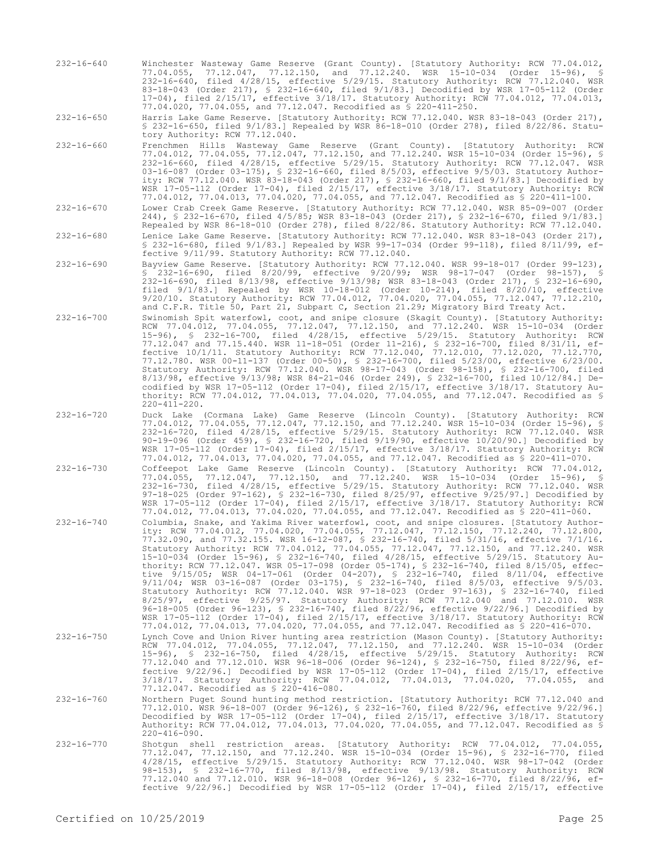232-16-640 Winchester Wasteway Game Reserve (Grant County). [Statutory Authority: RCW 77.04.012, 77.04.055, 77.12.047, 77.12.150, and 77.12.240. WSR 15-10-034 (Order 15-96), § 232-16-640, filed 4/28/15, effective 5/29/15. Statutory Authority: RCW 77.12.040. WSR 83-18-043 (Order 217), § 232-16-640, filed 9/1/83.] Decodified by WSR 17-05-112 (Order 17-04), filed 2/15/17, effective 3/18/17. Statutory Authority: RCW 77.04.012, 77.04.013, 77.04.020, 77.04.055, and 77.12.047. Recodified as § 220-411-250.

232-16-650 Harris Lake Game Reserve. [Statutory Authority: RCW 77.12.040. WSR 83-18-043 (Order 217), § 232-16-650, filed 9/1/83.] Repealed by WSR 86-18-010 (Order 278), filed 8/22/86. Statutory Authority: RCW 77.12.040.

232-16-660 Frenchmen Hills Wasteway Game Reserve (Grant County). [Statutory Authority: RCW 77.04.012, 77.04.055, 77.12.047, 77.12.150, and 77.12.240. WSR 15-10-034 (Order 15-96), § 232-16-660, filed 4/28/15, effective 5/29/15. Statutory Authority: RCW 77.12.047. WSR 03-16-087 (Order 03-175), § 232-16-660, filed 8/5/03, effective 9/5/03. Statutory Authority: RCW 77.12.040. WSR 83-18-043 (Order 217), § 232-16-660, filed 9/1/83.] Decodified by WSR 17-05-112 (Order 17-04), filed 2/15/17, effective 3/18/17. Statutory Authority: RCW 77.04.012, 77.04.013, 77.04.020, 77.04.055, and 77.12.047. Recodified as § 220-411-100.

232-16-670 Lower Crab Creek Game Reserve. [Statutory Authority: RCW 77.12.040. WSR 85-09-007 (Order 244), § 232-16-670, filed 4/5/85; WSR 83-18-043 (Order 217), § 232-16-670, filed 9/1/83.] Repealed by WSR 86-18-010 (Order 278), filed 8/22/86. Statutory Authority: RCW 77.12.040.

232-16-680 Lenice Lake Game Reserve. [Statutory Authority: RCW 77.12.040. WSR 83-18-043 (Order 217), § 232-16-680, filed 9/1/83.] Repealed by WSR 99-17-034 (Order 99-118), filed 8/11/99, effective 9/11/99. Statutory Authority: RCW 77.12.040.

232-16-690 Bayview Game Reserve. [Statutory Authority: RCW 77.12.040. WSR 99-18-017 (Order 99-123), § 232-16-690, filed 8/20/99, effective 9/20/99; WSR 98-17-047 (Order 98-157), § 232-16-690, filed 8/13/98, effective 9/13/98; WSR 83-18-043 (Order 217), § 232-16-690, filed 9/1/83.] Repealed by WSR 10-18-012 (Order 10-214), filed 8/20/10, effective 9/20/10. Statutory Authority: RCW 77.04.012, 77.04.020, 77.04.055, 77.12.047, 77.12.210, and C.F.R. Title 50, Part 21, Subpart C, Section 21.29; Migratory Bird Treaty Act.

- 232-16-700 Swinomish Spit waterfowl, coot, and snipe closure (Skagit County). [Statutory Authority: RCW 77.04.012, 77.04.055, 77.12.047, 77.12.150, and 77.12.240. WSR 15-10-034 (Order 15-96), § 232-16-700, filed 4/28/15, effective 5/29/15. Statutory Authority: RCW 77.12.047 and 77.15.440. WSR 11-18-051 (Order 11-216), § 232-16-700, filed 8/31/11, effective 10/1/11. Statutory Authority: RCW 77.12.040, 77.12.010, 77.12.020, 77.12.770, 77.12.780. WSR 00-11-137 (Order 00-50), § 232-16-700, filed 5/23/00, effective 6/23/00. Statutory Authority: RCW 77.12.040. WSR 98-17-043 (Order 98-158), § 232-16-700, filed 8/13/98, effective 9/13/98; WSR 84-21-046 (Order 249), § 232-16-700, filed 10/12/84.] Decodified by WSR 17-05-112 (Order 17-04), filed 2/15/17, effective 3/18/17. Statutory Authority: RCW 77.04.012, 77.04.013, 77.04.020, 77.04.055, and 77.12.047. Recodified as §  $220 - 411 - 220$ .
- 232-16-720 Duck Lake (Cormana Lake) Game Reserve (Lincoln County). [Statutory Authority: RCW 77.04.012, 77.04.055, 77.12.047, 77.12.150, and 77.12.240. WSR 15-10-034 (Order 15-96), § 232-16-720, filed 4/28/15, effective 5/29/15. Statutory Authority: RCW 77.12.040. WSR 90-19-096 (Order 459), § 232-16-720, filed 9/19/90, effective 10/20/90.] Decodified by WSR 17-05-112 (Order 17-04), filed 2/15/17, effective 3/18/17. Statutory Authority: RCW 77.04.012, 77.04.013, 77.04.020, 77.04.055, and 77.12.047. Recodified as § 220-411-070.

232-16-730 Coffeepot Lake Game Reserve (Lincoln County). [Statutory Authority: RCW 77.04.012, 77.04.055, 77.12.047, 77.12.150, and 77.12.240. WSR 15-10-034 (Order 15-96), § 232-16-730, filed 4/28/15, effective 5/29/15. Statutory Authority: RCW 77.12.040. WSR 97-18-025 (Order 97-162), § 232-16-730, filed 8/25/97, effective 9/25/97.] Decodified by WSR 17-05-112 (Order 17-04), filed 2/15/17, effective 3/18/17. Statutory Authority: RCW 77.04.012, 77.04.013, 77.04.020, 77.04.055, and 77.12.047. Recodified as § 220-411-060.

- 232-16-740 Columbia, Snake, and Yakima River waterfowl, coot, and snipe closures. [Statutory Authority: RCW 77.04.012, 77.04.020, 77.04.055, 77.12.047, 77.12.150, 77.12.240, 77.12.800, 77.32.090, and 77.32.155. WSR 16-12-087, § 232-16-740, filed 5/31/16, effective 7/1/16. Statutory Authority: RCW 77.04.012, 77.04.055, 77.12.047, 77.12.150, and 77.12.240. WSR 15-10-034 (Order 15-96), § 232-16-740, filed 4/28/15, effective 5/29/15. Statutory Authority: RCW 77.12.047. WSR 05-17-098 (Order 05-174), § 232-16-740, filed 8/15/05, effective 9/15/05; WSR 04-17-061 (Order 04-207), § 232-16-740, filed 8/11/04, effective 9/11/04; WSR 03-16-087 (Order 03-175), § 232-16-740, filed 8/5/03, effective 9/5/03. Statutory Authority: RCW 77.12.040. WSR 97-18-023 (Order 97-163), § 232-16-740, filed 8/25/97, effective 9/25/97. Statutory Authority: RCW 77.12.040 and 77.12.010. WSR 96-18-005 (Order 96-123), § 232-16-740, filed 8/22/96, effective 9/22/96.] Decodified by WSR 17-05-112 (Order 17-04), filed 2/15/17, effective 3/18/17. Statutory Authority: RCW 77.04.012, 77.04.013, 77.04.020, 77.04.055, and 77.12.047. Recodified as § 220-416-070.
- 232-16-750 Lynch Cove and Union River hunting area restriction (Mason County). [Statutory Authority: RCW 77.04.012, 77.04.055, 77.12.047, 77.12.150, and 77.12.240. WSR 15-10-034 (Order 15-96), § 232-16-750, filed 4/28/15, effective 5/29/15. Statutory Authority: RCW 77.12.040 and 77.12.010. WSR 96-18-006 (Order 96-124), § 232-16-750, filed 8/22/96, effective 9/22/96.] Decodified by WSR 17-05-112 (Order 17-04), filed 2/15/17, effective 3/18/17. Statutory Authority: RCW 77.04.012, 77.04.013, 77.04.020, 77.04.055, and 77.12.047. Recodified as § 220-416-080.
- 232-16-760 Northern Puget Sound hunting method restriction. [Statutory Authority: RCW 77.12.040 and 77.12.010. WSR 96-18-007 (Order 96-126), § 232-16-760, filed 8/22/96, effective 9/22/96.] Decodified by WSR 17-05-112 (Order 17-04), filed 2/15/17, effective 3/18/17. Statutory Authority: RCW 77.04.012, 77.04.013, 77.04.020, 77.04.055, and 77.12.047. Recodified as §  $220 - 416 - 090$ .
- 232-16-770 Shotgun shell restriction areas. [Statutory Authority: RCW 77.04.012, 77.04.055, 77.12.047, 77.12.150, and 77.12.240. WSR 15-10-034 (Order 15-96), § 232-16-770, filed 4/28/15, effective 5/29/15. Statutory Authority: RCW 77.12.040. WSR 98-17-042 (Order 98-153), § 232-16-770, filed 8/13/98, effective 9/13/98. Statutory Authority: RCW 77.12.040 and 77.12.010. WSR 96-18-008 (Order 96-126), § 232-16-770, filed 8/22/96, effective 9/22/96.] Decodified by WSR 17-05-112 (Order 17-04), filed 2/15/17, effective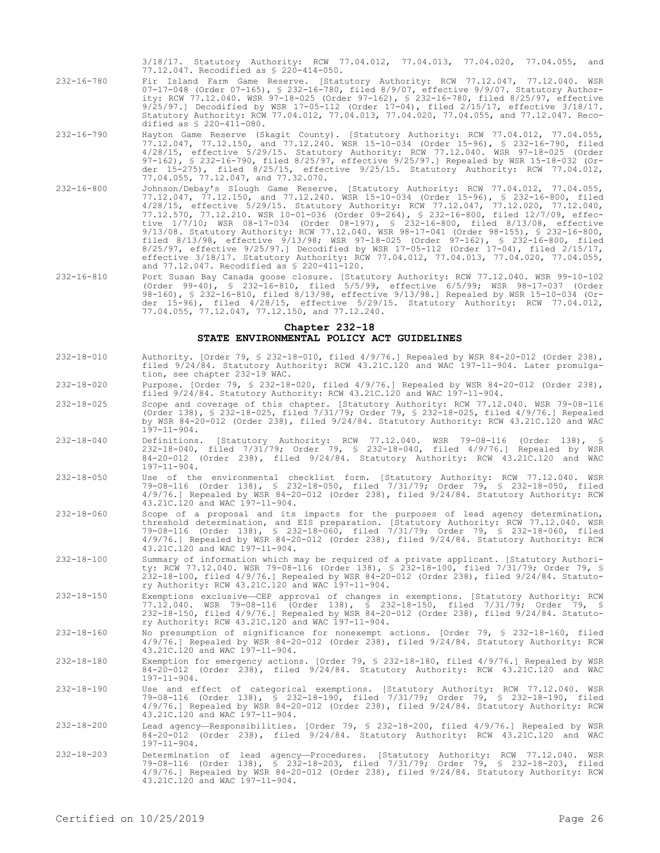3/18/17. Statutory Authority: RCW 77.04.012, 77.04.013, 77.04.020, 77.04.055, and 77.12.047. Recodified as § 220-414-050.

- 232-16-780 Fir Island Farm Game Reserve. [Statutory Authority: RCW 77.12.047, 77.12.040. WSR 07-17-048 (Order 07-165), § 232-16-780, filed 8/9/07, effective 9/9/07. Statutory Authority: RCW 77.12.040. WSR 97-18-025 (Order 97-162), § 232-16-780, filed 8/25/97, effective 9/25/97.] Decodified by WSR 17-05-112 (Order 17-04), filed 2/15/17, effective 3/18/17. Statutory Authority: RCW 77.04.012, 77.04.013, 77.04.020, 77.04.055, and 77.12.047. Recodified as § 220-411-080.
- 232-16-790 Hayton Game Reserve (Skagit County). [Statutory Authority: RCW 77.04.012, 77.04.055, 77.12.047, 77.12.150, and 77.12.240. WSR 15-10-034 (Order 15-96), § 232-16-790, filed 4/28/15, effective 5/29/15. Statutory Authority: RCW 77.12.040. WSR 97-18-025 (Order 97-162), § 232-16-790, filed 8/25/97, effective 9/25/97.] Repealed by WSR 15-18-032 (Order 15-275), filed 8/25/15, effective 9/25/15. Statutory Authority: RCW 77.04.012, 77.04.055, 77.12.047, and 77.32.070.
- 232-16-800 Johnson/Debay's Slough Game Reserve. [Statutory Authority: RCW 77.04.012, 77.04.055, 77.12.047, 77.12.150, and 77.12.240. WSR 15-10-034 (Order 15-96), § 232-16-800, filed 4/28/15, effective 5/29/15. Statutory Authority: RCW 77.12.047, 77.12.020, 77.12.040, 77.12.570, 77.12.210. WSR 10-01-036 (Order 09-264), § 232-16-800, filed 12/7/09, effective 1/7/10; WSR 08-17-034 (Order 08-197), § 232-16-800, filed 8/13/08, effective 9/13/08. Statutory Authority: RCW 77.12.040. WSR 98-17-041 (Order 98-155), § 232-16-800, filed 8/13/98, effective 9/13/98; WSR 97-18-025 (Order 97-162), § 232-16-800, filed 8/25/97, effective 9/25/97.] Decodified by WSR 17-05-112 (Order 17-04), filed 2/15/17, effective 3/18/17. Statutory Authority: RCW 77.04.012, 77.04.013, 77.04.020, 77.04.055, and 77.12.047. Recodified as § 220-411-120.
- 232-16-810 Port Susan Bay Canada goose closure. [Statutory Authority: RCW 77.12.040. WSR 99-10-102 (Order 99-40), § 232-16-810, filed 5/5/99, effective 6/5/99; WSR 98-17-037 (Order 98-160), § 232-16-810, filed 8/13/98, effective 9/13/98.] Repealed by WSR 15-10-034 (Order 15-96), filed 4/28/15, effective 5/29/15. Statutory Authority: RCW 77.04.012, 77.04.055, 77.12.047, 77.12.150, and 77.12.240.

### **Chapter 232-18 STATE ENVIRONMENTAL POLICY ACT GUIDELINES**

- 232-18-010 Authority. [Order 79, § 232-18-010, filed 4/9/76.] Repealed by WSR 84-20-012 (Order 238), filed 9/24/84. Statutory Authority: RCW 43.21C.120 and WAC 197-11-904. Later promulgation, see chapter 232-19 WAC.
- 232-18-020 Purpose. [Order 79, § 232-18-020, filed 4/9/76.] Repealed by WSR 84-20-012 (Order 238), filed 9/24/84. Statutory Authority: RCW 43.21C.120 and WAC 197-11-904.
- 232-18-025 Scope and coverage of this chapter. [Statutory Authority: RCW 77.12.040. WSR 79-08-116 (Order 138), § 232-18-025, filed 7/31/79; Order 79, § 232-18-025, filed 4/9/76.] Repealed by WSR 84-20-012 (Order 238), filed 9/24/84. Statutory Authority: RCW 43.21C.120 and WAC  $1\bar{9}7 - 11 - 904$ .
- 232-18-040 Definitions. [Statutory Authority: RCW 77.12.040. WSR 79-08-116 (Order 138), § 232-18-040, filed 7/31/79; Order 79, § 232-18-040, filed 4/9/76.] Repealed by WSR 84-20-012 (Order 238), filed 9/24/84. Statutory Authority: RCW 43.21C.120 and WAC  $197 - 11 - 904$ .
- 232-18-050 Use of the environmental checklist form. [Statutory Authority: RCW 77.12.040. WSR 79-08-116 (Order 138), § 232-18-050, filed 7/31/79; Order 79, § 232-18-050, filed 4/9/76.] Repealed by WSR 84-20-012 (Order 238), filed 9/24/84. Statutory Authority: RCW 43.21C.120 and WAC 197-11-904.
- 232-18-060 Scope of a proposal and its impacts for the purposes of lead agency determination, threshold determination, and EIS preparation. [Statutory Authority: RCW 77.12.040. WSR 79-08-116 (Order 138), § 232-18-060, filed 7/31/79; Order 79, § 232-18-060, filed 4/9/76.] Repealed by WSR 84-20-012 (Order 238), filed 9/24/84. Statutory Authority: RCW 43.21C.120 and WAC 197-11-904.
- 232-18-100 Summary of information which may be required of a private applicant. [Statutory Authority: RCW 77.12.040. WSR 79-08-116 (Order 138), § 232-18-100, filed 7/31/79; Order 79, § 232-18-100, filed 4/9/76.] Repealed by WSR 84-20-012 (Order 238), filed 9/24/84. Statutory Authority: RCW 43.21C.120 and WAC 197-11-904.
- 232-18-150 Exemptions exclusive—CEP approval of changes in exemptions. [Statutory Authority: RCW 77.12.040. WSR 79-08-116 (Order 138), § 232-18-150, filed 7/31/79; Order 79, § 232-18-150, filed 4/9/76.] Repealed by WSR 84-20-012 (Order 238), filed 9/24/84. Statutory Authority: RCW 43.21C.120 and WAC 197-11-904.
- 232-18-160 No presumption of significance for nonexempt actions. [Order 79, § 232-18-160, filed 4/9/76.] Repealed by WSR 84-20-012 (Order 238), filed 9/24/84. Statutory Authority: RCW 43.21C.120 and WAC 197-11-904.
- 232-18-180 Exemption for emergency actions. [Order 79, § 232-18-180, filed 4/9/76.] Repealed by WSR 84-20-012 (Order 238), filed 9/24/84. Statutory Authority: RCW 43.21C.120 and WAC 197-11-904.
- 232-18-190 Use and effect of categorical exemptions. [Statutory Authority: RCW 77.12.040. WSR 79-08-116 (Order 138), § 232-18-190, filed 7/31/79; Order 79, § 232-18-190, filed 4/9/76.] Repealed by WSR 84-20-012 (Order 238), filed 9/24/84. Statutory Authority: RCW 43.21C.120 and WAC 197-11-904.
- 232-18-200 Lead agency—Responsibilities. [Order 79, § 232-18-200, filed 4/9/76.] Repealed by WSR 84-20-012 (Order 238), filed 9/24/84. Statutory Authority: RCW 43.21C.120 and WAC 197-11-904.
- 232-18-203 Determination of lead agency—Procedures. [Statutory Authority: RCW 77.12.040. WSR 79-08-116 (Order 138), § 232-18-203, filed 7/31/79; Order 79, § 232-18-203, filed 4/9/76.] Repealed by WSR 84-20-012 (Order 238), filed 9/24/84. Statutory Authority: RCW 43.21C.120 and WAC 197-11-904.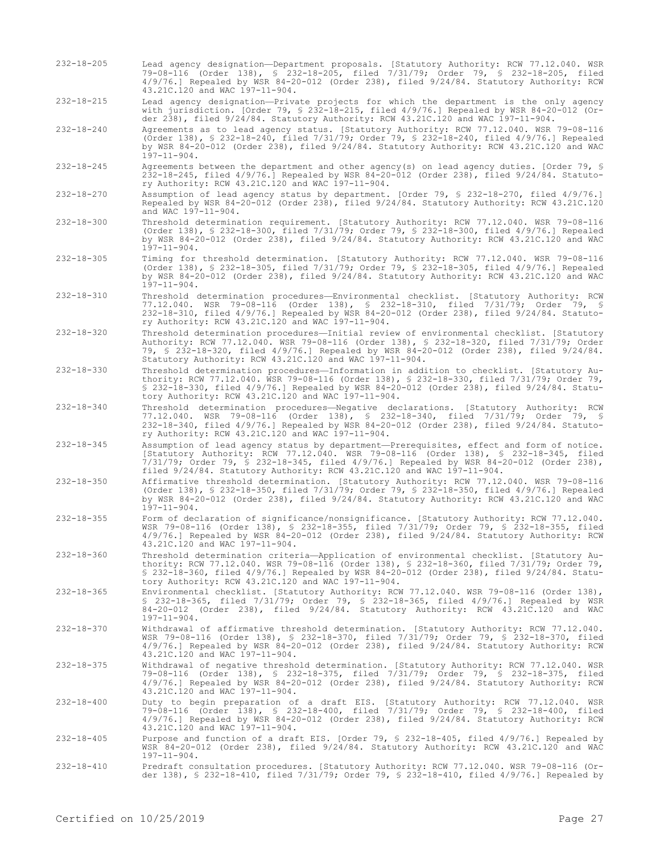- 232-18-205 Lead agency designation—Department proposals. [Statutory Authority: RCW 77.12.040. WSR 79-08-116 (Order 138), § 232-18-205, filed 7/31/79; Order 79, § 232-18-205, filed 4/9/76.] Repealed by WSR 84-20-012 (Order 238), filed 9/24/84. Statutory Authority: RCW 43.21C.120 and WAC 197-11-904. 232-18-215 Lead agency designation—Private projects for which the department is the only agency with jurisdiction. [Order 79, § 232-18-215, filed 4/9/76.] Repealed by WSR 84-20-012 (Order 238), filed 9/24/84. Statutory Authority: RCW 43.21C.120 and WAC 197-11-904. 232-18-240 Agreements as to lead agency status. [Statutory Authority: RCW 77.12.040. WSR 79-08-116 (Order 138), § 232-18-240, filed 7/31/79; Order 79, § 232-18-240, filed 4/9/76.] Repealed by WSR 84-20-012 (Order 238), filed 9/24/84. Statutory Authority: RCW 43.21C.120 and WAC 197-11-904.
- 232-18-245 Agreements between the department and other agency(s) on lead agency duties. [Order 79, § 232-18-245, filed 4/9/76.] Repealed by WSR 84-20-012 (Order 238), filed 9/24/84. Statutory Authority: RCW 43.21C.120 and WAC 197-11-904.
- 232-18-270 Assumption of lead agency status by department. [Order 79, § 232-18-270, filed 4/9/76.] Repealed by WSR 84-20-012 (Order 238), filed 9/24/84. Statutory Authority: RCW 43.21C.120 and WAC  $197 - 11 - 904$ .
- 232-18-300 Threshold determination requirement. [Statutory Authority: RCW 77.12.040. WSR 79-08-116 (Order 138), § 232-18-300, filed 7/31/79; Order 79, § 232-18-300, filed 4/9/76.] Repealed by WSR 84-20-012 (Order 238), filed 9/24/84. Statutory Authority: RCW 43.21C.120 and WAC 197-11-904.
- 232-18-305 Timing for threshold determination. [Statutory Authority: RCW 77.12.040. WSR 79-08-116 (Order 138), § 232-18-305, filed 7/31/79; Order 79, § 232-18-305, filed 4/9/76.] Repealed by WSR 84-20-012 (Order 238), filed 9/24/84. Statutory Authority: RCW 43.21C.120 and WAC  $1\bar{9}7-11-904$ .
- 232-18-310 Threshold determination procedures—Environmental checklist. [Statutory Authority: RCW 77.12.040. WSR 79-08-116 (Order 138), § 232-18-310, filed 7/31/79; Order 79, § 232-18-310, filed 4/9/76.] Repealed by WSR 84-20-012 (Order 238), filed 9/24/84. Statutory Authority: RCW 43.21C.120 and WAC 197-11-904.
- 232-18-320 Threshold determination procedures—Initial review of environmental checklist. [Statutory Authority: RCW 77.12.040. WSR 79-08-116 (Order 138), § 232-18-320, filed 7/31/79; Order 79, § 232-18-320, filed 4/9/76.] Repealed by WSR 84-20-012 (Order 238), filed 9/24/84. Statutory Authority: RCW 43.21C.120 and WAC 197-11-904.
- 232-18-330 Threshold determination procedures—Information in addition to checklist. [Statutory Authority: RCW 77.12.040. WSR 79-08-116 (Order 138), § 232-18-330, filed 7/31/79; Order 79, § 232-18-330, filed 4/9/76.] Repealed by WSR 84-20-012 (Order 238), filed 9/24/84. Statutory Authority: RCW 43.21C.120 and WAC 197-11-904.
- 232-18-340 Threshold determination procedures—Negative declarations. [Statutory Authority: RCW 77.12.040. WSR 79-08-116 (Order 138), § 232-18-340, filed 7/31/79; Order 79, § 232-18-340, filed 4/9/76.] Repealed by WSR 84-20-012 (Order 238), filed 9/24/84. Statutory Authority: RCW 43.21C.120 and WAC 197-11-904.
- 232-18-345 Assumption of lead agency status by department—Prerequisites, effect and form of notice. [Statutory Authority: RCW 77.12.040. WSR 79-08-116 (Order 138), § 232-18-345, filed 7/31/79; Order 79, § 232-18-345, filed 4/9/76.] Repealed by WSR 84-20-012 (Order 238), filed 9/24/84. Statutory Authority: RCW 43.21C.120 and WAC 197-11-904.
- 232-18-350 Affirmative threshold determination. [Statutory Authority: RCW 77.12.040. WSR 79-08-116 (Order 138), § 232-18-350, filed 7/31/79; Order 79, § 232-18-350, filed 4/9/76.] Repealed by WSR 84-20-012 (Order 238), filed 9/24/84. Statutory Authority: RCW 43.21C.120 and WAC  $197 - 11 - 904$ .
- 232-18-355 Form of declaration of significance/nonsignificance. [Statutory Authority: RCW 77.12.040. WSR 79-08-116 (Order 138), § 232-18-355, filed 7/31/79; Order 79, § 232-18-355, filed 4/9/76.] Repealed by WSR 84-20-012 (Order 238), filed 9/24/84. Statutory Authority: RCW 43.21C.120 and WAC 197-11-904.
- 232-18-360 Threshold determination criteria—Application of environmental checklist. [Statutory Authority: RCW 77.12.040. WSR 79-08-116 (Order 138), § 232-18-360, filed 7/31/79; Order 79, § 232-18-360, filed 4/9/76.] Repealed by WSR 84-20-012 (Order 238), filed 9/24/84. Statutory Authority: RCW 43.21C.120 and WAC 197-11-904.
- 232-18-365 Environmental checklist. [Statutory Authority: RCW 77.12.040. WSR 79-08-116 (Order 138), § 232-18-365, filed 7/31/79; Order 79, § 232-18-365, filed 4/9/76.] Repealed by WSR 84-20-012 (Order 238), filed 9/24/84. Statutory Authority: RCW 43.21C.120 and WAC 197-11-904.
- 232-18-370 Withdrawal of affirmative threshold determination. [Statutory Authority: RCW 77.12.040. WSR 79-08-116 (Order 138), § 232-18-370, filed 7/31/79; Order 79, § 232-18-370, filed 4/9/76.] Repealed by WSR 84-20-012 (Order 238), filed 9/24/84. Statutory Authority: RCW 43.21C.120 and WAC 197-11-904.
- 232-18-375 Withdrawal of negative threshold determination. [Statutory Authority: RCW 77.12.040. WSR 79-08-116 (Order 138), § 232-18-375, filed 7/31/79; Order 79, § 232-18-375, filed 4/9/76.] Repealed by WSR 84-20-012 (Order 238), filed 9/24/84. Statutory Authority: RCW 43.21C.120 and WAC 197-11-904.
- 232-18-400 Duty to begin preparation of a draft EIS. [Statutory Authority: RCW 77.12.040. WSR<br>79-08-116 (Order 138), § 232-18-400, filed 7/31/79; Order 79, § 232-18-400, filed<br>4/9/76.] Repealed by WSR 84-20-012 (Order 238) 43.21C.120 and WAC 197-11-904.
- 232-18-405 Purpose and function of a draft EIS. [Order 79, § 232-18-405, filed 4/9/76.] Repealed by WSR 84-20-012 (Order 238), filed 9/24/84. Statutory Authority: RCW 43.21C.120 and WAC 197-11-904.
- 232-18-410 Predraft consultation procedures. [Statutory Authority: RCW 77.12.040. WSR 79-08-116 (Order 138), § 232-18-410, filed 7/31/79; Order 79, § 232-18-410, filed 4/9/76.] Repealed by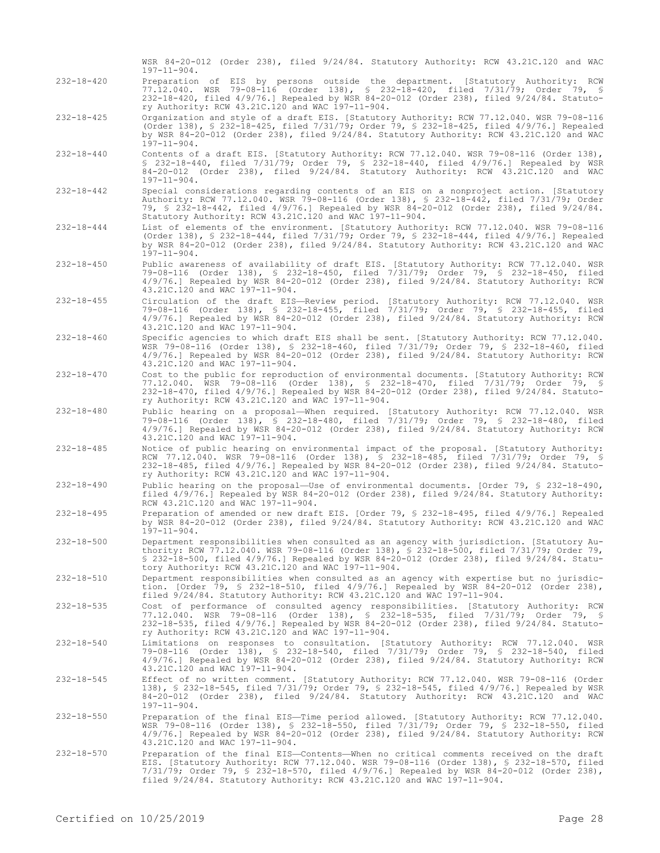|                  | WSR 84-20-012 (Order 238), filed 9/24/84. Statutory Authority: RCW 43.21C.120 and WAC<br>$197 - 11 - 904.$                                                                                                                                                                                                                                                  |
|------------------|-------------------------------------------------------------------------------------------------------------------------------------------------------------------------------------------------------------------------------------------------------------------------------------------------------------------------------------------------------------|
| $232 - 18 - 420$ | Preparation of EIS by persons outside the department. [Statutory Authority: RCW<br>77.12.040. WSR 79-08-116 (Order 138), \$ 232-18-420, filed 7/31/79; Order 79, \$<br>232-18-420, filed 4/9/76.] Repealed by WSR 84-20-012 (Order 238), filed 9/24/84. Statuto-<br>ry Authority: RCW 43.21C.120 and WAC 197-11-904.                                        |
| $232 - 18 - 425$ | Organization and style of a draft EIS. [Statutory Authority: RCW 77.12.040. WSR 79-08-116<br>(Order 138), § 232-18-425, filed 7/31/79; Order 79, § 232-18-425, filed 4/9/76.] Repealed<br>by WSR 84-20-012 (Order 238), filed $9/24/84$ . Statutory Authority: RCW 43.21C.120 and WAC<br>$197 - 11 - 904.$                                                  |
| $232 - 18 - 440$ | Contents of a draft EIS. [Statutory Authority: RCW 77.12.040. WSR 79-08-116 (Order 138),<br>\$ 232-18-440, filed 7/31/79; Order 79, \$ 232-18-440, filed 4/9/76.] Repealed by WSR<br>$84-20-012$ (Order 238), filed $9/24/84$ . Statutory Authority: RCW 43.21C.120 and WAC<br>$197 - 11 - 904$ .                                                           |
| $232 - 18 - 442$ | Special considerations regarding contents of an EIS on a nonproject action. [Statutory<br>Authority: RCW 77.12.040. WSR 79-08-116 (Order 138), § 232-18-442, filed 7/31/79; Order<br>79, § 232-18-442, filed 4/9/76.] Repealed by WSR 84-20-012 (Order 238), filed 9/24/84.<br>Statutory Authority: RCW 43.21C.120 and WAC 197-11-904.                      |
| $232 - 18 - 444$ | List of elements of the environment. [Statutory Authority: RCW 77.12.040. WSR 79-08-116<br>(Order 138), § 232-18-444, filed 7/31/79; Order 79, § 232-18-444, filed 4/9/76.] Repealed<br>by WSR 84-20-012 (Order 238), filed $9/24/84$ . Statutory Authority: RCW 43.21C.120 and WAC<br>$197 - 11 - 904.$                                                    |
| $232 - 18 - 450$ | Public awareness of availability of draft EIS. [Statutory Authority: RCW 77.12.040. WSR<br>79-08-116 (Order 138), § 232-18-450, filed 7/31/79; Order 79, § 232-18-450, filed<br>4/9/76.] Repealed by WSR 84-20-012 (Order 238), filed 9/24/84. Statutory Authority: RCW<br>43.21C.120 and WAC 197-11-904.                                                   |
| $232 - 18 - 455$ | Circulation of the draft EIS-Review period. [Statutory Authority: RCW 77.12.040. WSR<br>79-08-116 (Order 138), § 232-18-455, filed 7/31/79; Order 79, § 232-18-455, filed<br>$4/9/76$ .] Repealed by WSR 84-20-012 (Order 238), filed $9/24/84$ . Statutory Authority: RCW<br>43.21C.120 and WAC 197-11-904.                                                |
| $232 - 18 - 460$ | Specific agencies to which draft EIS shall be sent. [Statutory Authority: RCW 77.12.040.<br>WSR 79-08-116 (Order 138), § 232-18-460, filed 7/31/79; Order 79, § 232-18-460, filed<br>4/9/76.] Repealed by WSR 84-20-012 (Order 238), filed 9/24/84. Statutory Authority: RCW<br>43.21C.120 and WAC 197-11-904.                                              |
| $232 - 18 - 470$ | Cost to the public for reproduction of environmental documents. [Statutory Authority: RCW<br>77.12.040. WSR 79-08-116 (Order 138), § 232-18-470, filed 7/31/79; Order 79, §<br>232-18-470, filed 4/9/76.] Repealed by WSR 84-20-012 (Order 238), filed 9/24/84. Statuto-<br>ry Authority: RCW 43.21C.120 and WAC 197-11-904.                                |
| $232 - 18 - 480$ | Public hearing on a proposal—When required. [Statutory Authority: RCW 77.12.040. WSR<br>79-08-116 (Order 138), § 232-18-480, filed 7/31/79; Order 79, § 232-18-480, filed<br>$4/9/76$ .] Repealed by WSR 84-20-012 (Order 238), filed $9/24/84$ . Statutory Authority: RCW<br>43.21C.120 and WAC 197-11-904.                                                |
| $232 - 18 - 485$ | Notice of public hearing on environmental impact of the proposal. [Statutory Authority:<br>RCW 77.12.040. WSR 79-08-116 (Order 138), § 232-18-485, filed 7/31/79; Order 79, §<br>232-18-485, filed 4/9/76.] Repealed by WSR 84-20-012 (Order 238), filed 9/24/84. Statuto-<br>ry Authority: RCW 43.21C.120 and WAC 197-11-904.                              |
| $232 - 18 - 490$ | Public hearing on the proposal—Use of environmental documents. [Order 79, § 232-18-490,<br>filed 4/9/76.] Repealed by WSR 84-20-012 (Order 238), filed 9/24/84. Statutory Authority:<br>RCW 43.21C.120 and WAC 197-11-904.                                                                                                                                  |
| $232 - 18 - 495$ | Preparation of amended or new draft EIS. [Order 79, § 232-18-495, filed 4/9/76.] Repealed<br>by WSR 84-20-012 (Order 238), filed $9/24/84$ . Statutory Authority: RCW 43.21C.120 and WAC<br>$197 - 11 - 904$ .                                                                                                                                              |
| $232 - 18 - 500$ | Department responsibilities when consulted as an agency with jurisdiction. [Statutory Au-<br>thority: RCW 77.12.040. WSR 79-08-116 (Order 138), \$ 232-18-500, filed 7/31/79; Order 79,<br>\$ 232-18-500, filed 4/9/76.] Repealed by WSR 84-20-012 (Order 238), filed 9/24/84. Statu-<br>tory Authority: RCW 43.21C.120 and WAC 197-11-904.                 |
| $232 - 18 - 510$ | Department responsibilities when consulted as an agency with expertise but no jurisdic-<br>tion. [Order 79, § 232-18-510, filed $4/9/76$ .] Repealed by WSR 84-20-012 (Order 238),<br>filed 9/24/84. Statutory Authority: RCW 43.21C.120 and WAC 197-11-904.                                                                                                |
| $232 - 18 - 535$ | Cost of performance of consulted agency responsibilities. [Statutory Authority: RCW<br>77.12.040. WSR 79-08-116 (Order 138), § 232-18-535, filed 7/31/79; Order 79, §<br>232-18-535, filed 4/9/76.] Repealed by WSR 84-20-012 (Order 238), filed 9/24/84. Statuto-<br>ry Authority: RCW 43.21C.120 and WAC 197-11-904.                                      |
| $232 - 18 - 540$ | Limitations on responses to consultation. [Statutory Authority: RCW 77.12.040. WSR<br>79-08-116 (Order 138), § 232-18-540, filed 7/31/79; Order 79, § 232-18-540, filed<br>$4/9/76$ . Repealed by WSR 84-20-012 (Order 238), filed $9/24/84$ . Statutory Authority: RCW<br>43.21C.120 and WAC 197-11-904.                                                   |
| $232 - 18 - 545$ | Effect of no written comment. [Statutory Authority: RCW 77.12.040. WSR 79-08-116 (Order<br>138), § 232-18-545, filed 7/31/79; Order 79, § 232-18-545, filed 4/9/76.] Repealed by WSR<br>$84-20-012$ (Order 238), filed $9/24/84$ . Statutory Authority: RCW 43.21C.120 and WAC<br>$197 - 11 - 904$ .                                                        |
| $232 - 18 - 550$ | Preparation of the final EIS-Time period allowed. [Statutory Authority: RCW 77.12.040.<br>WSR 79-08-116 (Order 138), § 232-18-550, filed 7/31/79; Order 79, § 232-18-550, filed<br>$4/9/76$ .] Repealed by WSR 84-20-012 (Order 238), filed $9/24/84$ . Statutory Authority: RCW<br>43.21C.120 and WAC 197-11-904.                                          |
| $232 - 18 - 570$ | Preparation of the final EIS-Contents-When no critical comments received on the draft<br>EIS. [Statutory Authority: RCW 77.12.040. WSR 79-08-116 (Order 138), § 232-18-570, filed<br>$7/31/79$ ; Order 79, § 232-18-570, filed $4/9/76$ .] Repealed by WSR 84-20-012 (Order 238),<br>filed 9/24/84. Statutory Authority: RCW 43.21C.120 and WAC 197-11-904. |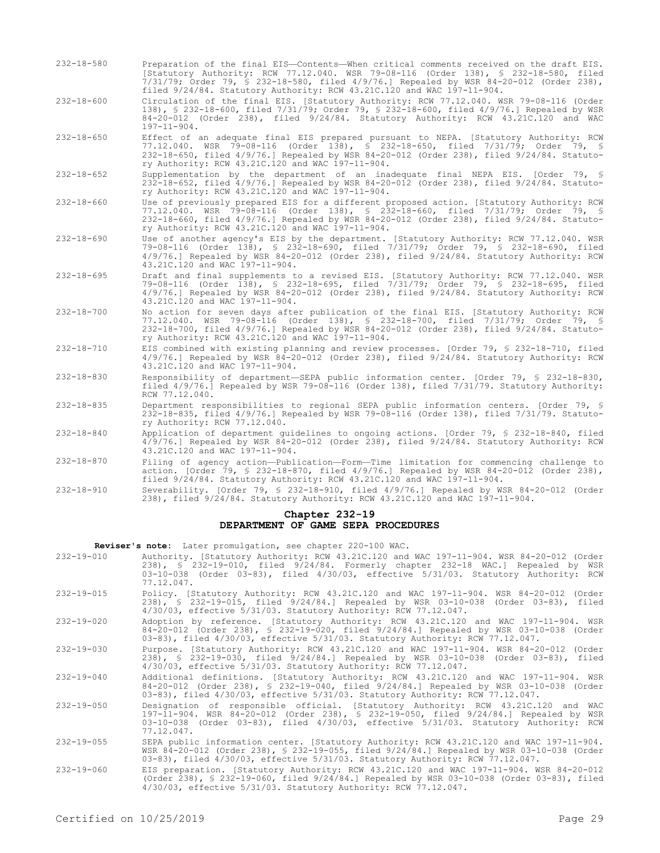- 232-18-580 Preparation of the final EIS—Contents—When critical comments received on the draft EIS. [Statutory Authority: RCW 77.12.040. WSR 79-08-116 (Order 138), § 232-18-580, filed 7/31/79; Order 79, § 232-18-580, filed 4/9/76.] Repealed by WSR 84-20-012 (Order 238), filed 9/24/84. Statutory Authority: RCW 43.21C.120 and WAC 197-11-904.
- 232-18-600 Circulation of the final EIS. [Statutory Authority: RCW 77.12.040. WSR 79-08-116 (Order 138), § 232-18-600, filed 7/31/79; Order 79, § 232-18-600, filed 4/9/76.] Repealed by WSR 84-20-012 (Order 238), filed 9/24/84. Statutory Authority: RCW 43.21C.120 and WAC 197-11-904.
- 232-18-650 Effect of an adequate final EIS prepared pursuant to NEPA. [Statutory Authority: RCW 77.12.040. WSR 79-08-116 (Order 138), § 232-18-650, filed 7/31/79; Order 79, § 232-18-650, filed 4/9/76.] Repealed by WSR 84-20-012 (Order 238), filed 9/24/84. Statutory Authority: RCW 43.21C.120 and WAC 197-11-904.
- 232-18-652 Supplementation by the department of an inadequate final NEPA EIS. [Order 79, § 232-18-652, filed 4/9/76.] Repealed by WSR 84-20-012 (Order 238), filed 9/24/84. Statutory Authority: RCW 43.21C.120 and WAC 197-11-904.
- 232-18-660 Use of previously prepared EIS for a different proposed action. [Statutory Authority: RCW 77.12.040. WSR 79-08-116 (Order 138), § 232-18-660, filed 7/31/79; Order 79, § 232-18-660, filed 4/9/76.] Repealed by WSR 84-20-012 (Order 238), filed 9/24/84. Statutory Authority: RCW 43.21C.120 and WAC 197-11-904.

232-18-690 Use of another agency's EIS by the department. [Statutory Authority: RCW 77.12.040. WSR 79-08-116 (Order 138), § 232-18-690, filed 7/31/79; Order 79, § 232-18-690, filed 4/9/76.] Repealed by WSR 84-20-012 (Order 238), filed 9/24/84. Statutory Authority: RCW 43.21C.120 and WAC 197-11-904.

- 232-18-695 Draft and final supplements to a revised EIS. [Statutory Authority: RCW 77.12.040. WSR 79-08-116 (Order 138), § 232-18-695, filed 7/31/79; Order 79, § 232-18-695, filed 4/9/76.] Repealed by WSR 84-20-012 (Order 238), filed 9/24/84. Statutory Authority: RCW 43.21C.120 and WAC 197-11-904.
- 232-18-700 No action for seven days after publication of the final EIS. [Statutory Authority: RCW 77.12.040. WSR 79-08-116 (Order 138), § 232-18-700, filed 7/31/79; Order 79, § 232-18-700, filed 4/9/76.] Repealed by WSR 84-20-012 (Order 238), filed 9/24/84. Statutory Authority: RCW 43.21C.120 and WAC 197-11-904.
- 232-18-710 EIS combined with existing planning and review processes. [Order 79, § 232-18-710, filed 4/9/76.] Repealed by WSR 84-20-012 (Order 238), filed 9/24/84. Statutory Authority: RCW 43.21C.120 and WAC 197-11-904.
- 232-18-830 Responsibility of department—SEPA public information center. [Order 79, § 232-18-830, filed 4/9/76.] Repealed by WSR 79-08-116 (Order 138), filed 7/31/79. Statutory Authority: RCW 77.12.040.
- 232-18-835 Department responsibilities to regional SEPA public information centers. [Order 79, § 232-18-835, filed 4/9/76.] Repealed by WSR 79-08-116 (Order 138), filed 7/31/79. Statutory Authority: RCW 77.12.040.
- 232-18-840 Application of department guidelines to ongoing actions. [Order 79, § 232-18-840, filed 4/9/76.] Repealed by WSR 84-20-012 (Order 238), filed 9/24/84. Statutory Authority: RCW 43.21C.120 and WAC 197-11-904.
- 232-18-870 Filing of agency action—Publication—Form—Time limitation for commencing challenge to action. [Order 79, § 232-18-870, filed 4/9/76.] Repealed by WSR 84-20-012 (Order 238), filed 9/24/84. Statutory Authority: RCW 43.21C.120 and WAC 197-11-904.
- 232-18-910 Severability. [Order 79, § 232-18-910, filed 4/9/76.] Repealed by WSR 84-20-012 (Order 238), filed 9/24/84. Statutory Authority: RCW 43.21C.120 and WAC 197-11-904.

### **Chapter 232-19 DEPARTMENT OF GAME SEPA PROCEDURES**

**Reviser's note:** Later promulgation, see chapter 220-100 WAC.

- 232-19-010 Authority. [Statutory Authority: RCW 43.21C.120 and WAC 197-11-904. WSR 84-20-012 (Order 238), § 232-19-010, filed 9/24/84. Formerly chapter 232-18 WAC.] Repealed by WSR 03-10-038 (Order 03-83), filed 4/30/03, effective 5/31/03. Statutory Authority: RCW 77.12.047. 232-19-015 Policy. [Statutory Authority: RCW 43.21C.120 and WAC 197-11-904. WSR 84-20-012 (Order
- 238), § 232-19-015, filed 9/24/84.] Repealed by WSR 03-10-038 (Order 03-83), filed 4/30/03, effective 5/31/03. Statutory Authority: RCW 77.12.047.
- 232-19-020 Adoption by reference. [Statutory Authority: RCW 43.21C.120 and WAC 197-11-904. WSR 84-20-012 (Order 238), § 232-19-020, filed 9/24/84.] Repealed by WSR 03-10-038 (Order 03-83), filed 4/30/03, effective 5/31/03. Statutory Authority: RCW 77.12.047.
- 232-19-030 Purpose. [Statutory Authority: RCW 43.21C.120 and WAC 197-11-904. WSR 84-20-012 (Order 238), § 232-19-030, filed 9/24/84.] Repealed by WSR 03-10-038 (Order 03-83), filed 4/30/03, effective 5/31/03. Statutory Authority: RCW 77.12.047.
- 232-19-040 Additional definitions. [Statutory Authority: RCW 43.21C.120 and WAC 197-11-904. WSR 84-20-012 (Order 238), § 232-19-040, filed 9/24/84.] Repealed by WSR 03-10-038 (Order 03-83), filed 4/30/03, effective 5/31/03. Statutory Authority: RCW 77.12.047.
- 232-19-050 Designation of responsible official. [Statutory Authority: RCW 43.21C.120 and WAC<br>197-11-904. WSR 84-20-012 (Order 238), § 232-19-050, filed 9/24/84.] Repealed by WSR<br>03-10-038 (Order 03-83), filed 4/30/03, 77.12.047.
- 232-19-055 SEPA public information center. [Statutory Authority: RCW 43.21C.120 and WAC 197-11-904. WSR 84-20-012 (Order 238), § 232-19-055, filed 9/24/84.] Repealed by WSR 03-10-038 (Order 03-83), filed 4/30/03, effective 5/31/03. Statutory Authority: RCW 77.12.047.
- 232-19-060 EIS preparation. [Statutory Authority: RCW 43.21C.120 and WAC 197-11-904. WSR 84-20-012 (Order 238), § 232-19-060, filed 9/24/84.] Repealed by WSR 03-10-038 (Order 03-83), filed 4/30/03, effective 5/31/03. Statutory Authority: RCW 77.12.047.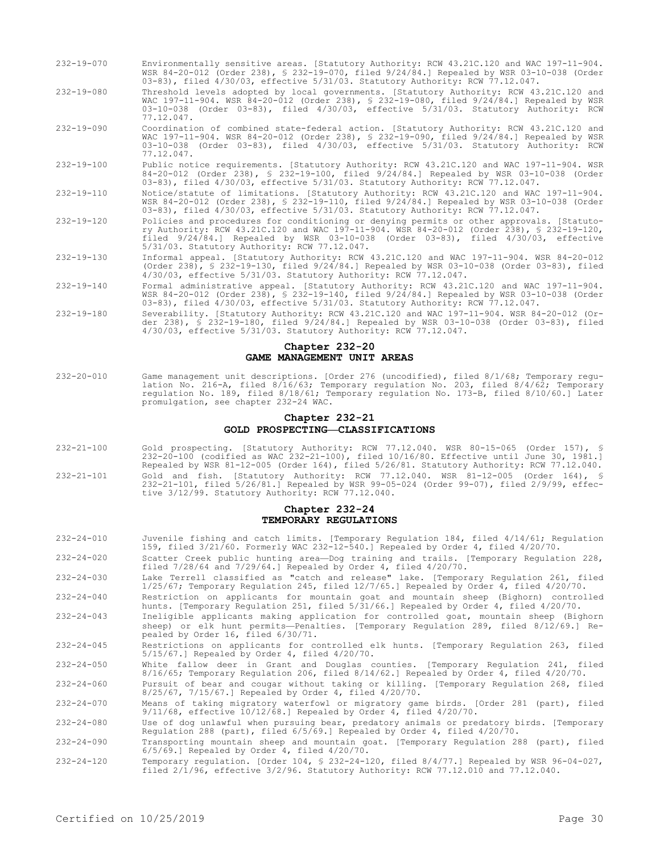- 232-19-070 Environmentally sensitive areas. [Statutory Authority: RCW 43.21C.120 and WAC 197-11-904. WSR 84-20-012 (Order 238), § 232-19-070, filed 9/24/84.] Repealed by WSR 03-10-038 (Order 03-83), filed 4/30/03, effective 5/31/03. Statutory Authority: RCW 77.12.047.
- 232-19-080 Threshold levels adopted by local governments. [Statutory Authority: RCW 43.21C.120 and WAC 197-11-904. WSR 84-20-012 (Order 238), § 232-19-080, filed 9/24/84.] Repealed by WSR 03-10-038 (Order 03-83), filed 4/30/03, effective 5/31/03. Statutory Authority: RCW 77.12.047.
- 232-19-090 Coordination of combined state-federal action. [Statutory Authority: RCW 43.21C.120 and WAC 197-11-904. WSR 84-20-012 (Order 238), § 232-19-090, filed 9/24/84.] Repealed by WSR 03-10-038 (Order 03-83), filed 4/30/03, effective 5/31/03. Statutory Authority: RCW 77.12.047.
- 232-19-100 Public notice requirements. [Statutory Authority: RCW 43.21C.120 and WAC 197-11-904. WSR 84-20-012 (Order 238), § 232-19-100, filed 9/24/84.] Repealed by WSR 03-10-038 (Order 03-83), filed 4/30/03, effective 5/31/03. Statutory Authority: RCW 77.12.047.
- 232-19-110 Notice/statute of limitations. [Statutory Authority: RCW 43.21C.120 and WAC 197-11-904. WSR 84-20-012 (Order 238), § 232-19-110, filed 9/24/84.] Repealed by WSR 03-10-038 (Order 03-83), filed 4/30/03, effective 5/31/03. Statutory Authority: RCW 77.12.047.
- 232-19-120 Policies and procedures for conditioning or denying permits or other approvals. [Statutory Authority: RCW 43.21C.120 and WAC 197-11-904. WSR 84-20-012 (Order 238), § 232-19-120, filed 9/24/84.] Repealed by WSR 03-10-038 (Order 03-83), filed 4/30/03, effective 5/31/03. Statutory Authority: RCW 77.12.047.
- 232-19-130 Informal appeal. [Statutory Authority: RCW 43.21C.120 and WAC 197-11-904. WSR 84-20-012 (Order 238), § 232-19-130, filed 9/24/84.] Repealed by WSR 03-10-038 (Order 03-83), filed 4/30/03, effective 5/31/03. Statutory Authority: RCW 77.12.047.
- 232-19-140 Formal administrative appeal. [Statutory Authority: RCW 43.21C.120 and WAC 197-11-904. WSR 84-20-012 (Order 238), § 232-19-140, filed 9/24/84.] Repealed by WSR 03-10-038 (Order 03-83), filed 4/30/03, effective 5/31/03. Statutory Authority: RCW 77.12.047.
- 232-19-180 Severability. [Statutory Authority: RCW 43.21C.120 and WAC 197-11-904. WSR 84-20-012 (Order 238), § 232-19-180, filed 9/24/84.] Repealed by WSR 03-10-038 (Order 03-83), filed 4/30/03, effective 5/31/03. Statutory Authority: RCW 77.12.047.

#### **Chapter 232-20 GAME MANAGEMENT UNIT AREAS**

232-20-010 Game management unit descriptions. [Order 276 (uncodified), filed 8/1/68; Temporary regulation No. 216-A, filed 8/16/63; Temporary regulation No. 203, filed 8/4/62; Temporary regulation No. 189, filed 8/18/61; Temporary regulation No. 173-B, filed 8/10/60.] Later promulgation, see chapter 232-24 WAC.

### **Chapter 232-21 GOLD PROSPECTING—CLASSIFICATIONS**

232-21-100 Gold prospecting. [Statutory Authority: RCW 77.12.040. WSR 80-15-065 (Order 157), § 232-20-100 (codified as WAC 232-21-100), filed 10/16/80. Effective until June 30, 1981.] Repealed by WSR 81-12-005 (Order 164), filed 5/26/81. Statutory Authority: RCW 77.12.040. 232-21-101 Gold and fish. [Statutory Authority: RCW 77.12.040. WSR 81-12-005 (Order 164), § 232-21-101, filed 5/26/81.] Repealed by WSR 99-05-024 (Order 99-07), filed 2/9/99, effective 3/12/99. Statutory Authority: RCW 77.12.040.

#### **Chapter 232-24 TEMPORARY REGULATIONS**

- 232-24-010 Juvenile fishing and catch limits. [Temporary Regulation 184, filed 4/14/61; Regulation 159, filed 3/21/60. Formerly WAC 232-12-540.] Repealed by Order 4, filed 4/20/70. 232-24-020 Scatter Creek public hunting area—Dog training and trails. [Temporary Regulation 228, filed 7/28/64 and 7/29/64.] Repealed by Order 4, filed 4/20/70. 232-24-030 Lake Terrell classified as "catch and release" lake. [Temporary Regulation 261, filed 1/25/67; Temporary Regulation 245, filed 12/7/65.] Repealed by Order 4, filed 4/20/70. 232-24-040 Restriction on applicants for mountain goat and mountain sheep (Bighorn) controlled hunts. [Temporary Regulation 251, filed 5/31/66.] Repealed by Order 4, filed 4/20/70.
- 232-24-043 Ineligible applicants making application for controlled goat, mountain sheep (Bighorn sheep) or elk hunt permits—Penalties. [Temporary Regulation 289, filed 8/12/69.] Repealed by Order 16, filed 6/30/71.
- 232-24-045 Restrictions on applicants for controlled elk hunts. [Temporary Regulation 263, filed 5/15/67.] Repealed by Order 4, filed 4/20/70.
- 232-24-050 White fallow deer in Grant and Douglas counties. [Temporary Regulation 241, filed 8/16/65; Temporary Regulation 206, filed 8/14/62.] Repealed by Order 4, filed 4/20/70.
- 232-24-060 Pursuit of bear and cougar without taking or killing. [Temporary Regulation 268, filed 8/25/67, 7/15/67.] Repealed by Order 4, filed 4/20/70.
- 232-24-070 Means of taking migratory waterfowl or migratory game birds. [Order 281 (part), filed 9/11/68, effective 10/12/68.] Repealed by Order 4, filed 4/20/70.

232-24-080 Use of dog unlawful when pursuing bear, predatory animals or predatory birds. [Temporary Regulation 288 (part), filed 6/5/69.] Repealed by Order 4, filed 4/20/70.

232-24-090 Transporting mountain sheep and mountain goat. [Temporary Regulation 288 (part), filed 6/5/69.] Repealed by Order 4, filed 4/20/70.

232-24-120 Temporary regulation. [Order 104, § 232-24-120, filed 8/4/77.] Repealed by WSR 96-04-027, filed 2/1/96, effective 3/2/96. Statutory Authority: RCW 77.12.010 and 77.12.040.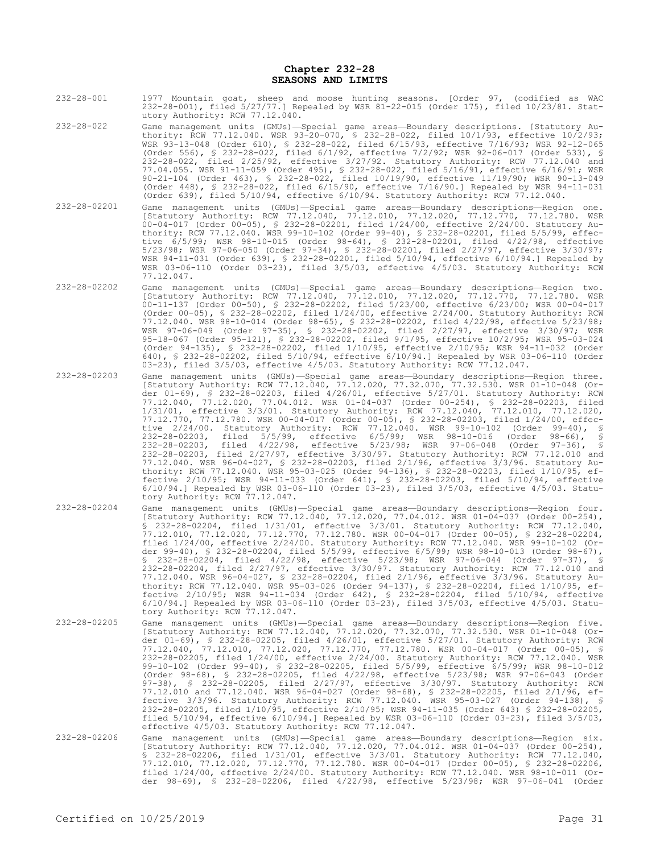#### **Chapter 232-28 SEASONS AND LIMITS**

- 232-28-001 1977 Mountain goat, sheep and moose hunting seasons. [Order 97, (codified as WAC 232-28-001), filed 5/27/77.] Repealed by WSR 81-22-015 (Order 175), filed 10/23/81. Statutory Authority: RCW 77.12.040.
- 232-28-022 Game management units (GMUs)—Special game areas—Boundary descriptions. [Statutory Authority: RCW 77.12.040. WSR 93-20-070, § 232-28-022, filed 10/1/93, effective 10/2/93; WSR 93-13-048 (Order 610), § 232-28-022, filed 6/15/93, effective 7/16/93; WSR 92-12-065 (Order 556), § 232-28-022, filed 6/1/92, effective 7/2/92; WSR 92-06-017 (Order 533), § 232-28-022, filed 2/25/92, effective 3/27/92. Statutory Authority: RCW 77.12.040 and 77.04.055. WSR 91-11-059 (Order 495), § 232-28-022, filed 5/16/91, effective 6/16/91; WSR 90-21-104 (Order 463), § 232-28-022, filed 10/19/90, effective 11/19/90; WSR 90-13-049 (Order 448), § 232-28-022, filed 6/15/90, effective 7/16/90.] Repealed by WSR 94-11-031 (Order 639), filed 5/10/94, effective 6/10/94. Statutory Authority: RCW 77.12.040.
- 232-28-02201 Game management units (GMUs)—Special game areas—Boundary descriptions—Region one. [Statutory Authority: RCW 77.12.040, 77.12.010, 77.12.020, 77.12.770, 77.12.780. WSR 00-04-017 (Order 00-05), § 232-28-02201, filed 1/24/00, effective 2/24/00. Statutory Authority: RCW 77.12.040. WSR 99-10-102 (Order 99-40), § 232-28-02201, filed 5/5/99, effective 6/5/99; WSR 98-10-015 (Order 98-64), § 232-28-02201, filed 4/22/98, effective 5/23/98; WSR 97-06-050 (Order 97-34), § 232-28-02201, filed 2/27/97, effective 3/30/97; WSR 94-11-031 (Order 639), § 232-28-02201, filed 5/10/94, effective 6/10/94.] Repealed by WSR 03-06-110 (Order 03-23), filed 3/5/03, effective 4/5/03. Statutory Authority: RCW 77.12.047.
- 232-28-02202 Game management units (GMUs)—Special game areas—Boundary descriptions—Region two. [Statutory Authority: RCW 77.12.040, 77.12.010, 77.12.020, 77.12.770, 77.12.780. WSR 00-11-137 (Order 00-50), § 232-28-02202, filed 5/23/00, effective 6/23/00; WSR 00-04-017 (Order 00-05), § 232-28-02202, filed 1/24/00, effective 2/24/00. Statutory Authority: RCW 77.12.040. WSR 98-10-014 (Order 98-65), § 232-28-02202, filed 4/22/98, effective 5/23/98; WSR 97-06-049 (Order 97-35), § 232-28-02202, filed 2/27/97, effective 3/30/97; WSR 95-18-067 (Order 95-121), § 232-28-02202, filed 9/1/95, effective 10/2/95; WSR 95-03-024 (Order 94-135), § 232-28-02202, filed 1/10/95, effective 2/10/95; WSR 94-11-032 (Order 640), § 232-28-02202, filed 5/10/94, effective 6/10/94.] Repealed by WSR 03-06-110 (Order 03-23), filed 3/5/03, effective 4/5/03. Statutory Authority: RCW 77.12.047.
- 232-28-02203 Game management units (GMUs)—Special game areas—Boundary descriptions—Region three. [Statutory Authority: RCW 77.12.040, 77.12.020, 77.32.070, 77.32.530. WSR 01-10-048 (Order 01-69), § 232-28-02203, filed 4/26/01, effective 5/27/01. Statutory Authority: RCW 77.12.040, 77.12.020, 77.04.012. WSR 01-04-037 (Order 00-254), § 232-28-02203, filed 1/31/01, effective 3/3/01. Statutory Authority: RCW 77.12.040, 77.12.010, 77.12.020, 77.12.770, 77.12.780. WSR 00-04-017 (Order 00-05), § 232-28-02203, filed 1/24/00, effective 2/24/00. Statutory Authority: RCW 77.12.040. WSR 99-10-102 (Order 99-40), § 232-28-02203, filed 5/5/99, effective 6/5/99; WSR 98-10-016 (Order 98-66), § 232-28-02203, filed 4/22/98, effective 5/23/98; WSR 97-06-048 (Order 97-36), § 232-28-02203, filed 2/27/97, effective 3/30/97. Statutory Authority: RCW 77.12.010 and 77.12.040. WSR 96-04-027, § 232-28-02203, filed 2/1/96, effective 3/3/96. Statutory Authority: RCW 77.12.040. WSR 95-03-025 (Order 94-136), § 232-28-02203, filed 1/10/95, effective 2/10/95; WSR 94-11-033 (Order 641), § 232-28-02203, filed 5/10/94, effective 6/10/94.] Repealed by WSR 03-06-110 (Order 03-23), filed 3/5/03, effective 4/5/03. Statutory Authority: RCW 77.12.047.
- 232-28-02204 Game management units (GMUs)—Special game areas—Boundary descriptions—Region four. [Statutory Authority: RCW 77.12.040, 77.12.020, 77.04.012. WSR 01-04-037 (Order 00-254), § 232-28-02204, filed 1/31/01, effective 3/3/01. Statutory Authority: RCW 77.12.040, 77.12.010, 77.12.020, 77.12.770, 77.12.780. WSR 00-04-017 (Order 00-05), § 232-28-02204, filed 1/24/00, effective 2/24/00. Statutory Authority: RCW 77.12.040. WSR 99-10-102 (Order 99-40), § 232-28-02204, filed 5/5/99, effective 6/5/99; WSR 98-10-013 (Order 98-67), § 232-28-02204, filed 4/22/98, effective 5/23/98; WSR 97-06-044 (Order 97-37), § 232-28-02204, filed 2/27/97, effective 3/30/97. Statutory Authority: RCW 77.12.010 and 77.12.040. WSR 96-04-027, § 232-28-02204, filed 2/1/96, effective 3/3/96. Statutory Authority: RCW 77.12.040. WSR 95-03-026 (Order 94-137), § 232-28-02204, filed 1/10/95, effective 2/10/95; WSR 94-11-034 (Order 642), § 232-28-02204, filed 5/10/94, effective 6/10/94.] Repealed by WSR 03-06-110 (Order 03-23), filed 3/5/03, effective 4/5/03. Statutory Authority: RCW 77.12.047.
- 232-28-02205 Game management units (GMUs)—Special game areas—Boundary descriptions—Region five. [Statutory Authority: RCW 77.12.040, 77.12.020, 77.32.070, 77.32.530. WSR 01-10-048 (Order 01-69), § 232-28-02205, filed 4/26/01, effective 5/27/01. Statutory Authority: RCW 77.12.040, 77.12.010, 77.12.020, 77.12.770, 77.12.780. WSR 00-04-017 (Order 00-05), § 232-28-02205, filed 1/24/00, effective 2/24/00. Statutory Authority: RCW 77.12.040. WSR 99-10-102 (Order 99-40), § 232-28-02205, filed 5/5/99, effective 6/5/99; WSR 98-10-012 (Order 98-68), § 232-28-02205, filed 4/22/98, effective 5/23/98; WSR 97-06-043 (Order 97-38), § 232-28-02205, filed 2/27/97, effective 3/30/97. Statutory Authority: RCW 77.12.010 and 77.12.040. WSR 96-04-027 (Order 98-68), § 232-28-02205, filed 2/1/96, effective 3/3/96. Statutory Authority: RCW 77.12.040. WSR 95-03-027 (Order 94-138), § 232-28-02205, filed 1/10/95, effective 2/10/95; WSR 94-11-035 (Order 643) § 232-28-02205,<br>filed 5/10/94, effective 6/10/94.] Repealed by WSR 03-06-110 (Order 03-23), filed 3/5/03,<br>effective 4/5/03. Statutory Authority: RCW
- 232-28-02206 Game management units (GMUs)—Special game areas—Boundary descriptions—Region six. [Statutory Authority: RCW 77.12.040, 77.12.020, 77.04.012. WSR 01-04-037 (Order 00-254), § 232-28-02206, filed 1/31/01, effective 3/3/01. Statutory Authority: RCW 77.12.040, 77.12.010, 77.12.020, 77.12.770, 77.12.780. WSR 00-04-017 (Order 00-05), § 232-28-02206, filed 1/24/00, effective 2/24/00. Statutory Authority: RCW 77.12.040. WSR 98-10-011 (Order 98-69), § 232-28-02206, filed 4/22/98, effective 5/23/98; WSR 97-06-041 (Order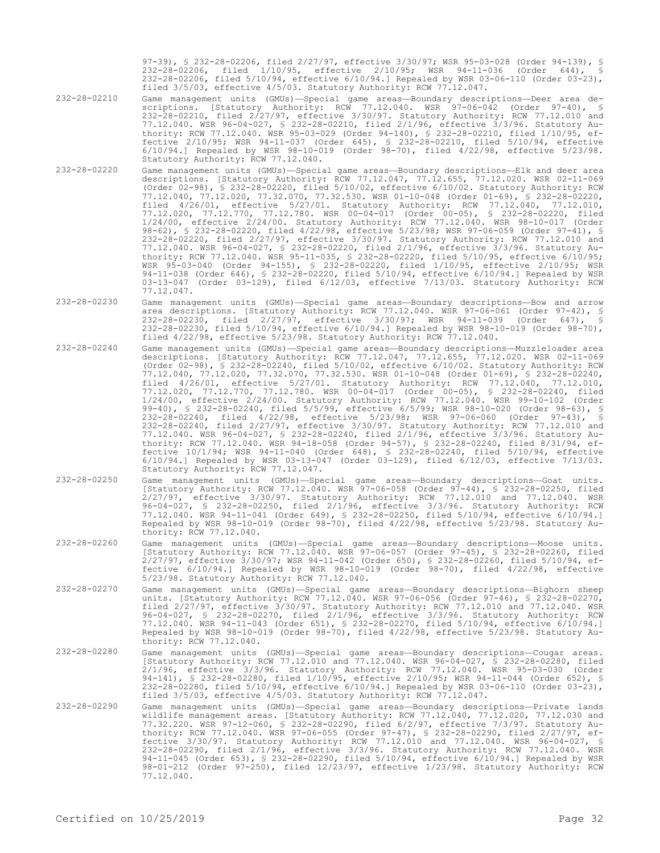97-39), § 232-28-02206, filed 2/27/97, effective 3/30/97; WSR 95-03-028 (Order 94-139), § 232-28-02206, filed 1/10/95, effective 2/10/95; WSR 94-11-036 (Order 644), § 232-28-02206, filed 5/10/94, effective 6/10/94.] Repealed by WSR 03-06-110 (Order 03-23), filed 3/5/03, effective 4/5/03. Statutory Authority: RCW 77.12.047.

- 232-28-02210 Game management units (GMUs)—Special game areas—Boundary descriptions—Deer area descriptions. [Statutory Authority: RCW 77.12.040. WSR 97-06-042 (Order 97-40), § 232-28-02210, filed 2/27/97, effective 3/30/97. Statutory Authority: RCW 77.12.010 and 77.12.040. WSR 96-04-027, § 232-28-02210, filed 2/1/96, effective 3/3/96. Statutory Authority: RCW 77.12.040. WSR 95-03-029 (Order 94-140), § 232-28-02210, filed 1/10/95, effective 2/10/95; WSR 94-11-037 (Order 645), § 232-28-02210, filed 5/10/94, effective 6/10/94.] Repealed by WSR 98-10-019 (Order 98-70), filed 4/22/98, effective 5/23/98. Statutory Authority: RCW 77.12.040.
- 232-28-02220 Game management units (GMUs)—Special game areas—Boundary descriptions—Elk and deer area descriptions. [Statutory Authority: RCW 77.12.047, 77.12.655, 77.12.020. WSR 02-11-069 (Order 02-98), § 232-28-02220, filed 5/10/02, effective 6/10/02. Statutory Authority: RCW 77.12.040, 77.12.020, 77.32.070, 77.32.530. WSR 01-10-048 (Order 01-69), § 232-28-02220, filed 4/26/01, effective 5/27/01. Statutory Authority: RCW 77.12.040, 77.12.010, 77.12.020, 77.12.770, 77.12.780. WSR 00-04-017 (Order 00-05), § 232-28-02220, filed 1/24/00, effective 2/24/00. Statutory Authority: RCW 77.12.040. WSR 98-10-017 (Order 98-62), § 232-28-02220, filed 4/22/98, effective 5/23/98; WSR 97-06-059 (Order 97-41), § 232-28-02220, filed 2/27/97, effective 3/30/97. Statutory Authority: RCW 77.12.010 and 77.12.040. WSR 96-04-027, § 232-28-02220, filed 2/1/96, effective 3/3/96. Statutory Authority: RCW 77.12.040. WSR 95-11-035, § 232-28-02220, filed 5/10/95, effective 6/10/95; WSR 95-03-040 (Order 94-155), § 232-28-02220, filed 1/10/95, effective 2/10/95; WSR 94-11-038 (Order 646), § 232-28-02220, filed 5/10/94, effective 6/10/94.] Repealed by WSR 03-13-047 (Order 03-129), filed 6/12/03, effective 7/13/03. Statutory Authority: RCW 77.12.047.
- 232-28-02230 Game management units (GMUs)—Special game areas—Boundary descriptions—Bow and arrow area descriptions. [Statutory Authority: RCW 77.12.040. WSR 97-06-061 (Order 97-42), § 232-28-02230, filed 2/27/97, effective 3/30/97; WSR 94-11-039 (Order 647), § 232-28-02230, filed 5/10/94, effective 6/10/94.] Repealed by WSR 98-10-019 (Order 98-70), filed 4/22/98, effective 5/23/98. Statutory Authority: RCW 77.12.040.
- 232-28-02240 Game management units (GMUs)—Special game areas—Boundary descriptions—Muzzleloader area descriptions. [Statutory Authority: RCW 77.12.047, 77.12.655, 77.12.020. WSR 02-11-069 (Order 02-98), § 232-28-02240, filed 5/10/02, effective 6/10/02. Statutory Authority: RCW 77.12.040, 77.12.020, 77.32.070, 77.32.530. WSR 01-10-048 (Order 01-69), § 232-28-02240, filed 4/26/01, effective 5/27/01. Statutory Authority: RCW 77.12.040, 77.12.010, 77.12.020, 77.12.770, 77.12.780. WSR 00-04-017 (Order 00-05), § 232-28-02240, filed 1/24/00, effective 2/24/00. Statutory Authority: RCW 77.12.040. WSR 99-10-102 (Order 99-40), § 232-28-02240, filed 5/5/99, effective 6/5/99; WSR 98-10-020 (Order 98-63), § 232-28-02240, filed 4/22/98, effective 5/23/98; WSR 97-06-060 (Order 97-43), § 232-28-02240, filed 2/27/97, effective 3/30/97. Statutory Authority: RCW 77.12.010 and 77.12.040. WSR 96-04-027, § 232-28-02240, filed 2/1/96, effective 3/3/96. Statutory Authority: RCW 77.12.040. WSR 94-18-058 (Order 94-57), § 232-28-02240, filed 8/31/94, effective 10/1/94; WSR 94-11-040 (Order 648), § 232-28-02240, filed 5/10/94, effective 6/10/94.] Repealed by WSR 03-13-047 (Order 03-129), filed 6/12/03, effective 7/13/03. Statutory Authority: RCW 77.12.047.
- 232-28-02250 Game management units (GMUs)—Special game areas—Boundary descriptions—Goat units. [Statutory Authority: RCW 77.12.040. WSR 97-06-058 (Order 97-44), § 232-28-02250, filed 2/27/97, effective 3/30/97. Statutory Authority: RCW 77.12.010 and 77.12.040. WSR 96-04-027, § 232-28-02250, filed 2/1/96, effective 3/3/96. Statutory Authority: RCW 77.12.040. WSR 94-11-041 (Order 649), § 232-28-02250, filed 5/10/94, effective 6/10/94.] Repealed by WSR 98-10-019 (Order 98-70), filed 4/22/98, effective 5/23/98. Statutory Authority: RCW 77.12.040.
- 232-28-02260 Game management units (GMUs)—Special game areas—Boundary descriptions—Moose units. [Statutory Authority: RCW 77.12.040. WSR 97-06-057 (Order 97-45), § 232-28-02260, filed 2/27/97, effective 3/30/97; WSR 94-11-042 (Order 650), § 232-28-02260, filed 5/10/94, effective 6/10/94.] Repealed by WSR 98-10-019 (Order 98-70), filed 4/22/98, effective 5/23/98. Statutory Authority: RCW 77.12.040.
- 232-28-02270 Game management units (GMUs)—Special game areas—Boundary descriptions—Bighorn sheep units. [Statutory Authority: RCW 77.12.040. WSR 97-06-056 (Order 97-46), § 232-28-02270, filed 2/27/97, effective 3/30/97. Statutory Authority: RCW 77.12.010 and 77.12.040. WSR 96-04-027, § 232-28-02270, filed 2/1/96, effective 3/3/96. Statutory Authority: RCW 77.12.040. WSR 94-11-043 (Order 651), § 232-28-02270, filed 5/10/94, effective 6/10/94.] Repealed by WSR 98-10-019 (Order 98-70), filed 4/22/98, effective 5/23/98. Statutory Authority: RCW 77.12.040.
- 232-28-02280 Game management units (GMUs)—Special game areas—Boundary descriptions—Cougar areas. [Statutory Authority: RCW 77.12.010 and 77.12.040. WSR 96-04-027, § 232-28-02280, filed 2/1/96, effective 3/3/96. Statutory Authority: RCW 77.12.040. WSR 95-03-030 (Order 94-141), § 232-28-02280, filed 1/10/95, effective 2/10/95; WSR 94-11-044 (Order 652), § 232-28-02280, filed 5/10/94, effective 6/10/94.] Repealed by WSR 03-06-110 (Order 03-23), filed 3/5/03, effective 4/5/03. Statutory Authority: RCW 77.12.047.
- 232-28-02290 Game management units (GMUs)—Special game areas—Boundary descriptions—Private lands<br>wildlife management areas. [Statutory Authority: RCW 77.12.040, 77.12.020, 77.12.030 and<br>77.32.220. WSR 97-12-060, § 232-28-0 thority: RCW 77.12.040. WSR 97-06-055 (Order 97-47), § 232-28-02290, filed 2/27/97, effective 3/30/97. Statutory Authority: RCW 77.12.010 and 77.12.040. WSR 96-04-027, § 232-28-02290, filed 2/1/96, effective 3/3/96. Statutory Authority: RCW 77.12.040. WSR 94-11-045 (Order 653), § 232-28-02290, filed 5/10/94, effective 6/10/94.] Repealed by WSR 98-01-212 (Order 97-250), filed 12/23/97, effective 1/23/98. Statutory Authority: RCW 77.12.040.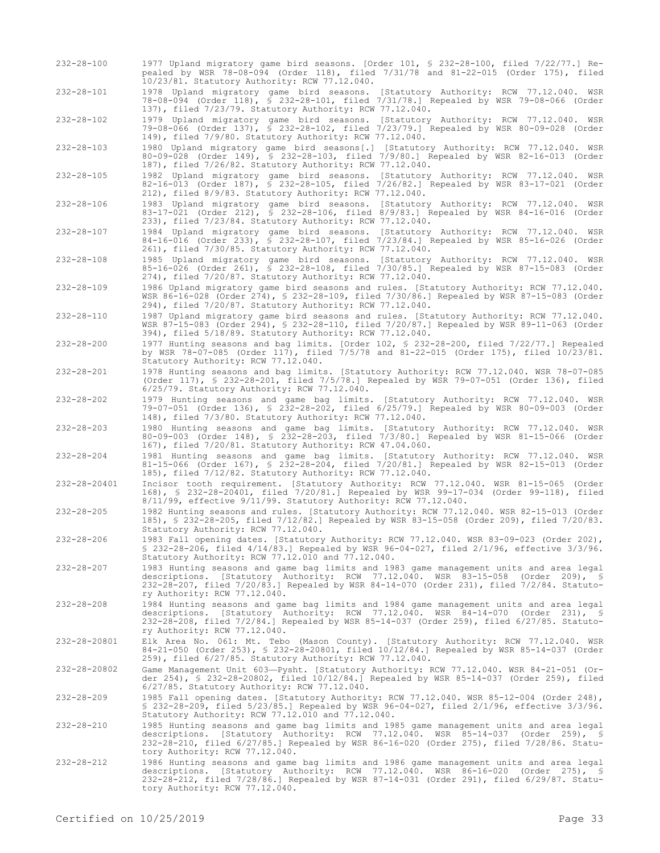| $232 - 28 - 100$ | 1977 Upland migratory game bird seasons. [Order 101, \$ 232-28-100, filed 7/22/77.] Re-<br>pealed by WSR 78-08-094 (Order 118), filed 7/31/78 and 81-22-015 (Order 175), filed<br>10/23/81. Statutory Authority: RCW 77.12.040.                                                                         |
|------------------|---------------------------------------------------------------------------------------------------------------------------------------------------------------------------------------------------------------------------------------------------------------------------------------------------------|
| $232 - 28 - 101$ | 1978 Upland migratory game bird seasons. [Statutory Authority: RCW 77.12.040. WSR<br>78-08-094 (Order 118), \$ 232-28-101, filed 7/31/78.] Repealed by WSR 79-08-066 (Order<br>137), filed 7/23/79. Statutory Authority: RCW 77.12.040.                                                                 |
| $232 - 28 - 102$ | 1979 Upland migratory game bird seasons. [Statutory Authority: RCW 77.12.040. WSR<br>79-08-066 (Order 137), § 232-28-102, filed 7/23/79.] Repealed by WSR 80-09-028 (Order<br>149), filed 7/9/80. Statutory Authority: RCW 77.12.040.                                                                   |
| $232 - 28 - 103$ | 1980 Upland migratory game bird seasons[.] [Statutory Authority: RCW 77.12.040. WSR<br>80-09-028 (Order 149), § 232-28-103, filed 7/9/80.] Repealed by WSR 82-16-013 (Order<br>187), filed 7/26/82. Statutory Authority: RCW 77.12.040.                                                                 |
| $232 - 28 - 105$ | 1982 Upland migratory game bird seasons. [Statutory Authority: RCW 77.12.040. WSR<br>82-16-013 (Order 187), § 232-28-105, filed 7/26/82.] Repealed by WSR 83-17-021 (Order<br>212), filed 8/9/83. Statutory Authority: RCW 77.12.040.                                                                   |
| $232 - 28 - 106$ | 1983 Upland migratory game bird seasons. [Statutory Authority: RCW 77.12.040. WSR<br>83-17-021 (Order 212), § 232-28-106, filed 8/9/83.] Repealed by WSR 84-16-016 (Order<br>233), filed 7/23/84. Statutory Authority: RCW 77.12.040.                                                                   |
| $232 - 28 - 107$ | 1984 Upland migratory game bird seasons. [Statutory Authority: RCW 77.12.040. WSR<br>84-16-016 (Order 233), \$ 232-28-107, filed 7/23/84.] Repealed by WSR 85-16-026 (Order<br>261), filed 7/30/85. Statutory Authority: RCW 77.12.040.                                                                 |
| $232 - 28 - 108$ | 1985 Upland migratory game bird seasons. [Statutory Authority: RCW 77.12.040. WSR<br>85-16-026 (Order 261), \$ 232-28-108, filed 7/30/85.] Repealed by WSR 87-15-083 (Order<br>274), filed 7/20/87. Statutory Authority: RCW 77.12.040.                                                                 |
| $232 - 28 - 109$ | 1986 Upland migratory game bird seasons and rules. [Statutory Authority: RCW 77.12.040.<br>WSR 86-16-028 (Order 274), § 232-28-109, filed 7/30/86.] Repealed by WSR 87-15-083 (Order<br>294), filed 7/20/87. Statutory Authority: RCW 77.12.040.                                                        |
| $232 - 28 - 110$ | 1987 Upland migratory game bird seasons and rules. [Statutory Authority: RCW 77.12.040.<br>WSR 87-15-083 (Order 294), § 232-28-110, filed 7/20/87.] Repealed by WSR 89-11-063 (Order<br>394), filed 5/18/89. Statutory Authority: RCW 77.12.040.                                                        |
| $232 - 28 - 200$ | 1977 Hunting seasons and bag limits. [Order 102, § 232-28-200, filed 7/22/77.] Repealed<br>by WSR 78-07-085 (Order 117), filed 7/5/78 and 81-22-015 (Order 175), filed 10/23/81.<br>Statutory Authority: RCW 77.12.040.                                                                                 |
| $232 - 28 - 201$ | 1978 Hunting seasons and bag limits. [Statutory Authority: RCW 77.12.040. WSR 78-07-085<br>(Order 117), § 232-28-201, filed 7/5/78.] Repealed by WSR 79-07-051 (Order 136), filed<br>6/25/79. Statutory Authority: RCW 77.12.040.                                                                       |
| $232 - 28 - 202$ | 1979 Hunting seasons and game bag limits. [Statutory Authority: RCW 77.12.040. WSR<br>79-07-051 (Order 136), § 232-28-202, filed 6/25/79.] Repealed by WSR 80-09-003 (Order<br>148), filed 7/3/80. Statutory Authority: RCW 77.12.040.                                                                  |
| $232 - 28 - 203$ | 1980 Hunting seasons and game bag limits. [Statutory Authority: RCW 77.12.040. WSR<br>80-09-003 (Order 148), \$ 232-28-203, filed 7/3/80.] Repealed by WSR 81-15-066 (Order<br>167), filed 7/20/81. Statutory Authority: RCW 47.04.060.                                                                 |
| $232 - 28 - 204$ | 1981 Hunting seasons and game bag limits. [Statutory Authority: RCW 77.12.040. WSR<br>81-15-066 (Order 167), § 232-28-204, filed 7/20/81.] Repealed by WSR 82-15-013 (Order<br>185), filed 7/12/82. Statutory Authority: RCW 77.12.040.                                                                 |
| 232-28-20401     | Incisor tooth requirement. [Statutory Authority: RCW 77.12.040. WSR 81-15-065 (Order<br>168), § 232-28-20401, filed 7/20/81.] Repealed by WSR 99-17-034 (Order 99-118), filed<br>8/11/99, effective 9/11/99. Statutory Authority: RCW 77.12.040.                                                        |
| $232 - 28 - 205$ | 1982 Hunting seasons and rules. [Statutory Authority: RCW 77.12.040. WSR 82-15-013 (Order<br>185), § 232-28-205, filed 7/12/82.] Repealed by WSR 83-15-058 (Order 209), filed 7/20/83.<br>Statutory Authority: RCW 77.12.040.                                                                           |
| $232 - 28 - 206$ | 1983 Fall opening dates. [Statutory Authority: RCW 77.12.040. WSR 83-09-023 (Order 202),<br>\$ 232-28-206, filed 4/14/83.] Repealed by WSR 96-04-027, filed 2/1/96, effective 3/3/96.<br>Statutory Authority: RCW 77.12.010 and 77.12.040.                                                              |
| $232 - 28 - 207$ | 1983 Hunting seasons and game bag limits and 1983 game management units and area legal<br>descriptions. [Statutory Authority: RCW 77.12.040. WSR 83-15-058 (Order 209), §<br>232-28-207, filed 7/20/83.] Repealed by WSR 84-14-070 (Order 231), filed 7/2/84. Statuto-<br>ry Authority: RCW 77.12.040.  |
| $232 - 28 - 208$ | 1984 Hunting seasons and game bag limits and 1984 game management units and area legal<br>descriptions. [Statutory Authority: RCW 77.12.040. WSR 84-14-070 (Order 231), §<br>232-28-208, filed 7/2/84.] Repealed by WSR 85-14-037 (Order 259), filed 6/27/85. Statuto-<br>ry Authority: RCW 77.12.040.  |
| 232-28-20801     | Elk Area No. 061: Mt. Tebo (Mason County). [Statutory Authority: RCW 77.12.040. WSR<br>84-21-050 (Order 253), \$ 232-28-20801, filed 10/12/84.] Repealed by WSR 85-14-037 (Order<br>259), filed 6/27/85. Statutory Authority: RCW 77.12.040.                                                            |
| 232-28-20802     | Game Management Unit 603-Pysht. [Statutory Authority: RCW 77.12.040. WSR 84-21-051 (Or-<br>der 254), § 232-28-20802, filed 10/12/84.] Repealed by WSR 85-14-037 (Order 259), filed<br>6/27/85. Statutory Authority: RCW 77.12.040.                                                                      |
| $232 - 28 - 209$ | 1985 Fall opening dates. [Statutory Authority: RCW 77.12.040. WSR 85-12-004 (Order 248),<br>$$232-28-209$ , filed $5/23/85$ .] Repealed by WSR 96-04-027, filed $2/1/96$ , effective $3/3/96$ .<br>Statutory Authority: RCW 77.12.010 and 77.12.040.                                                    |
| 232-28-210       | 1985 Hunting seasons and game bag limits and 1985 game management units and area legal<br>descriptions. [Statutory Authority: RCW 77.12.040. WSR 85-14-037 (Order 259), §<br>232-28-210, filed 6/27/85.] Repealed by WSR 86-16-020 (Order 275), filed 7/28/86. Statu-<br>tory Authority: RCW 77.12.040. |
| 232-28-212       | 1986 Hunting seasons and game bag limits and 1986 game management units and area legal<br>descriptions. [Statutory Authority: RCW 77.12.040. WSR 86-16-020 (Order 275), §<br>232-28-212, filed 7/28/86.] Repealed by WSR 87-14-031 (Order 291), filed 6/29/87. Statu-<br>tory Authority: RCW 77.12.040. |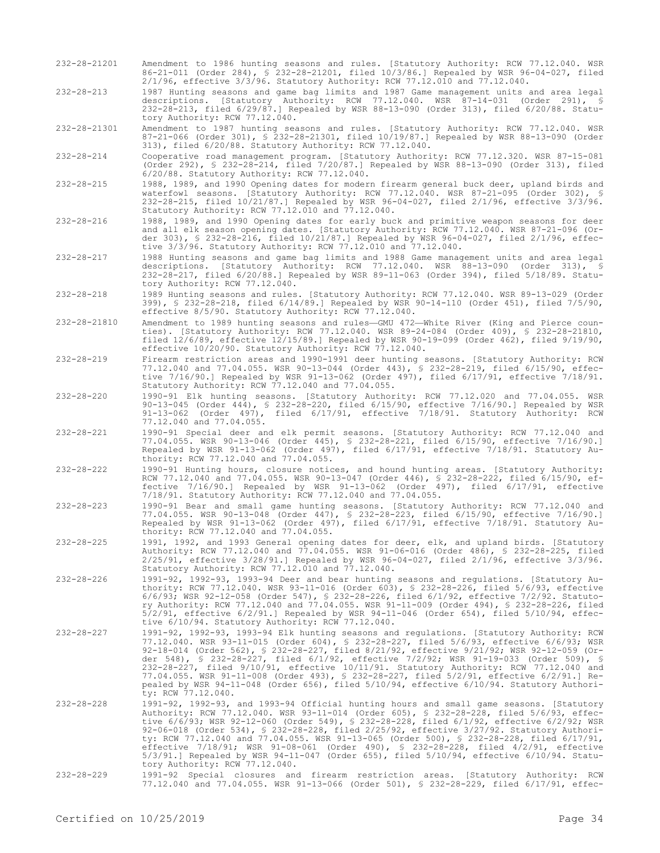- 232-28-21201 Amendment to 1986 hunting seasons and rules. [Statutory Authority: RCW 77.12.040. WSR 86-21-011 (Order 284), § 232-28-21201, filed 10/3/86.] Repealed by WSR 96-04-027, filed 2/1/96, effective 3/3/96. Statutory Authority: RCW 77.12.010 and 77.12.040.
- 232-28-213 1987 Hunting seasons and game bag limits and 1987 Game management units and area legal descriptions. [Statutory Authority: RCW 77.12.040. WSR 87-14-031 (Order 291), § 232-28-213, filed 6/29/87.] Repealed by WSR 88-13-090 (Order 313), filed 6/20/88. Statutory Authority: RCW 77.12.040.

232-28-21301 Amendment to 1987 hunting seasons and rules. [Statutory Authority: RCW 77.12.040. WSR 87-21-066 (Order 301), § 232-28-21301, filed 10/19/87.] Repealed by WSR 88-13-090 (Order 313), filed 6/20/88. Statutory Authority: RCW 77.12.040.

232-28-214 Cooperative road management program. [Statutory Authority: RCW 77.12.320. WSR 87-15-081 (Order 292), § 232-28-214, filed 7/20/87.] Repealed by WSR 88-13-090 (Order 313), filed 6/20/88. Statutory Authority: RCW 77.12.040.

- 232-28-215 1988, 1989, and 1990 Opening dates for modern firearm general buck deer, upland birds and waterfowl seasons. [Statutory Authority: RCW 77.12.040. WSR 87-21-095 (Order 302), § 232-28-215, filed 10/21/87.] Repealed by WSR 96-04-027, filed 2/1/96, effective 3/3/96. Statutory Authority: RCW 77.12.010 and 77.12.040.
- 232-28-216 1988, 1989, and 1990 Opening dates for early buck and primitive weapon seasons for deer and all elk season opening dates. [Statutory Authority: RCW 77.12.040. WSR 87-21-096 (Order 303), § 232-28-216, filed 10/21/87.] Repealed by WSR 96-04-027, filed 2/1/96, effective 3/3/96. Statutory Authority: RCW 77.12.010 and 77.12.040.
- 232-28-217 1988 Hunting seasons and game bag limits and 1988 Game management units and area legal descriptions. [Statutory Authority: RCW 77.12.040. WSR 88-13-090 (Order 313), § 232-28-217, filed 6/20/88.] Repealed by WSR 89-11-063 (Order 394), filed 5/18/89. Statutory Authority: RCW 77.12.040.
- 232-28-218 1989 Hunting seasons and rules. [Statutory Authority: RCW 77.12.040. WSR 89-13-029 (Order 399), § 232-28-218, filed 6/14/89.] Repealed by WSR 90-14-110 (Order 451), filed 7/5/90, effective 8/5/90. Statutory Authority: RCW 77.12.040.
- 232-28-21810 Amendment to 1989 hunting seasons and rules—GMU 472—White River (King and Pierce counties). [Statutory Authority: RCW 77.12.040. WSR 89-24-084 (Order 409), § 232-28-21810, filed 12/6/89, effective 12/15/89.] Repealed by WSR 90-19-099 (Order 462), filed 9/19/90, effective 10/20/90. Statutory Authority: RCW 77.12.040.
- 232-28-219 Firearm restriction areas and 1990-1991 deer hunting seasons. [Statutory Authority: RCW 77.12.040 and 77.04.055. WSR 90-13-044 (Order 443), § 232-28-219, filed 6/15/90, effective 7/16/90.] Repealed by WSR 91-13-062 (Order 497), filed 6/17/91, effective 7/18/91. Statutory Authority: RCW 77.12.040 and 77.04.055.
- 232-28-220 1990-91 Elk hunting seasons. [Statutory Authority: RCW 77.12.020 and 77.04.055. WSR 90-13-045 (Order 444), § 232-28-220, filed 6/15/90, effective 7/16/90.] Repealed by WSR 91-13-062 (Order 497), filed 6/17/91, effective 7/18/91. Statutory Authority: RCW 77.12.040 and 77.04.055.
- 232-28-221 1990-91 Special deer and elk permit seasons. [Statutory Authority: RCW 77.12.040 and 77.04.055. WSR 90-13-046 (Order 445), § 232-28-221, filed 6/15/90, effective 7/16/90.] Repealed by WSR 91-13-062 (Order 497), filed 6/17/91, effective 7/18/91. Statutory Authority: RCW 77.12.040 and 77.04.055.
- 232-28-222 1990-91 Hunting hours, closure notices, and hound hunting areas. [Statutory Authority: RCW 77.12.040 and 77.04.055. WSR 90-13-047 (Order 446), § 232-28-222, filed 6/15/90, effective 7/16/90.] Repealed by WSR 91-13-062 (Order 497), filed 6/17/91, effective 7/18/91. Statutory Authority: RCW 77.12.040 and 77.04.055.
- 232-28-223 1990-91 Bear and small game hunting seasons. [Statutory Authority: RCW 77.12.040 and 77.04.055. WSR 90-13-048 (Order 447), § 232-28-223, filed 6/15/90, effective 7/16/90.] Repealed by WSR 91-13-062 (Order 497), filed 6/17/91, effective 7/18/91. Statutory Authority: RCW 77.12.040 and 77.04.055.
- 232-28-225 1991, 1992, and 1993 General opening dates for deer, elk, and upland birds. [Statutory Authority: RCW 77.12.040 and 77.04.055. WSR 91-06-016 (Order 486), § 232-28-225, filed 2/25/91, effective 3/28/91.] Repealed by WSR 96-04-027, filed 2/1/96, effective 3/3/96. Statutory Authority: RCW 77.12.010 and 77.12.040.
- 232-28-226 1991-92, 1992-93, 1993-94 Deer and bear hunting seasons and regulations. [Statutory Authority: RCW 77.12.040. WSR 93-11-016 (Order 603), § 232-28-226, filed 5/6/93, effective 6/6/93; WSR 92-12-058 (Order 547), § 232-28-226, filed 6/1/92, effective 7/2/92. Statutory Authority: RCW 77.12.040 and 77.04.055. WSR 91-11-009 (Order 494), § 232-28-226, filed 5/2/91, effective 6/2/91.] Repealed by WSR 94-11-046 (Order 654), filed 5/10/94, effective 6/10/94. Statutory Authority: RCW 77.12.040.
- 232-28-227 1991-92, 1992-93, 1993-94 Elk hunting seasons and regulations. [Statutory Authority: RCW 77.12.040. WSR 93-11-015 (Order 604), § 232-28-227, filed 5/6/93, effective 6/6/93; WSR 92-18-014 (Order 562), § 232-28-227, filed 8/21/92, effective 9/21/92; WSR 92-12-059 (Order 548), § 232-28-227, filed 6/1/92, effective 7/2/92; WSR 91-19-033 (Order 509), § 232-28-227, filed 9/10/91, effective 10/11/91. Statutory Authority: RCW 77.12.040 and 77.04.055. WSR 91-11-008 (Order 493), § 232-28-227, filed 5/2/91, effective 6/2/91.] Repealed by WSR 94-11-048 (Order 656), filed 5/10/94, effective 6/10/94. Statutory Authority: RCW 77.12.040.
- 232-28-228 1991-92, 1992-93, and 1993-94 Official hunting hours and small game seasons. [Statutory Authority: RCW 77.12.040. WSR 93-11-014 (Order 605), § 232-28-228, filed 5/6/93, effec-tive 6/6/93; WSR 92-12-060 (Order 549), § 232-28-228, filed 6/1/92, effective 6/2/92; WSR 92-06-018 (Order 534), § 232-28-228, filed 2/25/92, effective 3/27/92. Statutory Authority: RCW 77.12.040 and 77.04.055. WSR 91-13-065 (Order 500), § 232-28-228, filed 6/17/91, effective 7/18/91; WSR 91-08-061 (Order 490), § 232-28-228, filed 4/2/91, effective 5/3/91.] Repealed by WSR 94-11-047 (Order 655), filed 5/10/94, effective 6/10/94. Statutory Authority: RCW 77.12.040.
- 232-28-229 1991-92 Special closures and firearm restriction areas. [Statutory Authority: RCW 77.12.040 and 77.04.055. WSR 91-13-066 (Order 501), § 232-28-229, filed 6/17/91, effec-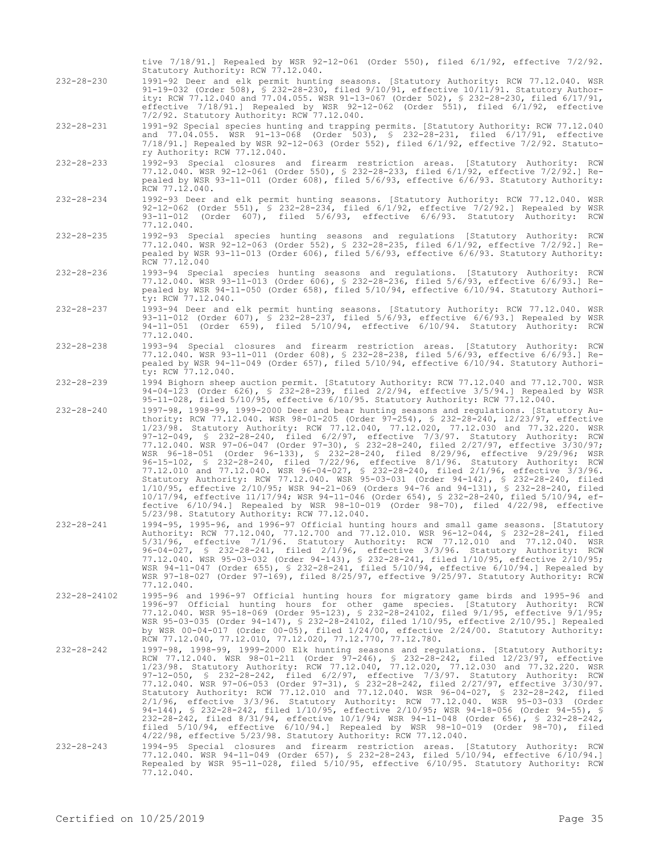232-28-231 1991-92 Special species hunting and trapping permits. [Statutory Authority: RCW 77.12.040 and 77.04.055. WSR 91-13-068 (Order 503), § 232-28-231, filed 6/17/91, effective 7/18/91.] Repealed by WSR 92-12-063 (Order 552), filed 6/1/92, effective 7/2/92. Statutory Authority: RCW 77.12.040. 232-28-233 1992-93 Special closures and firearm restriction areas. [Statutory Authority: RCW 77.12.040. WSR 92-12-061 (Order 550), § 232-28-233, filed 6/1/92, effective 7/2/92.] Repealed by WSR 93-11-011 (Order 608), filed 5/6/93, effective 6/6/93. Statutory Authority: RCW 77.12.040. 232-28-234 1992-93 Deer and elk permit hunting seasons. [Statutory Authority: RCW 77.12.040. WSR 92-12-062 (Order 551), § 232-28-234, filed 6/1/92, effective 7/2/92.] Repealed by WSR 93-11-012 (Order 607), filed 5/6/93, effective 6/6/93. Statutory Authority: RCW 77.12.040. 232-28-235 1992-93 Special species hunting seasons and regulations [Statutory Authority: RCW 77.12.040. WSR 92-12-063 (Order 552), § 232-28-235, filed 6/1/92, effective 7/2/92.] Repealed by WSR 93-11-013 (Order 606), filed 5/6/93, effective 6/6/93. Statutory Authority: RCW 77.12.040 232-28-236 1993-94 Special species hunting seasons and regulations. [Statutory Authority: RCW 77.12.040. WSR 93-11-013 (Order 606), § 232-28-236, filed 5/6/93, effective 6/6/93.] Repealed by WSR 94-11-050 (Order 658), filed 5/10/94, effective 6/10/94. Statutory Authority: RCW 77.12.040. 232-28-237 1993-94 Deer and elk permit hunting seasons. [Statutory Authority: RCW 77.12.040. WSR 93-11-012 (Order 607), § 232-28-237, filed 5/6/93, effective 6/6/93.] Repealed by WSR 94-11-051 (Order 659), filed 5/10/94, effective 6/10/94. Statutory Authority: RCW 77.12.040. 232-28-238 1993-94 Special closures and firearm restriction areas. [Statutory Authority: RCW 77.12.040. WSR 93-11-011 (Order 608), § 232-28-238, filed 5/6/93, effective 6/6/93.] Repealed by WSR 94-11-049 (Order 657), filed 5/10/94, effective 6/10/94. Statutory Authority: RCW 77.12.040. 232-28-239 1994 Bighorn sheep auction permit. [Statutory Authority: RCW 77.12.040 and 77.12.700. WSR 94-04-123 (Order 626), § 232-28-239, filed 2/2/94, effective 3/5/94.] Repealed by WSR 95-11-028, filed 5/10/95, effective 6/10/95. Statutory Authority: RCW 77.12.040. 232-28-240 1997-98, 1998-99, 1999-2000 Deer and bear hunting seasons and regulations. [Statutory Authority: RCW 77.12.040. WSR 98-01-205 (Order 97-254), § 232-28-240, 12/23/97, effective 1/23/98. Statutory Authority: RCW 77.12.040, 77.12.020, 77.12.030 and 77.32.220. WSR 97-12-049, § 232-28-240, filed 6/2/97, effective 7/3/97. Statutory Authority: RCW 77.12.040. WSR 97-06-047 (Order 97-30), § 232-28-240, filed 2/27/97, effective 3/30/97; WSR 96-18-051 (Order 96-133), § 232-28-240, filed 8/29/96, effective 9/29/96; WSR 96-15-102, § 232-28-240, filed 7/22/96, effective 8/1/96. Statutory Authority: RCW 77.12.010 and 77.12.040. WSR 96-04-027, § 232-28-240, filed 2/1/96, effective 3/3/96. Statutory Authority: RCW 77.12.040. WSR 95-03-031 (Order 94-142), § 232-28-240, filed 1/10/95, effective 2/10/95; WSR 94-21-069 (Orders 94-76 and 94-131), § 232-28-240, filed 10/17/94, effective 11/17/94; WSR 94-11-046 (Order 654), § 232-28-240, filed 5/10/94, effective 6/10/94.] Repealed by WSR 98-10-019 (Order 98-70), filed 4/22/98, effective 5/23/98. Statutory Authority: RCW 77.12.040. 232-28-241 1994-95, 1995-96, and 1996-97 Official hunting hours and small game seasons. [Statutory Authority: RCW 77.12.040, 77.12.700 and 77.12.010. WSR 96-12-044, § 232-28-241, filed 5/31/96, effective 7/1/96. Statutory Authority: RCW 77.12.010 and 77.12.040. WSR 96-04-027, § 232-28-241, filed 2/1/96, effective 3/3/96. Statutory Authority: RCW 77.12.040. WSR 95-03-032 (Order 94-143), § 232-28-241, filed 1/10/95, effective 2/10/95; WSR 94-11-047 (Order 655), § 232-28-241, filed 5/10/94, effective 6/10/94.] Repealed by WSR 97-18-027 (Order 97-169), filed 8/25/97, effective 9/25/97. Statutory Authority: RCW 77.12.040. 232-28-24102 1995-96 and 1996-97 Official hunting hours for migratory game birds and 1995-96 and 1996-97 Official hunting hours for other game species. [Statutory Authority: RCW 77.12.040. WSR 95-18-069 (Order 95-123), § 232-28-24102, filed 9/1/95, effective 9/1/95; WSR 95-03-035 (Order 94-147), § 232-28-24102, filed 1/10/95, effective 2/10/95.] Repealed by WSR 00-04-017 (Order 00-05), filed 1/24/00, effective 2/24/00. Statutory Authority: RCW 77.12.040, 77.12.010, 77.12.020, 77.12.770, 77.12.780. 232-28-242 1997-98, 1998-99, 1999-2000 Elk hunting seasons and regulations. [Statutory Authority: RCW 77.12.040. WSR 98-01-211 (Order 97-246), § 232-28-242, filed 12/23/97, effective 1/23/98. Statutory Authority: RCW 77.12.040, 77.12.020, 77.12.030 and 77.32.220. WSR 97-12-050, § 232-28-242, filed 6/2/97, effective 7/3/97. Statutory Authority: RCW 77.12.040. WSR 97-06-053 (Order 97-31), § 232-28-242, filed 2/27/97, effective 3/30/97. Statutory Authority: RCW 77.12.010 and 77.12.040. WSR 96-04-027, § 232-28-242, filed 2/1/96, effective 3/3/96. Statutory Authority: RCW 77.12.040. WSR 95-03-033 (Order 94-144), § 232-28-242, filed 1/10/95, effective 2/10/95; WSR 94-18-056 (Order 94-55), § 232-28-242, filed 8/31/94, effective 10/1/94; WSR 94-11-048 (Order 656), § 232-28-242, filed 5/10/94, effective 6/10/94.] Repealed by WSR 98-10-019 (Order 98-70), filed 4/22/98, effective 5/23/98. Statutory Authority: RCW 77.12.040. 232-28-243 1994-95 Special closures and firearm restriction areas. [Statutory Authority: RCW 77.12.040. WSR 94-11-049 (Order 657), § 232-28-243, filed 5/10/94, effective 6/10/94.] Repealed by WSR 95-11-028, filed 5/10/95, effective 6/10/95. Statutory Authority: RCW 77.12.040. Certified on  $10/25/2019$  Page 35

tive 7/18/91.] Repealed by WSR 92-12-061 (Order 550), filed 6/1/92, effective 7/2/92.

91-19-032 (Order 508), § 232-28-230, filed 9/10/91, effective 10/11/91. Statutory Authority: RCW 77.12.040 and 77.04.055. WSR 91-13-067 (Order 502), § 232-28-230, filed 6/17/91, effective 7/18/91.] Repealed by WSR 92-12-062 (Order 551), filed 6/1/92, effective

232-28-230 1991-92 Deer and elk permit hunting seasons. [Statutory Authority: RCW 77.12.040. WSR

Statutory Authority: RCW 77.12.040.

7/2/92. Statutory Authority: RCW 77.12.040.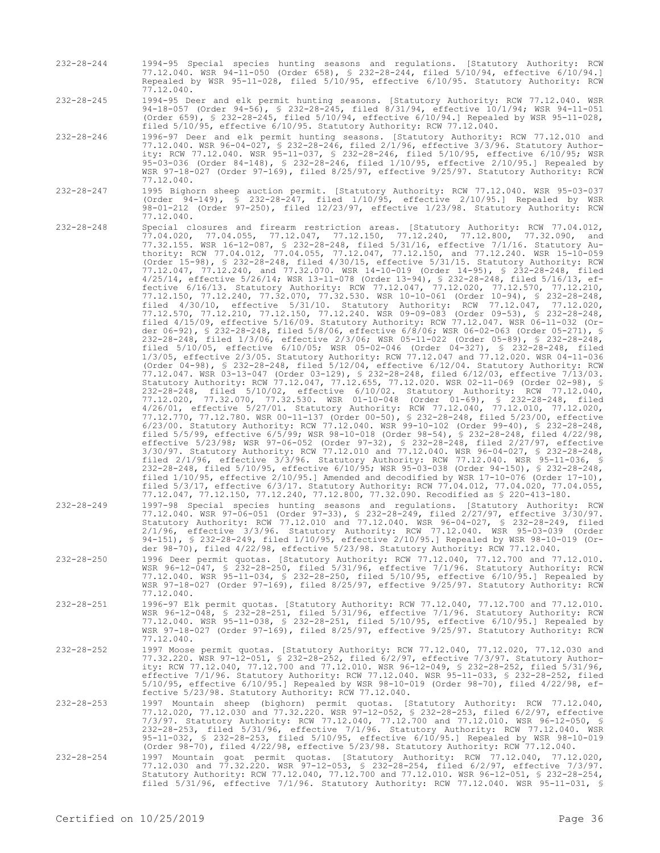- 232-28-244 1994-95 Special species hunting seasons and regulations. [Statutory Authority: RCW 77.12.040. WSR 94-11-050 (Order 658), § 232-28-244, filed 5/10/94, effective 6/10/94.] Repealed by WSR 95-11-028, filed 5/10/95, effective 6/10/95. Statutory Authority: RCW 77.12.040.
- 232-28-245 1994-95 Deer and elk permit hunting seasons. [Statutory Authority: RCW 77.12.040. WSR 94-18-057 (Order 94-56), § 232-28-245, filed 8/31/94, effective 10/1/94; WSR 94-11-051 (Order 659), § 232-28-245, filed 5/10/94, effective 6/10/94.] Repealed by WSR 95-11-028, filed 5/10/95, effective 6/10/95. Statutory Authority: RCW 77.12.040.
- 232-28-246 1996-97 Deer and elk permit hunting seasons. [Statutory Authority: RCW 77.12.010 and 77.12.040. WSR 96-04-027, § 232-28-246, filed 2/1/96, effective 3/3/96. Statutory Authority: RCW 77.12.040. WSR 95-11-037, § 232-28-246, filed 5/10/95, effective 6/10/95; WSR 95-03-036 (Order 84-148), § 232-28-246, filed 1/10/95, effective 2/10/95.] Repealed by WSR 97-18-027 (Order 97-169), filed 8/25/97, effective 9/25/97. Statutory Authority: RCW 77.12.040.
- 232-28-247 1995 Bighorn sheep auction permit. [Statutory Authority: RCW 77.12.040. WSR 95-03-037 (Order 94-149), § 232-28-247, filed 1/10/95, effective 2/10/95.] Repealed by WSR 98-01-212 (Order 97-250), filed 12/23/97, effective 1/23/98. Statutory Authority: RCW 77.12.040.
- 232-28-248 Special closures and firearm restriction areas. [Statutory Authority: RCW 77.04.012, 77.04.020, 77.04.055, 77.12.047, 77.12.150, 77.12.240, 77.12.800, 77.32.090, and 77.32.155. WSR 16-12-087, § 232-28-248, filed 5/31/16, effective 7/1/16. Statutory Authority: RCW 77.04.012, 77.04.055, 77.12.047, 77.12.150, and 77.12.240. WSR 15-10-059 (Order 15-98), § 232-28-248, filed 4/30/15, effective 5/31/15. Statutory Authority: RCW 77.12.047, 77.12.240, and 77.32.070. WSR 14-10-019 (Order 14-95), § 232-28-248, filed 4/25/14, effective 5/26/14; WSR 13-11-078 (Order 13-94), § 232-28-248, filed 5/16/13, effective 6/16/13. Statutory Authority: RCW 77.12.047, 77.12.020, 77.12.570, 77.12.210, 77.12.150, 77.12.240, 77.32.070, 77.32.530. WSR 10-10-061 (Order 10-94), § 232-28-248, filed 4/30/10, effective 5/31/10. Statutory Authority: RCW 77.12.047, 77.12.020, 77.12.570, 77.12.210, 77.12.150, 77.12.240. WSR 09-09-083 (Order 09-53), § 232-28-248, filed 4/15/09, effective 5/16/09. Statutory Authority: RCW 77.12.047. WSR 06-11-032 (Order 06-92), § 232-28-248, filed 5/8/06, effective 6/8/06; WSR 06-02-063 (Order 05-271), § 232-28-248, filed 1/3/06, effective 2/3/06; WSR 05-11-022 (Order 05-89), § 232-28-248, filed 5/10/05, effective 6/10/05; WSR 05-02-046 (Order 04-327), § 232-28-248, filed 1/3/05, effective 2/3/05. Statutory Authority: RCW 77.12.047 and 77.12.020. WSR 04-11-036 (Order 04-98), § 232-28-248, filed 5/12/04, effective 6/12/04. Statutory Authority: RCW 77.12.047. WSR 03-13-047 (Order 03-129), § 232-28-248, filed 6/12/03, effective 7/13/03. Statutory Authority: RCW 77.12.047, 77.12.655, 77.12.020. WSR 02-11-069 (Order 02-98), § 232-28-248, filed 5/10/02, effective 6/10/02. Statutory Authority: RCW 77.12.040, 77.12.020, 77.32.070, 77.32.530. WSR 01-10-048 (Order 01-69), § 232-28-248, filed 4/26/01, effective 5/27/01. Statutory Authority: RCW 77.12.040, 77.12.010, 77.12.020, 77.12.770, 77.12.780. WSR 00-11-137 (Order 00-50), § 232-28-248, filed 5/23/00, effective 6/23/00. Statutory Authority: RCW 77.12.040. WSR 99-10-102 (Order 99-40), § 232-28-248, filed 5/5/99, effective 6/5/99; WSR 98-10-018 (Order 98-54), § 232-28-248, filed 4/22/98, effective 5/23/98; WSR 97-06-052 (Order 97-32), § 232-28-248, filed 2/27/97, effective 3/30/97. Statutory Authority: RCW 77.12.010 and 77.12.040. WSR 96-04-027, § 232-28-248, filed 2/1/96, effective 3/3/96. Statutory Authority: RCW 77.12.040. WSR 95-11-036, § 232-28-248, filed 5/10/95, effective 6/10/95; WSR 95-03-038 (Order 94-150), § 232-28-248, filed 1/10/95, effective 2/10/95.] Amended and decodified by WSR 17-10-076 (Order 17-10), filed 5/3/17, effective 6/3/17. Statutory Authority: RCW 77.04.012, 77.04.020, 77.04.055, 77.12.047, 77.12.150, 77.12.240, 77.12.800, 77.32.090. Recodified as § 220-413-180.
- 232-28-249 1997-98 Special species hunting seasons and regulations. [Statutory Authority: RCW 77.12.040. WSR 97-06-051 (Order 97-33), § 232-28-249, filed 2/27/97, effective 3/30/97. Statutory Authority: RCW 77.12.010 and 77.12.040. WSR 96-04-027, § 232-28-249, filed 2/1/96, effective 3/3/96. Statutory Authority: RCW 77.12.040. WSR 95-03-039 (Order 94-151), § 232-28-249, filed 1/10/95, effective 2/10/95.] Repealed by WSR 98-10-019 (Order 98-70), filed 4/22/98, effective 5/23/98. Statutory Authority: RCW 77.12.040.
- 232-28-250 1996 Deer permit quotas. [Statutory Authority: RCW 77.12.040, 77.12.700 and 77.12.010. WSR 96-12-047, § 232-28-250, filed 5/31/96, effective 7/1/96. Statutory Authority: RCW 77.12.040. WSR 95-11-034, § 232-28-250, filed 5/10/95, effective 6/10/95.] Repealed by WSR 97-18-027 (Order 97-169), filed 8/25/97, effective 9/25/97. Statutory Authority: RCW 77.12.040.
- 232-28-251 1996-97 Elk permit quotas. [Statutory Authority: RCW 77.12.040, 77.12.700 and 77.12.010. WSR 96-12-048, § 232-28-251, filed 5/31/96, effective 7/1/96. Statutory Authority: RCW 77.12.040. WSR 95-11-038, § 232-28-251, filed 5/10/95, effective 6/10/95.] Repealed by WSR 97-18-027 (Order 97-169), filed 8/25/97, effective 9/25/97. Statutory Authority: RCW 77.12.040.
- 232-28-252 1997 Moose permit quotas. [Statutory Authority: RCW 77.12.040, 77.12.020, 77.12.030 and 77.32.220. WSR 97-12-051, § 232-28-252, filed 6/2/97, effective 7/3/97. Statutory Authority: RCW 77.12.040, 77.12.700 and 77.12.010. WSR 96-12-049, § 232-28-252, filed 5/31/96, effective 7/1/96. Statutory Authority: RCW 77.12.040. WSR 95-11-033, § 232-28-252, filed 5/10/95, effective 6/10/95.] Repealed by WSR 98-10-019 (Order 98-70), filed 4/22/98, effective 5/23/98. Statutory Authority: RCW 77.12.040.
- 1997 Mountain sheep (bighorn) permit quotas. [Statutory Authority: RCW 77.12.040,<br>77.12.020, 77.12.030 and 77.32.220. WSR 97-12-052, § 232-28-253, filed 6/2/97, effective<br>7/3/97. Statutory Authority: RCW 77.12.040, 77.12.7 232-28-253, filed 5/31/96, effective 7/1/96. Statutory Authority: RCW 77.12.040. WSR 95-11-032, § 232-28-253, filed 5/10/95, effective 6/10/95.] Repealed by WSR 98-10-019 (Order 98-70), filed 4/22/98, effective 5/23/98. Statutory Authority: RCW 77.12.040.
- 232-28-254 1997 Mountain goat permit quotas. [Statutory Authority: RCW 77.12.040, 77.12.020, 77.12.030 and 77.32.220. WSR 97-12-053, § 232-28-254, filed 6/2/97, effective 7/3/97. Statutory Authority: RCW 77.12.040, 77.12.700 and 77.12.010. WSR 96-12-051, § 232-28-254, filed 5/31/96, effective 7/1/96. Statutory Authority: RCW 77.12.040. WSR 95-11-031, §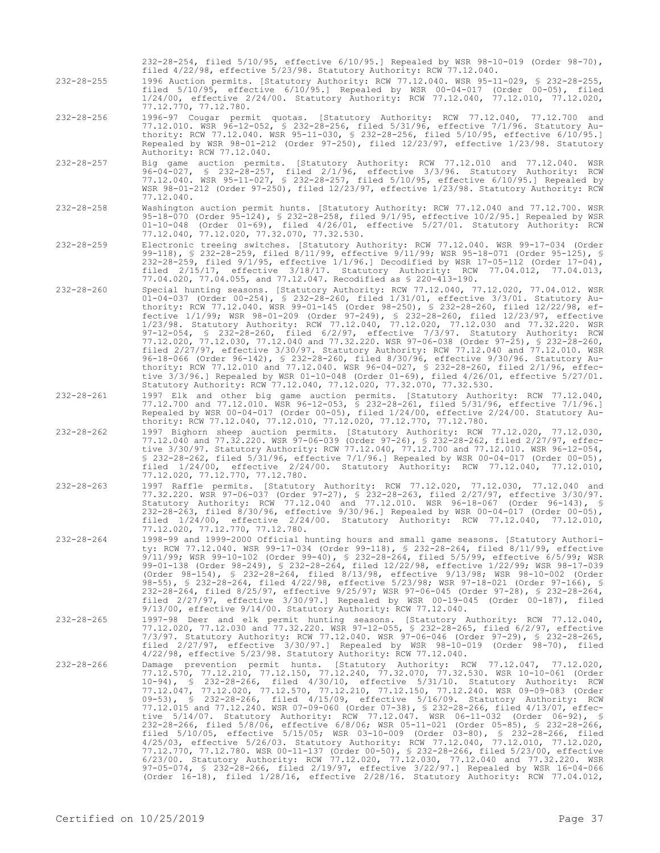232-28-254, filed 5/10/95, effective 6/10/95.] Repealed by WSR 98-10-019 (Order 98-70), filed 4/22/98, effective 5/23/98. Statutory Authority: RCW 77.12.040.

232-28-255 1996 Auction permits. [Statutory Authority: RCW 77.12.040. WSR 95-11-029, § 232-28-255, filed 5/10/95, effective 6/10/95.] Repealed by WSR 00-04-017 (Order 00-05), filed 1/24/00, effective 2/24/00. Statutory Authority: RCW 77.12.040, 77.12.010, 77.12.020, 77.12.770, 77.12.780.

- 232-28-256 1996-97 Cougar permit quotas. [Statutory Authority: RCW 77.12.040, 77.12.700 and 77.12.010. WSR 96-12-052, § 232-28-256, filed 5/31/96, effective 7/1/96. Statutory Authority: RCW 77.12.040. WSR 95-11-030, § 232-28-256, filed 5/10/95, effective 6/10/95.] Repealed by WSR 98-01-212 (Order 97-250), filed 12/23/97, effective 1/23/98. Statutory Authority: RCW 77.12.040.
- 232-28-257 Big game auction permits. [Statutory Authority: RCW 77.12.010 and 77.12.040. WSR 96-04-027, § 232-28-257, filed 2/1/96, effective 3/3/96. Statutory Authority: RCW 77.12.040. WSR 95-11-027, § 232-28-257, filed 5/10/95, effective 6/10/95.] Repealed by WSR 98-01-212 (Order 97-250), filed 12/23/97, effective 1/23/98. Statutory Authority: RCW 77.12.040.
- 232-28-258 Washington auction permit hunts. [Statutory Authority: RCW 77.12.040 and 77.12.700. WSR 95-18-070 (Order 95-124), § 232-28-258, filed 9/1/95, effective 10/2/95.] Repealed by WSR 01-10-048 (Order 01-69), filed 4/26/01, effective 5/27/01. Statutory Authority: RCW 77.12.040, 77.12.020, 77.32.070, 77.32.530.
- 232-28-259 Electronic treeing switches. [Statutory Authority: RCW 77.12.040. WSR 99-17-034 (Order 99-118), § 232-28-259, filed 8/11/99, effective 9/11/99; WSR 95-18-071 (Order 95-125), § 232-28-259, filed 9/1/95, effective 1/1/96.] Decodified by WSR 17-05-112 (Order 17-04), filed 2/15/17, effective 3/18/17. Statutory Authority: RCW 77.04.012, 77.04.013, 77.04.020, 77.04.055, and 77.12.047. Recodified as § 220-413-190.
- 232-28-260 Special hunting seasons. [Statutory Authority: RCW 77.12.040, 77.12.020, 77.04.012. WSR 01-04-037 (Order 00-254), § 232-28-260, filed 1/31/01, effective 3/3/01. Statutory Authority: RCW 77.12.040. WSR 99-01-145 (Order 98-250), § 232-28-260, filed 12/22/98, effective 1/1/99; WSR 98-01-209 (Order 97-249), § 232-28-260, filed 12/23/97, effective 1/23/98. Statutory Authority: RCW 77.12.040, 77.12.020, 77.12.030 and 77.32.220. WSR 97-12-054, § 232-28-260, filed 6/2/97, effective 7/3/97. Statutory Authority: RCW 77.12.020, 77.12.030, 77.12.040 and 77.32.220. WSR 97-06-038 (Order 97-25), § 232-28-260, filed 2/27/97, effective 3/30/97. Statutory Authority: RCW 77.12.040 and 77.12.010. WSR 96-18-066 (Order 96-142), § 232-28-260, filed 8/30/96, effective 9/30/96. Statutory Authority: RCW 77.12.010 and 77.12.040. WSR 96-04-027, § 232-28-260, filed 2/1/96, effective 3/3/96.] Repealed by WSR 01-10-048 (Order 01-69), filed 4/26/01, effective 5/27/01. Statutory Authority: RCW 77.12.040, 77.12.020, 77.32.070, 77.32.530.
- 232-28-261 1997 Elk and other big game auction permits. [Statutory Authority: RCW 77.12.040, 77.12.700 and 77.12.010. WSR 96-12-053, § 232-28-261, filed 5/31/96, effective 7/1/96.] Repealed by WSR 00-04-017 (Order 00-05), filed 1/24/00, effective 2/24/00. Statutory Authority: RCW 77.12.040, 77.12.010, 77.12.020, 77.12.770, 77.12.780.
- 232-28-262 1997 Bighorn sheep auction permits. [Statutory Authority: RCW 77.12.020, 77.12.030, 77.12.040 and 77.32.220. WSR 97-06-039 (Order 97-26), § 232-28-262, filed 2/27/97, effective 3/30/97. Statutory Authority: RCW 77.12.040, 77.12.700 and 77.12.010. WSR 96-12-054, § 232-28-262, filed 5/31/96, effective 7/1/96.] Repealed by WSR 00-04-017 (Order 00-05), filed 1/24/00, effective 2/24/00. Statutory Authority: RCW 77.12.040, 77.12.010, filed 1/24/00, effective 2/24<br>77.12.020, 77.12.770, 77.12.780.
- 232-28-263 1997 Raffle permits. [Statutory Authority: RCW 77.12.020, 77.12.030, 77.12.040 and 77.32.220. WSR 97-06-037 (Order 97-27), § 232-28-263, filed 2/27/97, effective 3/30/97. Statutory Authority: RCW 77.12.040 and 77.12.010. WSR 96-18-067 (Order 96-143), § 232-28-263, filed 8/30/96, effective 9/30/96.] Repealed by WSR 00-04-017 (Order 00-05), filed 1/24/00, effective 2/24/00. Statutory Authority: RCW 77.12.040, 77.12.010, 77.12.020, 77.12.770, 77.12.780.
- 232-28-264 1998-99 and 1999-2000 Official hunting hours and small game seasons. [Statutory Authority: RCW 77.12.040. WSR 99-17-034 (Order 99-118), § 232-28-264, filed 8/11/99, effective 9/11/99; WSR 99-10-102 (Order 99-40), § 232-28-264, filed 5/5/99, effective 6/5/99; WSR 99-01-138 (Order 98-249), § 232-28-264, filed 12/22/98, effective 1/22/99; WSR 98-17-039 (Order 98-154), § 232-28-264, filed 8/13/98, effective 9/13/98; WSR 98-10-002 (Order 98-55), § 232-28-264, filed 4/22/98, effective 5/23/98; WSR 97-18-021 (Order 97-166), § 232-28-264, filed 8/25/97, effective 9/25/97; WSR 97-06-045 (Order 97-28), § 232-28-264, filed 2/27/97, effective 3/30/97.] Repealed by WSR 00-19-045 (Order 00-187), filed 9/13/00, effective 9/14/00. Statutory Authority: RCW 77.12.040.
- 232-28-265 1997-98 Deer and elk permit hunting seasons. [Statutory Authority: RCW 77.12.040, 77.12.020, 77.12.030 and 77.32.220. WSR 97-12-055, § 232-28-265, filed 6/2/97, effective 7/3/97. Statutory Authority: RCW 77.12.040. WSR 97-06-046 (Order 97-29), § 232-28-265, filed 2/27/97, effective 3/30/97.] Repealed by WSR 98-10-019 (Order 98-70), filed 4/22/98, effective 5/23/98. Statutory Authority: RCW 77.12.040.
- 232-28-266 Damage prevention permit hunts. [Statutory Authority: RCW 77.12.047, 77.12.020, 77.12.570, 77.12.210, 77.12.150, 77.12.240, 77.32.070, 77.32.530. WSR 10-10-061 (Order 10-94), § 232-28-266, filed 4/30/10, effective 5/31/10. Statutory Authority: RCW 77.12.047, 77.12.020, 77.12.570, 77.12.210, 77.12.150, 77.12.240. WSR 09-09-083 (Order 09-53), § 232-28-266, filed 4/15/09, effective 5/16/09. Statutory Authority: RCW 77.12.015 and 77.12.240. WSR 07-09-060 (Order 07-38), § 232-28-266, filed 4/13/07, effec-<br>tive 5/14/07. Statutory Authority: RCW 77.12.047. WSR 06-11-032 (Order 06-92), §<br>232-28-266, filed 5/8/06, effective 6/8/06; WSR 05filed 5/10/05, effective 5/15/05; WSR 03-10-009 (Order 03-80), § 232-28-266, filed 4/25/03, effective 5/26/03. Statutory Authority: RCW 77.12.040, 77.12.010, 77.12.020, 77.12.770, 77.12.780. WSR 00-11-137 (Order 00-50), § 232-28-266, filed 5/23/00, effective 6/23/00. Statutory Authority: RCW 77.12.020, 77.12.030, 77.12.040 and 77.32.220. WSR 97-05-074, § 232-28-266, filed 2/19/97, effective 3/22/97.] Repealed by WSR 16-04-066 (Order 16-18), filed 1/28/16, effective 2/28/16. Statutory Authority: RCW 77.04.012,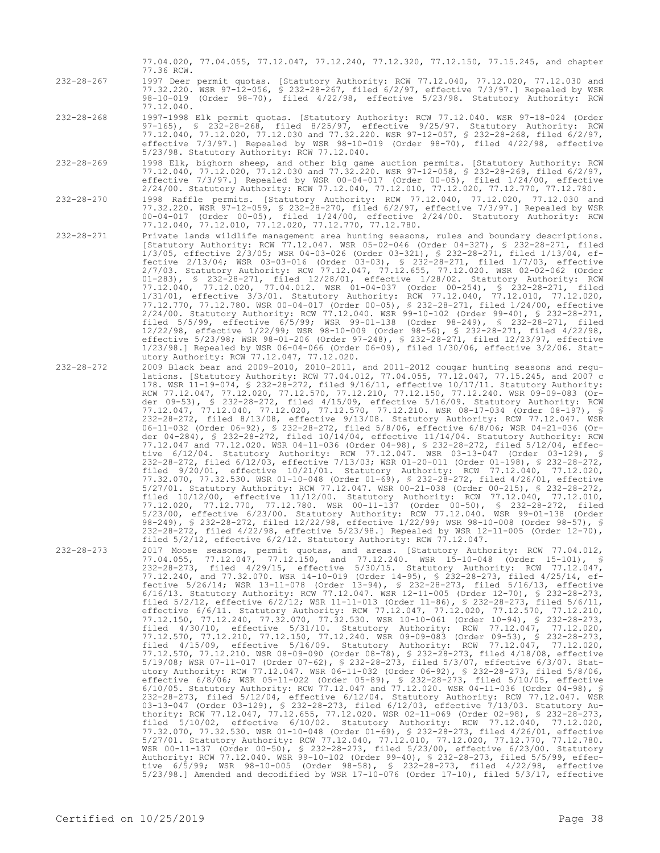- 77.04.020, 77.04.055, 77.12.047, 77.12.240, 77.12.320, 77.12.150, 77.15.245, and chapter 77.36 RCW.
- 232-28-267 1997 Deer permit quotas. [Statutory Authority: RCW 77.12.040, 77.12.020, 77.12.030 and 77.32.220. WSR 97-12-056, § 232-28-267, filed 6/2/97, effective 7/3/97.] Repealed by WSR 98-10-019 (Order 98-70), filed 4/22/98, effective 5/23/98. Statutory Authority: RCW 77.12.040.
- 232-28-268 1997-1998 Elk permit quotas. [Statutory Authority: RCW 77.12.040. WSR 97-18-024 (Order 97-165), § 232-28-268, filed 8/25/97, effective 9/25/97. Statutory Authority: RCW 77.12.040, 77.12.020, 77.12.030 and 77.32.220. WSR 97-12-057, § 232-28-268, filed 6/2/97, effective 7/3/97.] Repealed by WSR 98-10-019 (Order 98-70), filed 4/22/98, effective 5/23/98. Statutory Authority: RCW 77.12.040.
- 232-28-269 1998 Elk, bighorn sheep, and other big game auction permits. [Statutory Authority: RCW 77.12.040, 77.12.020, 77.12.030 and 77.32.220. WSR 97-12-058, § 232-28-269, filed 6/2/97, effective 7/3/97.] Repealed by WSR 00-04-017 (Order 00-05), filed 1/24/00, effective 2/24/00. Statutory Authority: RCW 77.12.040, 77.12.010, 77.12.020, 77.12.770, 77.12.780.
- 232-28-270 1998 Raffle permits. [Statutory Authority: RCW 77.12.040, 77.12.020, 77.12.030 and 77.32.220. WSR 97-12-059, § 232-28-270, filed 6/2/97, effective 7/3/97.] Repealed by WSR 00-04-017 (Order 00-05), filed 1/24/00, effective 2/24/00. Statutory Authority: RCW 77.12.040, 77.12.010, 77.12.020, 77.12.770, 77.12.780.
- 232-28-271 Private lands wildlife management area hunting seasons, rules and boundary descriptions. [Statutory Authority: RCW 77.12.047. WSR 05-02-046 (Order 04-327), § 232-28-271, filed 1/3/05, effective 2/3/05; WSR 04-03-026 (Order 03-321), § 232-28-271, filed 1/13/04, effective 2/13/04; WSR 03-03-016 (Order 03-03), § 232-28-271, filed 1/7/03, effective 2/7/03. Statutory Authority: RCW 77.12.047, 77.12.655, 77.12.020. WSR 02-02-062 (Order 01-283), § 232-28-271, filed 12/28/01, effective 1/28/02. Statutory Authority: RCW 77.12.040, 77.12.020, 77.04.012. WSR 01-04-037 (Order 00-254), § 232-28-271, filed 1/31/01, effective 3/3/01. Statutory Authority: RCW 77.12.040, 77.12.010, 77.12.020, 77.12.770, 77.12.780. WSR 00-04-017 (Order 00-05), § 232-28-271, filed 1/24/00, effective 2/24/00. Statutory Authority: RCW 77.12.040. WSR 99-10-102 (Order 99-40), § 232-28-271, filed 5/5/99, effective 6/5/99; WSR 99-01-138 (Order 98-249), § 232-28-271, filed 12/22/98, effective 1/22/99; WSR 98-10-009 (Order 98-56), § 232-28-271, filed 4/22/98, effective 5/23/98; WSR 98-01-206 (Order 97-248), § 232-28-271, filed 12/23/97, effective 1/23/98.] Repealed by WSR 06-04-066 (Order 06-09), filed 1/30/06, effective 3/2/06. Statutory Authority: RCW 77.12.047, 77.12.020.
- 232-28-272 2009 Black bear and 2009-2010, 2010-2011, and 2011-2012 cougar hunting seasons and regulations. [Statutory Authority: RCW 77.04.012, 77.04.055, 77.12.047, 77.15.245, and 2007 c 178. WSR 11-19-074, § 232-28-272, filed 9/16/11, effective 10/17/11. Statutory Authority: RCW 77.12.047, 77.12.020, 77.12.570, 77.12.210, 77.12.150, 77.12.240. WSR 09-09-083 (Order 09-53), § 232-28-272, filed 4/15/09, effective 5/16/09. Statutory Authority: RCW 77.12.047, 77.12.040, 77.12.020, 77.12.570, 77.12.210. WSR 08-17-034 (Order 08-197), § 232-28-272, filed 8/13/08, effective 9/13/08. Statutory Authority: RCW 77.12.047. WSR 06-11-032 (Order 06-92), § 232-28-272, filed 5/8/06, effective 6/8/06; WSR 04-21-036 (Order 04-284), § 232-28-272, filed 10/14/04, effective 11/14/04. Statutory Authority: RCW 77.12.047 and 77.12.020. WSR 04-11-036 (Order 04-98), § 232-28-272, filed 5/12/04, effective 6/12/04. Statutory Authority: RCW 77.12.047. WSR 03-13-047 (Order 03-129), § 232-28-272, filed 6/12/03, effective 7/13/03; WSR 01-20-011 (Order 01-198), § 232-28-272, filed 9/20/01, effective 10/21/01. Statutory Authority: RCW 77.12.040, 77.12.020, 77.32.070, 77.32.530. WSR 01-10-048 (Order 01-69), § 232-28-272, filed 4/26/01, effective 5/27/01. Statutory Authority: RCW 77.12.047. WSR 00-21-038 (Order 00-215), § 232-28-272, filed 10/12/00, effective 11/12/00. Statutory Authority: RCW 77.12.040, 77.12.010, 77.12.020, 77.12.770, 77.12.780. WSR 00-11-137 (Order 00-50), § 232-28-272, filed 5/23/00, effective 6/23/00. Statutory Authority: RCW 77.12.040. WSR 99-01-138 (Order 98-249), § 232-28-272, filed 12/22/98, effective 1/22/99; WSR 98-10-008 (Order 98-57), § 232-28-272, filed 4/22/98, effective 5/23/98.] Repealed by WSR 12-11-005 (Order 12-70), filed  $5/2/12$ , effective  $6/2/12$ . Statutory Authority: RCW 77.12.047.
- 232-28-273 2017 Moose seasons, permit quotas, and areas. [Statutory Authority: RCW 77.04.012, 77.04.055, 77.12.047, 77.12.150, and 77.12.240. WSR 15-10-048 (Order 15-101), § 232-28-273, filed 4/29/15, effective 5/30/15. Statutory Authority: RCW 77.12.047, 77.12.240, and 77.32.070. WSR 14-10-019 (Order 14-95), § 232-28-273, filed 4/25/14, effective 5/26/14; WSR 13-11-078 (Order 13-94), § 232-28-273, filed 5/16/13, effective 6/16/13. Statutory Authority: RCW 77.12.047. WSR 12-11-005 (Order 12-70), § 232-28-273, filed 5/2/12, effective 6/2/12; WSR 11-11-013 (Order 11-86), § 232-28-273, filed 5/6/11, effective 6/6/11. Statutory Authority: RCW 77.12.047, 77.12.020, 77.12.570, 77.12.210, 77.12.150, 77.12.240, 77.32.070, 77.32.530. WSR 10-10-061 (Order 10-94), § 232-28-273, filed 4/30/10, effective 5/31/10. Statutory Authority: RCW 77.12.047, 77.12.020, 77.12.570, 77.12.210, 77.12.150, 77.12.240. WSR 09-09-083 (Order 09-53), § 232-28-273, filed 4/15/09, effective 5/16/09. Statutory Authority: RCW 77.12.047, 77.12.020, 77.12.570, 77.12.210. WSR 08-09-090 (Order 08-78), § 232-28-273, filed 4/18/08, effective 5/19/08; WSR 07-11-017 (Order 07-62), § 232-28-273, filed 5/3/07, effective 6/3/07. Statutory Authority: RCW 77.12.047. WSR 06-11-032 (Order 06-92), § 232-28-273, filed 5/8/06, effective 6/8/06; WSR 05-11-022 (Order 05-89), § 232-28-273, filed 5/10/05, effective 6/10/05. Statutory Authority: RCW 77.12.047 and 77.12.020. WSR 04-11-036 (Order 04-98), § 232-28-273, filed 5/12/04, effective 6/12/04. Statutory Authority: RCW 77.12.047. WSR 03-13-047 (Order 03-129), \$ 232-28-273, filed 6/12/03, effective 7/13/03. Statutory Au-<br>thority: RCW 77.12.047, 77.12.655, 77.12.020. WSR 02-11-069 (Order 02-98), \$ 232-28-273,<br>filed 5/10/02, effective 6/10/02. Statutory A 77.32.070, 77.32.530. WSR 01-10-048 (Order 01-69), § 232-28-273, filed 4/26/01, effective 5/27/01. Statutory Authority: RCW 77.12.040, 77.12.010, 77.12.020, 77.12.770, 77.12.780. WSR 00-11-137 (Order 00-50), § 232-28-273, filed 5/23/00, effective 6/23/00. Statutory Authority: RCW 77.12.040. WSR 99-10-102 (Order 99-40), § 232-28-273, filed 5/5/99, effective 6/5/99; WSR 98-10-005 (Order 98-58), § 232-28-273, filed 4/22/98, effective 5/23/98.] Amended and decodified by WSR 17-10-076 (Order 17-10), filed 5/3/17, effective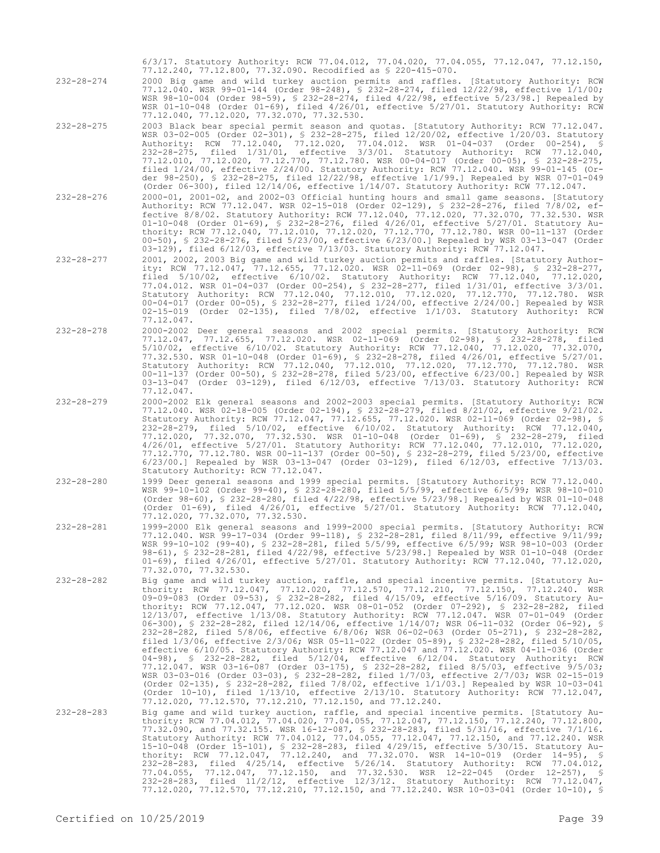6/3/17. Statutory Authority: RCW 77.04.012, 77.04.020, 77.04.055, 77.12.047, 77.12.150, 77.12.240, 77.12.800, 77.32.090. Recodified as § 220-415-070.

232-28-274 2000 Big game and wild turkey auction permits and raffles. [Statutory Authority: RCW 77.12.040. WSR 99-01-144 (Order 98-248), § 232-28-274, filed 12/22/98, effective 1/1/00; WSR 98-10-004 (Order 98-59), § 232-28-274, filed 4/22/98, effective 5/23/98.] Repealed by WSR 01-10-048 (Order 01-69), filed 4/26/01, effective 5/27/01. Statutory Authority: RCW 77.12.040, 77.12.020, 77.32.070, 77.32.530.

- 232-28-275 2003 Black bear special permit season and quotas. [Statutory Authority: RCW 77.12.047. WSR 03-02-005 (Order 02-301), § 232-28-275, filed 12/20/02, effective 1/20/03. Statutory Authority: RCW 77.12.040, 77.12.020, 77.04.012. WSR 01-04-037 (Order 00-254), § 232-28-275, filed 1/31/01, effective 3/3/01. Statutory Authority: RCW 77.12.040, 77.12.010, 77.12.020, 77.12.770, 77.12.780. WSR 00-04-017 (Order 00-05), § 232-28-275, filed 1/24/00, effective 2/24/00. Statutory Authority: RCW 77.12.040. WSR 99-01-145 (Order 98-250), § 232-28-275, filed 12/22/98, effective 1/1/99.] Repealed by WSR 07-01-049 (Order 06-300), filed 12/14/06, effective 1/14/07. Statutory Authority: RCW 77.12.047.
- 232-28-276 2000-01, 2001-02, and 2002-03 Official hunting hours and small game seasons. [Statutory Authority: RCW 77.12.047. WSR 02-15-018 (Order 02-129), § 232-28-276, filed 7/8/02, effective 8/8/02. Statutory Authority: RCW 77.12.040, 77.12.020, 77.32.070, 77.32.530. WSR 01-10-048 (Order 01-69), § 232-28-276, filed 4/26/01, effective 5/27/01. Statutory Authority: RCW 77.12.040, 77.12.010, 77.12.020, 77.12.770, 77.12.780. WSR 00-11-137 (Order 00-50), § 232-28-276, filed 5/23/00, effective 6/23/00.] Repealed by WSR 03-13-047 (Order 03-129), filed 6/12/03, effective 7/13/03. Statutory Authority: RCW 77.12.047.
- 232-28-277 2001, 2002, 2003 Big game and wild turkey auction permits and raffles. [Statutory Authority: RCW 77.12.047, 77.12.655, 77.12.020. WSR 02-11-069 (Order 02-98), § 232-28-277, filed 5/10/02, effective 6/10/02. Statutory Authority: RCW 77.12.040, 77.12.020, 77.04.012. WSR 01-04-037 (Order 00-254), § 232-28-277, filed 1/31/01, effective 3/3/01. Statutory Authority: RCW 77.12.040, 77.12.010, 77.12.020, 77.12.770, 77.12.780. WSR 00-04-017 (Order 00-05), § 232-28-277, filed 1/24/00, effective 2/24/00.] Repealed by WSR 02-15-019 (Order 02-135), filed 7/8/02, effective 1/1/03. Statutory Authority: RCW 77.12.047.
- 232-28-278 2000-2002 Deer general seasons and 2002 special permits. [Statutory Authority: RCW 77.12.047, 77.12.655, 77.12.020. WSR 02-11-069 (Order 02-98), § 232-28-278, filed 5/10/02, effective 6/10/02. Statutory Authority: RCW 77.12.040, 77.12.020, 77.32.070, 77.32.530. WSR 01-10-048 (Order 01-69), § 232-28-278, filed 4/26/01, effective 5/27/01. Statutory Authority: RCW 77.12.040, 77.12.010, 77.12.020, 77.12.770, 77.12.780. WSR 00-11-137 (Order 00-50), § 232-28-278, filed 5/23/00, effective 6/23/00.] Repealed by WSR 03-13-047 (Order 03-129), filed 6/12/03, effective 7/13/03. Statutory Authority: RCW 77.12.047.
- 232-28-279 2000-2002 Elk general seasons and 2002-2003 special permits. [Statutory Authority: RCW 77.12.040. WSR 02-18-005 (Order 02-194), § 232-28-279, filed 8/21/02, effective 9/21/02. Statutory Authority: RCW 77.12.047, 77.12.655, 77.12.020. WSR 02-11-069 (Order 02-98), § 232-28-279, filed 5/10/02, effective 6/10/02. Statutory Authority: RCW 77.12.040, 77.12.020, 77.32.070, 77.32.530. WSR 01-10-048 (Order 01-69), § 232-28-279, filed 4/26/01, effective 5/27/01. Statutory Authority: RCW 77.12.040, 77.12.010, 77.12.020, 77.12.770, 77.12.780. WSR 00-11-137 (Order 00-50), § 232-28-279, filed 5/23/00, effective 6/23/00.] Repealed by WSR 03-13-047 (Order 03-129), filed 6/12/03, effective 7/13/03. Statutory Authority: RCW 77.12.047.
- 232-28-280 1999 Deer general seasons and 1999 special permits. [Statutory Authority: RCW 77.12.040. WSR 99-10-102 (Order 99-40), § 232-28-280, filed 5/5/99, effective 6/5/99; WSR 98-10-010 (Order 98-60), § 232-28-280, filed 4/22/98, effective 5/23/98.] Repealed by WSR 01-10-048 (Order 01-69), filed 4/26/01, effective 5/27/01. Statutory Authority: RCW 77.12.040, 77.12.020, 77.32.070, 77.32.530.
- 232-28-281 1999-2000 Elk general seasons and 1999-2000 special permits. [Statutory Authority: RCW 77.12.040. WSR 99-17-034 (Order 99-118), § 232-28-281, filed 8/11/99, effective 9/11/99; WSR 99-10-102 (99-40), § 232-28-281, filed 5/5/99, effective 6/5/99; WSR 98-10-003 (Order 98-61), § 232-28-281, filed 4/22/98, effective 5/23/98.] Repealed by WSR 01-10-048 (Order 01-69), filed 4/26/01, effective 5/27/01. Statutory Authority: RCW 77.12.040, 77.12.020, 77.32.070, 77.32.530.
- 232-28-282 Big game and wild turkey auction, raffle, and special incentive permits. [Statutory Authority: RCW 77.12.047, 77.12.020, 77.12.570, 77.12.210, 77.12.150, 77.12.240. WSR 09-09-083 (Order 09-53), § 232-28-282, filed 4/15/09, effective 5/16/09. Statutory Authority: RCW 77.12.047, 77.12.020. WSR 08-01-052 (Order 07-292), § 232-28-282, filed 12/13/07, effective 1/13/08. Statutory Authority: RCW 77.12.047. WSR 07-01-049 (Order 06-300), § 232-28-282, filed 12/14/06, effective 1/14/07; WSR 06-11-032 (Order 06-92), § 232-28-282, filed 5/8/06, effective 6/8/06; WSR 06-02-063 (Order 05-271), § 232-28-282, filed 1/3/06, effective 2/3/06; WSR 05-11-022 (Order 05-89), § 232-28-282, filed 5/10/05, effective 6/10/05. Statutory Authority: RCW 77.12.047 and 77.12.020. WSR 04-11-036 (Order 04-98), § 232-28-282, filed 5/12/04, effective 6/12/04. Statutory Authority: RCW 77.12.047. WSR 03-16-087 (Order 03-175), § 232-28-282, filed 8/5/03, effective 9/5/03; WSR 03-03-016 (Order 03-03), § 232-28-282, filed 1/7/03, effective 2/7/03; WSR 02-15-019 (Order 02-135), § 232-28-282, filed 7/8/02, effective 1/1/03.] Repealed by WSR 10-03-041 (Order 10-10), filed 1/13/10, effective 2/13/10. Statutory Authority: RCW 77.12.047, 77.12.020, 77.12.570, 77.12.210, 77.12.150, and 77.12.240.
- 232-28-283 Big game and wild turkey auction, raffle, and special incentive permits. [Statutory Au-thority: RCW 77.04.012, 77.04.020, 77.04.055, 77.12.047, 77.12.150, 77.12.240, 77.12.800, 77.32.090, and 77.32.155. WSR 16-12-087, § 232-28-283, filed 5/31/16, effective 7/1/16. Statutory Authority: RCW 77.04.012, 77.04.055, 77.12.047, 77.12.150, and 77.12.240. WSR 15-10-048 (Order 15-101), § 232-28-283, filed 4/29/15, effective 5/30/15. Statutory Authority: RCW 77.12.047, 77.12.240, and 77.32.070. WSR 14-10-019 (Order 14-95), § 232-28-283, filed 4/25/14, effective 5/26/14. Statutory Authority: RCW 77.04.012, 77.04.055, 77.12.047, 77.12.150, and 77.32.530. WSR 12-22-045 (Order 12-257), § 232-28-283, filed 11/2/12, effective 12/3/12. Statutory Authority: RCW 77.12.047, 77.12.020, 77.12.570, 77.12.210, 77.12.150, and 77.12.240. WSR 10-03-041 (Order 10-10), §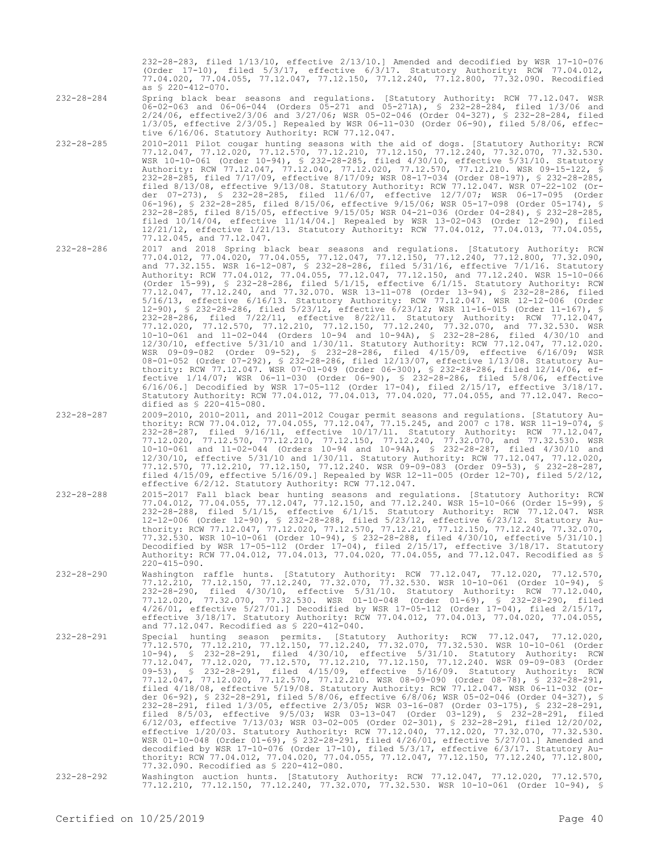232-28-283, filed 1/13/10, effective 2/13/10.] Amended and decodified by WSR 17-10-076 (Order 17-10), filed 5/3/17, effective 6/3/17. Statutory Authority: RCW 77.04.012, 77.04.020, 77.04.055, 77.12.047, 77.12.150, 77.12.240, 77.12.800, 77.32.090. Recodified as § 220-412-070.

- 232-28-284 Spring black bear seasons and regulations. [Statutory Authority: RCW 77.12.047. WSR 06-02-063 and 06-06-044 (Orders 05-271 and 05-271A), § 232-28-284, filed 1/3/06 and 2/24/06, effective2/3/06 and 3/27/06; WSR 05-02-046 (Order 04-327), § 232-28-284, filed 1/3/05, effective 2/3/05.] Repealed by WSR 06-11-030 (Order 06-90), filed 5/8/06, effective 6/16/06. Statutory Authority: RCW 77.12.047.
- 232-28-285 2010-2011 Pilot cougar hunting seasons with the aid of dogs. [Statutory Authority: RCW 77.12.047, 77.12.020, 77.12.570, 77.12.210, 77.12.150, 77.12.240, 77.32.070, 77.32.530. WSR 10-10-061 (Order 10-94), § 232-28-285, filed 4/30/10, effective 5/31/10. Statutory Authority: RCW 77.12.047, 77.12.040, 77.12.020, 77.12.570, 77.12.210. WSR 09-15-122, § 232-28-285, filed 7/17/09, effective 8/17/09; WSR 08-17-034 (Order 08-197), § 232-28-285, filed 8/13/08, effective 9/13/08. Statutory Authority: RCW 77.12.047. WSR 07-22-102 (Order 07-273), § 232-28-285, filed 11/6/07, effective 12/7/07; WSR 06-17-095 (Order 06-196), § 232-28-285, filed 8/15/06, effective 9/15/06; WSR 05-17-098 (Order 05-174), § 232-28-285, filed 8/15/05, effective 9/15/05; WSR 04-21-036 (Order 04-284), § 232-28-285, filed 10/14/04, effective 11/14/04.] Repealed by WSR 13-02-043 (Order 12-290), filed 12/21/12, effective 1/21/13. Statutory Authority: RCW 77.04.012, 77.04.013, 77.04.055, 77.12.045, and 77.12.047.

77.04.012, 77.04.020, 77.04.055, 77.12.047, 77.12.150, 77.12.240, 77.12.800, 77.32.090, and 77.32.155. WSR 16-12-087, § 232-28-286, filed 5/31/16, effective 7/1/16. Statutory Authority: RCW 77.04.012, 77.04.055, 77.12.047, 77.12.150, and 77.12.240. WSR 15-10-066 (Order 15-99), § 232-28-286, filed 5/1/15, effective 6/1/15. Statutory Authority: RCW 77.12.047, 77.12.240, and 77.32.070. WSR 13-11-078 (Order 13-94), § 232-28-286, filed 5/16/13, effective 6/16/13. Statutory Authority: RCW 77.12.047. WSR 12-12-006 (Order 12-90), § 12-12-006 (Order 12-12-006), Statutory Authority: RCW 77.12.047. WSR 12-12-006 (Order 11-167), \$ 232-28-286, filed 5/23/12, effective 6/23/12; WSR 11-16-015 (Order 11-167), 232-28-286, filed 7/22/11, effective 8/22/11. Statutory Authority: RCW 77.12.047, 77.12.020, 77.12.570, 77.12.210, 77.12.150, 77.12.240, 77.32.070, and 77.32.530. WSR 10-10-061 and 11-02-044 (Orders 10-94 and 10-94A), § 232-28-286, filed 4/30/10 and 12/30/10, effective 5/31/10 and 1/30/11. Statutory Authority: RCW 77.12.047, 77.12.020. WSR 09-09-082 (Order 09-52), § 232-28-286, filed 4/15/09, effective 6/16/09; WSR 08-01-052 (Order 07-292), § 232-28-286, filed 12/13/07, effective 1/13/08. Statutory Authority: RCW 77.12.047. WSR 07-01-049 (Order 06-300), § 232-28-286, filed 12/14/06, effective 1/14/07; WSR 06-11-030 (Order 06-90), § 232-28-286, filed 5/8/06, effective 6/16/06.] Decodified by WSR 17-05-112 (Order 17-04), filed 2/15/17, effective 3/18/17. Statutory Authority: RCW 77.04.012, 77.04.013, 77.04.020, 77.04.055, and 77.12.047. Reco-

thority: RCW 77.04.012, 77.04.055, 77.12.047, 77.15.245, and 2007 c 178. WSR 11-19-074, § 232-28-287, filed 9/16/11, effective 10/17/11. Statutory Authority: RCW 77.12.047, 77.12.020, 77.12.570, 77.12.210, 77.12.150, 77.12.240, 77.32.070, and 77.32.530. WSR 10-10-061 and 11-02-044 (Orders 10-94 and 10-94A), § 232-28-287, filed 4/30/10 and 12/30/10, effective 5/31/10 and 1/30/11. Statutory Authority: RCW 77.12.047, 77.12.020, 77.12.570, 77.12.210, 77.12.150, 77.12.240. WSR 09-09-083 (Order 09-53), § 232-28-287, filed 4/15/09, effective 5/16/09.] Repealed by WSR 12-11-005 (Order 12-70), filed 5/2/12,

77.04.012, 77.04.055, 77.12.047, 77.12.150, and 77.12.240. WSR 15-10-066 (Order 15-99), § 232-28-288, filed 5/1/15, effective 6/1/15. Statutory Authority: RCW 77.12.047. WSR 12-12-006 (Order 12-90), § 232-28-288, filed 5/23/12, effective 6/23/12. Statutory Authority: RCW 77.12.047, 77.12.020, 77.12.570, 77.12.210, 77.12.150, 77.12.240, 77.32.070, 77.32.530. WSR 10-10-061 (Order 10-94), § 232-28-288, filed 4/30/10, effective 5/31/10.] Decodified by WSR 17-05-112 (Order 17-04), filed 2/15/17, effective 3/18/17. Statutory Authority: RCW 77.04.012, 77.04.013, 77.04.020, 77.04.055, and 77.12.047. Recodified as §

232-28-286 2017 and 2018 Spring black bear seasons and regulations. [Statutory Authority: RCW

232-28-287 2009-2010, 2010-2011, and 2011-2012 Cougar permit seasons and regulations. [Statutory Au-

dified as § 220-415-080.

effective 6/2/12. Statutory Authority: RCW 77.12.047.

- 
- 232-28-288 2015-2017 Fall black bear hunting seasons and regulations. [Statutory Authority: RCW

- 
- 
- 
- $220 415 090$ . 232-28-290 Washington raffle hunts. [Statutory Authority: RCW 77.12.047, 77.12.020, 77.12.570, 77.12.210, 77.12.150, 77.12.240, 77.32.070, 77.32.530. WSR 10-10-061 (Order 10-94), § 232-28-290, filed 4/30/10, effective 5/31/10. Statutory Authority: RCW 77.12.040, 77.12.020, 77.32.070, 77.32.530. WSR 01-10-048 (Order 01-69), § 232-28-290, filed 4/26/01, effective 5/27/01.] Decodified by WSR 17-05-112 (Order 17-04), filed 2/15/17, effective 3/18/17. Statutory Authority: RCW 77.04.012, 77.04.013, 77.04.020, 77.04.055, and 77.12.047. Recodified as § 220-412-040.
- 232-28-291 Special hunting season permits. [Statutory Authority: RCW 77.12.047, 77.12.020, 77.12.570, 77.12.210, 77.12.150, 77.12.240, 77.32.070, 77.32.530. WSR 10-10-061 (Order 10-94), § 232-28-291, filed 4/30/10, effective 5/31/10. Statutory Authority: RCW 77.12.047, 77.12.020, 77.12.570, 77.12.210, 77.12.150, 77.12.240. WSR 09-09-083 (Order 09-53), § 232-28-291, filed 4/15/09, effective 5/16/09. Statutory Authority: RCW 77.12.047, 77.12.020, 77.12.570, 77.12.210. WSR 08-09-090 (Order 08-78), § 232-28-291, filed 4/18/08, effective 5/19/08. Statutory Authority: RCW 77.12.047. WSR 06-11-032 (Order 06-92), § 232-28-291, filed 5/8/06, effective 6/8/06; WSR 05-02-046 (Order 04-327), § 232-28-291, filed 1/3/05, effective 2/3/05; WSR 03-16-087 (Order 03-175), § 232-28-291, filed 8/5/03, effective 9/5/03; WSR 03-13-047 (Order 03-129), § 232-28-291, filed 6/12/03, effective 7/13/03; WSR 03-02-005 (Order 02-301), § 232-28-291, filed 12/20/02, effective 1/20/03. Statutory Authority: RCW 77.12.040, 77.12.020, 77.32.070, 77.32.530. WSR 01-10-048 (Order 01-69), § 232-28-291, filed 4/26/01, effective 5/27/01.] Amended and decodified by WSR 17-10-076 (Order 17-10), filed 5/3/17, effective 6/3/17. Statutory Authority: RCW 77.04.012, 77.04.020, 77.04.055, 77.12.047, 77.12.150, 77.12.240, 77.12.800, 77.32.090. Recodified as § 220-412-080.
- 232-28-292 Washington auction hunts. [Statutory Authority: RCW 77.12.047, 77.12.020, 77.12.570, Washington auction hunts. [Statutory Authority: RCW 77.12.047, 77.12.020, 77.12.570,<br>77.12.210, 77.12.150, 77.12.240, 77.32.070, 77.32.530. WSR 10-10-061 (Order 10-94), §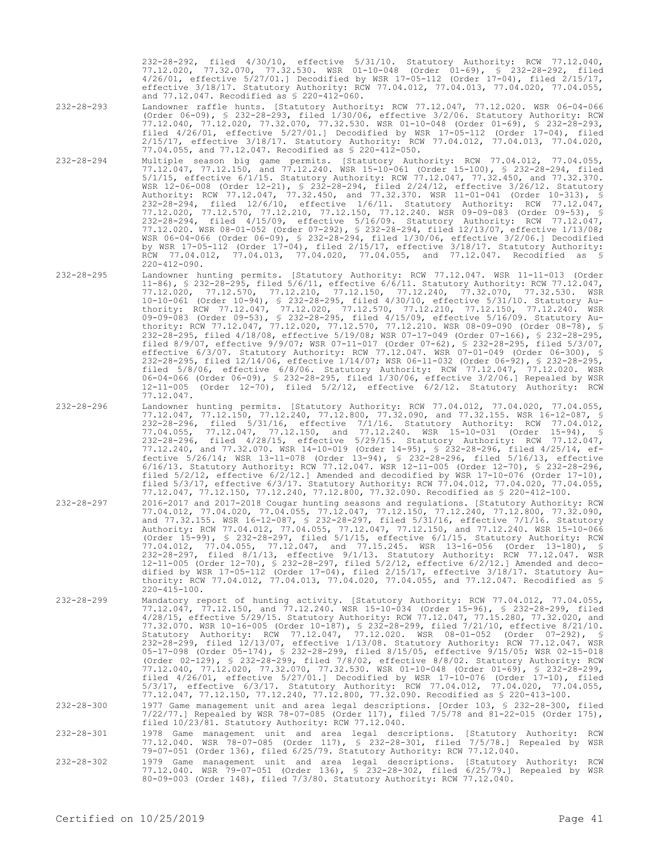232-28-292, filed 4/30/10, effective 5/31/10. Statutory Authority: RCW 77.12.040, 77.12.020, 77.32.070, 77.32.530. WSR 01-10-048 (Order 01-69), § 232-28-292, filed 4/26/01, effective 5/27/01.] Decodified by WSR 17-05-112 (Order 17-04), filed 2/15/17, effective 3/18/17. Statutory Authority: RCW 77.04.012, 77.04.013, 77.04.020, 77.04.055, and 77.12.047. Recodified as § 220-412-060.

- 232-28-293 Landowner raffle hunts. [Statutory Authority: RCW 77.12.047, 77.12.020. WSR 06-04-066 (Order 06-09), § 232-28-293, filed 1/30/06, effective 3/2/06. Statutory Authority: RCW 77.12.040, 77.12.020, 77.32.070, 77.32.530. WSR 01-10-048 (Order 01-69), § 232-28-293, filed 4/26/01, effective 5/27/01.] Decodified by WSR 17-05-112 (Order 17-04), filed 2/15/17, effective 3/18/17. Statutory Authority: RCW 77.04.012, 77.04.013, 77.04.020, 77.04.055, and 77.12.047. Recodified as § 220-412-050.
- 232-28-294 Multiple season big game permits. [Statutory Authority: RCW 77.04.012, 77.04.055, 77.12.047, 77.12.150, and 77.12.240. WSR 15-10-061 (Order 15-100), § 232-28-294, filed 5/1/15, effective 6/1/15. Statutory Authority: RCW 77.12.047, 77.32.450, and 77.32.370. WSR 12-06-008 (Order 12-21), § 232-28-294, filed 2/24/12, effective 3/26/12. Statutory Authority: RCW 77.12.047, 77.32.450, and 77.32.370. WSR 11-01-041 (Order 10-313), § 232-28-294, filed 12/6/10, effective 1/6/11. Statutory Authority: RCW 77.12.047, 77.12.020, 77.12.570, 77.12.210, 77.12.150, 77.12.240. WSR 09-09-083 (Order 09-53), § 232-28-294, filed 4/15/09, effective 5/16/09. Statutory Authority: RCW 77.12.047, 77.12.020. WSR 08-01-052 (Order 07-292), § 232-28-294, filed 12/13/07, effective 1/13/08; WSR 06-04-066 (Order 06-09), § 232-28-294, filed 1/30/06, effective 3/2/06.] Decodified by WSR 17-05-112 (Order 17-04), filed 2/15/17, effective 3/18/17. Statutory Authority: RCW 77.04.012, 77.04.013, 77.04.020, 77.04.055, and 77.12.047. Recodified as § 220-412-090.
- 232-28-295 Landowner hunting permits. [Statutory Authority: RCW 77.12.047. WSR 11-11-013 (Order 11-86), § 232-28-295, filed 5/6/11, effective 6/6/11. Statutory Authority: RCW 77.12.047, 77.12.020, 77.12.570, 77.12.210, 77.12.150, 77.12.240, 77.32.070, 77.32.530. WSR 10-10-061 (Order 10-94), § 232-28-295, filed 4/30/10, effective 5/31/10. Statutory Authority: RCW 77.12.047, 77.12.020, 77.12.570, 77.12.210, 77.12.150, 77.12.240. WSR 09-09-083 (Order 09-53), § 232-28-295, filed 4/15/09, effective 5/16/09. Statutory Authority: RCW 77.12.047, 77.12.020, 77.12.570, 77.12.210. WSR 08-09-090 (Order 08-78), § 232-28-295, filed 4/18/08, effective 5/19/08; WSR 07-17-049 (Order 07-166), § 232-28-295, filed 8/9/07, effective 9/9/07; WSR 07-11-017 (Order 07-62), § 232-28-295, filed 5/3/07, effective 6/3/07. Statutory Authority: RCW 77.12.047. WSR 07-01-049 (Order 06-300), § 232-28-295, filed 12/14/06, effective 1/14/07; WSR 06-11-032 (Order 06-92), § 232-28-295, filed 5/8/06, effective 6/8/06. Statutory Authority: RCW 77.12.047, 77.12.020. WSR 06-04-066 (Order 06-09), § 232-28-295, filed 1/30/06, effective 3/2/06.] Repealed by WSR 12-11-005 (Order 12-70), filed 5/2/12, effective 6/2/12. Statutory Authority: RCW 77.12.047.
- 232-28-296 Landowner hunting permits. [Statutory Authority: RCW 77.04.012, 77.04.020, 77.04.055, 77.12.047, 77.12.150, 77.12.240, 77.12.800, 77.32.090, and 77.32.155. WSR 16-12-087, § 232-28-296, filed 5/31/16, effective 7/1/16. Statutory Authority: RCW 77.04.012, 77.04.055, 77.12.047, 77.12.150, and 77.12.240. WSR 15-10-031 (Order 15-94), § 232-28-296, filed 4/28/15, effective 5/29/15. Statutory Authority: RCW 77.12.047, 77.12.240, and 77.32.070. WSR 14-10-019 (Order 14-95), § 232-28-296, filed 4/25/14, effective 5/26/14; WSR 13-11-078 (Order 13-94), § 232-28-296, filed 5/16/13, effective 6/16/13. Statutory Authority: RCW 77.12.047. WSR 12-11-005 (Order 12-70), § 232-28-296, filed  $5/2/12$ , effective  $6/2/12$ . Amended and decodified by WSR 17-10-076 (Order 17-10), filed 5/3/17, effective 6/3/17. Statutory Authority: RCW 77.04.012, 77.04.020, 77.04.055, 77.12.047, 77.12.150, 77.12.240, 77.12.800, 77.32.090. Recodified as § 220-412-100.
- 232-28-297 2016-2017 and 2017-2018 Cougar hunting seasons and regulations. [Statutory Authority: RCW 77.04.012, 77.04.020, 77.04.055, 77.12.047, 77.12.150, 77.12.240, 77.12.800, 77.32.090, and 77.32.155. WSR 16-12-087, § 232-28-297, filed 5/31/16, effective 7/1/16. Statutory Authority: RCW 77.04.012, 77.04.055, 77.12.047, 77.12.150, and 77.12.240. WSR 15-10-066 (Order 15-99), § 232-28-297, filed 5/1/15, effective 6/1/15. Statutory Authority: RCW 77.04.012, 77.04.055, 77.12.047, and 77.15.245. WSR 13-16-056 (Order 13-180), § 232-28-297, filed 8/1/13, effective 9/1/13. Statutory Authority: RCW 77.12.047. WSR 12-11-005 (Order 12-70), § 232-28-297, filed 5/2/12, effective 6/2/12.] Amended and decodified by WSR 17-05-112 (Order 17-04), filed 2/15/17, effective 3/18/17. Statutory Authority: RCW 77.04.012, 77.04.013, 77.04.020, 77.04.055, and 77.12.047. Recodified as § 220-415-100.
- 232-28-299 Mandatory report of hunting activity. [Statutory Authority: RCW 77.04.012, 77.04.055, 77.12.047, 77.12.150, and 77.12.240. WSR 15-10-034 (Order 15-96), § 232-28-299, filed 4/28/15, effective 5/29/15. Statutory Authority: RCW 77.12.047, 77.15.280, 77.32.020, and 77.32.070. WSR 10-16-005 (Order 10-187), § 232-28-299, filed 7/21/10, effective 8/21/10. Statutory Authority: RCW 77.12.047, 77.12.020. WSR 08-01-052 (Order 07-292), § 232-28-299, filed 12/13/07, effective 1/13/08. Statutory Authority: RCW 77.12.047. WSR 05-17-098 (Order 05-174), § 232-28-299, filed 8/15/05, effective 9/15/05; WSR 02-15-018 (Order 02-129), § 232-28-299, filed 7/8/02, effective 8/8/02. Statutory Authority: RCW 77.12.040, 77.12.020, 77.32.070, 77.32.530. WSR 01-10-048 (Order 01-69), § 232-28-299, filed 4/26/01, effective 5/27/01.] Decodified by WSR 17-10-076 (Order 17-10), filed 5/3/17, effective 6/3/17. Statutory Authority: RCW 77.04.012, 77.04.020, 77.04.055, 77.12.047, 77.12.150, 77.12.240, 77.12.800, 77.32.090. Recodified as § 220-413-100.
- 232-28-300 1977 Game management unit and area legal descriptions. [Order 103, § 232-28-300, filed<br>7/22/77.] Repealed by WSR 78-07-085 (Order 117), filed 7/5/78 and 81-22-015 (Order 175),<br>filed 10/23/81. Statutory Authority

232-28-301 1978 Game management unit and area legal descriptions. [Statutory Authority: RCW 77.12.040. WSR 78-07-085 (Order 117), § 232-28-301, filed 7/5/78.] Repealed by WSR 79-07-051 (Order 136), filed 6/25/79. Statutory Authority: RCW 77.12.040.

232-28-302 1979 Game management unit and area legal descriptions. [Statutory Authority: RCW 77.12.040. WSR 79-07-051 (Order 136), § 232-28-302, filed 6/25/79.] Repealed by WSR 80-09-003 (Order 148), filed 7/3/80. Statutory Authority: RCW 77.12.040.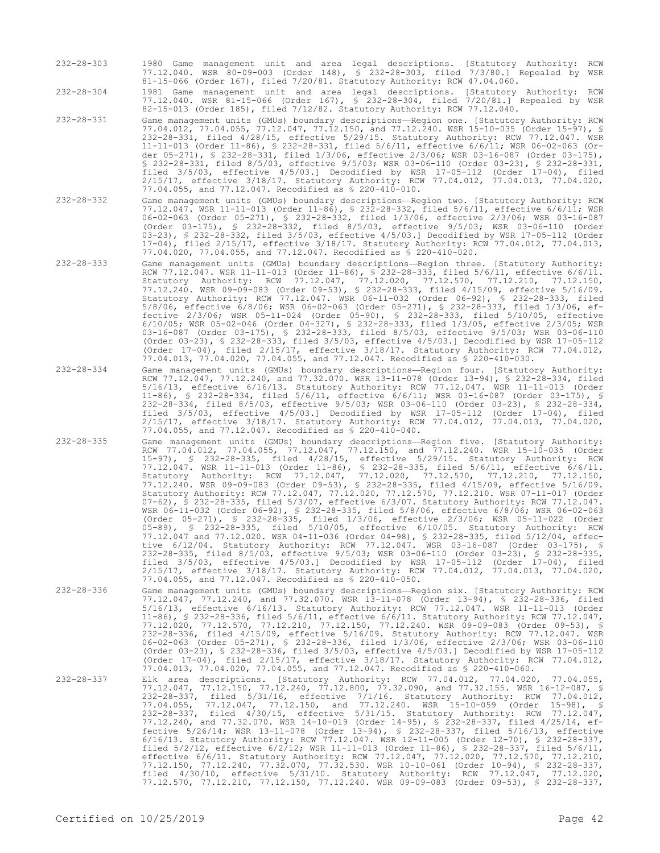232-28-303 1980 Game management unit and area legal descriptions. [Statutory Authority: RCW 77.12.040. WSR 80-09-003 (Order 148), § 232-28-303, filed 7/3/80.] Repealed by WSR 81-15-066 (Order 167), filed 7/20/81. Statutory Authority: RCW 47.04.060.

232-28-304 1981 Game management unit and area legal descriptions. [Statutory Authority: RCW 77.12.040. WSR 81-15-066 (Order 167), § 232-28-304, filed 7/20/81.] Repealed by WSR 82-15-013 (Order 185), filed 7/12/82. Statutory Authority: RCW 77.12.040.

- 232-28-331 Game management units (GMUs) boundary descriptions—Region one. [Statutory Authority: RCW 77.04.012, 77.04.055, 77.12.047, 77.12.150, and 77.12.240. WSR 15-10-035 (Order 15-97), § 232-28-331, filed 4/28/15, effective 5/29/15. Statutory Authority: RCW 77.12.047. WSR 11-11-013 (Order 11-86), § 232-28-331, filed 5/6/11, effective 6/6/11; WSR 06-02-063 (Order 05-271), § 232-28-331, filed 1/3/06, effective 2/3/06; WSR 03-16-087 (Order 03-175), § 232-28-331, filed 8/5/03, effective 9/5/03; WSR 03-06-110 (Order 03-23), § 232-28-331, filed 3/5/03, effective 4/5/03.] Decodified by WSR 17-05-112 (Order 17-04), filed 2/15/17, effective 3/18/17. Statutory Authority: RCW 77.04.012, 77.04.013, 77.04.020, 77.04.055, and 77.12.047. Recodified as § 220-410-010.
- 232-28-332 Game management units (GMUs) boundary descriptions—Region two. [Statutory Authority: RCW 77.12.047. WSR 11-11-013 (Order 11-86), § 232-28-332, filed 5/6/11, effective 6/6/11; WSR 06-02-063 (Order 05-271), § 232-28-332, filed 1/3/06, effective 2/3/06; WSR 03-16-087 (Order 03-175), § 232-28-332, filed 8/5/03, effective 9/5/03; WSR 03-06-110 (Order 03-23), § 232-28-332, filed 3/5/03, effective 4/5/03.] Decodified by WSR 17-05-112 (Order 17-04), filed 2/15/17, effective 3/18/17. Statutory Authority: RCW 77.04.012, 77.04.013, 77.04.020, 77.04.055, and 77.12.047. Recodified as § 220-410-020.
- 232-28-333 Game management units (GMUs) boundary descriptions—Region three. [Statutory Authority: RCW 77.12.047. WSR 11-11-013 (Order 11-86), § 232-28-333, filed 5/6/11, effective 6/6/11. Statutory Authority: RCW 77.12.047, 77.12.020, 77.12.570, 77.12.210, 77.12.150, 77.12.240. WSR 09-09-083 (Order 09-53), § 232-28-333, filed 4/15/09, effective 5/16/09. Statutory Authority: RCW 77.12.047. WSR 06-11-032 (Order 06-92), § 232-28-333, filed 5/8/06, effective 6/8/06; WSR 06-02-063 (Order 05-271), § 232-28-333, filed 1/3/06, effective 2/3/06; WSR 05-11-024 (Order 05-90), § 232-28-333, filed 5/10/05, effective 6/10/05; WSR 05-02-046 (Order 04-327), § 232-28-333, filed 1/3/05, effective 2/3/05; WSR 03-16-087 (Order 03-175), § 232-28-333, filed 8/5/03, effective 9/5/03; WSR 03-06-110 (Order 03-23), § 232-28-333, filed 3/5/03, effective 4/5/03.] Decodified by WSR 17-05-112 (Order 17-04), filed 2/15/17, effective 3/18/17. Statutory Authority: RCW 77.04.012, 77.04.013, 77.04.020, 77.04.055, and 77.12.047. Recodified as § 220-410-030.
- 232-28-334 Game management units (GMUs) boundary descriptions—Region four. [Statutory Authority: RCW 77.12.047, 77.12.240, and 77.32.070. WSR 13-11-078 (Order 13-94), § 232-28-334, filed 5/16/13, effective 6/16/13. Statutory Authority: RCW 77.12.047. WSR 11-11-013 (Order 11-86), § 232-28-334, filed 5/6/11, effective 6/6/11; WSR 03-16-087 (Order 03-175), § 232-28-334, filed 8/5/03, effective 9/5/03; WSR 03-06-110 (Order 03-23), § 232-28-334, filed 3/5/03, effective 4/5/03.] Decodified by WSR 17-05-112 (Order 17-04), filed 2/15/17, effective 3/18/17. Statutory Authority: RCW 77.04.012, 77.04.013, 77.04.020, 77.04.055, and 77.12.047. Recodified as § 220-410-040.
- 232-28-335 Game management units (GMUs) boundary descriptions—Region five. [Statutory Authority: RCW 77.04.012, 77.04.055, 77.12.047, 77.12.150, and 77.12.240. WSR 15-10-035 (Order 15-97), § 232-28-335, filed 4/28/15, effective 5/29/15. Statutory Authority: RCW 77.12.047. WSR 11-11-013 (Order 11-86), § 232-28-335, filed 5/6/11, effective 6/6/11. Statutory Authority: RCW 77.12.047, 77.12.020, 77.12.570, 77.12.210, 77.12.150, 77.12.240. WSR 09-09-083 (Order 09-53), § 232-28-335, filed 4/15/09, effective 5/16/09. Statutory Authority: RCW 77.12.047, 77.12.020, 77.12.570, 77.12.210. WSR 07-11-017 (Order 07-62), § 232-28-335, filed 5/3/07, effective 6/3/07. Statutory Authority: RCW 77.12.047. WSR 06-11-032 (Order 06-92), § 232-28-335, filed 5/8/06, effective 6/8/06; WSR 06-02-063 (Order 05-271), § 232-28-335, filed 1/3/06, effective 2/3/06; WSR 05-11-022 (Order 05-89), § 232-28-335, filed 5/10/05, effective 6/10/05. Statutory Authority: RCW 77.12.047 and 77.12.020. WSR 04-11-036 (Order 04-98), § 232-28-335, filed 5/12/04, effective 6/12/04. Statutory Authority: RCW 77.12.047. WSR 03-16-087 (Order 03-175), § 232-28-335, filed 8/5/03, effective 9/5/03; WSR 03-06-110 (Order 03-23), § 232-28-335, filed 3/5/03, effective 4/5/03.] Decodified by WSR 17-05-112 (Order 17-04), filed 2/15/17, effective 3/18/17. Statutory Authority: RCW 77.04.012, 77.04.013, 77.04.020, 77.04.055, and 77.12.047. Recodified as § 220-410-050.
- 232-28-336 Game management units (GMUs) boundary descriptions—Region six. [Statutory Authority: RCW 77.12.047, 77.12.240, and 77.32.070. WSR 13-11-078 (Order 13-94), § 232-28-336, filed 5/16/13, effective 6/16/13. Statutory Authority: RCW 77.12.047. WSR 11-11-013 (Order 11-86), § 232-28-336, filed 5/6/11, effective 6/6/11. Statutory Authority: RCW 77.12.047, 77.12.020, 77.12.570, 77.12.210, 77.12.150, 77.12.240. WSR 09-09-083 (Order 09-53), § 232-28-336, filed 4/15/09, effective 5/16/09. Statutory Authority: RCW 77.12.047. WSR 06-02-063 (Order 05-271), § 232-28-336, filed 1/3/06, effective 2/3/06; WSR 03-06-110 (Order 03-23), § 232-28-336, filed 3/5/03, effective 4/5/03.] Decodified by WSR 17-05-112 (Order 17-04), filed 2/15/17, effective 3/18/17. Statutory Authority: RCW 77.04.012, 77.04.013, 77.04.020, 77.04.055, and 77.12.047. Recodified as § 220-410-060.

232-28-337 Elk area descriptions. [Statutory Authority: RCW 77.04.012, 77.04.020, 77.04.055, 77.12.047, 77.12.150, 77.12.240, 77.12.800, 77.32.090, and 77.32.155. WSR 16-12-087, § 232-28-337, filed 5/31/16, effective 7/1/16. Statutory Authority: RCW 77.04.012, 77.04.055, 77.12.047, 77.12.150, and 77.12.240. WSR 15-10-059 (Order 15-98), § 232-28-337, filed 4/30/15, effective 5/31/15. Statutory Authority: RCW 77.12.047, 77.12.240, and 77.32.070. WSR 14-10-019 (Order 14-95), § 232-28-337, filed 4/25/14, effective 5/26/14; WSR 13-11-078 (Order 13-94), § 232-28-337, filed 5/16/13, effective 6/16/13. Statutory Authority: RCW 77.12.047. WSR 12-11-005 (Order 12-70), § 232-28-337, filed 5/2/12, effective 6/2/12; WSR 11-11-013 (Order 11-86), § 232-28-337, filed 5/6/11, effective 6/6/11. Statutory Authority: RCW 77.12.047, 77.12.020, 77.12.570, 77.12.210, 77.12.150, 77.12.240, 77.32.070, 77.32.530. WSR 10-10-061 (Order 10-94), § 232-28-337, filed 4/30/10, effective 5/31/10. Statutory Authority: RCW 77.12.047, 77.12.020, 77.12.570, 77.12.210, 77.12.150, 77.12.240. WSR 09-09-083 (Order 09-53), § 232-28-337,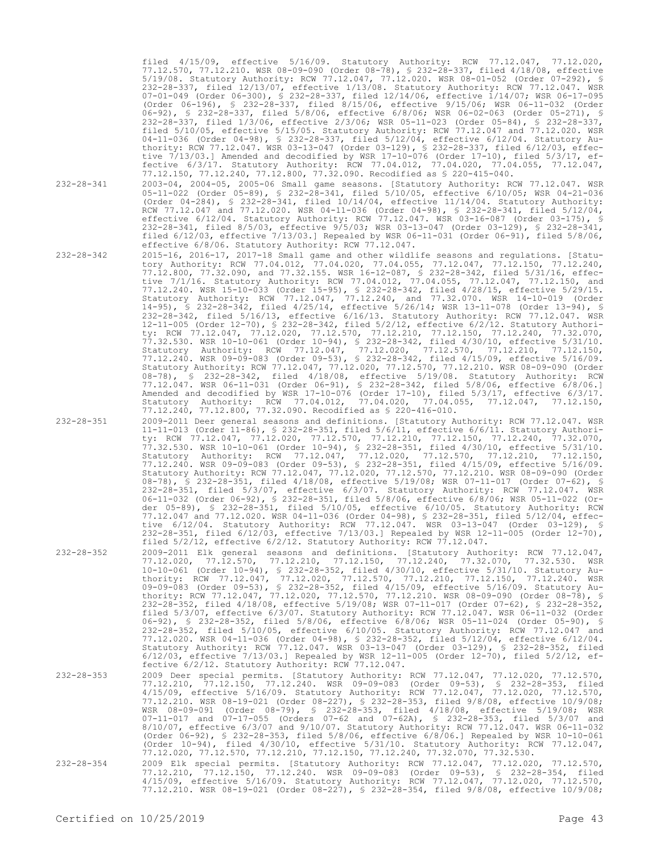filed 4/15/09, effective 5/16/09. Statutory Authority: RCW 77.12.047, 77.12.020, 77.12.570, 77.12.210. WSR 08-09-090 (Order 08-78), § 232-28-337, filed 4/18/08, effective 5/19/08. Statutory Authority: RCW 77.12.047, 77.12.020. WSR 08-01-052 (Order 07-292), § 232-28-337, filed 12/13/07, effective 1/13/08. Statutory Authority: RCW 77.12.047. WSR 07-01-049 (Order 06-300), § 232-28-337, filed 12/14/06, effective 1/14/07; WSR 06-17-095 (Order 06-196), § 232-28-337, filed 8/15/06, effective 9/15/06; WSR 06-11-032 (Order 06-92), § 232-28-337, filed 5/8/06, effective 6/8/06; WSR 06-02-063 (Order 05-271), § 232-28-337, filed 1/3/06, effective 2/3/06; WSR 05-11-023 (Order 05-84), § 232-28-337, filed 5/10/05, effective 5/15/05. Statutory Authority: RCW 77.12.047 and 77.12.020. WSR 04-11-036 (Order 04-98), § 232-28-337, filed 5/12/04, effective 6/12/04. Statutory Authority: RCW 77.12.047. WSR 03-13-047 (Order 03-129), § 232-28-337, filed 6/12/03, effective 7/13/03.] Amended and decodified by WSR 17-10-076 (Order 17-10), filed 5/3/17, effective 6/3/17. Statutory Authority: RCW 77.04.012, 77.04.020, 77.04.055, 77.12.047, 77.12.150, 77.12.240, 77.12.800, 77.32.090. Recodified as § 220-415-040.

232-28-341 2003-04, 2004-05, 2005-06 Small game seasons. [Statutory Authority: RCW 77.12.047. WSR 05-11-022 (Order 05-89), § 232-28-341, filed 5/10/05, effective 6/10/05; WSR 04-21-036 (Order 04-284), § 232-28-341, filed 10/14/04, effective 11/14/04. Statutory Authority: RCW 77.12.047 and 77.12.020. WSR 04-11-036 (Order 04-98), § 232-28-341, filed 5/12/04, effective 6/12/04. Statutory Authority: RCW 77.12.047. WSR 03-16-087 (Order 03-175), § 232-28-341, filed 8/5/03, effective 9/5/03; WSR 03-13-047 (Order 03-129), § 232-28-341, filed 6/12/03, effective 7/13/03.] Repealed by WSR 06-11-031 (Order 06-91), filed 5/8/06, effective 6/8/06. Statutory Authority: RCW 77.12.047.

232-28-342 2015-16, 2016-17, 2017-18 Small game and other wildlife seasons and regulations. [Statutory Authority: RCW 77.04.012, 77.04.020, 77.04.055, 77.12.047, 77.12.150, 77.12.240, 77.12.800, 77.32.090, and 77.32.155. WSR 16-12-087, § 232-28-342, filed 5/31/16, effective 7/1/16. Statutory Authority: RCW 77.04.012, 77.04.055, 77.12.047, 77.12.150, and 77.12.240. WSR 15-10-033 (Order 15-95), § 232-28-342, filed 4/28/15, effective 5/29/15. Statutory Authority: RCW 77.12.047, 77.12.240, and 77.32.070. WSR 14-10-019 (Order 14-95), § 232-28-342, filed 4/25/14, effective 5/26/14; WSR 13-11-078 (Order 13-94), § 232-28-342, filed 5/16/13, effective 6/16/13. Statutory Authority: RCW 77.12.047. WSR 12-11-005 (Order 12-70), § 232-28-342, filed 5/2/12, effective 6/2/12. Statutory Authority: RCW 77.12.047, 77.12.020, 77.12.570, 77.12.210, 77.12.150, 77.12.240, 77.32.070, 77.32.530. WSR 10-10-061 (Order 10-94), § 232-28-342, filed 4/30/10, effective 5/31/10. Statutory Authority: RCW 77.12.047, 77.12.020, 77.12.570, 77.12.210, 77.12.150, 77.12.240. WSR 09-09-083 (Order 09-53), § 232-28-342, filed 4/15/09, effective 5/16/09. Statutory Authority: RCW 77.12.047, 77.12.020, 77.12.570, 77.12.210. WSR 08-09-090 (Order 08-78), § 232-28-342, filed 4/18/08, effective 5/19/08. Statutory Authority: RCW 77.12.047. WSR 06-11-031 (Order 06-91), § 232-28-342, filed 5/8/06, effective 6/8/06.] Amended and decodified by WSR 17-10-076 (Order 17-10), filed 5/3/17, effective 6/3/17. Statutory Authority: RCW 77.04.012, 77.04.020, 77.04.055, 77.12.047, 77.12.150, 77.12.240, 77.12.800, 77.32.090. Recodified as § 220-416-010.

- 232-28-351 2009-2011 Deer general seasons and definitions. [Statutory Authority: RCW 77.12.047. WSR 11-11-013 (Order 11-86), § 232-28-351, filed 5/6/11, effective 6/6/11. Statutory Authority: RCW 77.12.047, 77.12.020, 77.12.570, 77.12.210, 77.12.150, 77.12.240, 77.32.070, 77.32.530. WSR 10-10-061 (Order 10-94), § 232-28-351, filed 4/30/10, effective 5/31/10. Statutory Authority: RCW 77.12.047, 77.12.020, 77.12.570, 77.12.210, 77.12.150, 77.12.240. WSR 09-09-083 (Order 09-53), § 232-28-351, filed 4/15/09, effective 5/16/09. Statutory Authority: RCW 77.12.047, 77.12.020, 77.12.570, 77.12.210. WSR 08-09-090 (Order 08-78), § 232-28-351, filed 4/18/08, effective 5/19/08; WSR 07-11-017 (Order 07-62), § 232-28-351, filed 5/3/07, effective 6/3/07. Statutory Authority: RCW 77.12.047. WSR 06-11-032 (Order 06-92), § 232-28-351, filed 5/8/06, effective 6/8/06; WSR 05-11-022 (Order 05-89), § 232-28-351, filed 5/10/05, effective 6/10/05. Statutory Authority: RCW 77.12.047 and 77.12.020. WSR 04-11-036 (Order 04-98), § 232-28-351, filed 5/12/04, effective 6/12/04. Statutory Authority: RCW 77.12.047. WSR 03-13-047 (Order 03-129), § 232-28-351, filed 6/12/03, effective 7/13/03.] Repealed by WSR 12-11-005 (Order 12-70), filed 5/2/12, effective 6/2/12. Statutory Authority: RCW 77.12.047.
- 232-28-352 2009-2011 Elk general seasons and definitions. [Statutory Authority: RCW 77.12.047, 77.12.020, 77.12.570, 77.12.210, 77.12.150, 77.12.240, 77.32.070, 77.32.530. WSR 10-10-061 (Order 10-94), § 232-28-352, filed 4/30/10, effective 5/31/10. Statutory Authority: RCW 77.12.047, 77.12.020, 77.12.570, 77.12.210, 77.12.150, 77.12.240. WSR 09-09-083 (Order 09-53), § 232-28-352, filed 4/15/09, effective 5/16/09. Statutory Authority: RCW 77.12.047, 77.12.020, 77.12.570, 77.12.210. WSR 08-09-090 (Order 08-78), § 232-28-352, filed 4/18/08, effective 5/19/08; WSR 07-11-017 (Order 07-62), § 232-28-352, filed 5/3/07, effective 6/3/07. Statutory Authority: RCW 77.12.047. WSR 06-11-032 (Order 06-92), § 232-28-352, filed 5/8/06, effective 6/8/06; WSR 05-11-024 (Order 05-90), § 232-28-352, filed 5/10/05, effective 6/10/05. Statutory Authority: RCW 77.12.047 and 77.12.020. WSR 04-11-036 (Order 04-98), § 232-28-352, filed 5/12/04, effective 6/12/04. Statutory Authority: RCW 77.12.047. WSR 03-13-047 (Order 03-129), § 232-28-352, filed 6/12/03, effective 7/13/03.] Repealed by WSR 12-11-005 (Order 12-70), filed 5/2/12, effective 6/2/12. Statutory Authority: RCW 77.12.047.
- 232-28-353 2009 Deer special permits. [Statutory Authority: RCW 77.12.047, 77.12.020, 77.12.570, 77.12.210, 77.12.150, 77.12.240. WSR 09-09-083 (Order 09-53), § 232-28-353, filed 4/15/09, effective 5/16/09. Statutory Authority: RCW 77.12.047, 77.12.020, 77.12.570, 77.12.210. WSR 08-19-021 (Order 08-227), § 232-28-353, filed 9/8/08, effective 10/9/08; WSR 08-09-091 (Order 08-79), § 232-28-353, filed 4/18/08, effective 5/19/08; WSR 07-11-017 and 07-17-055 (Orders 07-62 and 07-62A), § 232-28-353, filed 5/3/07 and 8/10/07, effective 6/3/07 and 9/10/07. Statutory Authority: RCW 77.12.047. WSR 06-11-032 (Order 06-92), § 232-28-353, filed 5/8/06, effective 6/8/06.] Repealed by WSR 10-10-061 (Order 10-94), filed 4/30/10, effective 5/31/10. Statutory Authority: RCW 77.12.047, 77.12.020, 77.12.570, 77.12.210, 77.12.150, 77.12.240, 77.32.070, 77.32.530.
- 232-28-354 2009 Elk special permits. [Statutory Authority: RCW 77.12.047, 77.12.020, 77.12.570, 77.12.210, 77.12.150, 77.12.240. WSR 09-09-083 (Order 09-53), § 232-28-354, filed 4/15/09, effective 5/16/09. Statutory Authority: RCW 77.12.047, 77.12.020, 77.12.570, 77.12.210. WSR 08-19-021 (Order 08-227), § 232-28-354, filed 9/8/08, effective 10/9/08;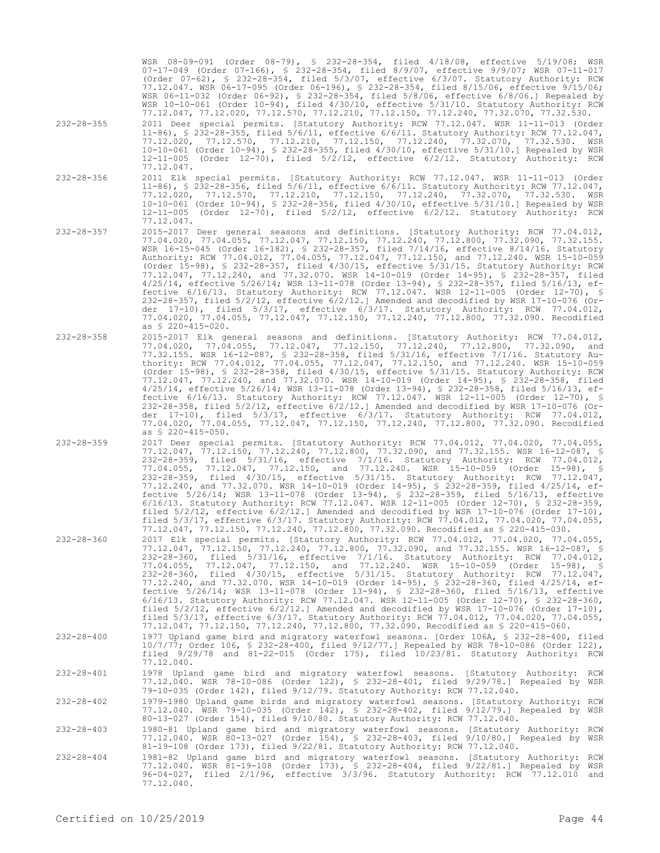WSR 08-09-091 (Order 08-79), § 232-28-354, filed 4/18/08, effective 5/19/08; WSR 07-17-049 (Order 07-166), § 232-28-354, filed 8/9/07, effective 9/9/07; WSR 07-11-017 (Order 07-62), § 232-28-354, filed 5/3/07, effective 6/3/07. Statutory Authority: RCW 77.12.047. WSR 06-17-095 (Order 06-196), § 232-28-354, filed 8/15/06, effective 9/15/06; WSR 06-11-032 (Order 06-92), § 232-28-354, filed 5/8/06, effective 6/8/06.] Repealed by WSR 10-10-061 (Order 10-94), filed 4/30/10, effective 5/31/10. Statutory Authority: RCW 77.12.047, 77.12.020, 77.12.570, 77.12.210, 77.12.150, 77.12.240, 77.32.070, 77.32.530.

11-86), § 232-28-355, filed 5/6/11, effective 6/6/11. Statutory Authority: RCW 77.12.047, 77.12.020, 77.12.570, 77.12.210, 77.12.150, 77.12.240, 77.32.070, 77.32.530. WSR 10-10-061 (Order 10-94), § 232-28-355, filed 4/30/10, effective 5/31/10.] Repealed by WSR 12-11-005 (Order 12-70), filed 5/2/12, effective 6/2/12. Statutory Authority: RCW

11-86), § 232-28-356, filed 5/6/11, effective 6/6/11. Statutory Authority: RCW 77.12.047, 77.12.020, 77.12.570, 77.12.210, 77.12.150, 77.12.240, 77.32.070, 77.32.530. WSR 10-10-061 (Order 10-94), § 232-28-356, filed 4/30/10, effective 5/31/10.] Repealed by WSR 12-11-005 (Order 12-70), filed 5/2/12, effective 6/2/12. Statutory Authority: RCW

77.04.020, 77.04.055, 77.12.047, 77.12.150, 77.12.240, 77.12.800, 77.32.090, 77.32.155. WSR 16-15-045 (Order 16-182), § 232-28-357, filed 7/14/16, effective 8/14/16. Statutory Authority: RCW 77.04.012, 77.04.055, 77.12.047, 77.12.150, and 77.12.240. WSR 15-10-059 (Order 15-98), § 232-28-357, filed 4/30/15, effective 5/31/15. Statutory Authority: RCW 77.12.047, 77.12.240, and 77.32.070. WSR 14-10-019 (Order 14-95), § 232-28-357, filed 4/25/14, effective 5/26/14; WSR 13-11-078 (Order 13-94), § 232-28-357, filed 5/16/13, effective 6/16/13. Statutory Authority: RCW 77.12.047. WSR 12-11-005 (Order 12-70), § 232-28-357, filed 5/2/12, effective 6/2/12.] Amended and decodified by WSR 17-10-076 (Order 17-10), filed 5/3/17, effective 6/3/17. Statutory Authority: RCW 77.04.012, 77.04.020, 77.04.055, 77.12.047, 77.12.150, 77.12.240, 77.12.800, 77.32.090. Recodified

77.04.020, 77.04.055, 77.12.047, 77.12.150, 77.12.240, 77.12.800, 77.32.090, and 77.32.155. WSR 16-12-087, § 232-28-358, filed 5/31/16, effective 7/1/16. Statutory Authority: RCW 77.04.012, 77.04.055, 77.12.047, 77.12.150, and 77.12.240. WSR 15-10-059 (Order 15-98), § 232-28-358, filed 4/30/15, effective 5/31/15. Statutory Authority: RCW 77.12.047, 77.12.240, and 77.32.070. WSR 14-10-019 (Order 14-95), § 232-28-358, filed 4/25/14, effective 5/26/14; WSR 13-11-078 (Order 13-94), § 232-28-358, filed 5/16/13, effective 6/16/13. Statutory Authority: RCW 77.12.047. WSR 12-11-005 (Order 12-70), § 232-28-358, filed 5/2/12, effective 6/2/12.] Amended and decodified by WSR 17-10-076 (Order 17-10), filed 5/3/17, effective 6/3/17. Statutory Authority: RCW 77.04.012, 77.04.020, 77.04.055, 77.12.047, 77.12.150, 77.12.240, 77.12.800, 77.32.090. Recodified

77.12.047, 77.12.150, 77.12.240, 77.12.800, 77.32.090, and 77.32.155. WSR 16-12-087, § 232-28-359, filed 5/31/16, effective 7/1/16. Statutory Authority: RCW 77.04.012, 77.04.055, 77.12.047, 77.12.150, and 77.12.240. WSR 15-10-059 (Order 15-98), § 232-28-359, filed 4/30/15, effective 5/31/15. Statutory Authority: RCW 77.12.047, 77.12.240, and 77.32.070. WSR 14-10-019 (Order 14-95), § 232-28-359, filed 4/25/14, effective 5/26/14; WSR 13-11-078 (Order 13-94), § 232-28-359, filed 5/16/13, effective 6/16/13. Statutory Authority: RCW 77.12.047. WSR 12-11-005 (Order 12-70), § 232-28-359, filed  $5/2/12$ , effective  $6/2/12$ . Amended and decodified by WSR 17-10-076 (Order 17-10), filed 5/3/17, effective 6/3/17. Statutory Authority: RCW 77.04.012, 77.04.020, 77.04.055, 77.12.047, 77.12.150, 77.12.240, 77.12.800, 77.32.090. Recodified as § 220-415-030.

77.12.047, 77.12.150, 77.12.240, 77.12.800, 77.32.090, and 77.32.155. WSR 16-12-087, § 232-28-360, filed 5/31/16, effective 7/1/16. Statutory Authority: RCW 77.04.012, 77.04.055, 77.12.047, 77.12.150, and 77.12.240. WSR 15-10-059 (Order 15-98), § 232-28-360, filed 4/30/15, effective 5/31/15. Statutory Authority: RCW 77.12.047, 77.12.240, and 77.32.070. WSR 14-10-019 (Order 14-95), § 232-28-360, filed 4/25/14, effective 5/26/14; WSR 13-11-078 (Order 13-94), § 232-28-360, filed 5/16/13, effective 6/16/13. Statutory Authority: RCW 77.12.047. WSR 12-11-005 (Order 12-70), § 232-28-360, filed  $5/2/12$ , effective  $6/2/12$ . Amended and decodified by WSR 17-10-076 (Order 17-10), filed 5/3/17, effective 6/3/17. Statutory Authority: RCW 77.04.012, 77.04.020, 77.04.055, 77.12.047, 77.12.150, 77.12.240, 77.12.800, 77.32.090. Recodified as § 220-415-060.

10/7/77; Order 106, § 232-28-400, filed 9/12/77.] Repealed by WSR 78-10-086 (Order 122), filed 9/29/78 and 81-22-015 (Order 175), filed 10/23/81. Statutory Authority: RCW

- 232-28-355 2011 Deer special permits. [Statutory Authority: RCW 77.12.047. WSR 11-11-013 (Order
- 
- 232-28-356 2011 Elk special permits. [Statutory Authority: RCW 77.12.047. WSR 11-11-013 (Order

77.12.047.

77.12.047.

as § 220-415-020.

as § 220-415-050.

- 232-28-357 2015-2017 Deer general seasons and definitions. [Statutory Authority: RCW 77.04.012,
- 
- 
- 232-28-358 2015-2017 Elk general seasons and definitions. [Statutory Authority: RCW 77.04.012,
- 
- 232-28-359 2017 Deer special permits. [Statutory Authority: RCW 77.04.012, 77.04.020, 77.04.055,

- 232-28-360 2017 Elk special permits. [Statutory Authority: RCW 77.04.012, 77.04.020, 77.04.055,
- 
- 
- 
- 
- 232-28-400 1977 Upland game bird and migratory waterfowl seasons. [Order 106A, § 232-28-400, filed
- 
- 
- 

77.12.040. 232-28-401 1978 Upland game bird and migratory waterfowl seasons. [Statutory Authority: RCW

- 77.12.040. WSR 78-10-086 (Order 122), § 232-28-401, filed 9/29/78.] Repealed by WSR 79-10-035 (Order 142), filed 9/12/79. Statutory Authority: RCW 77.12.040.
- 232-28-402 1979-1980 Upland game birds and migratory waterfowl seasons. [Statutory Authority: RCW 77.12.040. WSR 79-10-035 (Order 142), § 232-28-402, filed 9/12/79.] Repealed by WSR 80-13-027 (Order 154), filed 9/10/80. Statutory Authority: RCW 77.12.040.
- 232-28-403 1980-81 Upland game bird and migratory waterfowl seasons. [Statutory Authority: RCW 77.12.040. WSR 80-13-027 (Order 154), § 232-28-403, filed 9/10/80.] Repealed by WSR 81-19-108 (Order 173), filed 9/22/81. Statutory Authority: RCW 77.12.040.
- 232-28-404 1981-82 Upland game bird and migratory waterfowl seasons. [Statutory Authority: RCW 77.12.040. WSR 81-19-108 (Order 173), § 232-28-404, filed 9/22/81.] Repealed by WSR 96-04-027, filed 2/1/96, effective 3/3/96. Statutory Authority: RCW 77.12.010 and 77.12.040.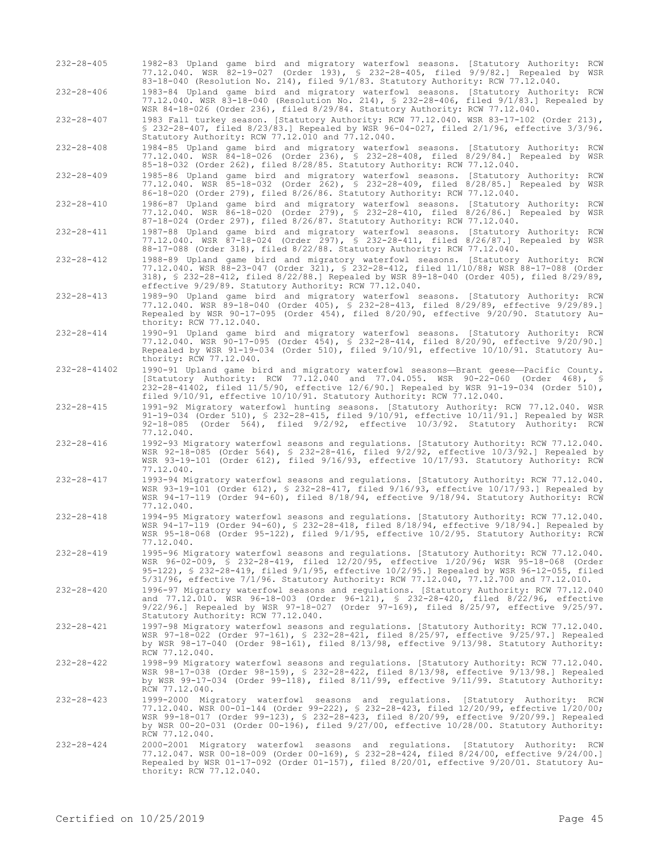| 232-28-405       | 1982-83 Upland game bird and migratory waterfowl seasons. [Statutory Authority: RCW<br>77.12.040. WSR 82-19-027 (Order 193), § 232-28-405, filed 9/9/82.] Repealed by WSR<br>83-18-040 (Resolution No. 214), filed 9/1/83. Statutory Authority: RCW 77.12.040.                                                                                                                         |
|------------------|----------------------------------------------------------------------------------------------------------------------------------------------------------------------------------------------------------------------------------------------------------------------------------------------------------------------------------------------------------------------------------------|
| $232 - 28 - 406$ | 1983-84 Upland game bird and migratory waterfowl seasons. [Statutory Authority: RCW<br>77.12.040. WSR 83-18-040 (Resolution No. 214), § 232-28-406, filed 9/1/83.] Repealed by<br>WSR 84-18-026 (Order 236), filed 8/29/84. Statutory Authority: RCW 77.12.040.                                                                                                                        |
| $232 - 28 - 407$ | 1983 Fall turkey season. [Statutory Authority: RCW 77.12.040. WSR 83-17-102 (Order 213),<br>$$232-28-407$ , filed 8/23/83.] Repealed by WSR 96-04-027, filed 2/1/96, effective 3/3/96.<br>Statutory Authority: RCW 77.12.010 and 77.12.040.                                                                                                                                            |
| $232 - 28 - 408$ | 1984-85 Upland game bird and migratory waterfowl seasons. [Statutory Authority: RCW<br>77.12.040. WSR 84-18-026 (Order 236), \$ 232-28-408, filed 8/29/84.] Repealed by WSR<br>85-18-032 (Order 262), filed 8/28/85. Statutory Authority: RCW 77.12.040.                                                                                                                               |
| $232 - 28 - 409$ | 1985-86 Upland game bird and migratory waterfowl seasons. [Statutory Authority: RCW<br>77.12.040. WSR 85-18-032 (Order 262), § 232-28-409, filed 8/28/85.] Repealed by WSR<br>86-18-020 (Order 279), filed 8/26/86. Statutory Authority: RCW 77.12.040.                                                                                                                                |
| $232 - 28 - 410$ | 1986-87 Upland game bird and migratory waterfowl seasons. [Statutory Authority: RCW<br>77.12.040. WSR 86-18-020 (Order 279), § 232-28-410, filed 8/26/86.] Repealed by WSR<br>87-18-024 (Order 297), filed 8/26/87. Statutory Authority: RCW 77.12.040.                                                                                                                                |
| $232 - 28 - 411$ | 1987-88 Upland game bird and migratory waterfowl seasons. [Statutory Authority: RCW<br>77.12.040. WSR 87-18-024 (Order 297), § 232-28-411, filed 8/26/87.] Repealed by WSR<br>88-17-088 (Order 318), filed 8/22/88. Statutory Authority: RCW 77.12.040.                                                                                                                                |
| $232 - 28 - 412$ | 1988-89 Upland game bird and migratory waterfowl seasons. [Statutory Authority: RCW<br>77.12.040. WSR 88-23-047 (Order 321), § 232-28-412, filed 11/10/88; WSR 88-17-088 (Order<br>318), $\frac{1}{2}$ 232-28-412, filed 8/22/88.] Repealed by WSR 89-18-040 (Order 405), filed 8/29/89,<br>effective 9/29/89. Statutory Authority: RCW 77.12.040.                                     |
| $232 - 28 - 413$ | 1989-90 Upland game bird and migratory waterfowl seasons. [Statutory Authority: RCW<br>77.12.040. WSR 89-18-040 (Order 405), § 232-28-413, filed 8/29/89, effective 9/29/89.]<br>Repealed by WSR 90-17-095 (Order 454), filed 8/20/90, effective 9/20/90. Statutory Au-<br>thority: RCW 77.12.040.                                                                                     |
| $232 - 28 - 414$ | 1990-91 Upland game bird and migratory waterfowl seasons. [Statutory Authority: RCW<br>77.12.040. WSR 90-17-095 (Order 454), § 232-28-414, filed 8/20/90, effective 9/20/90.]<br>Repealed by WSR 91-19-034 (Order 510), filed 9/10/91, effective 10/10/91. Statutory Au-<br>thority: RCW 77.12.040.                                                                                    |
| 232-28-41402     | 1990-91 Upland game bird and migratory waterfowl seasons-Brant geese-Pacific County.<br>[Statutory Authority: RCW 77.12.040 and 77.04.055. WSR 90-22-060 (Order 468), §<br>232-28-41402, filed 11/5/90, effective 12/6/90.] Repealed by WSR 91-19-034 (Order 510),<br>filed $9/10/91$ , effective $10/10/91$ . Statutory Authority: RCW 77.12.040.                                     |
| $232 - 28 - 415$ | 1991-92 Migratory waterfowl hunting seasons. [Statutory Authority: RCW 77.12.040. WSR<br>91-19-034 (Order 510), \$ 232-28-415, filed $9/10/91$ , effective $10/11/91$ . Repealed by WSR<br>$92-18-085$ (Order 564), filed $9/2/92$ , effective $10/3/92$ . Statutory Authority: RCW<br>77.12.040.                                                                                      |
| $232 - 28 - 416$ | 1992-93 Migratory waterfowl seasons and regulations. [Statutory Authority: RCW 77.12.040.<br>WSR 92-18-085 (Order 564), § 232-28-416, filed 9/2/92, effective 10/3/92.] Repealed by<br>WSR 93-19-101 (Order 612), filed 9/16/93, effective 10/17/93. Statutory Authority: RCW<br>77.12.040.                                                                                            |
| $232 - 28 - 417$ | 1993-94 Migratory waterfowl seasons and regulations. [Statutory Authority: RCW 77.12.040.<br>WSR 93-19-101 (Order 612), § 232-28-417, filed 9/16/93, effective 10/17/93.] Repealed by<br>WSR 94-17-119 (Order 94-60), filed 8/18/94, effective 9/18/94. Statutory Authority: RCW<br>77.12.040.                                                                                         |
| $232 - 28 - 418$ | 1994-95 Migratory waterfowl seasons and regulations. [Statutory Authority: RCW 77.12.040.<br>WSR 94-17-119 (Order 94-60), § 232-28-418, filed 8/18/94, effective 9/18/94.] Repealed by<br>WSR 95-18-068 (Order 95-122), filed 9/1/95, effective 10/2/95. Statutory Authority: RCW<br>77.12.040.                                                                                        |
| $232 - 28 - 419$ | 1995-96 Migratory waterfowl seasons and regulations. [Statutory Authority: RCW 77.12.040.<br>WSR 96-02-009, § 232-28-419, filed 12/20/95, effective 1/20/96; WSR 95-18-068 (Order<br>95-122), $\frac{1}{2}$ 232-28-419, filed 9/1/95, effective 10/2/95.] Repealed by WSR 96-12-055, filed<br>5/31/96, effective 7/1/96. Statutory Authority: RCW 77.12.040, 77.12.700 and 77.12.010.  |
| $232 - 28 - 420$ | 1996-97 Migratory waterfowl seasons and regulations. [Statutory Authority: RCW 77.12.040<br>and 77.12.010. WSR 96-18-003 (Order 96-121), § 232-28-420, filed 8/22/96, effective<br>9/22/96.] Repealed by WSR 97-18-027 (Order 97-169), filed 8/25/97, effective 9/25/97.<br>Statutory Authority: RCW 77.12.040.                                                                        |
| $232 - 28 - 421$ | 1997-98 Migratory waterfowl seasons and regulations. [Statutory Authority: RCW 77.12.040.<br>WSR 97-18-022 (Order 97-161), § 232-28-421, filed 8/25/97, effective 9/25/97.] Repealed<br>by WSR $98-17-040$ (Order $98-161$ ), filed $8/13/98$ , effective $9/13/98$ . Statutory Authority:<br>RCW 77.12.040.                                                                           |
| $232 - 28 - 422$ | 1998-99 Migratory waterfowl seasons and regulations. [Statutory Authority: RCW 77.12.040.<br>WSR 98-17-038 (Order 98-159), § 232-28-422, filed 8/13/98, effective 9/13/98.] Repealed<br>by WSR 99-17-034 (Order 99-118), filed $8/11/99$ , effective $9/11/99$ . Statutory Authority:<br>RCW 77.12.040.                                                                                |
| $232 - 28 - 423$ | 1999-2000 Migratory waterfowl seasons and regulations. [Statutory Authority: RCW<br>77.12.040. WSR 00-01-144 (Order 99-222), § 232-28-423, filed 12/20/99, effective 1/20/00;<br>WSR 99-18-017 (Order 99-123), § 232-28-423, filed 8/20/99, effective 9/20/99.] Repealed<br>by WSR 00-20-031 (Order 00-196), filed 9/27/00, effective 10/28/00. Statutory Authority:<br>RCW 77.12.040. |
| $232 - 28 - 424$ | 2000-2001 Migratory waterfowl seasons and regulations. [Statutory Authority: RCW<br>77.12.047. WSR 00-18-009 (Order 00-169), § 232-28-424, filed 8/24/00, effective 9/24/00.]<br>Repealed by WSR 01-17-092 (Order 01-157), filed 8/20/01, effective 9/20/01. Statutory Au-<br>thority: RCW 77.12.040.                                                                                  |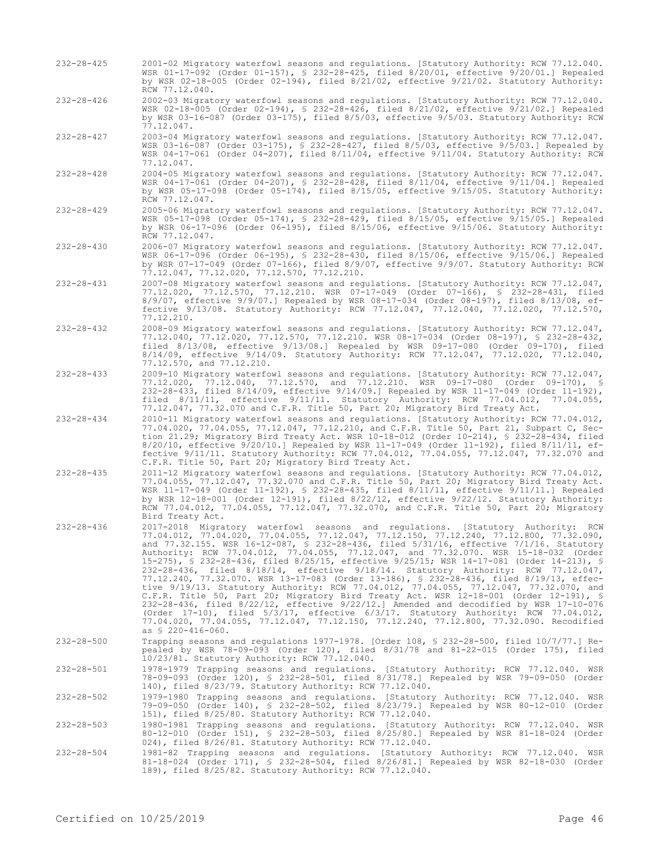- 232-28-425 2001-02 Migratory waterfowl seasons and regulations. [Statutory Authority: RCW 77.12.040. WSR 01-17-092 (Order 01-157), § 232-28-425, filed 8/20/01, effective 9/20/01.] Repealed by WSR 02-18-005 (Order 02-194), filed 8/21/02, effective 9/21/02. Statutory Authority: RCW 77.12.040. 232-28-426 2002-03 Migratory waterfowl seasons and regulations. [Statutory Authority: RCW 77.12.040.
- WSR 02-18-005 (Order 02-194), § 232-28-426, filed 8/21/02, effective 9/21/02.] Repealed by WSR 03-16-087 (Order 03-175), filed 8/5/03, effective 9/5/03. Statutory Authority: RCW 77.12.047.
- 232-28-427 2003-04 Migratory waterfowl seasons and regulations. [Statutory Authority: RCW 77.12.047. WSR 03-16-087 (Order 03-175), § 232-28-427, filed 8/5/03, effective 9/5/03.] Repealed by WSR 04-17-061 (Order 04-207), filed 8/11/04, effective 9/11/04. Statutory Authority: RCW 77.12.047.
- 232-28-428 2004-05 Migratory waterfowl seasons and regulations. [Statutory Authority: RCW 77.12.047. WSR 04-17-061 (Order 04-207), § 232-28-428, filed 8/11/04, effective 9/11/04.] Repealed by WSR 05-17-098 (Order 05-174), filed 8/15/05, effective 9/15/05. Statutory Authority: RCW 77.12.047.
- 232-28-429 2005-06 Migratory waterfowl seasons and regulations. [Statutory Authority: RCW 77.12.047. WSR 05-17-098 (Order 05-174), § 232-28-429, filed 8/15/05, effective 9/15/05.] Repealed by WSR 06-17-096 (Order 06-195), filed 8/15/06, effective 9/15/06. Statutory Authority: RCW 77.12.047.
- 232-28-430 2006-07 Migratory waterfowl seasons and regulations. [Statutory Authority: RCW 77.12.047. WSR 06-17-096 (Order 06-195), § 232-28-430, filed 8/15/06, effective 9/15/06.] Repealed by WSR 07-17-049 (Order 07-166), filed 8/9/07, effective 9/9/07. Statutory Authority: RCW 77.12.047, 77.12.020, 77.12.570, 77.12.210.
- 232-28-431 2007-08 Migratory waterfowl seasons and regulations. [Statutory Authority: RCW 77.12.047, 77.12.020, 77.12.570, 77.12.210. WSR 07-17-049 (Order 07-166), § 232-28-431, filed 8/9/07, effective 9/9/07.] Repealed by WSR 08-17-034 (Order 08-197), filed 8/13/08, effective 9/13/08. Statutory Authority: RCW 77.12.047, 77.12.040, 77.12.020, 77.12.570, 77.12.210.
- 232-28-432 2008-09 Migratory waterfowl seasons and regulations. [Statutory Authority: RCW 77.12.047, 77.12.040, 77.12.020, 77.12.570, 77.12.210. WSR 08-17-034 (Order 08-197), § 232-28-432, filed 8/13/08, effective 9/13/08.] Repealed by WSR 09-17-080 (Order 09-170), filed 8/14/09, effective 9/14/09. Statutory Authority: RCW 77.12.047, 77.12.020, 77.12.040, 77.12.570, and 77.12.210.
- 232-28-433 2009-10 Migratory waterfowl seasons and regulations. [Statutory Authority: RCW 77.12.047,<br>27.12.020. 77.12.040. 77.12.570. and 77.12.210. WSR 09-17-080 (Order 09-170). \$ 77.12.020, 77.12.040, 77.12.570, and 77.12.210. WSR 09-17-080 (Order 09-170), § 232-28-433, filed 8/14/09, effective 9/14/09.] Repealed by WSR 11-17-049 (Order 11-192), filed 8/11/11, effective 9/11/11. Statutory Authority: RCW 77.04.012, 77.04.055, 77.12.047, 77.32.070 and C.F.R. Title 50, Part 20; Migratory Bird Treaty Act.
- 232-28-434 2010-11 Migratory waterfowl seasons and regulations. [Statutory Authority: RCW 77.04.012, 77.04.020, 77.04.055, 77.12.047, 77.12.210, and C.F.R. Title 50, Part 21, Subpart C, Section 21.29; Migratory Bird Treaty Act. WSR 10-18-012 (Order 10-214), § 232-28-434, filed 8/20/10, effective 9/20/10.] Repealed by WSR 11-17-049 (Order 11-192), filed 8/11/11, effective 9/11/11. Statutory Authority: RCW 77.04.012, 77.04.055, 77.12.047, 77.32.070 and C.F.R. Title 50, Part 20; Migratory Bird Treaty Act.
- 232-28-435 2011-12 Migratory waterfowl seasons and regulations. [Statutory Authority: RCW 77.04.012, 77.04.055, 77.12.047, 77.32.070 and C.F.R. Title 50, Part 20; Migratory Bird Treaty Act. WSR 11-17-049 (Order 11-192), § 232-28-435, filed 8/11/11, effective 9/11/11.] Repealed by WSR 12-18-001 (Order 12-191), filed 8/22/12, effective 9/22/12. Statutory Authority: RCW 77.04.012, 77.04.055, 77.12.047, 77.32.070, and C.F.R. Title 50, Part 20; Migratory Bird Treaty Act.
- 232-28-436 2017-2018 Migratory waterfowl seasons and regulations. [Statutory Authority: RCW 77.04.012, 77.04.020, 77.04.055, 77.12.047, 77.12.150, 77.12.240, 77.12.800, 77.32.090, and 77.32.155. WSR 16-12-087, § 232-28-436, filed 5/31/16, effective 7/1/16. Statutory Authority: RCW 77.04.012, 77.04.055, 77.12.047, and 77.32.070. WSR 15-18-032 (Order 15-275), § 232-28-436, filed 8/25/15, effective 9/25/15; WSR 14-17-081 (Order 14-213), § 232-28-436, filed 8/18/14, effective 9/18/14. Statutory Authority: RCW 77.12.047, 77.12.240, 77.32.070. WSR 13-17-083 (Order 13-186), § 232-28-436, filed 8/19/13, effective 9/19/13. Statutory Authority: RCW 77.04.012, 77.04.055, 77.12.047, 77.32.070, and C.F.R. Title 50, Part 20; Migratory Bird Treaty Act. WSR 12-18-001 (Order 12-191), § 232-28-436, filed 8/22/12, effective 9/22/12.] Amended and decodified by WSR 17-10-076 (Order 17-10), filed 5/3/17, effective 6/3/17. Statutory Authority: RCW 77.04.012, 77.04.020, 77.04.055, 77.12.047, 77.12.150, 77.12.240, 77.12.800, 77.32.090. Recodified as § 220-416-060.
- 232-28-500 Trapping seasons and regulations 1977-1978. [Order 108, § 232-28-500, filed 10/7/77.] Repealed by WSR 78-09-093 (Order 120), filed 8/31/78 and 81-22-015 (Order 175), filed 10/23/81. Statutory Authority: RCW 77.12.040.

232-28-501 1978-1979 Trapping seasons and regulations. [Statutory Authority: RCW 77.12.040. WSR 78-09-093 (Order 120), § 232-28-501, filed 8/31/78.] Repealed by WSR 79-09-050 (Order 140), filed 8/23/79. Statutory Authority: RCW 77.12.040.

232-28-502 1979-1980 Trapping seasons and regulations. [Statutory Authority: RCW 77.12.040. WSR 79-09-050 (Order 140), § 232-28-502, filed 8/23/79.] Repealed by WSR 80-12-010 (Order 151), filed 8/25/80. Statutory Authority: RCW 77.12.040.

- 232-28-503 1980-1981 Trapping seasons and regulations. [Statutory Authority: RCW 77.12.040. WSR 80-12-010 (Order 151), § 232-28-503, filed 8/25/80.] Repealed by WSR 81-18-024 (Order 024), filed 8/26/81. Statutory Authority: RCW 77.12.040.
- 232-28-504 1981-82 Trapping seasons and regulations. [Statutory Authority: RCW 77.12.040. WSR 81-18-024 (Order 171), § 232-28-504, filed 8/26/81.] Repealed by WSR 82-18-030 (Order 189), filed 8/25/82. Statutory Authority: RCW 77.12.040.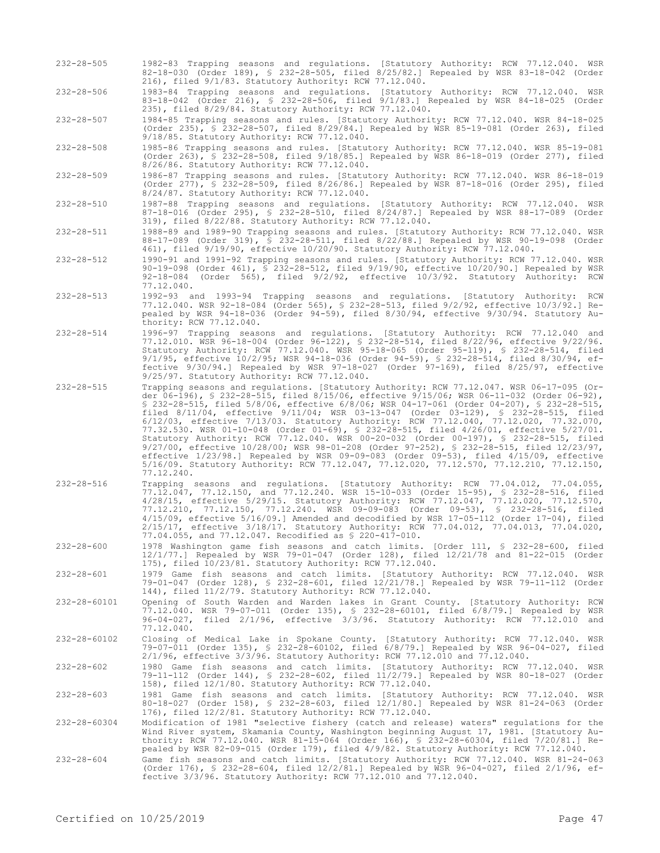- 232-28-505 1982-83 Trapping seasons and regulations. [Statutory Authority: RCW 77.12.040. WSR 82-18-030 (Order 189), § 232-28-505, filed 8/25/82.] Repealed by WSR 83-18-042 (Order 216), filed 9/1/83. Statutory Authority: RCW 77.12.040.
- 232-28-506 1983-84 Trapping seasons and regulations. [Statutory Authority: RCW 77.12.040. WSR 83-18-042 (Order 216), § 232-28-506, filed 9/1/83.] Repealed by WSR 84-18-025 (Order 235), filed 8/29/84. Statutory Authority: RCW 77.12.040.

232-28-507 1984-85 Trapping seasons and rules. [Statutory Authority: RCW 77.12.040. WSR 84-18-025 (Order 235), § 232-28-507, filed 8/29/84.] Repealed by WSR 85-19-081 (Order 263), filed 9/18/85. Statutory Authority: RCW 77.12.040.

232-28-508 1985-86 Trapping seasons and rules. [Statutory Authority: RCW 77.12.040. WSR 85-19-081 (Order 263), § 232-28-508, filed  $9/18/85$ .] Repealed by WSR 86-18-019 (Order 277), filed 8/26/86. Statutory Authority: RCW 77.12.040.

- 232-28-509 1986-87 Trapping seasons and rules. [Statutory Authority: RCW 77.12.040. WSR 86-18-019 (Order 277),  $\frac{1}{5}$  232-28-509, filed 8/26/86.] Repealed by WSR 87-18-016 (Order 295), filed 8/24/87. Statutory Authority: RCW 77.12.040.
- 232-28-510 1987-88 Trapping seasons and regulations. [Statutory Authority: RCW 77.12.040. WSR 87-18-016 (Order 295), § 232-28-510, filed 8/24/87.] Repealed by WSR 88-17-089 (Order 319), filed 8/22/88. Statutory Authority: RCW 77.12.040.
- 232-28-511 1988-89 and 1989-90 Trapping seasons and rules. [Statutory Authority: RCW 77.12.040. WSR 88-17-089 (Order 319), § 232-28-511, filed 8/22/88.] Repealed by WSR 90-19-098 (Order 461), filed 9/19/90, effective 10/20/90. Statutory Authority: RCW 77.12.040.
- 232-28-512 1990-91 and 1991-92 Trapping seasons and rules. [Statutory Authority: RCW 77.12.040. WSR 90-19-098 (Order 461), § 232-28-512, filed 9/19/90, effective 10/20/90.] Repealed by WSR 92-18-084 (Order 565), filed 9/2/92, effective 10/3/92. Statutory Authority: RCW 77.12.040.
- 232-28-513 1992-93 and 1993-94 Trapping seasons and regulations. [Statutory Authority: RCW 77.12.040. WSR 92-18-084 (Order 565), § 232-28-513, filed 9/2/92, effective 10/3/92.] Repealed by WSR 94-18-036 (Order 94-59), filed 8/30/94, effective 9/30/94. Statutory Authority: RCW 77.12.040.
- 232-28-514 1996-97 Trapping seasons and regulations. [Statutory Authority: RCW 77.12.040 and 77.12.010. WSR 96-18-004 (Order 96-122), § 232-28-514, filed 8/22/96, effective 9/22/96. Statutory Authority: RCW 77.12.040. WSR 95-18-065 (Order 95-119), § 232-28-514, filed 9/1/95, effective 10/2/95; WSR 94-18-036 (Order 94-59), § 232-28-514, filed 8/30/94, effective 9/30/94.] Repealed by WSR 97-18-027 (Order 97-169), filed 8/25/97, effective 9/25/97. Statutory Authority: RCW 77.12.040.
- 232-28-515 Trapping seasons and regulations. [Statutory Authority: RCW 77.12.047. WSR 06-17-095 (Order 06-196), § 232-28-515, filed 8/15/06, effective 9/15/06; WSR 06-11-032 (Order 06-92), § 232-28-515, filed 5/8/06, effective 6/8/06; WSR 04-17-061 (Order 04-207), § 232-28-515, filed 8/11/04, effective 9/11/04; WSR 03-13-047 (Order 03-129), § 232-28-515, filed 6/12/03, effective 7/13/03. Statutory Authority: RCW 77.12.040, 77.12.020, 77.32.070, 77.32.530. WSR 01-10-048 (Order 01-69), § 232-28-515, filed 4/26/01, effective 5/27/01. Statutory Authority: RCW 77.12.040. WSR 00-20-032 (Order 00-197), § 232-28-515, filed 9/27/00, effective 10/28/00; WSR 98-01-208 (Order 97-252), § 232-28-515, filed 12/23/97, effective 1/23/98.] Repealed by WSR 09-09-083 (Order 09-53), filed 4/15/09, effective 5/16/09. Statutory Authority: RCW 77.12.047, 77.12.020, 77.12.570, 77.12.210, 77.12.150, 77.12.240.
- 232-28-516 Trapping seasons and regulations. [Statutory Authority: RCW 77.04.012, 77.04.055, 77.12.047, 77.12.150, and 77.12.240. WSR 15-10-033 (Order 15-95), § 232-28-516, filed 4/28/15, effective 5/29/15. Statutory Authority: RCW 77.12.047, 77.12.020, 77.12.570, 77.12.210, 77.12.150, 77.12.240. WSR 09-09-083 (Order 09-53), § 232-28-516, filed 4/15/09, effective 5/16/09.] Amended and decodified by WSR 17-05-112 (Order 17-04), filed 2/15/17, effective 3/18/17. Statutory Authority: RCW 77.04.012, 77.04.013, 77.04.020, 77.04.055, and 77.12.047. Recodified as § 220-417-010.
- 232-28-600 1978 Washington game fish seasons and catch limits. [Order 111, § 232-28-600, filed 12/1/77.] Repealed by WSR 79-01-047 (Order 128), filed 12/21/78 and 81-22-015 (Order 175), filed 10/23/81. Statutory Authority: RCW 77.12.040.

232-28-601 1979 Game fish seasons and catch limits. [Statutory Authority: RCW 77.12.040. WSR 79-01-047 (Order 128), § 232-28-601, filed 12/21/78.] Repealed by WSR 79-11-112 (Order 144), filed 11/2/79. Statutory Authority: RCW 77.12.040.

- 232-28-60101 Opening of South Warden and Warden lakes in Grant County. [Statutory Authority: RCW 77.12.040. WSR 79-07-011 (Order 135), § 232-28-60101, filed 6/8/79.] Repealed by WSR 96-04-027, filed 2/1/96, effective 3/3/96. Statutory Authority: RCW 77.12.010 and 77.12.040.
- 232-28-60102 Closing of Medical Lake in Spokane County. [Statutory Authority: RCW 77.12.040. WSR 79-07-011 (Order 135), § 232-28-60102, filed 6/8/79.] Repealed by WSR 96-04-027, filed 2/1/96, effective 3/3/96. Statutory Authority: RCW 77.12.010 and 77.12.040.

232-28-602 1980 Game fish seasons and catch limits. [Statutory Authority: RCW 77.12.040. WSR 79-11-112 (Order 144), § 232-28-602, filed 11/2/79.] Repealed by WSR 80-18-027 (Order 158), filed 12/1/80. Statutory Authority: RCW 77.12.040.

232-28-603 1981 Game fish seasons and catch limits. [Statutory Authority: RCW 77.12.040. WSR 80-18-027 (Order 158), § 232-28-603, filed 12/1/80.] Repealed by WSR 81-24-063 (Order 176), filed 12/2/81. Statutory Authority: RCW 77.12.040.

- 232-28-60304 Modification of 1981 "selective fishery (catch and release) waters" regulations for the Wind River system, Skamania County, Washington beginning August 17, 1981. [Statutory Authority: RCW 77.12.040. WSR 81-15-064 (Order 166), § 232-28-60304, filed 7/20/81.] Repealed by WSR 82-09-015 (Order 179), filed 4/9/82. Statutory Authority: RCW 77.12.040.
- 232-28-604 Game fish seasons and catch limits. [Statutory Authority: RCW 77.12.040. WSR 81-24-063 (Order 176), § 232-28-604, filed 12/2/81.] Repealed by WSR 96-04-027, filed 2/1/96, effective 3/3/96. Statutory Authority: RCW 77.12.010 and 77.12.040.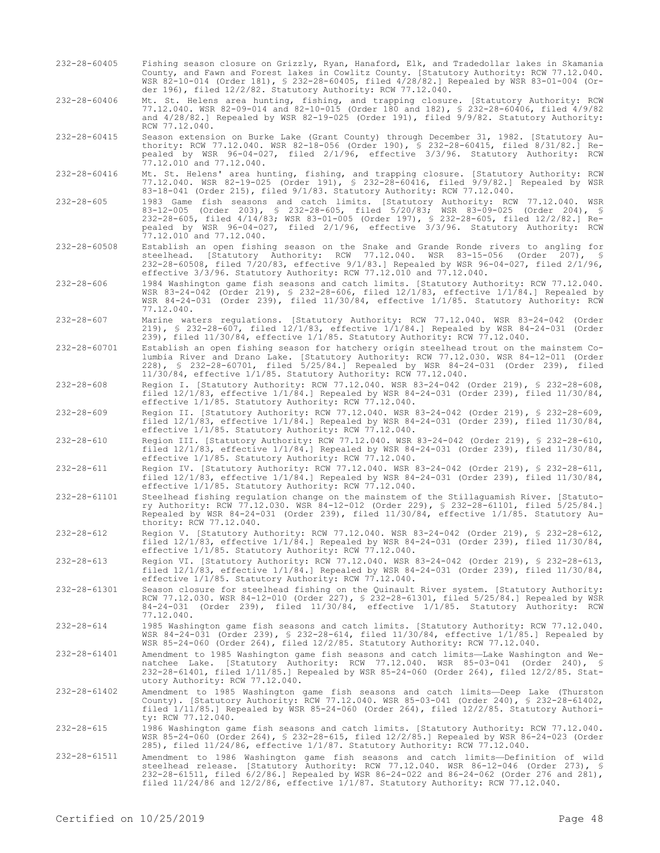- 232-28-60405 Fishing season closure on Grizzly, Ryan, Hanaford, Elk, and Tradedollar lakes in Skamania County, and Fawn and Forest lakes in Cowlitz County. [Statutory Authority: RCW 77.12.040. WSR 82-10-014 (Order 181), § 232-28-60405, filed 4/28/82.] Repealed by WSR 83-01-004 (Order 196), filed 12/2/82. Statutory Authority: RCW 77.12.040.
- 232-28-60406 Mt. St. Helens area hunting, fishing, and trapping closure. [Statutory Authority: RCW 77.12.040. WSR 82-09-014 and 82-10-015 (Order 180 and 182), § 232-28-60406, filed 4/9/82 and 4/28/82.] Repealed by WSR 82-19-025 (Order 191), filed 9/9/82. Statutory Authority: RCW 77.12.040.
- 232-28-60415 Season extension on Burke Lake (Grant County) through December 31, 1982. [Statutory Authority: RCW 77.12.040. WSR 82-18-056 (Order 190), § 232-28-60415, filed 8/31/82.] Repealed by WSR 96-04-027, filed 2/1/96, effective 3/3/96. Statutory Authority: RCW 77.12.010 and 77.12.040.
- 232-28-60416 Mt. St. Helens' area hunting, fishing, and trapping closure. [Statutory Authority: RCW 77.12.040. WSR 82-19-025 (Order 191), § 232-28-60416, filed 9/9/82.] Repealed by WSR 83-18-041 (Order 215), filed 9/1/83. Statutory Authority: RCW 77.12.040.
- 232-28-605 1983 Game fish seasons and catch limits. [Statutory Authority: RCW 77.12.040. WSR 83-12-005 (Order 203), § 232-28-605, filed 5/20/83; WSR 83-09-025 (Order 204), § 232-28-605, filed 4/14/83; WSR 83-01-005 (Order 197), § 232-28-605, filed 12/2/82.] Repealed by WSR 96-04-027, filed 2/1/96, effective 3/3/96. Statutory Authority: RCW 77.12.010 and 77.12.040.
- 232-28-60508 Establish an open fishing season on the Snake and Grande Ronde rivers to angling for steelhead. [Statutory Authority: RCW 77.12.040. WSR 83-15-056 (Order 207), § 232-28-60508, filed 7/20/83, effective 9/1/83.] Repealed by WSR 96-04-027, filed 2/1/96, effective 3/3/96. Statutory Authority: RCW 77.12.010 and 77.12.040.
- 232-28-606 1984 Washington game fish seasons and catch limits. [Statutory Authority: RCW 77.12.040. WSR 83-24-042 (Order 219), § 232-28-606, filed 12/1/83, effective 1/1/84.] Repealed by WSR 84-24-031 (Order 239), filed 11/30/84, effective 1/1/85. Statutory Authority: RCW 77.12.040.
- 232-28-607 Marine waters regulations. [Statutory Authority: RCW 77.12.040. WSR 83-24-042 (Order 219), § 232-28-607, filed 12/1/83, effective 1/1/84.] Repealed by WSR 84-24-031 (Order 239), filed 11/30/84, effective 1/1/85. Statutory Authority: RCW 77.12.040.
- 232-28-60701 Establish an open fishing season for hatchery origin steelhead trout on the mainstem Columbia River and Drano Lake. [Statutory Authority: RCW 77.12.030. WSR 84-12-011 (Order 228), § 232-28-60701, filed 5/25/84.] Repealed by WSR 84-24-031 (Order 239), filed 11/30/84, effective 1/1/85. Statutory Authority: RCW 77.12.040.
- 232-28-608 Region I. [Statutory Authority: RCW 77.12.040. WSR 83-24-042 (Order 219), § 232-28-608, filed 12/1/83, effective 1/1/84.] Repealed by WSR 84-24-031 (Order 239), filed 11/30/84, effective 1/1/85. Statutory Authority: RCW 77.12.040.
- 232-28-609 Region II. [Statutory Authority: RCW 77.12.040. WSR 83-24-042 (Order 219), § 232-28-609, filed 12/1/83, effective 1/1/84.] Repealed by WSR 84-24-031 (Order 239), filed 11/30/84, effective 1/1/85. Statutory Authority: RCW 77.12.040.
- 232-28-610 Region III. [Statutory Authority: RCW 77.12.040. WSR 83-24-042 (Order 219), § 232-28-610, filed 12/1/83, effective 1/1/84.] Repealed by WSR 84-24-031 (Order 239), filed 11/30/84, effective 1/1/85. Statutory Authority: RCW 77.12.040.
- 232-28-611 Region IV. [Statutory Authority: RCW 77.12.040. WSR 83-24-042 (Order 219), § 232-28-611, filed 12/1/83, effective 1/1/84.] Repealed by WSR 84-24-031 (Order 239), filed 11/30/84, effective 1/1/85. Statutory Authority: RCW 77.12.040.
- 232-28-61101 Steelhead fishing regulation change on the mainstem of the Stillaguamish River. [Statutory Authority: RCW 77.12.030. WSR 84-12-012 (Order 229), § 232-28-61101, filed 5/25/84.] Repealed by WSR 84-24-031 (Order 239), filed 11/30/84, effective 1/1/85. Statutory Authority: RCW 77.12.040.
- 232-28-612 Region V. [Statutory Authority: RCW 77.12.040. WSR 83-24-042 (Order 219), § 232-28-612, filed 12/1/83, effective 1/1/84.] Repealed by WSR 84-24-031 (Order 239), filed 11/30/84, effective 1/1/85. Statutory Authority: RCW 77.12.040.
- 232-28-613 Region VI. [Statutory Authority: RCW 77.12.040. WSR 83-24-042 (Order 219), § 232-28-613, filed 12/1/83, effective 1/1/84.] Repealed by WSR 84-24-031 (Order 239), filed 11/30/84, effective 1/1/85. Statutory Authority: RCW 77.12.040.
- 232-28-61301 Season closure for steelhead fishing on the Quinault River system. [Statutory Authority: RCW 77.12.030. WSR 84-12-010 (Order 227), § 232-28-61301, filed 5/25/84.] Repealed by WSR 84-24-031 (Order 239), filed 11/30/84, effective 1/1/85. Statutory Authority: RCW 77.12.040.
- 232-28-614 1985 Washington game fish seasons and catch limits. [Statutory Authority: RCW 77.12.040. WSR 84-24-031 (Order 239), § 232-28-614, filed 11/30/84, effective 1/1/85.] Repealed by WSR 85-24-060 (Order 264), filed 12/2/85. Statutory Authority: RCW 77.12.040.
- 232-28-61401 Amendment to 1985 Washington game fish seasons and catch limits—Lake Washington and Wenatchee Lake. [Statutory Authority: RCW 77.12.040. WSR 85-03-041 (Order 240), § 232-28-61401, filed 1/11/85.] Repealed by WSR 85-24-060 (Order 264), filed 12/2/85. Statutory Authority: RCW 77.12.040.
- 232-28-61402 Amendment to 1985 Washington game fish seasons and catch limits—Deep Lake (Thurston County). [Statutory Authority: RCW 77.12.040. WSR 85-03-041 (Order 240), § 232-28-61402, filed 1/11/85.] Repealed by WSR 85-24-060 (Order 264), filed 12/2/85. Statutory Authority: RCW 77.12.040.
- 232-28-615 1986 Washington game fish seasons and catch limits. [Statutory Authority: RCW 77.12.040. WSR 85-24-060 (Order 264), § 232-28-615, filed 12/2/85.] Repealed by WSR 86-24-023 (Order 285), filed 11/24/86, effective 1/1/87. Statutory Authority: RCW 77.12.040.
- 232-28-61511 Amendment to 1986 Washington game fish seasons and catch limits—Definition of wild steelhead release. [Statutory Authority: RCW 77.12.040. WSR 86-12-046 (Order 273), § 232-28-61511, filed 6/2/86.] Repealed by WSR 86-24-022 and 86-24-062 (Order 276 and 281), filed 11/24/86 and 12/2/86, effective 1/1/87. Statutory Authority: RCW 77.12.040.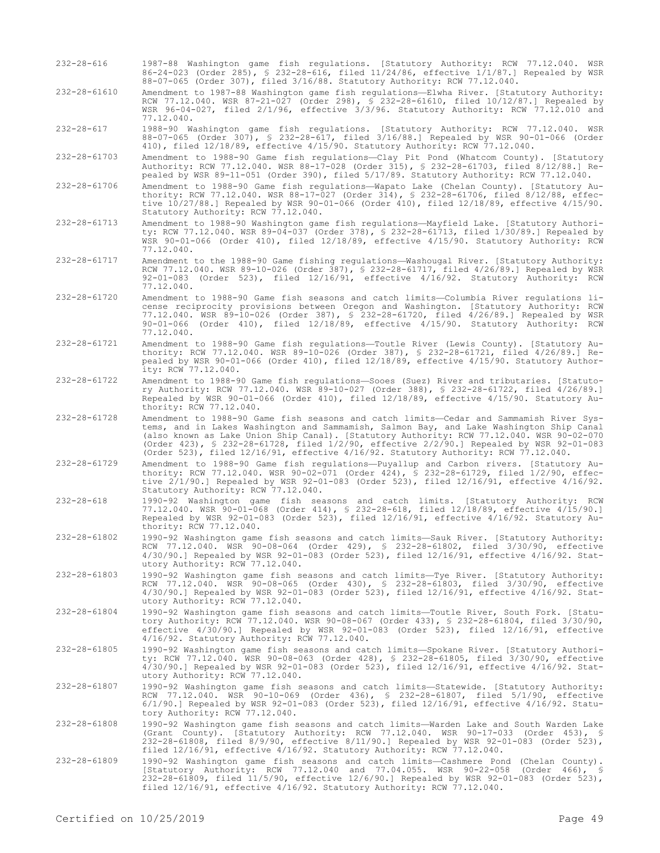- 232-28-616 1987-88 Washington game fish regulations. [Statutory Authority: RCW 77.12.040. WSR 86-24-023 (Order 285), § 232-28-616, filed 11/24/86, effective 1/1/87.] Repealed by WSR 88-07-065 (Order 307), filed 3/16/88. Statutory Authority: RCW 77.12.040.
- 232-28-61610 Amendment to 1987-88 Washington game fish regulations—Elwha River. [Statutory Authority: RCW 77.12.040. WSR 87-21-027 (Order 298), § 232-28-61610, filed 10/12/87.] Repealed by WSR 96-04-027, filed 2/1/96, effective 3/3/96. Statutory Authority: RCW 77.12.010 and 77.12.040.

232-28-617 1988-90 Washington game fish regulations. [Statutory Authority: RCW 77.12.040. WSR 88-07-065 (Order 307), § 232-28-617, filed 3/16/88.] Repealed by WSR 90-01-066 (Order 410), filed 12/18/89, effective 4/15/90. Statutory Authority: RCW 77.12.040.

232-28-61703 Amendment to 1988-90 Game fish regulations—Clay Pit Pond (Whatcom County). [Statutory Authority: RCW 77.12.040. WSR 88-17-028 (Order 315), § 232-28-61703, filed 8/12/88.] Repealed by WSR 89-11-051 (Order 390), filed 5/17/89. Statutory Authority: RCW 77.12.040.

232-28-61706 Amendment to 1988-90 Game fish regulations—Wapato Lake (Chelan County). [Statutory Authority: RCW 77.12.040. WSR 88-17-027 (Order 314), § 232-28-61706, filed 8/12/88, effective 10/27/88.] Repealed by WSR 90-01-066 (Order 410), filed 12/18/89, effective 4/15/90. Statutory Authority: RCW 77.12.040.

- 232-28-61713 Amendment to 1988-90 Washington game fish regulations—Mayfield Lake. [Statutory Authority: RCW 77.12.040. WSR 89-04-037 (Order 378), § 232-28-61713, filed 1/30/89.] Repealed by WSR 90-01-066 (Order 410), filed 12/18/89, effective 4/15/90. Statutory Authority: RCW 77.12.040.
- 232-28-61717 Amendment to the 1988-90 Game fishing regulations—Washougal River. [Statutory Authority: RCW 77.12.040. WSR 89-10-026 (Order 387), § 232-28-61717, filed 4/26/89.] Repealed by WSR 92-01-083 (Order 523), filed 12/16/91, effective 4/16/92. Statutory Authority: RCW 77.12.040.
- 232-28-61720 Amendment to 1988-90 Game fish seasons and catch limits—Columbia River regulations license reciprocity provisions between Oregon and Washington. [Statutory Authority: RCW 77.12.040. WSR 89-10-026 (Order 387), § 232-28-61720, filed 4/26/89.] Repealed by WSR 90-01-066 (Order 410), filed 12/18/89, effective 4/15/90. Statutory Authority: RCW 77.12.040.
- 232-28-61721 Amendment to 1988-90 Game fish regulations—Toutle River (Lewis County). [Statutory Authority: RCW 77.12.040. WSR 89-10-026 (Order 387), § 232-28-61721, filed 4/26/89.] Repealed by WSR 90-01-066 (Order 410), filed 12/18/89, effective 4/15/90. Statutory Authority: RCW 77.12.040.
- 232-28-61722 Amendment to 1988-90 Game fish regulations—Sooes (Suez) River and tributaries. [Statutory Authority: RCW 77.12.040. WSR 89-10-027 (Order 388), § 232-28-61722, filed 4/26/89.] Repealed by WSR 90-01-066 (Order 410), filed 12/18/89, effective 4/15/90. Statutory Authority: RCW 77.12.040.
- 232-28-61728 Amendment to 1988-90 Game fish seasons and catch limits—Cedar and Sammamish River Systems, and in Lakes Washington and Sammamish, Salmon Bay, and Lake Washington Ship Canal (also known as Lake Union Ship Canal). [Statutory Authority: RCW 77.12.040. WSR 90-02-070 (Order 423), § 232-28-61728, filed 1/2/90, effective 2/2/90.] Repealed by WSR 92-01-083 (Order 523), filed 12/16/91, effective 4/16/92. Statutory Authority: RCW 77.12.040.
- 232-28-61729 Amendment to 1988-90 Game fish regulations—Puyallup and Carbon rivers. [Statutory Authority: RCW 77.12.040. WSR 90-02-071 (Order 424), § 232-28-61729, filed 1/2/90, effective 2/1/90.] Repealed by WSR 92-01-083 (Order 523), filed 12/16/91, effective 4/16/92. Statutory Authority: RCW 77.12.040.
- 232-28-618 1990-92 Washington game fish seasons and catch limits. [Statutory Authority: RCW 77.12.040. WSR 90-01-068 (Order 414), § 232-28-618, filed 12/18/89, effective 4/15/90.] Repealed by WSR 92-01-083 (Order 523), filed 12/16/91, effective 4/16/92. Statutory Authority: RCW 77.12.040.
- 232-28-61802 1990-92 Washington game fish seasons and catch limits—Sauk River. [Statutory Authority: RCW 77.12.040. WSR 90-08-064 (Order 429), § 232-28-61802, filed 3/30/90, effective 4/30/90.] Repealed by WSR 92-01-083 (Order 523), filed 12/16/91, effective 4/16/92. Statutory Authority: RCW 77.12.040.
- 232-28-61803 1990-92 Washington game fish seasons and catch limits—Tye River. [Statutory Authority: RCW 77.12.040. WSR 90-08-065 (Order 430), § 232-28-61803, filed 3/30/90, effective 4/30/90.] Repealed by WSR 92-01-083 (Order 523), filed 12/16/91, effective 4/16/92. Statutory Authority: RCW 77.12.040.
- 232-28-61804 1990-92 Washington game fish seasons and catch limits—Toutle River, South Fork. [Statutory Authority: RCW 77.12.040. WSR 90-08-067 (Order 433), § 232-28-61804, filed 3/30/90, effective 4/30/90.] Repealed by WSR 92-01-083 (Order 523), filed 12/16/91, effective 4/16/92. Statutory Authority: RCW 77.12.040.

232-28-61805 1990-92 Washington game fish seasons and catch limits—Spokane River. [Statutory Authority: RCW 77.12.040. WSR 90-08-063 (Order 428), § 232-28-61805, filed 3/30/90, effective 4/30/90.] Repealed by WSR 92-01-083 (Order 523), filed 12/16/91, effective 4/16/92. Statutory Authority: RCW 77.12.040.

232-28-61807 1990-92 Washington game fish seasons and catch limits—Statewide. [Statutory Authority: RCW 77.12.040. WSR 90-10-069 (Order 436), § 232-28-61807, filed 5/1/90, effective 6/1/90.] Repealed by WSR 92-01-083 (Order 523), filed 12/16/91, effective 4/16/92. Statu-tory Authority: RCW 77.12.040.

- 232-28-61808 1990-92 Washington game fish seasons and catch limits—Warden Lake and South Warden Lake (Grant County). [Statutory Authority: RCW 77.12.040. WSR 90-17-033 (Order 453), § 232-28-61808, filed 8/9/90, effective 8/11/90.] Repealed by WSR 92-01-083 (Order 523), filed 12/16/91, effective 4/16/92. Statutory Authority: RCW 77.12.040.
- 232-28-61809 1990-92 Washington game fish seasons and catch limits—Cashmere Pond (Chelan County). [Statutory Authority: RCW 77.12.040 and 77.04.055. WSR 90-22-058 (Order 466), § 232-28-61809, filed 11/5/90, effective 12/6/90.] Repealed by WSR 92-01-083 (Order 523), filed 12/16/91, effective 4/16/92. Statutory Authority: RCW 77.12.040.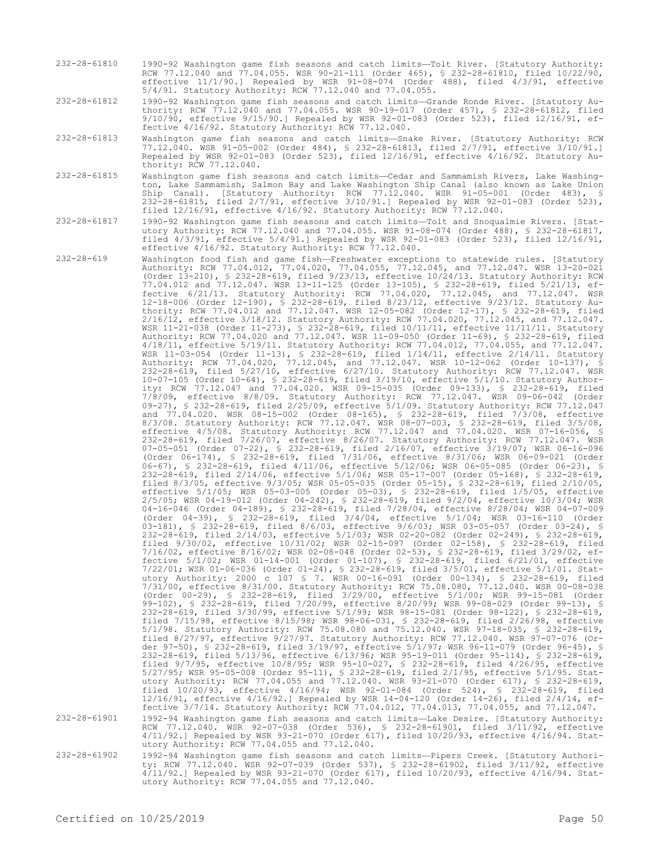232-28-61810 1990-92 Washington game fish seasons and catch limits—Tolt River. [Statutory Authority: RCW 77.12.040 and 77.04.055. WSR 90-21-111 (Order 465), § 232-28-61810, filed 10/22/90, effective 11/1/90.] Repealed by WSR 91-08-074 (Order 488), filed 4/3/91, effective 5/4/91. Statutory Authority: RCW 77.12.040 and 77.04.055.

232-28-61812 1990-92 Washington game fish seasons and catch limits—Grande Ronde River. [Statutory Authority: RCW 77.12.040 and 77.04.055. WSR 90-19-017 (Order 457), § 232-28-61812, filed 9/10/90, effective 9/15/90.] Repealed by WSR 92-01-083 (Order 523), filed 12/16/91, effective 4/16/92. Statutory Authority: RCW 77.12.040.

- 232-28-61813 Washington game fish seasons and catch limits—Snake River. [Statutory Authority: RCW 77.12.040. WSR 91-05-002 (Order 484), § 232-28-61813, filed 2/7/91, effective 3/10/91.] Repealed by WSR 92-01-083 (Order 523), filed 12/16/91, effective 4/16/92. Statutory Authority: RCW 77.12.040.
- 232-28-61815 Washington game fish seasons and catch limits—Cedar and Sammamish Rivers, Lake Washington, Lake Sammamish, Salmon Bay and Lake Washington Ship Canal (also known as Lake Union Ship Canal). [Statutory Authority: RCW 77.12.040. WSR 91-05-001 (Order 483), § 232-28-61815, filed 2/7/91, effective 3/10/91.] Repealed by WSR 92-01-083 (Order 523), filed 12/16/91, effective 4/16/92. Statutory Authority: RCW 77.12.040.
- 232-28-61817 1990-92 Washington game fish seasons and catch limits—Tolt and Snoqualmie Rivers. [Statutory Authority: RCW 77.12.040 and 77.04.055. WSR 91-08-074 (Order 488), § 232-28-61817, filed 4/3/91, effective 5/4/91.] Repealed by WSR 92-01-083 (Order 523), filed 12/16/91, effective 4/16/92. Statutory Authority: RCW 77.12.040.

232-28-619 Washington food fish and game fish—Freshwater exceptions to statewide rules. [Statutory Authority: RCW 77.04.012, 77.04.020, 77.04.055, 77.12.045, and 77.12.047. WSR 13-20-021 (Order 13-210), § 232-28-619, filed 9/23/13, effective 10/24/13. Statutory Authority: RCW 77.04.012 and 77.12.047. WSR 13-11-125 (Order 13-105), § 232-28-619, filed 5/21/13, effective 6/21/13. Statutory Authority: RCW 77.04.020, 77.12.045, and 77.12.047. WSR 12-18-006 (Order 12-190), § 232-28-619, filed 8/23/12, effective 9/23/12. Statutory Authority: RCW 77.04.012 and 77.12.047. WSR 12-05-082 (Order 12-17), § 232-28-619, filed 2/16/12, effective 3/18/12. Statutory Authority: RCW 77.04.020, 77.12.045, and 77.12.047. WSR 11-21-038 (Order 11-273), § 232-28-619, filed 10/11/11, effective 11/11/11. Statutory Authority: RCW 77.04.020 and 77.12.047. WSR 11-09-050 (Order 11-69), § 232-28-619, filed 4/18/11, effective 5/19/11. Statutory Authority: RCW 77.04.012, 77.04.055, and 77.12.047. WSR 11-03-054 (Order 11-13), § 232-28-619, filed 1/14/11, effective 2/14/11. Statutory Authority: RCW 77.04.020, 77.12.045, and 77.12.047. WSR 10-12-062 (Order 10-137), § 232-28-619, filed 5/27/10, effective 6/27/10. Statutory Authority: RCW 77.12.047. WSR 10-07-105 (Order 10-64), § 232-28-619, filed 3/19/10, effective 5/1/10. Statutory Authority: RCW 77.12.047 and 77.04.020. WSR 09-15-035 (Order 09-133), § 232-28-619, filed 7/8/09, effective 8/8/09. Statutory Authority: RCW 77.12.047. WSR 09-06-042 (Order 09-27), § 232-28-619, filed 2/25/09, effective 5/1/09. Statutory Authority: RCW 77.12.047 and 77.04.020. WSR 08-15-002 (Order 08-165), § 232-28-619, filed 7/3/08, effective 8/3/08. Statutory Authority: RCW 77.12.047. WSR 08-07-003, § 232-28-619, filed 3/5/08, effective 4/5/08. Statutory Authority: RCW 77.12.047 and 77.04.020. WSR 07-16-056, § 232-28-619, filed 7/26/07, effective 8/26/07. Statutory Authority: RCW 77.12.047. WSR 07-05-051 (Order 07-22), § 232-28-619, filed 2/16/07, effective 3/19/07; WSR 06-16-096 (Order 06-174), § 232-28-619, filed 7/31/06, effective 8/31/06; WSR 06-09-021 (Order 06-67), § 232-28-619, filed 4/11/06, effective 5/12/06; WSR 06-05-085 (Order 06-23), § 232-28-619, filed 2/14/06, effective 5/1/06; WSR 05-17-007 (Order 05-168), § 232-28-619, filed 8/3/05, effective 9/3/05; WSR 05-05-035 (Order 05-15), § 232-28-619, filed 2/10/05, effective 5/1/05; WSR 05-03-005 (Order 05-03), § 232-28-619, filed 1/5/05, effective 2/5/05; WSR 04-19-012 (Order 04-242), § 232-28-619, filed 9/2/04, effective 10/3/04; WSR 04-16-046 (Order 04-189), § 232-28-619, filed 7/28/04, effective 8/28/04; WSR 04-07-009 (Order 04-39), § 232-28-619, filed 3/4/04, effective 5/1/04; WSR 03-16-110 (Order 03-181), § 232-28-619, filed 8/6/03, effective 9/6/03; WSR 03-05-057 (Order 03-24), § 232-28-619, filed 2/14/03, effective 5/1/03; WSR 02-20-082 (Order 02-249), § 232-28-619, filed 9/30/02, effective 10/31/02; WSR 02-15-097 (Order 02-158), § 232-28-619, filed 7/16/02, effective 8/16/02; WSR 02-08-048 (Order 02-53), § 232-28-619, filed 3/29/02, effective 5/1/02; WSR 01-14-001 (Order 01-107), § 232-28-619, filed 6/21/01, effective 7/22/01; WSR 01-06-036 (Order 01-24), § 232-28-619, filed 3/5/01, effective 5/1/01. Statutory Authority: 2000 c 107 § 7. WSR 00-16-091 (Order 00-134), § 232-28-619, filed 7/31/00, effective 8/31/00. Statutory Authority: RCW 75.08.080, 77.12.040. WSR 00-08-038 (Order 00-29), § 232-28-619, filed 3/29/00, effective 5/1/00; WSR 99-15-081 (Order 99-102), § 232-28-619, filed 7/20/99, effective 8/20/99; WSR 99-08-029 (Order 99-13), § 232-28-619, filed 3/30/99, effective 5/1/99; WSR 98-15-081 (Order 98-122), § 232-28-619, filed 7/15/98, effective 8/15/98; WSR 98-06-031, § 232-28-619, filed 2/26/98, effective 5/1/98. Statutory Authority: RCW 75.08.080 and 75.12.040. WSR 97-18-035, § 232-28-619, filed 8/27/97, effective 9/27/97. Statutory Authority: RCW 77.12.040. WSR 97-07-076 (Order 97-50), § 232-28-619, filed 3/19/97, effective 5/1/97; WSR 96-11-079 (Order 96-45), § 232-28-619, filed 5/13/96, effective 6/13/96; WSR 95-19-011 (Order 95-114), § 232-28-619, filed 9/7/95, effective 10/8/95; WSR 95-10-027, § 232-28-619, filed 4/26/95, effective 5/27/95; WSR 95-05-008 (Order 95-11), § 232-28-619, filed 2/1/95, effective 5/1/95. Statutory Authority: RCW 77.04.055 and 77.12.040. WSR 93-21-070 (Order 617), § 232-28-619, filed 10/20/93, effective 4/16/94; WSR 92-01-084 (Order 524), § 232-28-619, filed 12/16/91, effective 4/16/92.] Repealed by WSR 14-04-120 (Order 14-26), filed 2/4/14, effective 3/7/14. Statutory Authority: RCW 77.04.012, 77.04.013, 77.04.055, and 77.12.047.

232-28-61901 1992-94 Washington game fish seasons and catch limits—Lake Desire. [Statutory Authority: RCW 77.12.040. WSR 92-07-038 (Order 536), § 232-28-61901, filed 3/11/92, effective 4/11/92.] Repealed by WSR 93-21-070 (Order 617), \$232-28-61901, filed 3/11/92, effective 4/16/94. Stat-<br>4/11/92.] Repealed by WSR 93-21-070 (Order 617), filed 10/20/93, effective 4/16/94. Statutory Authority: RCW 77.04.055 and 77.12.040.

232-28-61902 1992-94 Washington game fish seasons and catch limits—Pipers Creek. [Statutory Authority: RCW 77.12.040. WSR 92-07-039 (Order 537), § 232-28-61902, filed 3/11/92, effective 4/11/92.] Repealed by WSR 93-21-070 (Order 617), filed 10/20/93, effective 4/16/94. Statutory Authority: RCW 77.04.055 and 77.12.040.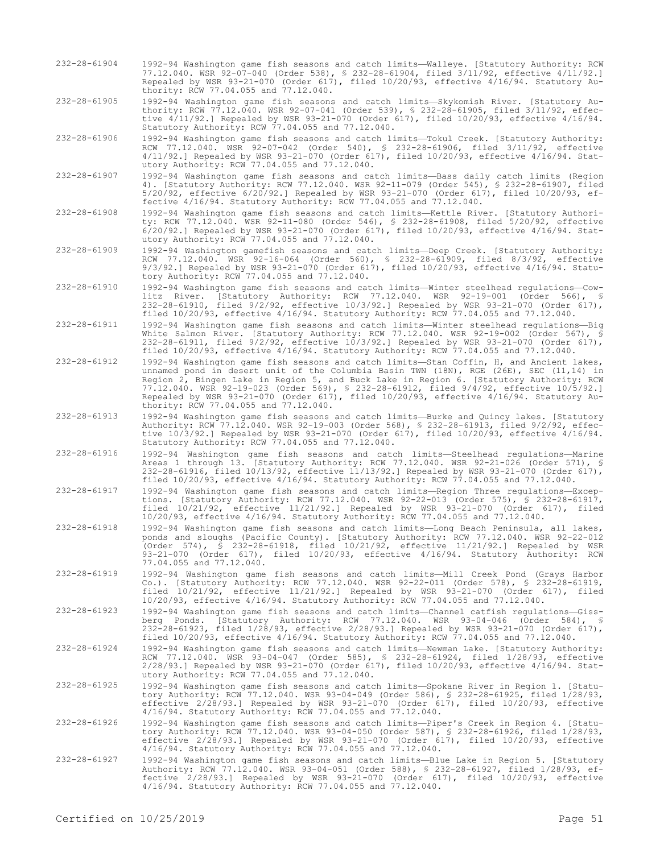232-28-61904 1992-94 Washington game fish seasons and catch limits—Walleye. [Statutory Authority: RCW 77.12.040. WSR 92-07-040 (Order 538), § 232-28-61904, filed 3/11/92, effective 4/11/92.] Repealed by WSR 93-21-070 (Order 617), filed 10/20/93, effective 4/16/94. Statutory Authority: RCW 77.04.055 and 77.12.040.

232-28-61905 1992-94 Washington game fish seasons and catch limits—Skykomish River. [Statutory Authority: RCW 77.12.040. WSR 92-07-041 (Order 539), § 232-28-61905, filed 3/11/92, effective 4/11/92.] Repealed by WSR 93-21-070 (Order 617), filed 10/20/93, effective 4/16/94. Statutory Authority: RCW 77.04.055 and 77.12.040.

232-28-61906 1992-94 Washington game fish seasons and catch limits—Tokul Creek. [Statutory Authority: RCW 77.12.040. WSR 92-07-042 (Order 540), § 232-28-61906, filed 3/11/92, effective 4/11/92.] Repealed by WSR 93-21-070 (Order 617), filed 10/20/93, effective 4/16/94. Statutory Authority: RCW 77.04.055 and 77.12.040.

- 232-28-61907 1992-94 Washington game fish seasons and catch limits—Bass daily catch limits (Region 4). [Statutory Authority: RCW 77.12.040. WSR 92-11-079 (Order 545), § 232-28-61907, filed 5/20/92, effective 6/20/92.] Repealed by WSR 93-21-070 (Order 617), filed 10/20/93, effective 4/16/94. Statutory Authority: RCW 77.04.055 and 77.12.040.
- 232-28-61908 1992-94 Washington game fish seasons and catch limits—Kettle River. [Statutory Authority: RCW 77.12.040. WSR 92-11-080 (Order 546), § 232-28-61908, filed 5/20/92, effective 6/20/92.] Repealed by WSR 93-21-070 (Order 617), filed 10/20/93, effective 4/16/94. Statutory Authority: RCW 77.04.055 and 77.12.040.

232-28-61909 1992-94 Washington gamefish seasons and catch limits—Deep Creek. [Statutory Authority: RCW 77.12.040. WSR 92-16-064 (Order 560), § 232-28-61909, filed 8/3/92, effective 9/3/92.] Repealed by WSR 93-21-070 (Order 617), filed 10/20/93, effective 4/16/94. Statutory Authority: RCW 77.04.055 and 77.12.040.

- 232-28-61910 1992-94 Washington game fish seasons and catch limits—Winter steelhead regulations—Cowlitz River. [Statutory Authority: RCW 77.12.040. WSR 92-19-001 (Order 566), § 232-28-61910, filed 9/2/92, effective 10/3/92.] Repealed by WSR 93-21-070 (Order 617), filed 10/20/93, effective 4/16/94. Statutory Authority: RCW 77.04.055 and 77.12.040.
- 232-28-61911 1992-94 Washington game fish seasons and catch limits—Winter steelhead regulations—Big White Salmon River. [Statutory Authority: RCW 77.12.040. WSR 92-19-002 (Order 567), § 232-28-61911, filed 9/2/92, effective 10/3/92.] Repealed by WSR 93-21-070 (Order 617), filed 10/20/93, effective 4/16/94. Statutory Authority: RCW 77.04.055 and 77.12.040.
- 232-28-61912 1992-94 Washington game fish seasons and catch limits—Stan Coffin, H, and Ancient lakes, unnamed pond in desert unit of the Columbia Basin TWN (18N), RGE (26E), SEC (11,14) in Region 2, Bingen Lake in Region 5, and Buck Lake in Region 6. [Statutory Authority: RCW 77.12.040. WSR 92-19-023 (Order 569), § 232-28-61912, filed 9/4/92, effective 10/5/92.] Repealed by WSR 93-21-070 (Order 617), filed 10/20/93, effective 4/16/94. Statutory Authority: RCW 77.04.055 and 77.12.040.
- 232-28-61913 1992-94 Washington game fish seasons and catch limits—Burke and Quincy lakes. [Statutory Authority: RCW 77.12.040. WSR 92-19-003 (Order 568), § 232-28-61913, filed 9/2/92, effective 10/3/92.] Repealed by WSR 93-21-070 (Order 617), filed 10/20/93, effective 4/16/94. Statutory Authority: RCW 77.04.055 and 77.12.040.
- 232-28-61916 1992-94 Washington game fish seasons and catch limits—Steelhead regulations—Marine Areas 1 through 13. [Statutory Authority: RCW 77.12.040. WSR 92-21-026 (Order 571), § 232-28-61916, filed 10/13/92, effective 11/13/92.] Repealed by WSR 93-21-070 (Order 617), filed 10/20/93, effective 4/16/94. Statutory Authority: RCW 77.04.055 and 77.12.040.
- 232-28-61917 1992-94 Washington game fish seasons and catch limits—Region Three regulations—Exceptions. [Statutory Authority: RCW 77.12.040. WSR 92-22-013 (Order 575), § 232-28-61917, filed 10/21/92, effective 11/21/92.] Repealed by WSR 93-21-070 (Order 617), filed 10/20/93, effective 4/16/94. Statutory Authority: RCW 77.04.055 and 77.12.040.
- 232-28-61918 1992-94 Washington game fish seasons and catch limits—Long Beach Peninsula, all lakes, ponds and sloughs (Pacific County). [Statutory Authority: RCW 77.12.040. WSR 92-22-012 (Order 574), § 232-28-61918, filed 10/21/92, effective 11/21/92.] Repealed by WSR 93-21-070 (Order 617), filed 10/20/93, effective 4/16/94. Statutory Authority: RCW 77.04.055 and 77.12.040.
- 232-28-61919 1992-94 Washington game fish seasons and catch limits—Mill Creek Pond (Grays Harbor Co.). Co. (Grays Harbor Authority: RCW 71.12.040. Martins Authority: Co.). [Statutory Authority: RCW 77.12.040. WSR 92-22-011 (Order 578), § 232-28-61919,<br>Co.). [Statutory Authority: RCW 77.12.040. WSR 92-22-011 (Order 578 filed 10/21/92, effective 11/21/92.] Repealed by WSR 93-21-070 (Order 617), filed 10/20/93, effective 4/16/94. Statutory Authority: RCW 77.04.055 and 77.12.040.
- 232-28-61923 1992-94 Washington game fish seasons and catch limits—Channel catfish regulations—Gissberg Ponds. [Statutory Authority: RCW 77.12.040. WSR 93-04-046 (Order 584), § 232-28-61923, filed 1/28/93, effective 2/28/93.] Repealed by WSR 93-21-070 (Order 617), filed 10/20/93, effective 4/16/94. Statutory Authority: RCW 77.04.055 and 77.12.040.
- 232-28-61924 1992-94 Washington game fish seasons and catch limits—Newman Lake. [Statutory Authority: RCW 77.12.040. WSR 93-04-047 (Order 585), § 232-28-61924, filed 1/28/93, effective 2/28/93.] Repealed by WSR 93-21-070 (Order 617), filed 10/20/93, effective 4/16/94. Statutory Authority: RCW 77.04.055 and 77.12.040.
- 232-28-61925 1992-94 Washington game fish seasons and catch limits—Spokane River in Region 1. [Statutory Authority: RCW 77.12.040. WSR 93-04-049 (Order 586), § 232-28-61925, filed 1/28/93, effective 2/28/93.] Repealed by WSR 93-21-070 (Order 617), filed 10/20/93, effective 4/16/94. Statutory Authority: RCW 77.04.055 and 77.12.040.
- 232-28-61926 1992-94 Washington game fish seasons and catch limits—Piper's Creek in Region 4. [Statutory Authority: RCW 77.12.040. WSR 93-04-050 (Order 587), § 232-28-61926, filed 1/28/93, effective 2/28/93.] Repealed by WSR 93-21-070 (Order 617), filed 10/20/93, effective 4/16/94. Statutory Authority: RCW 77.04.055 and 77.12.040.
- 232-28-61927 1992-94 Washington game fish seasons and catch limits—Blue Lake in Region 5. [Statutory Authority: RCW 77.12.040. WSR 93-04-051 (Order 588), § 232-28-61927, filed 1/28/93, effective 2/28/93.] Repealed by WSR 93-21-070 (Order 617), filed 10/20/93, effective 4/16/94. Statutory Authority: RCW 77.04.055 and 77.12.040.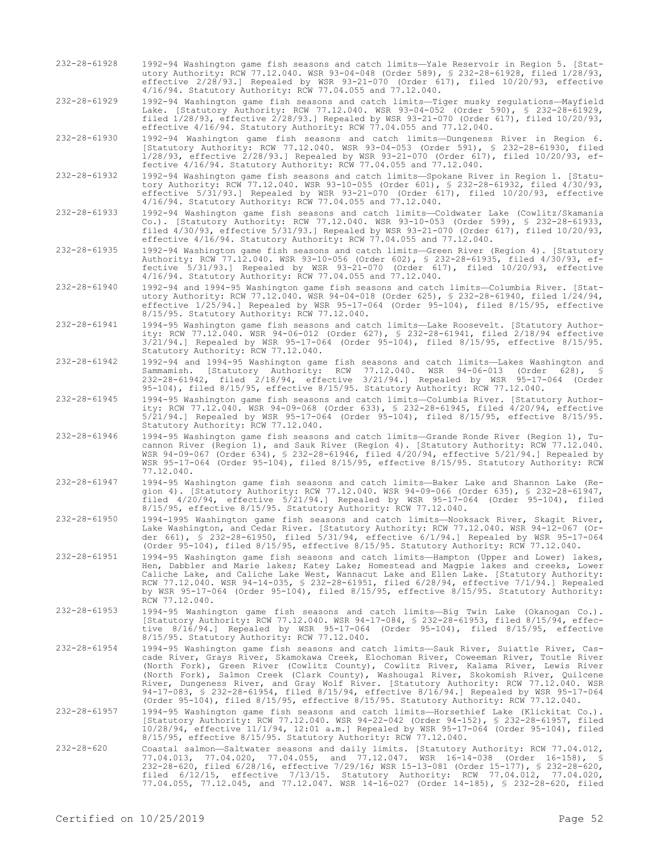232-28-61928 1992-94 Washington game fish seasons and catch limits—Yale Reservoir in Region 5. [Statutory Authority: RCW 77.12.040. WSR 93-04-048 (Order 589), § 232-28-61928, filed 1/28/93, effective 2/28/93.] Repealed by WSR 93-21-070 (Order 617), filed 10/20/93, effective 4/16/94. Statutory Authority: RCW 77.04.055 and 77.12.040.

232-28-61929 1992-94 Washington game fish seasons and catch limits—Tiger musky regulations—Mayfield Lake. [Statutory Authority: RCW 77.12.040. WSR 93-04-052 (Order 590), § 232-28-61929, filed 1/28/93, effective 2/28/93.] Repealed by WSR 93-21-070 (Order 617), filed 10/20/93, effective 4/16/94. Statutory Authority: RCW 77.04.055 and 77.12.040.

232-28-61930 1992-94 Washington game fish seasons and catch limits—Dungeness River in Region 6. [Statutory Authority: RCW 77.12.040. WSR 93-04-053 (Order 591), § 232-28-61930, filed 1/28/93, effective 2/28/93.] Repealed by WSR 93-21-070 (Order 617), filed 10/20/93, effective 4/16/94. Statutory Authority: RCW 77.04.055 and 77.12.040.

- 232-28-61932 1992-94 Washington game fish seasons and catch limits—Spokane River in Region 1. [Statutory Authority: RCW 77.12.040. WSR 93-10-055 (Order 601), § 232-28-61932, filed 4/30/93, effective 5/31/93.] Repealed by WSR 93-21-070 (Order 617), filed 10/20/93, effective 4/16/94. Statutory Authority: RCW 77.04.055 and 77.12.040.
- 232-28-61933 1992-94 Washington game fish seasons and catch limits—Coldwater Lake (Cowlitz/Skamania Co.). [Statutory Authority: RCW 77.12.040. WSR 93-10-053 (Order 599), § 232-28-61933, filed 4/30/93, effective 5/31/93.] Repealed by WSR 93-21-070 (Order 617), filed 10/20/93, effective 4/16/94. Statutory Authority: RCW 77.04.055 and 77.12.040.

232-28-61935 1992-94 Washington game fish seasons and catch limits—Green River (Region 4). [Statutory Authority: RCW 77.12.040. WSR 93-10-056 (Order 602), § 232-28-61935, filed 4/30/93, effective 5/31/93.] Repealed by WSR 93-21-070 (Order 617), filed 10/20/93, effective 4/16/94. Statutory Authority: RCW 77.04.055 and 77.12.040.

232-28-61940 1992-94 and 1994-95 Washington game fish seasons and catch limits—Columbia River. [Statutory Authority: RCW 77.12.040. WSR 94-04-018 (Order 625), § 232-28-61940, filed 1/24/94, effective 1/25/94.] Repealed by WSR 95-17-064 (Order 95-104), filed 8/15/95, effective 8/15/95. Statutory Authority: RCW 77.12.040.

232-28-61941 1994-95 Washington game fish seasons and catch limits—Lake Roosevelt. [Statutory Authority: RCW 77.12.040. WSR 94-06-012 (Order 627), § 232-28-61941, filed 2/18/94 effective 3/21/94.] Repealed by WSR 95-17-064 (Order 95-104), filed 8/15/95, effective 8/15/95. Statutory Authority: RCW 77.12.040.

232-28-61942 1992-94 and 1994-95 Washington game fish seasons and catch limits—Lakes Washington and Sammamish. [Statutory Authority: RCW 77.12.040. WSR 94-06-013 (Order 628), § 232-28-61942, filed 2/18/94, effective 3/21/94.] Repealed by WSR 95-17-064 (Order 95-104), filed 8/15/95, effective 8/15/95. Statutory Authority: RCW 77.12.040.

232-28-61945 1994-95 Washington game fish seasons and catch limits—Columbia River. [Statutory Authority: RCW 77.12.040. WSR 94-09-068 (Order 633), § 232-28-61945, filed 4/20/94, effective 5/21/94.] Repealed by WSR 95-17-064 (Order 95-104), filed 8/15/95, effective 8/15/95. Statutory Authority: RCW 77.12.040.

- 232-28-61946 1994-95 Washington game fish seasons and catch limits—Grande Ronde River (Region 1), Tucannon River (Region 1), and Sauk River (Region 4). [Statutory Authority: RCW 77.12.040. WSR 94-09-067 (Order 634), § 232-28-61946, filed 4/20/94, effective 5/21/94.] Repealed by WSR 95-17-064 (Order 95-104), filed 8/15/95, effective 8/15/95. Statutory Authority: RCW 77.12.040.
- 232-28-61947 1994-95 Washington game fish seasons and catch limits—Baker Lake and Shannon Lake (Region 4). [Statutory Authority: RCW 77.12.040. WSR 94-09-066 (Order 635), § 232-28-61947, filed 4/20/94, effective 5/21/94.] Repealed by WSR 95-17-064 (Order 95-104), filed 8/15/95, effective 8/15/95. Statutory Authority: RCW 77.12.040.

232-28-61950 1994-1995 Washington game fish seasons and catch limits—Nooksack River, Skagit River, Lake Washington, and Cedar River. [Statutory Authority: RCW 77.12.040. WSR 94-12-067 (Order 661), § 232-28-61950, filed 5/31/94, effective 6/1/94.] Repealed by WSR 95-17-064 (Order 95-104), filed 8/15/95, effective 8/15/95. Statutory Authority: RCW 77.12.040.

- 232-28-61951 1994-95 Washington game fish seasons and catch limits—Hampton (Upper and Lower) lakes, Hen, Dabbler and Marie lakes; Katey Lake; Homestead and Magpie lakes and creeks, Lower Caliche Lake, and Caliche Lake West, Wannacut Lake and Ellen Lake. [Statutory Authority: RCW 77.12.040. WSR 94-14-035, § 232-28-61951, filed 6/28/94, effective 7/1/94.] Repealed by WSR 95-17-064 (Order 95-104), filed 8/15/95, effective 8/15/95. Statutory Authority: RCW 77.12.040.
- 232-28-61953 1994-95 Washington game fish seasons and catch limits—Big Twin Lake (Okanogan Co.). [Statutory Authority: RCW 77.12.040. WSR 94-17-084, § 232-28-61953, filed 8/15/94, effective 8/16/94.] Repealed by WSR 95-17-064 (Order 95-104), filed 8/15/95, effective 8/15/95. Statutory Authority: RCW 77.12.040.

232-28-61954 1994-95 Washington game fish seasons and catch limits—Sauk River, Suiattle River, Cascade River, Grays River, Skamokawa Creek, Elochoman River, Coweeman River, Toutle River (North Fork), Green River (Cowlitz County), Cowlitz River, Kalama River, Lewis River (North Fork), Salmon Creek (Clark County), Washougal River, Skokomish River, Quilcene River, Dungeness River, and Gray Wolf River. [Statutory Authority: RCW 77.12.040. WSR 94-17-083, § 232-28-61954, filed 8/15/94, effective 8/16/94.] Repealed by WSR 95-17-064 (Order 95-104), filed 8/15/95, effective 8/15/95. Statutory Authority: RCW 77.12.040.

232-28-61957 1994-95 Washington game fish seasons and catch limits—Horsethief Lake (Klickitat Co.). [Statutory Authority: RCW 77.12.040. WSR 94-22-042 (Order 94-152), § 232-28-61957, filed 10/28/94, effective 11/1/94, 12:01 a.m.] Repealed by WSR 95-17-064 (Order 95-104), filed 8/15/95, effective 8/15/95. Statutory Authority: RCW 77.12.040.

232-28-620 Coastal salmon—Saltwater seasons and daily limits. [Statutory Authority: RCW 77.04.012, 77.04.013, 77.04.020, 77.04.055, and 77.12.047. WSR 16-14-038 (Order 16-158), § 232-28-620, filed 6/28/16, effective 7/29/16; WSR 15-13-081 (Order 15-177), § 232-28-620, filed 6/12/15, effective 7/13/15. Statutory Authority: RCW 77.04.012, 77.04.020, 77.04.055, 77.12.045, and 77.12.047. WSR 14-16-027 (Order 14-185), § 232-28-620, filed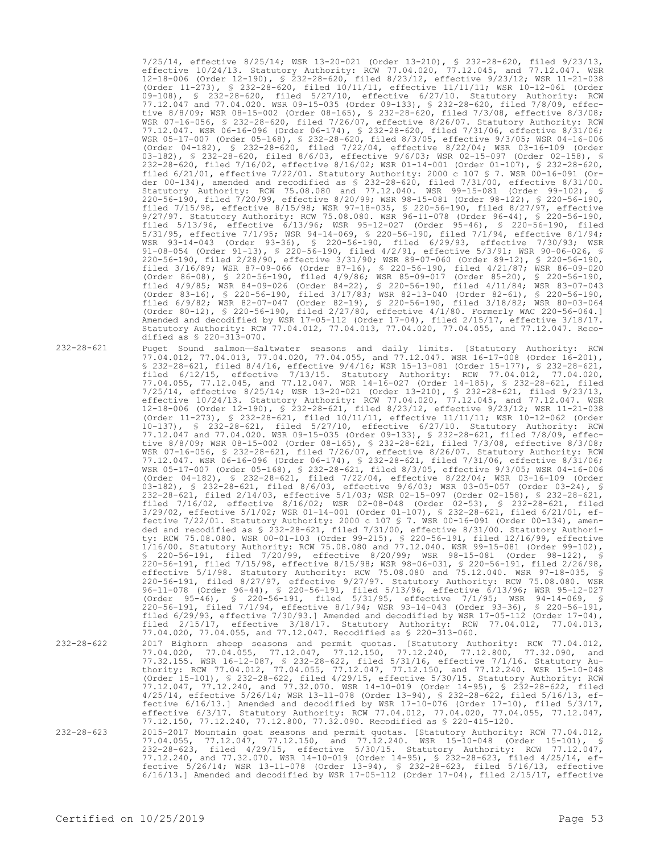7/25/14, effective 8/25/14; WSR 13-20-021 (Order 13-210), § 232-28-620, filed 9/23/13, effective 10/24/13. Statutory Authority: RCW 77.04.020, 77.12.045, and 77.12.047. WSR 12-18-006 (Order 12-190), § 232-28-620, filed 8/23/12, effective 9/23/12; WSR 11-21-038 (Order 11-273), § 232-28-620, filed 10/11/11, effective 11/11/11; WSR 10-12-061 (Order 09-108), § 232-28-620, filed 5/27/10, effective 6/27/10. Statutory Authority: RCW 77.12.047 and 77.04.020. WSR 09-15-035 (Order 09-133), § 232-28-620, filed 7/8/09, effective 8/8/09; WSR 08-15-002 (Order 08-165), § 232-28-620, filed 7/3/08, effective 8/3/08; WSR 07-16-056, § 232-28-620, filed 7/26/07, effective 8/26/07. Statutory Authority: RCW 77.12.047. WSR 06-16-096 (Order 06-174), § 232-28-620, filed 7/31/06, effective 8/31/06; WSR 05-17-007 (Order 05-168), § 232-28-620, filed 8/3/05, effective 9/3/05; WSR 04-16-006 (Order 04-182), § 232-28-620, filed 7/22/04, effective 8/22/04; WSR 03-16-109 (Order 03-182), § 232-28-620, filed 8/6/03, effective 9/6/03; WSR 02-15-097 (Order 02-158), § 232-28-620, filed 7/16/02, effective 8/16/02; WSR 01-14-001 (Order 01-107), § 232-28-620, filed 6/21/01, effective 7/22/01. Statutory Authority: 2000 c 107 § 7. WSR 00-16-091 (Order 00-134), amended and recodified as § 232-28-620, filed 7/31/00, effective 8/31/00. Statutory Authority: RCW 75.08.080 and 77.12.040. WSR 99-15-081 (Order 99-102), § 220-56-190, filed 7/20/99, effective 8/20/99; WSR 98-15-081 (Order 98-122), § 220-56-190, filed 7/15/98, effective 8/15/98; WSR 97-18-035, § 220-56-190, filed 8/27/97, effective 9/27/97. Statutory Authority: RCW 75.08.080. WSR 96-11-078 (Order 96-44), § 220-56-190, filed 5/13/96, effective 6/13/96; WSR 95-12-027 (Order 95-46), § 220-56-190, filed 5/31/95, effective 7/1/95; WSR 94-14-069, § 220-56-190, filed 7/1/94, effective 8/1/94; WSR 93-14-043 (Order 93-36), § 220-56-190, filed 6/29/93, effective 7/30/93; WSR 91-08-054 (Order 91-13), § 220-56-190, filed 4/2/91, effective 5/3/91; WSR 90-06-026, § 220-56-190, filed 2/28/90, effective 3/31/90; WSR 89-07-060 (Order 89-12), § 220-56-190, filed 3/16/89; WSR 87-09-066 (Order 87-16), § 220-56-190, filed 4/21/87; WSR 86-09-020 (Order 86-08), § 220-56-190, filed 4/9/86; WSR 85-09-017 (Order 85-20), § 220-56-190, filed 4/9/85; WSR 84-09-026 (Order 84-22), § 220-56-190, filed 4/11/84; WSR 83-07-043 (Order 83-16), § 220-56-190, filed 3/17/83; WSR 82-13-040 (Order 82-61), § 220-56-190, filed 6/9/82; WSR 82-07-047 (Order 82-19), § 220-56-190, filed 3/18/82; WSR 80-03-064 (Order 80-12), § 220-56-190, filed 2/27/80, effective 4/1/80. Formerly WAC 220-56-064.] Amended and decodified by WSR 17-05-112 (Order 17-04), filed 2/15/17, effective 3/18/17. Statutory Authority: RCW 77.04.012, 77.04.013, 77.04.020, 77.04.055, and 77.12.047. Recodified as § 220-313-070.

232-28-621 Puget Sound salmon—Saltwater seasons and daily limits. [Statutory Authority: RCW 77.04.012, 77.04.013, 77.04.020, 77.04.055, and 77.12.047. WSR 16-17-008 (Order 16-201), § 232-28-621, filed 8/4/16, effective 9/4/16; WSR 15-13-081 (Order 15-177), § 232-28-621, filed 6/12/15, effective 7/13/15. Statutory Authority: RCW 77.04.012, 77.04.020, 77.04.055, 77.12.045, and 77.12.047. WSR 14-16-027 (Order 14-185), § 232-28-621, filed 7/25/14, effective 8/25/14; WSR 13-20-021 (Order 13-210), § 232-28-621, filed 9/23/13, effective 10/24/13. Statutory Authority: RCW 77.04.020, 77.12.045, and 77.12.047. WSR 12-18-006 (Order 12-190), § 232-28-621, filed 8/23/12, effective 9/23/12; WSR 11-21-038 (Order 11-273), § 232-28-621, filed 10/11/11, effective 11/11/11; WSR 10-12-062 (Order 10-137), § 232-28-621, filed 5/27/10, effective 6/27/10. Statutory Authority: RCW 77.12.047 and 77.04.020. WSR 09-15-035 (Order 09-133), § 232-28-621, filed 7/8/09, effective 8/8/09; WSR 08-15-002 (Order 08-165), § 232-28-621, filed 7/3/08, effective 8/3/08; WSR 07-16-056, § 232-28-621, filed 7/26/07, effective 8/26/07. Statutory Authority: RCW 77.12.047. WSR 06-16-096 (Order 06-174), § 232-28-621, filed 7/31/06, effective 8/31/06; WSR 05-17-007 (Order 05-168), § 232-28-621, filed 8/3/05, effective 9/3/05; WSR 04-16-006 (Order 04-182), § 232-28-621, filed 7/22/04, effective 8/22/04; WSR 03-16-109 (Order 03-182), § 232-28-621, filed 8/6/03, effective 9/6/03; WSR 03-05-057 (Order 03-24), § 232-28-621, filed 2/14/03, effective 5/1/03; WSR 02-15-097 (Order 02-158), § 232-28-621, filed 7/16/02, effective 8/16/02; WSR 02-08-048 (Order 02-53), § 232-28-621, filed 3/29/02, effective 5/1/02; WSR 01-14-001 (Order 01-107), § 232-28-621, filed 6/21/01, effective 7/22/01. Statutory Authority: 2000 c 107 § 7. WSR 00-16-091 (Order 00-134), amended and recodified as § 232-28-621, filed 7/31/00, effective 8/31/00. Statutory Authority: RCW 75.08.080. WSR 00-01-103 (Order 99-215), § 220-56-191, filed 12/16/99, effective 1/16/00. Statutory Authority: RCW 75.08.080 and 77.12.040. WSR 99-15-081 (Order 99-102), § 220-56-191, filed 7/20/99, effective 8/20/99; WSR 98-15-081 (Order 98-122), § 220-56-191, filed 7/15/98, effective 8/15/98; WSR 98-06-031, § 220-56-191, filed 2/26/98, effective 5/1/98. Statutory Authority: RCW 75.08.080 and 75.12.040. WSR 97-18-035, § 220-56-191, filed 8/27/97, effective 9/27/97. Statutory Authority: RCW 75.08.080. WSR 96-11-078 (Order 96-44), § 220-56-191, filed 5/13/96, effective 6/13/96; WSR 95-12-027 (Order 95-46), § 220-56-191, filed 5/31/95, effective 7/1/95; WSR 94-14-069, § 220-56-191, filed 7/1/94, effective 8/1/94; WSR 93-14-043 (Order 93-36), § 220-56-191, filed 6/29/93, effective 7/30/93.] Amended and decodified by WSR 17-05-112 (Order 17-04), filed 2/15/17, effective 3/18/17. Statutory Authority: RCW 77.04.012, 77.04.013, 77.04.020, 77.04.055, and 77.12.047. Recodified as § 220-313-060.

- 232-28-622 2017 Bighorn sheep seasons and permit quotas. [Statutory Authority: RCW 77.04.012, 77.04.020, 77.04.055, 77.12.047, 77.12.150, 77.12.240, 77.12.800, 77.32.090, and 77.32.155. WSR 16-12-087, § 232-28-622, filed 5/31/16, effective 7/1/16. Statutory Authority: RCW 77.04.012, 77.04.055, 77.12.047, 77.12.150, and 77.12.240. WSR 15-10-048 (Order 15-101), § 232-28-622, filed 4/29/15, effective 5/30/15. Statutory Authority: RCW 77.12.047, 77.12.240, and 77.32.070. WSR 14-10-019 (Order 14-95), § 232-28-622, filed 4/25/14, effective 5/26/14; WSR 13-11-078 (Order 13-94), § 232-28-622, filed 5/16/13, effective 6/16/13.] Amended and decodified by WSR 17-10-076 (Order 17-10), filed 5/3/17, effective 6/3/17. Statutory Authority: RCW 77.04.012, 77.04.020, 77.04.055, 77.12.047, 77.12.150, 77.12.240, 77.12.800, 77.32.090. Recodified as § 220-415-120.
- 232-28-623 2015-2017 Mountain goat seasons and permit quotas. [Statutory Authority: RCW 77.04.012, 77.04.055, 77.12.047, 77.12.150, and 77.12.240. WSR 15-10-048 (Order 15-101), § 232-28-623, filed 4/29/15, effective 5/30/15. Statutory Authority: RCW 77.12.047, 77.12.240, and 77.32.070. WSR 14-10-019 (Order 14-95), § 232-28-623, filed 4/25/14, effective 5/26/14; WSR 13-11-078 (Order 13-94), § 232-28-623, filed 5/16/13, effective 6/16/13.] Amended and decodified by WSR 17-05-112 (Order 17-04), filed 2/15/17, effective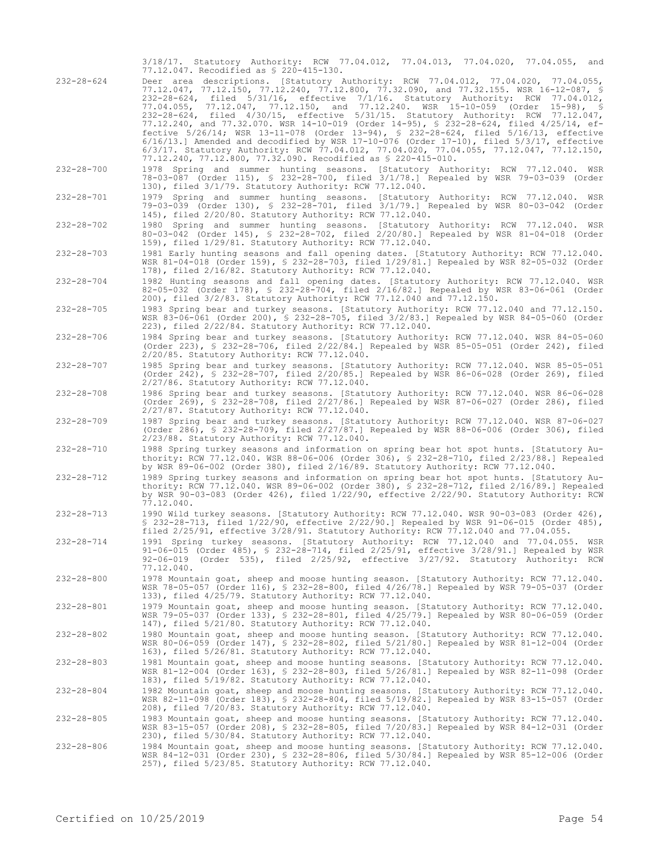|                  | 3/18/17. Statutory Authority: RCW 77.04.012, 77.04.013, 77.04.020, 77.04.055, and<br>77.12.047. Recodified as \$ 220-415-130.                                                                                                                                                                                                                                                                                                                                                                                                                                                                                                                                                                                                                                                                                                                                                                   |
|------------------|-------------------------------------------------------------------------------------------------------------------------------------------------------------------------------------------------------------------------------------------------------------------------------------------------------------------------------------------------------------------------------------------------------------------------------------------------------------------------------------------------------------------------------------------------------------------------------------------------------------------------------------------------------------------------------------------------------------------------------------------------------------------------------------------------------------------------------------------------------------------------------------------------|
| $232 - 28 - 624$ | Deer area descriptions. [Statutory Authority: RCW 77.04.012, 77.04.020, 77.04.055,<br>77.12.047, 77.12.150, 77.12.240, 77.12.800, 77.32.090, and 77.32.155. WSR 16-12-087, §<br>232-28-624, filed 5/31/16, effective 7/1/16. Statutory Authority: RCW 77.04.012,<br>77.04.055, 77.12.047, 77.12.150, and 77.12.240. WSR 15-10-059 (Order<br>$15-98$ ), §<br>232-28-624, filed 4/30/15, effective 5/31/15. Statutory Authority: RCW 77.12.047,<br>77.12.240, and 77.32.070. WSR 14-10-019 (Order 14-95), § 232-28-624, filed 4/25/14, ef-<br>fective 5/26/14; WSR 13-11-078 (Order 13-94), § 232-28-624, filed 5/16/13, effective<br>$6/16/13$ .] Amended and decodified by WSR 17-10-076 (Order 17-10), filed $5/3/17$ , effective<br>6/3/17. Statutory Authority: RCW 77.04.012, 77.04.020, 77.04.055, 77.12.047, 77.12.150,<br>77.12.240, 77.12.800, 77.32.090. Recodified as \$ 220-415-010. |
| $232 - 28 - 700$ | 1978 Spring and summer hunting seasons. [Statutory Authority: RCW 77.12.040.<br>WSR<br>78-03-087 (Order 115), § 232-28-700, filed 3/1/78.] Repealed by WSR 79-03-039 (Order<br>130), filed 3/1/79. Statutory Authority: RCW 77.12.040.                                                                                                                                                                                                                                                                                                                                                                                                                                                                                                                                                                                                                                                          |
| $232 - 28 - 701$ | 1979 Spring and summer hunting seasons. [Statutory Authority: RCW 77.12.040. WSR<br>79-03-039 (Order 130), § 232-28-701, filed 3/1/79.] Repealed by WSR 80-03-042 (Order<br>145), filed 2/20/80. Statutory Authority: RCW 77.12.040.                                                                                                                                                                                                                                                                                                                                                                                                                                                                                                                                                                                                                                                            |
| $232 - 28 - 702$ | 1980 Spring and summer hunting seasons. [Statutory Authority: RCW 77.12.040. WSR<br>80-03-042 (Order 145), § 232-28-702, filed 2/20/80.] Repealed by WSR 81-04-018 (Order<br>159), filed 1/29/81. Statutory Authority: RCW 77.12.040.                                                                                                                                                                                                                                                                                                                                                                                                                                                                                                                                                                                                                                                           |
| $232 - 28 - 703$ | 1981 Early hunting seasons and fall opening dates. [Statutory Authority: RCW 77.12.040.<br>WSR 81-04-018 (Order 159), § 232-28-703, filed 1/29/81.] Repealed by WSR 82-05-032 (Order<br>178), filed 2/16/82. Statutory Authority: RCW 77.12.040.                                                                                                                                                                                                                                                                                                                                                                                                                                                                                                                                                                                                                                                |
| $232 - 28 - 704$ | 1982 Hunting seasons and fall opening dates. [Statutory Authority: RCW 77.12.040. WSR<br>82-05-032 (Order 178), § 232-28-704, filed 2/16/82.] Repealed by WSR 83-06-061 (Order<br>200), filed 3/2/83. Statutory Authority: RCW 77.12.040 and 77.12.150.                                                                                                                                                                                                                                                                                                                                                                                                                                                                                                                                                                                                                                         |
| $232 - 28 - 705$ | 1983 Spring bear and turkey seasons. [Statutory Authority: RCW 77.12.040 and 77.12.150.<br>WSR 83-06-061 (Order 200), \$ 232-28-705, filed 3/2/83.] Repealed by WSR 84-05-060 (Order<br>223), filed 2/22/84. Statutory Authority: RCW 77.12.040.                                                                                                                                                                                                                                                                                                                                                                                                                                                                                                                                                                                                                                                |
| $232 - 28 - 706$ | 1984 Spring bear and turkey seasons. [Statutory Authority: RCW 77.12.040. WSR 84-05-060<br>(Order 223), § 232-28-706, filed 2/22/84.] Repealed by WSR 85-05-051 (Order 242), filed<br>2/20/85. Statutory Authority: RCW 77.12.040.                                                                                                                                                                                                                                                                                                                                                                                                                                                                                                                                                                                                                                                              |
| $232 - 28 - 707$ | 1985 Spring bear and turkey seasons. [Statutory Authority: RCW 77.12.040. WSR 85-05-051<br>(Order 242), § 232-28-707, filed 2/20/85.] Repealed by WSR 86-06-028 (Order 269), filed<br>2/27/86. Statutory Authority: RCW 77.12.040.                                                                                                                                                                                                                                                                                                                                                                                                                                                                                                                                                                                                                                                              |
| $232 - 28 - 708$ | 1986 Spring bear and turkey seasons. [Statutory Authority: RCW 77.12.040. WSR 86-06-028<br>(Order 269), § 232-28-708, filed 2/27/86.] Repealed by WSR 87-06-027 (Order 286), filed<br>2/27/87. Statutory Authority: RCW 77.12.040.                                                                                                                                                                                                                                                                                                                                                                                                                                                                                                                                                                                                                                                              |
| $232 - 28 - 709$ | 1987 Spring bear and turkey seasons. [Statutory Authority: RCW 77.12.040. WSR 87-06-027<br>(Order 286), \$ 232-28-709, filed 2/27/87.] Repealed by WSR 88-06-006 (Order 306), filed<br>2/23/88. Statutory Authority: RCW 77.12.040.                                                                                                                                                                                                                                                                                                                                                                                                                                                                                                                                                                                                                                                             |
| $232 - 28 - 710$ | 1988 Spring turkey seasons and information on spring bear hot spot hunts. [Statutory Au-<br>thority: RCW 77.12.040. WSR 88-06-006 (Order 306), § 232-28-710, filed 2/23/88.] Repealed<br>by WSR 89-06-002 (Order 380), filed 2/16/89. Statutory Authority: RCW 77.12.040.                                                                                                                                                                                                                                                                                                                                                                                                                                                                                                                                                                                                                       |
| $232 - 28 - 712$ | 1989 Spring turkey seasons and information on spring bear hot spot hunts. [Statutory Au-<br>thority: RCW 77.12.040. WSR 89-06-002 (Order 380), § 232-28-712, filed 2/16/89.] Repealed<br>by WSR 90-03-083 (Order 426), filed 1/22/90, effective 2/22/90. Statutory Authority: RCW<br>77.12.040.                                                                                                                                                                                                                                                                                                                                                                                                                                                                                                                                                                                                 |
| 232-28-713       | 1990 Wild turkey seasons. [Statutory Authority: RCW 77.12.040. WSR 90-03-083 (Order 426),<br>$$232-28-713$ , filed $1/22/90$ , effective $2/22/90$ . Repealed by WSR 91-06-015 (Order 485),<br>filed 2/25/91, effective 3/28/91. Statutory Authority: RCW 77.12.040 and 77.04.055.                                                                                                                                                                                                                                                                                                                                                                                                                                                                                                                                                                                                              |
| $232 - 28 - 714$ | 1991 Spring turkey seasons. [Statutory Authority: RCW 77.12.040 and 77.04.055. WSR<br>91-06-015 (Order 485), § 232-28-714, filed 2/25/91, effective 3/28/91.] Repealed by WSR<br>92-06-019 (Order 535), filed 2/25/92, effective 3/27/92. Statutory Authority: RCW<br>77.12.040.                                                                                                                                                                                                                                                                                                                                                                                                                                                                                                                                                                                                                |
| $232 - 28 - 800$ | 1978 Mountain goat, sheep and moose hunting season. [Statutory Authority: RCW 77.12.040.<br>WSR 78-05-057 (Order 116), § 232-28-800, filed 4/26/78.] Repealed by WSR 79-05-037 (Order<br>133), filed 4/25/79. Statutory Authority: RCW 77.12.040.                                                                                                                                                                                                                                                                                                                                                                                                                                                                                                                                                                                                                                               |
| $232 - 28 - 801$ | 1979 Mountain goat, sheep and moose hunting season. [Statutory Authority: RCW 77.12.040.<br>WSR 79-05-037 (Order 133), § 232-28-801, filed 4/25/79.] Repealed by WSR 80-06-059 (Order<br>147), filed 5/21/80. Statutory Authority: RCW 77.12.040.                                                                                                                                                                                                                                                                                                                                                                                                                                                                                                                                                                                                                                               |
| $232 - 28 - 802$ | 1980 Mountain goat, sheep and moose hunting season. [Statutory Authority: RCW 77.12.040.<br>WSR 80-06-059 (Order 147), § 232-28-802, filed 5/21/80.] Repealed by WSR 81-12-004 (Order<br>163), filed 5/26/81. Statutory Authority: RCW 77.12.040.                                                                                                                                                                                                                                                                                                                                                                                                                                                                                                                                                                                                                                               |
| $232 - 28 - 803$ | 1981 Mountain goat, sheep and moose hunting seasons. [Statutory Authority: RCW 77.12.040.<br>WSR 81-12-004 (Order 163), § 232-28-803, filed 5/26/81.] Repealed by WSR 82-11-098 (Order<br>183), filed 5/19/82. Statutory Authority: RCW 77.12.040.                                                                                                                                                                                                                                                                                                                                                                                                                                                                                                                                                                                                                                              |
| $232 - 28 - 804$ | 1982 Mountain goat, sheep and moose hunting seasons. [Statutory Authority: RCW 77.12.040.<br>WSR 82-11-098 (Order 183), § 232-28-804, filed 5/19/82.] Repealed by WSR 83-15-057 (Order<br>208), filed 7/20/83. Statutory Authority: RCW 77.12.040.                                                                                                                                                                                                                                                                                                                                                                                                                                                                                                                                                                                                                                              |
| $232 - 28 - 805$ | 1983 Mountain goat, sheep and moose hunting seasons. [Statutory Authority: RCW 77.12.040.<br>WSR 83-15-057 (Order 208), § 232-28-805, filed 7/20/83.] Repealed by WSR 84-12-031 (Order<br>230), filed 5/30/84. Statutory Authority: RCW 77.12.040.                                                                                                                                                                                                                                                                                                                                                                                                                                                                                                                                                                                                                                              |
| $232 - 28 - 806$ | 1984 Mountain goat, sheep and moose hunting seasons. [Statutory Authority: RCW 77.12.040.<br>WSR 84-12-031 (Order 230), § 232-28-806, filed 5/30/84.] Repealed by WSR 85-12-006 (Order<br>257), filed 5/23/85. Statutory Authority: RCW 77.12.040.                                                                                                                                                                                                                                                                                                                                                                                                                                                                                                                                                                                                                                              |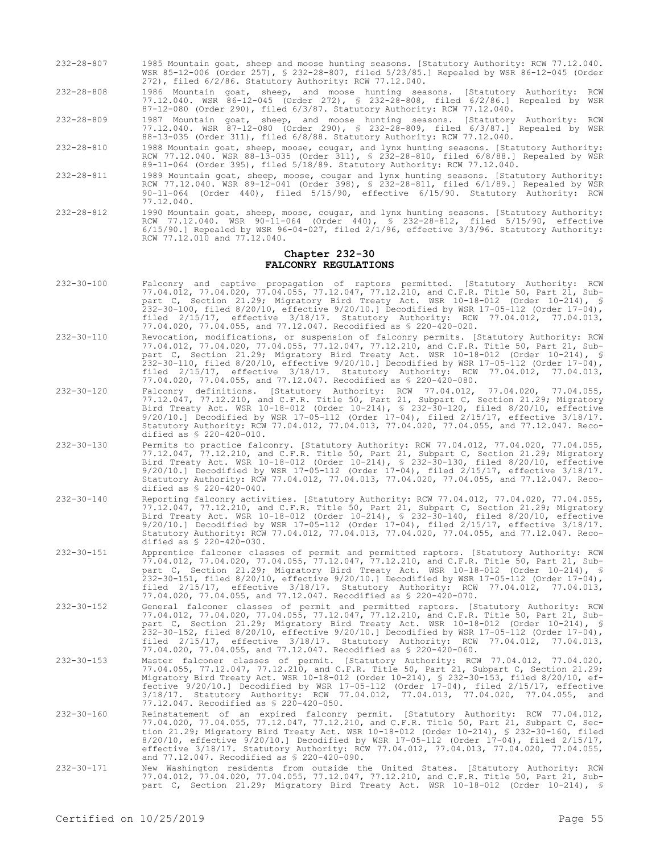- 232-28-807 1985 Mountain goat, sheep and moose hunting seasons. [Statutory Authority: RCW 77.12.040. WSR 85-12-006 (Order 257), § 232-28-807, filed 5/23/85.] Repealed by WSR 86-12-045 (Order 272), filed 6/2/86. Statutory Authority: RCW 77.12.040.
- 232-28-808 1986 Mountain goat, sheep, and moose hunting seasons. [Statutory Authority: RCW 77.12.040. WSR 86-12-045 (Order 272), § 232-28-808, filed 6/2/86.] Repealed by WSR 87-12-080 (Order 290), filed 6/3/87. Statutory Authority: RCW 77.12.040.
- 232-28-809 1987 Mountain goat, sheep, and moose hunting seasons. [Statutory Authority: RCW 77.12.040. WSR 87-12-080 (Order 290), § 232-28-809, filed 6/3/87.] Repealed by WSR 88-13-035 (Order 311), filed 6/8/88. Statutory Authority: RCW 77.12.040.
- 232-28-810 1988 Mountain goat, sheep, moose, cougar, and lynx hunting seasons. [Statutory Authority: RCW 77.12.040. WSR 88-13-035 (Order 311), § 232-28-810, filed 6/8/88.] Repealed by WSR 89-11-064 (Order 395), filed 5/18/89. Statutory Authority: RCW 77.12.040.
- 232-28-811 1989 Mountain goat, sheep, moose, cougar and lynx hunting seasons. [Statutory Authority: RCW 77.12.040. WSR 89-12-041 (Order 398), § 232-28-811, filed 6/1/89.] Repealed by WSR 90-11-064 (Order 440), filed 5/15/90, effective 6/15/90. Statutory Authority: RCW 77.12.040.
- 232-28-812 1990 Mountain goat, sheep, moose, cougar, and lynx hunting seasons. [Statutory Authority: RCW 77.12.040. WSR 90-11-064 (Order 440), § 232-28-812, filed 5/15/90, effective 6/15/90.] Repealed by WSR 96-04-027, filed 2/1/96, effective 3/3/96. Statutory Authority: RCW 77.12.010 and 77.12.040.

#### **Chapter 232-30 FALCONRY REGULATIONS**

- 232-30-100 Falconry and captive propagation of raptors permitted. [Statutory Authority: RCW 77.04.012, 77.04.020, 77.04.055, 77.12.047, 77.12.210, and C.F.R. Title 50, Part 21, Subpart C, Section 21.29; Migratory Bird Treaty Act. WSR 10-18-012 (Order 10-214), § 232-30-100, filed 8/20/10, effective 9/20/10.] Decodified by WSR 17-05-112 (Order 17-04), filed 2/15/17, effective 3/18/17. Statutory Authority: RCW 77.04.012, 77.04.013, 77.04.020, 77.04.055, and 77.12.047. Recodified as § 220-420-020.
- 232-30-110 Revocation, modifications, or suspension of falconry permits. [Statutory Authority: RCW 77.04.012, 77.04.020, 77.04.055, 77.12.047, 77.12.210, and C.F.R. Title 50, Part 21, Subpart C, Section 21.29; Migratory Bird Treaty Act. WSR 10-18-012 (Order 10-214), § 232-30-110, filed 8/20/10, effective 9/20/10.] Decodified by WSR 17-05-112 (Order 17-04), filed 2/15/17, effective 3/18/17. Statutory Authority: RCW 77.04.012, 77.04.013, 77.04.020, 77.04.055, and 77.12.047. Recodified as § 220-420-080.
- 232-30-120 Falconry definitions. [Statutory Authority: RCW 77.04.012, 77.04.020, 77.04.055, 77.12.047, 77.12.210, and C.F.R. Title 50, Part 21, Subpart C, Section 21.29; Migratory Bird Treaty Act. WSR 10-18-012 (Order 10-214), § 232-30-120, filed 8/20/10, effective 9/20/10.] Decodified by WSR 17-05-112 (Order 17-04), filed 2/15/17, effective 3/18/17. Statutory Authority: RCW 77.04.012, 77.04.013, 77.04.020, 77.04.055, and 77.12.047. Recodified as § 220-420-010.
- 232-30-130 Permits to practice falconry. [Statutory Authority: RCW 77.04.012, 77.04.020, 77.04.055, 77.12.047, 77.12.210, and C.F.R. Title 50, Part 21, Subpart C, Section 21.29; Migratory Bird Treaty Act. WSR 10-18-012 (Order 10-214), § 232-30-130, filed 8/20/10, effective 9/20/10.] Decodified by WSR 17-05-112 (Order 17-04), filed 2/15/17, effective 3/18/17. Statutory Authority: RCW 77.04.012, 77.04.013, 77.04.020, 77.04.055, and 77.12.047. Recodified as § 220-420-040.
- 232-30-140 Reporting falconry activities. [Statutory Authority: RCW 77.04.012, 77.04.020, 77.04.055, 77.12.047, 77.12.210, and C.F.R. Title 50, Part 21, Subpart C, Section 21.29; Migratory Bird Treaty Act. WSR 10-18-012 (Order 10-214), § 232-30-140, filed 8/20/10, effective 9/20/10.] Decodified by WSR 17-05-112 (Order 17-04), filed 2/15/17, effective 3/18/17. Statutory Authority: RCW 77.04.012, 77.04.013, 77.04.020, 77.04.055, and 77.12.047. Recodified as § 220-420-030.
- 232-30-151 Apprentice falconer classes of permit and permitted raptors. [Statutory Authority: RCW 77.04.012, 77.04.020, 77.04.055, 77.12.047, 77.12.210, and C.F.R. Title 50, Part 21, Subpart C, Section 21.29; Migratory Bird Treaty Act. WSR 10-18-012 (Order 10-214), § 232-30-151, filed 8/20/10, effective 9/20/10.] Decodified by WSR 17-05-112 (Order 17-04), filed 2/15/17, effective 3/18/17. Statutory Authority: RCW 77.04.012, 77.04.013, 77.04.020, 77.04.055, and 77.12.047. Recodified as § 220-420-070.
- 232-30-152 General falconer classes of permit and permitted raptors. [Statutory Authority: RCW 77.04.012, 77.04.020, 77.04.055, 77.12.047, 77.12.210, and C.F.R. Title 50, Part 21, Subpart C, Section 21.29; Migratory Bird Treaty Act. WSR 10-18-012 (Order 10-214), § 232-30-152, filed 8/20/10, effective 9/20/10.] Decodified by WSR 17-05-112 (Order 17-04), filed 2/15/17, effective 3/18/17. Statutory Authority: RCW 77.04.012, 77.04.013, 77.04.020, 77.04.055, and 77.12.047. Recodified as § 220-420-060.
- 232-30-153 Master falconer classes of permit. [Statutory Authority: RCW 77.04.012, 77.04.020, 77.04.055, 77.12.047, 77.12.210, and C.F.R. Title 50, Part 21, Subpart C, Section 21.29; Migratory Bird Treaty Act. WSR 10-18-012 (Order 10-214), § 232-30-153, filed 8/20/10, effective 9/20/10.] Decodified by WSR 17-05-112 (Order 17-04), filed 2/15/17, effective 3/18/17. Statutory Authority: RCW 77.04.012, 77.04.013, 77.04.020, 77.04.055, and 77.12.047. Recodified as § 220-420-050.
- 232-30-160 Reinstatement of an expired falconry permit. [Statutory Authority: RCW 77.04.012, 77.04.020, 77.04.055, 77.12.047, 77.12.210, and C.F.R. Title 50, Part 21, Subpart C, Section 21.29; Migratory Bird Treaty Act. WSR 10-18-012 (Order 10-214), § 232-30-160, filed 8/20/10, effective 9/20/10.] Decodified by WSR 17-05-112 (Order 17-04), filed 2/15/17, effective 3/18/17. Statutory Authority: RCW 77.04.012, 77.04.013, 77.04.020, 77.04.055, and 77.12.047. Recodified as § 220-420-090.
- 232-30-171 New Washington residents from outside the United States. [Statutory Authority: RCW 77.04.012, 77.04.020, 77.04.055, 77.12.047, 77.12.210, and C.F.R. Title 50, Part 21, Subpart C, Section 21.29; Migratory Bird Treaty Act. WSR 10-18-012 (Order 10-214), §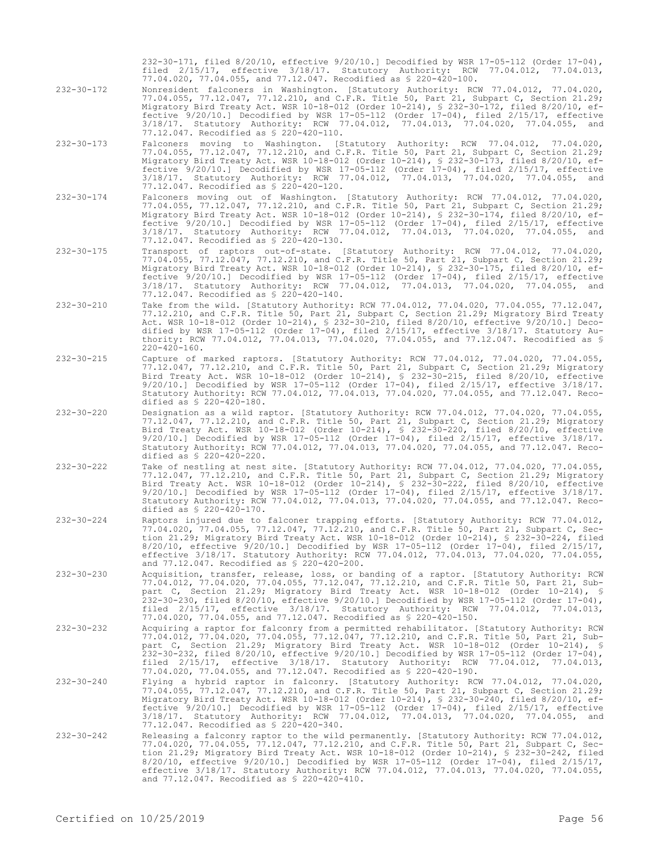232-30-171, filed 8/20/10, effective 9/20/10.] Decodified by WSR 17-05-112 (Order 17-04), filed 2/15/17, effective 3/18/17. Statutory Authority: RCW 77.04.012, 77.04.013, 77.04.020, 77.04.055, and 77.12.047. Recodified as § 220-420-100.

- 232-30-172 Nonresident falconers in Washington. [Statutory Authority: RCW 77.04.012, 77.04.020, 77.04.055, 77.12.047, 77.12.210, and C.F.R. Title 50, Part 21, Subpart C, Section 21.29; Migratory Bird Treaty Act. WSR 10-18-012 (Order 10-214), § 232-30-172, filed 8/20/10, effective 9/20/10.] Decodified by WSR 17-05-112 (Order 17-04), filed 2/15/17, effective 3/18/17. Statutory Authority: RCW 77.04.012, 77.04.013, 77.04.020, 77.04.055, and 77.12.047. Recodified as § 220-420-110.
- 232-30-173 Falconers moving to Washington. [Statutory Authority: RCW 77.04.012, 77.04.020, 77.04.055, 77.12.047, 77.12.210, and C.F.R. Title 50, Part 21, Subpart C, Section 21.29; Migratory Bird Treaty Act. WSR 10-18-012 (Order 10-214), § 232-30-173, filed 8/20/10, effective 9/20/10.] Decodified by WSR 17-05-112 (Order 17-04), filed 2/15/17, effective 3/18/17. Statutory Authority: RCW 77.04.012, 77.04.013, 77.04.020, 77.04.055, and 77.12.047. Recodified as § 220-420-120.
- 232-30-174 Falconers moving out of Washington. [Statutory Authority: RCW 77.04.012, 77.04.020, 77.04.055, 77.12.047, 77.12.210, and C.F.R. Title 50, Part 21, Subpart C, Section 21.29; Migratory Bird Treaty Act. WSR 10-18-012 (Order 10-214), § 232-30-174, filed 8/20/10, effective 9/20/10.] Decodified by WSR 17-05-112 (Order 17-04), filed 2/15/17, effective 3/18/17. Statutory Authority: RCW 77.04.012, 77.04.013, 77.04.020, 77.04.055, and 77.12.047. Recodified as § 220-420-130.
- 232-30-175 Transport of raptors out-of-state. [Statutory Authority: RCW 77.04.012, 77.04.020, 77.04.055, 77.12.047, 77.12.210, and C.F.R. Title 50, Part 21, Subpart C, Section 21.29; Migratory Bird Treaty Act. WSR 10-18-012 (Order 10-214), § 232-30-175, filed 8/20/10, effective 9/20/10.] Decodified by WSR 17-05-112 (Order 17-04), filed 2/15/17, effective 3/18/17. Statutory Authority: RCW 77.04.012, 77.04.013, 77.04.020, 77.04.055, and 77.12.047. Recodified as § 220-420-140.
- 232-30-210 Take from the wild. [Statutory Authority: RCW 77.04.012, 77.04.020, 77.04.055, 77.12.047, 77.12.210, and C.F.R. Title 50, Part 21, Subpart C, Section 21.29; Migratory Bird Treaty Act. WSR 10-18-012 (Order 10-214), § 232-30-210, filed 8/20/10, effective 9/20/10.] Decodified by WSR 17-05-112 (Order 17-04), filed 2/15/17, effective 3/18/17. Statutory Authority: RCW 77.04.012, 77.04.013, 77.04.020, 77.04.055, and 77.12.047. Recodified as § 220-420-160.
- 232-30-215 Capture of marked raptors. [Statutory Authority: RCW 77.04.012, 77.04.020, 77.04.055, 77.12.047, 77.12.210, and C.F.R. Title 50, Part 21, Subpart C, Section 21.29; Migratory Bird Treaty Act. WSR 10-18-012 (Order 10-214), § 232-30-215, filed 8/20/10, effective 9/20/10.] Decodified by WSR 17-05-112 (Order 17-04), filed 2/15/17, effective 3/18/17. Statutory Authority: RCW 77.04.012, 77.04.013, 77.04.020, 77.04.055, and 77.12.047. Recodified as § 220-420-180.
- 232-30-220 Designation as a wild raptor. [Statutory Authority: RCW 77.04.012, 77.04.020, 77.04.055, 77.12.047, 77.12.210, and C.F.R. Title 50, Part 21, Subpart C, Section 21.29; Migratory Bird Treaty Act. WSR 10-18-012 (Order 10-214), § 232-30-220, filed 8/20/10, effective 9/20/10.] Decodified by WSR 17-05-112 (Order 17-04), filed 2/15/17, effective 3/18/17. Statutory Authority: RCW 77.04.012, 77.04.013, 77.04.020, 77.04.055, and 77.12.047. Recodified as  $$ 220-420-220$ .
- 232-30-222 Take of nestling at nest site. [Statutory Authority: RCW 77.04.012, 77.04.020, 77.04.055, 77.12.047, 77.12.210, and C.F.R. Title 50, Part 21, Subpart C, Section 21.29; Migratory Bird Treaty Act. WSR 10-18-012 (Order 10-214), § 232-30-222, filed 8/20/10, effective 9/20/10.] Decodified by WSR 17-05-112 (Order 17-04), filed 2/15/17, effective 3/18/17. Statutory Authority: RCW 77.04.012, 77.04.013, 77.04.020, 77.04.055, and 77.12.047. Recodified as § 220-420-170.
- 232-30-224 Raptors injured due to falconer trapping efforts. [Statutory Authority: RCW 77.04.012, 77.04.020, 77.04.055, 77.12.047, 77.12.210, and C.F.R. Title 50, Part 21, Subpart C, Section 21.29; Migratory Bird Treaty Act. WSR 10-18-012 (Order 10-214), § 232-30-224, filed 8/20/10, effective 9/20/10.] Decodified by WSR 17-05-112 (Order 17-04), filed 2/15/17, effective 3/18/17. Statutory Authority: RCW 77.04.012, 77.04.013, 77.04.020, 77.04.055, and 77.12.047. Recodified as § 220-420-200.
- 232-30-230 Acquisition, transfer, release, loss, or banding of a raptor. [Statutory Authority: RCW 77.04.012, 77.04.020, 77.04.055, 77.12.047, 77.12.210, and C.F.R. Title 50, Part 21, Subpart C, Section 21.29; Migratory Bird Treaty Act. WSR 10-18-012 (Order 10-214), § 232-30-230, filed 8/20/10, effective 9/20/10.] Decodified by WSR 17-05-112 (Order 17-04), filed 2/15/17, effective 3/18/17. Statutory Authority: RCW 77.04.012, 77.04.013, 77.04.020, 77.04.055, and 77.12.047. Recodified as § 220-420-150.
- 232-30-232 Acquiring a raptor for falconry from a permitted rehabilitator. [Statutory Authority: RCW 77.04.012, 77.04.020, 77.04.055, 77.12.047, 77.12.210, and C.F.R. Title 50, Part 21, Subpart C, Section 21.29; Migratory Bird Treaty Act. WSR 10-18-012 (Order 10-214), § 232-30-232, filed 8/20/10, effective 9/20/10.] Decodified by WSR 17-05-112 (Order 17-04), filed 2/15/17, effective 3/18/17. Statutory Authority: RCW 77.04.012, 77.04.013, 77.04.020, 77.04.055, and 77.12.047. Recodified as § 220-420-190.
- 232-30-240 Flying a hybrid raptor in falconry. [Statutory Authority: RCW 77.04.012, 77.04.020, 77.04.055, 77.12.047, 77.12.210, and C.F.R. Title 50, Part 21, Subpart C, Section 21.29; Migratory Bird Treaty Act. WSR 10-18-012 (Order 10-214), § 232-30-240, filed 8/20/10, effective 9/20/10.] Decodified by WSR 17-05-112 (Order 17-04), filed 2/15/17, effective 3/18/17. Statutory Authority: RCW 77.04.012, 77.04.013, 77.04.020, 77.04.055, and 77.12.047. Recodified as § 220-420-340.
- 232-30-242 Releasing a falconry raptor to the wild permanently. [Statutory Authority: RCW 77.04.012, 77.04.020, 77.04.055, 77.12.047, 77.12.210, and C.F.R. Title 50, Part 21, Subpart C, Section 21.29; Migratory Bird Treaty Act. WSR 10-18-012 (Order 10-214), § 232-30-242, filed 8/20/10, effective 9/20/10.] Decodified by WSR 17-05-112 (Order 17-04), filed 2/15/17, effective 3/18/17. Statutory Authority: RCW 77.04.012, 77.04.013, 77.04.020, 77.04.055, and 77.12.047. Recodified as § 220-420-410.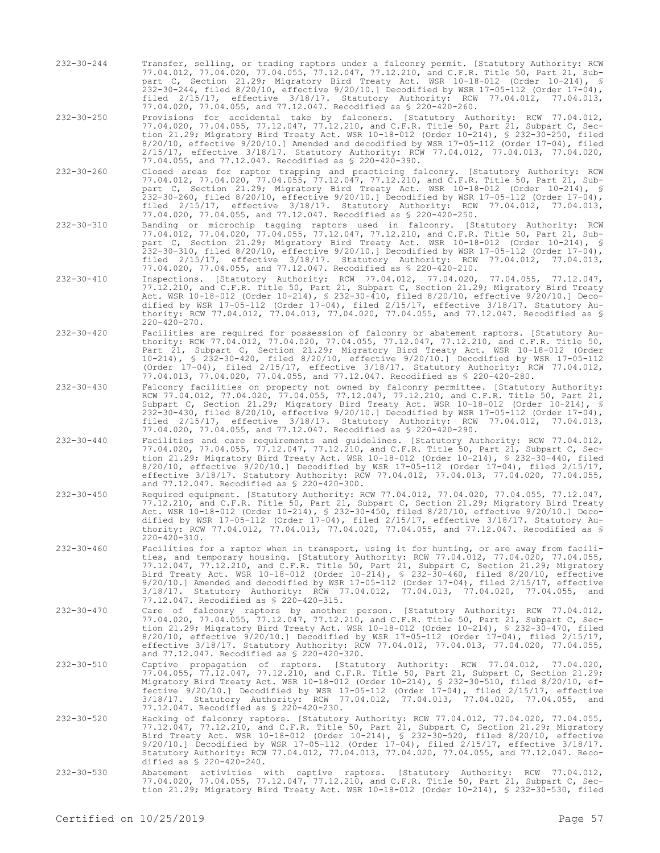- 232-30-244 Transfer, selling, or trading raptors under a falconry permit. [Statutory Authority: RCW 77.04.012, 77.04.020, 77.04.055, 77.12.047, 77.12.210, and C.F.R. Title 50, Part 21, Subpart C, Section 21.29; Migratory Bird Treaty Act. WSR 10-18-012 (Order 10-214), § 232-30-244, filed 8/20/10, effective 9/20/10.] Decodified by WSR 17-05-112 (Order 17-04), filed 2/15/17, effective 3/18/17. Statutory Authority: RCW 77.04.012, 77.04.013, 77.04.020, 77.04.055, and 77.12.047. Recodified as § 220-420-260.
- 232-30-250 Provisions for accidental take by falconers. [Statutory Authority: RCW 77.04.012, 77.04.020, 77.04.055, 77.12.047, 77.12.210, and C.F.R. Title 50, Part 21, Subpart C, Section 21.29; Migratory Bird Treaty Act. WSR 10-18-012 (Order 10-214), § 232-30-250, filed 8/20/10, effective 9/20/10.] Amended and decodified by WSR 17-05-112 (Order 17-04), filed 2/15/17, effective 3/18/17. Statutory Authority: RCW 77.04.012, 77.04.013, 77.04.020, 77.04.055, and 77.12.047. Recodified as § 220-420-390.
- 232-30-260 Closed areas for raptor trapping and practicing falconry. [Statutory Authority: RCW 77.04.012, 77.04.020, 77.04.055, 77.12.047, 77.12.210, and C.F.R. Title 50, Part 21, Subpart C, Section 21.29; Migratory Bird Treaty Act. WSR 10-18-012 (Order 10-214), § 232-30-260, filed 8/20/10, effective 9/20/10.] Decodified by WSR 17-05-112 (Order 17-04), filed 2/15/17, effective 3/18/17. Statutory Authority: RCW 77.04.012, 77.04.013, 77.04.020, 77.04.055, and 77.12.047. Recodified as § 220-420-250.
- 232-30-310 Banding or microchip tagging raptors used in falconry. [Statutory Authority: RCW 77.04.012, 77.04.020, 77.04.055, 77.12.047, 77.12.210, and C.F.R. Title 50, Part 21, Subpart C, Section 21.29; Migratory Bird Treaty Act. WSR 10-18-012 (Order 10-214), § 232-30-310, filed 8/20/10, effective 9/20/10.] Decodified by WSR 17-05-112 (Order 17-04), filed 2/15/17, effective 3/18/17. Statutory Authority: RCW 77.04.012, 77.04.013, 77.04.020, 77.04.055, and 77.12.047. Recodified as § 220-420-210.
- 232-30-410 Inspections. [Statutory Authority: RCW 77.04.012, 77.04.020, 77.04.055, 77.12.047, 77.12.210, and C.F.R. Title 50, Part 21, Subpart C, Section 21.29; Migratory Bird Treaty Act. WSR 10-18-012 (Order 10-214), § 232-30-410, filed 8/20/10, effective 9/20/10.] Decodified by WSR 17-05-112 (Order 17-04), filed 2/15/17, effective 3/18/17. Statutory Authority: RCW 77.04.012, 77.04.013, 77.04.020, 77.04.055, and 77.12.047. Recodified as § 220-420-270.
- 232-30-420 Facilities are required for possession of falconry or abatement raptors. [Statutory Authority: RCW 77.04.012, 77.04.020, 77.04.055, 77.12.047, 77.12.210, and C.F.R. Title 50, Part 21, Subpart C, Section 21.29; Migratory Bird Treaty Act. WSR 10-18-012 (Order 10-214), § 232-30-420, filed 8/20/10, effective 9/20/10.] Decodified by WSR 17-05-112 (Order 17-04), filed 2/15/17, effective 3/18/17. Statutory Authority: RCW 77.04.012, 77.04.013, 77.04.020, 77.04.055, and 77.12.047. Recodified as § 220-420-280.
- 232-30-430 Falconry facilities on property not owned by falconry permittee. [Statutory Authority: RCW 77.04.012, 77.04.020, 77.04.055, 77.12.047, 77.12.210, and C.F.R. Title 50, Part 21, Subpart C, Section 21.29; Migratory Bird Treaty Act. WSR 10-18-012 (Order 10-214), § 232-30-430, filed 8/20/10, effective 9/20/10.] Decodified by WSR 17-05-112 (Order 17-04), filed 2/15/17, effective 3/18/17. Statutory Authority: RCW 77.04.012, 77.04.013, 77.04.020, 77.04.055, and 77.12.047. Recodified as § 220-420-290.
- 232-30-440 Facilities and care requirements and guidelines. [Statutory Authority: RCW 77.04.012, 77.04.020, 77.04.055, 77.12.047, 77.12.210, and C.F.R. Title 50, Part 21, Subpart C, Section 21.29; Migratory Bird Treaty Act. WSR 10-18-012 (Order 10-214), § 232-30-440, filed 8/20/10, effective 9/20/10.] Decodified by WSR 17-05-112 (Order 17-04), filed 2/15/17, effective 3/18/17. Statutory Authority: RCW 77.04.012, 77.04.013, 77.04.020, 77.04.055, and 77.12.047. Recodified as § 220-420-300.
- 232-30-450 Required equipment. [Statutory Authority: RCW 77.04.012, 77.04.020, 77.04.055, 77.12.047, 77.12.210, and C.F.R. Title 50, Part 21, Subpart C, Section 21.29; Migratory Bird Treaty Act. WSR 10-18-012 (Order 10-214), § 232-30-450, filed 8/20/10, effective 9/20/10.] Decodified by WSR 17-05-112 (Order 17-04), filed 2/15/17, effective 3/18/17. Statutory Authority: RCW 77.04.012, 77.04.013, 77.04.020, 77.04.055, and 77.12.047. Recodified as §  $220 - 420 - 310$ .
- 232-30-460 Facilities for a raptor when in transport, using it for hunting, or are away from facilities, and temporary housing. [Statutory Authority: RCW 77.04.012, 77.04.020, 77.04.055, 77.12.047, 77.12.210, and C.F.R. Title 50, Part 21, Subpart C, Section 21.29; Migratory Bird Treaty Act. WSR 10-18-012 (Order 10-214), § 232-30-460, filed 8/20/10, effective 9/20/10.] Amended and decodified by WSR 17-05-112 (Order 17-04), filed 2/15/17, effective 3/18/17. Statutory Authority: RCW 77.04.012, 77.04.013, 77.04.020, 77.04.055, and 77.12.047. Exacture and account of the 17.04.012, 77.04.013,<br>77.12.047. Recodified as § 220-420-315.<br>Care of falconry raptors by another person. [Statutory
- 232-30-470 Care of falconry raptors by another person. [Statutory Authority: RCW 77.04.012, 77.04.020, 77.04.055, 77.12.047, 77.12.210, and C.F.R. Title 50, Part 21, Subpart C, Section 21.29; Migratory Bird Treaty Act. WSR 10-18-012 (Order 10-214), § 232-30-470, filed 8/20/10, effective 9/20/10.] Decodified by WSR 17-05-112 (Order 17-04), filed 2/15/17, effective 3/18/17. Statutory Authority: RCW 77.04.012, 77.04.013, 77.04.020, 77.04.055, and 77.12.047. Recodified as § 220-420-320.
- 232-30-510 Captive propagation of raptors. [Statutory Authority: RCW 77.04.012, 77.04.020, 77.04.055, 77.12.047, 77.12.210, and C.F.R. Title 50, Part 21, Subpart C, Section 21.29; Migratory Bird Treaty Act. WSR 10-18-012 (Order 10-214), § 232-30-510, filed 8/20/10, effective 9/20/10.] Decodified by WSR 17-05-112 (Order 17-04), filed 2/15/17, effective 3/18/17. Statutory Authority: RCW 77.04.012, 77.04.013, 77.04.020, 77.04.055, and 77.12.047. Recodified as § 220-420-230.
- 232-30-520 Hacking of falconry raptors. [Statutory Authority: RCW 77.04.012, 77.04.020, 77.04.055, 77.12.047, 77.12.210, and C.F.R. Title 50, Part 21, Subpart C, Section 21.29; Migratory Bird Treaty Act. WSR 10-18-012 (Order 10-214), § 232-30-520, filed 8/20/10, effective 9/20/10.] Decodified by WSR 17-05-112 (Order 17-04), filed 2/15/17, effective 3/18/17. Statutory Authority: RCW 77.04.012, 77.04.013, 77.04.020, 77.04.055, and 77.12.047. Recodified as § 220-420-240.
- 232-30-530 Abatement activities with captive raptors. [Statutory Authority: RCW 77.04.012, 77.04.020, 77.04.055, 77.12.047, 77.12.210, and C.F.R. Title 50, Part 21, Subpart C, Section 21.29; Migratory Bird Treaty Act. WSR 10-18-012 (Order 10-214), § 232-30-530, filed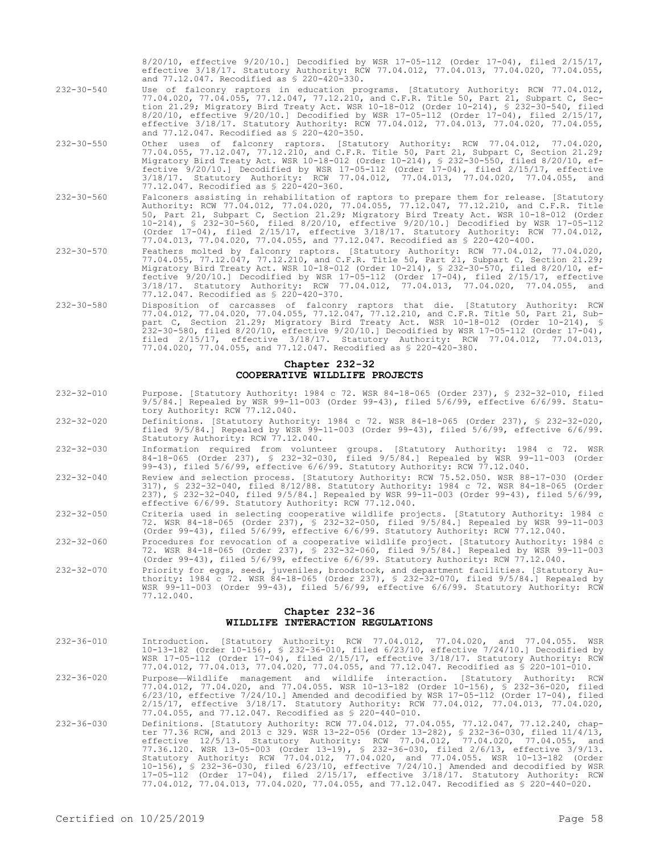8/20/10, effective 9/20/10.] Decodified by WSR 17-05-112 (Order 17-04), filed 2/15/17, effective 3/18/17. Statutory Authority: RCW 77.04.012, 77.04.013, 77.04.020, 77.04.055, and 77.12.047. Recodified as § 220-420-330.

- 232-30-540 Use of falconry raptors in education programs. [Statutory Authority: RCW 77.04.012, 77.04.020, 77.04.055, 77.12.047, 77.12.210, and C.F.R. Title 50, Part 21, Subpart C, Section 21.29; Migratory Bird Treaty Act. WSR 10-18-012 (Order 10-214), § 232-30-540, filed 8/20/10, effective 9/20/10.] Decodified by WSR 17-05-112 (Order 17-04), filed 2/15/17, effective 3/18/17. Statutory Authority: RCW 77.04.012, 77.04.013, 77.04.020, 77.04.055, and 77.12.047. Recodified as § 220-420-350.
- 232-30-550 Other uses of falconry raptors. [Statutory Authority: RCW 77.04.012, 77.04.020, 77.04.055, 77.12.047, 77.12.210, and C.F.R. Title 50, Part 21, Subpart C, Section 21.29; Migratory Bird Treaty Act. WSR 10-18-012 (Order 10-214), § 232-30-550, filed 8/20/10, effective 9/20/10.] Decodified by WSR 17-05-112 (Order 17-04), filed 2/15/17, effective 3/18/17. Statutory Authority: RCW 77.04.012, 77.04.013, 77.04.020, 77.04.055, and 77.12.047. Recodified as § 220-420-360.
- 232-30-560 Falconers assisting in rehabilitation of raptors to prepare them for release. [Statutory Authority: RCW 77.04.012, 77.04.020, 77.04.055, 77.12.047, 77.12.210, and C.F.R. Title 50, Part 21, Subpart C, Section 21.29; Migratory Bird Treaty Act. WSR 10-18-012 (Order 10-214), § 232-30-560, filed 8/20/10, effective 9/20/10.] Decodified by WSR 17-05-112 (Order 17-04), filed 2/15/17, effective 3/18/17. Statutory Authority: RCW 77.04.012, 77.04.013, 77.04.020, 77.04.055, and 77.12.047. Recodified as § 220-420-400.
- 232-30-570 Feathers molted by falconry raptors. [Statutory Authority: RCW 77.04.012, 77.04.020, 77.04.055, 77.12.047, 77.12.210, and C.F.R. Title 50, Part 21, Subpart C, Section 21.29; Migratory Bird Treaty Act. WSR 10-18-012 (Order 10-214), § 232-30-570, filed 8/20/10, effective 9/20/10.] Decodified by WSR 17-05-112 (Order 17-04), filed 2/15/17, effective 3/18/17. Statutory Authority: RCW 77.04.012, 77.04.013, 77.04.020, 77.04.055, and 77.12.047. Recodified as § 220-420-370.
- 232-30-580 Disposition of carcasses of falconry raptors that die. [Statutory Authority: RCW 77.04.012, 77.04.020, 77.04.055, 77.12.047, 77.12.210, and C.F.R. Title 50, Part 21, Subpart C, Section 21.29; Migratory Bird Treaty Act. WSR 10-18-012 (Order 10-214), § 232-30-580, filed 8/20/10, effective 9/20/10.] Decodified by WSR 17-05-112 (Order 17-04), filed 2/15/17, effective 3/18/17. Statutory Authority: RCW 77.04.012, 77.04.013, 77.04.020, 77.04.055, and 77.12.047. Recodified as § 220-420-380.

#### **Chapter 232-32 COOPERATIVE WILDLIFE PROJECTS**

- 232-32-010 Purpose. [Statutory Authority: 1984 c 72. WSR 84-18-065 (Order 237), § 232-32-010, filed 9/5/84.] Repealed by WSR 99-11-003 (Order 99-43), filed 5/6/99, effective 6/6/99. Statutory Authority: RCW 77.12.040.
- 232-32-020 Definitions. [Statutory Authority: 1984 c 72. WSR 84-18-065 (Order 237), § 232-32-020, filed 9/5/84.] Repealed by WSR 99-11-003 (Order 99-43), filed 5/6/99, effective 6/6/99. Statutory Authority: RCW 77.12.040.
- 232-32-030 Information required from volunteer groups. [Statutory Authority: 1984 c 72. WSR 84-18-065 (Order 237), § 232-32-030, filed 9/5/84.] Repealed by WSR 99-11-003 (Order 99-43), filed 5/6/99, effective 6/6/99. Statutory Authority: RCW 77.12.040.
- 232-32-040 Review and selection process. [Statutory Authority: RCW 75.52.050. WSR 88-17-030 (Order 317), § 232-32-040, filed 8/12/88. Statutory Authority: 1984 c 72. WSR 84-18-065 (Order 237), § 232-32-040, filed 9/5/84.] Repealed by WSR 99-11-003 (Order 99-43), filed 5/6/99, effective 6/6/99. Statutory Authority: RCW 77.12.040.
- 232-32-050 Criteria used in selecting cooperative wildlife projects. [Statutory Authority: 1984 c 72. WSR 84-18-065 (Order 237), § 232-32-050, filed 9/5/84.] Repealed by WSR 99-11-003 (Order 99-43), filed 5/6/99, effective 6/6/99. Statutory Authority: RCW 77.12.040.
- 232-32-060 Procedures for revocation of a cooperative wildlife project. [Statutory Authority: 1984 c 72. WSR 84-18-065 (Order 237), § 232-32-060, filed 9/5/84.] Repealed by WSR 99-11-003 (Order 99-43), filed 5/6/99, effective 6/6/99. Statutory Authority: RCW 77.12.040.
- 232-32-070 Priority for eggs, seed, juveniles, broodstock, and department facilities. [Statutory Authority: 1984 c 72. WSR 84-18-065 (Order 237), § 232-32-070, filed 9/5/84.] Repealed by WSR 99-11-003 (Order 99-43), filed 5/6/99, effective 6/6/99. Statutory Authority: RCW 77.12.040.

### **Chapter 232-36 WILDLIFE INTERACTION REGULATIONS**

- 232-36-010 Introduction. [Statutory Authority: RCW 77.04.012, 77.04.020, and 77.04.055. WSR 10-13-182 (Order 10-156), § 232-36-010, filed 6/23/10, effective 7/24/10.] Decodified by WSR 17-05-112 (Order 17-04), filed 2/15/17, effective 3/18/17. Statutory Authority: RCW 77.04.012, 77.04.013, 77.04.020, 77.04.055, and 77.12.047. Recodified as § 220-101-010.
- 232-36-020 Purpose—Wildlife management and wildlife interaction. [Statutory Authority: RCW 77.04.012, 77.04.020, and 77.04.055. WSR 10-13-182 (Order 10-156), § 232-36-020, filed 6/23/10, effective 7/24/10.] Amended and decodified by WSR 17-05-112 (Order 17-04), filed 2/15/17, effective 3/18/17. Statutory Authority: RCW 77.04.012, 77.04.013, 77.04.020, 77.04.055, and 77.12.047. Recodified as § 220-440-010.
- 232-36-030 Definitions. [Statutory Authority: RCW 77.04.012, 77.04.055, 77.12.047, 77.12.240, chap-ter 77.36 RCW, and 2013 c 329. WSR 13-22-056 (Order 13-282), § 232-36-030, filed 11/4/13, effective 12/5/13. Statutory Authority: RCW 77.04.012, 77.04.020, 77.04.055, and 77.36.120. WSR 13-05-003 (Order 13-19), § 232-36-030, filed 2/6/13, effective 3/9/13. Statutory Authority: RCW 77.04.012, 77.04.020, and 77.04.055. WSR 10-13-182 (Order 10-156), § 232-36-030, filed 6/23/10, effective 7/24/10.] Amended and decodified by WSR 17-05-112 (Order 17-04), filed 2/15/17, effective 3/18/17. Statutory Authority: RCW 77.04.012, 77.04.013, 77.04.020, 77.04.055, and 77.12.047. Recodified as § 220-440-020.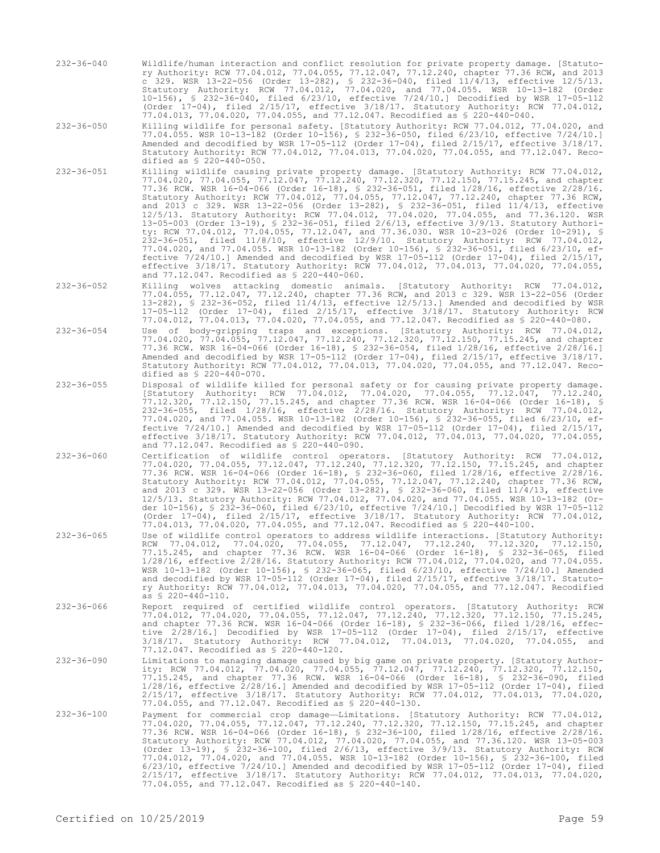- 232-36-040 Wildlife/human interaction and conflict resolution for private property damage. [Statutory Authority: RCW 77.04.012, 77.04.055, 77.12.047, 77.12.240, chapter 77.36 RCW, and 2013 c 329. WSR 13-22-056 (Order 13-282), § 232-36-040, filed 11/4/13, effective 12/5/13. Statutory Authority: RCW 77.04.012, 77.04.020, and 77.04.055. WSR 10-13-182 (Order 10-156), § 232-36-040, filed 6/23/10, effective 7/24/10.] Decodified by WSR 17-05-112 (Order 17-04), filed 2/15/17, effective 3/18/17. Statutory Authority: RCW 77.04.012, 77.04.013, 77.04.020, 77.04.055, and 77.12.047. Recodified as § 220-440-040.
- 232-36-050 Killing wildlife for personal safety. [Statutory Authority: RCW 77.04.012, 77.04.020, and 77.04.055. WSR 10-13-182 (Order 10-156), § 232-36-050, filed 6/23/10, effective 7/24/10.] Amended and decodified by WSR 17-05-112 (Order 17-04), filed 2/15/17, effective 3/18/17. Statutory Authority: RCW 77.04.012, 77.04.013, 77.04.020, 77.04.055, and 77.12.047. Recodified as § 220-440-050.
- 232-36-051 Killing wildlife causing private property damage. [Statutory Authority: RCW 77.04.012, 77.04.020, 77.04.055, 77.12.047, 77.12.240, 77.12.320, 77.12.150, 77.15.245, and chapter 77.36 RCW. WSR 16-04-066 (Order 16-18), § 232-36-051, filed 1/28/16, effective 2/28/16. Statutory Authority: RCW 77.04.012, 77.04.055, 77.12.047, 77.12.240, chapter 77.36 RCW, and 2013 c 329. WSR 13-22-056 (Order 13-282), § 232-36-051, filed 11/4/13, effective 12/5/13. Statutory Authority: RCW 77.04.012, 77.04.020, 77.04.055, and 77.36.120. WSR 13-05-003 (Order 13-19), § 232-36-051, filed 2/6/13, effective 3/9/13. Statutory Authority: RCW 77.04.012, 77.04.055, 77.12.047, and 77.36.030. WSR 10-23-026 (Order 10-291), § 232-36-051, filed 11/8/10, effective 12/9/10. Statutory Authority: RCW 77.04.012, 77.04.020, and 77.04.055. WSR 10-13-182 (Order 10-156), § 232-36-051, filed 6/23/10, effective 7/24/10.] Amended and decodified by WSR 17-05-112 (Order 17-04), filed 2/15/17, effective 3/18/17. Statutory Authority: RCW 77.04.012, 77.04.013, 77.04.020, 77.04.055, and 77.12.047. Recodified as § 220-440-060.
- 232-36-052 Killing wolves attacking domestic animals. [Statutory Authority: RCW 77.04.012, 77.04.055, 77.12.047, 77.12.240, chapter 77.36 RCW, and 2013 c 329. WSR 13-22-056 (Order 13-282), § 232-36-052, filed 11/4/13, effective 12/5/13.] Amended and decodified by WSR 17-05-112 (Order 17-04), filed 2/15/17, effective 3/18/17. Statutory Authority: RCW 77.04.012, 77.04.013, 77.04.020, 77.04.055, and 77.12.047. Recodified as § 220-440-080.
- 232-36-054 Use of body-gripping traps and exceptions. [Statutory Authority: RCW 77.04.012, 77.04.020, 77.04.055, 77.12.047, 77.12.240, 77.12.320, 77.12.150, 77.15.245, and chapter 77.36 RCW. WSR 16-04-066 (Order 16-18), § 232-36-054, filed 1/28/16, effective 2/28/16.] Amended and decodified by WSR 17-05-112 (Order 17-04), filed 2/15/17, effective 3/18/17. Statutory Authority: RCW 77.04.012, 77.04.013, 77.04.020, 77.04.055, and 77.12.047. Recodified as § 220-440-070.
- 232-36-055 Disposal of wildlife killed for personal safety or for causing private property damage. [Statutory Authority: RCW 77.04.012, 77.04.020, 77.04.055, 77.12.047, 77.12.240, 77.12.320, 77.12.150, 77.15.245, and chapter 77.36 RCW. WSR 16-04-066 (Order 16-18), § 232-36-055, filed 1/28/16, effective 2/28/16. Statutory Authority: RCW 77.04.012, 77.04.020, and 77.04.055. WSR 10-13-182 (Order 10-156), § 232-36-055, filed 6/23/10, effective 7/24/10.] Amended and decodified by WSR 17-05-112 (Order 17-04), filed 2/15/17, effective 3/18/17. Statutory Authority: RCW 77.04.012, 77.04.013, 77.04.020, 77.04.055, and 77.12.047. Recodified as § 220-440-090.
- 232-36-060 Certification of wildlife control operators. [Statutory Authority: RCW 77.04.012, 77.04.020, 77.04.055, 77.12.047, 77.12.240, 77.12.320, 77.12.150, 77.15.245, and chapter 77.36 RCW. WSR 16-04-066 (Order 16-18), § 232-36-060, filed 1/28/16, effective 2/28/16. Statutory Authority: RCW 77.04.012, 77.04.055, 77.12.047, 77.12.240, chapter 77.36 RCW, and 2013 c 329. WSR 13-22-056 (Order 13-282), § 232-36-060, filed 11/4/13, effective 12/5/13. Statutory Authority: RCW 77.04.012, 77.04.020, and 77.04.055. WSR 10-13-182 (Order 10-156), § 232-36-060, filed 6/23/10, effective 7/24/10.] Decodified by WSR 17-05-112 (Order 17-04), filed 2/15/17, effective 3/18/17. Statutory Authority: RCW 77.04.012, 77.04.013, 77.04.020, 77.04.055, and 77.12.047. Recodified as § 220-440-100.
- 232-36-065 Use of wildlife control operators to address wildlife interactions. [Statutory Authority: RCW 77.04.012, 77.04.020, 77.04.055, 77.12.047, 77.12.240, 77.12.320, 77.12.150, 77.15.245, and chapter 77.36 RCW. WSR 16-04-066 (Order 16-18), § 232-36-065, filed 1/28/16, effective 2/28/16. Statutory Authority: RCW 77.04.012, 77.04.020, and 77.04.055. WSR 10-13-182 (Order 10-156), § 232-36-065, filed 6/23/10, effective 7/24/10.] Amended and decodified by WSR 17-05-112 (Order 17-04), filed 2/15/17, effective 3/18/17. Statutory Authority: RCW 77.04.012, 77.04.013, 77.04.020, 77.04.055, and 77.12.047. Recodified as § 220-440-110.
- 232-36-066 Report required of certified wildlife control operators. [Statutory Authority: RCW 77.04.012, 77.04.020, 77.04.055, 77.12.047, 77.12.240, 77.12.320, 77.12.150, 77.15.245, and chapter 77.36 RCW. WSR 16-04-066 (Order 16-18), § 232-36-066, filed 1/28/16, effective 2/28/16.] Decodified by WSR 17-05-112 (Order 17-04), filed 2/15/17, effective 3/18/17. Statutory Authority: RCW 77.04.012, 77.04.013, 77.04.020, 77.04.055, and 77.12.047. Recodified as § 220-440-120.
- 232-36-090 Limitations to managing damage caused by big game on private property. [Statutory Authority: RCW 77.04.012, 77.04.020, 77.04.055, 77.12.047, 77.12.240, 77.12.320, 77.12.150, 77.15.245, and chapter 77.36 RCW. WSR 16-04-066 (Order 16-18), § 232-36-090, filed 1/28/16, effective 2/28/16.] Amended and decodified by WSR 17-05-112 (Order 17-04), filed 2/15/17, effective 3/18/17. Statutory Authority: RCW 77.04.012, 77.04.013, 77.04.020, 77.04.055, and 77.12.047. Recodified as § 220-440-130.
- 232-36-100 Payment for commercial crop damage—Limitations. [Statutory Authority: RCW 77.04.012, 77.04.020, 77.04.055, 77.12.047, 77.12.240, 77.12.320, 77.12.150, 77.15.245, and chapter 77.36 RCW. WSR 16-04-066 (Order 16-18), § 232-36-100, filed 1/28/16, effective 2/28/16. Statutory Authority: RCW 77.04.012, 77.04.020, 77.04.055, and 77.36.120. WSR 13-05-003 (Order 13-19), § 232-36-100, filed 2/6/13, effective 3/9/13. Statutory Authority: RCW 77.04.012, 77.04.020, and 77.04.055. WSR 10-13-182 (Order 10-156), § 232-36-100, filed 6/23/10, effective 7/24/10.] Amended and decodified by WSR 17-05-112 (Order 17-04), filed 2/15/17, effective 3/18/17. Statutory Authority: RCW 77.04.012, 77.04.013, 77.04.020, 77.04.055, and 77.12.047. Recodified as § 220-440-140.